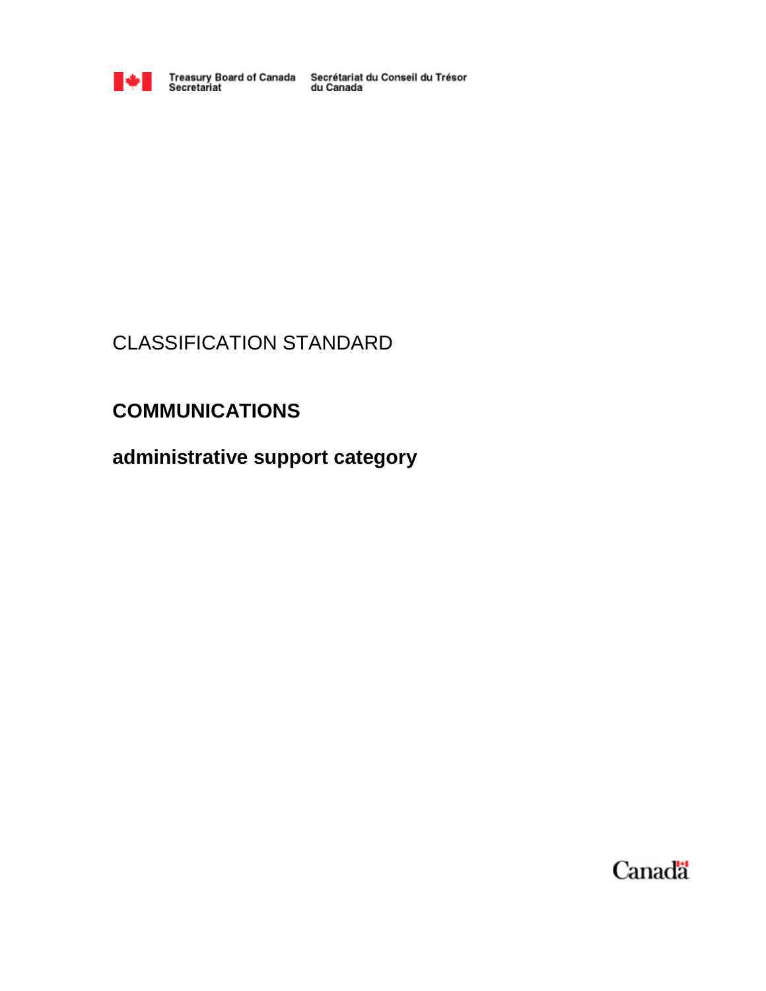

Treasury Board of Canada Secrétariat du Conseil du Trésor<br>Secretariat du Canada

# CLASSIFICATION STANDARD

# **COMMUNICATIONS**

**administrative support category**

Canada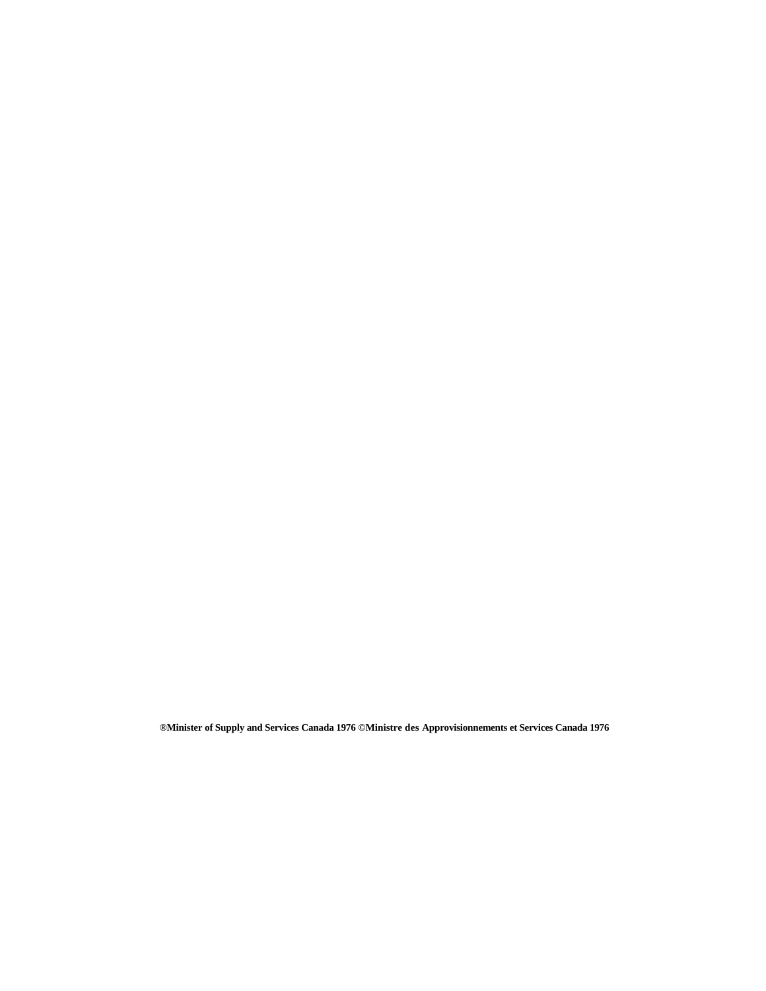**®Minister of Supply and Services Canada 1976 ©Ministre des Approvisionnements et Services Canada 1976**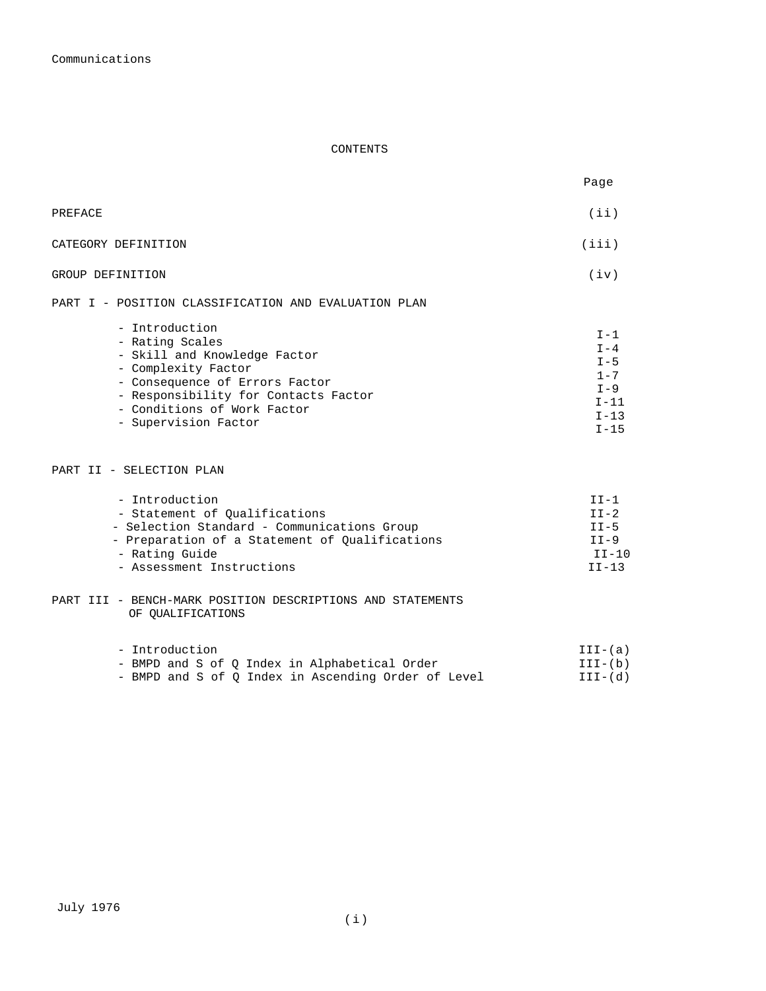#### CONTENTS

| Page                                                                            |
|---------------------------------------------------------------------------------|
| (iii)                                                                           |
| (iii)                                                                           |
| (iv)                                                                            |
| $I-1$<br>$I - 4$<br>$I - 5$<br>$1 - 7$<br>$I - 9$<br>$I-11$<br>$I-13$<br>$I-15$ |
|                                                                                 |

#### PART II - SELECTION PLAN

| - Introduction                                 | $TT-1$  |
|------------------------------------------------|---------|
| - Statement of Oualifications                  | $TT-2$  |
| - Selection Standard - Communications Group    | $II-5$  |
| - Preparation of a Statement of Oualifications | $TT-9$  |
| - Rating Guide                                 | $TT-10$ |
| - Assessment Instructions                      | $TT-13$ |

PART III - BENCH-MARK POSITION DESCRIPTIONS AND STATEMENTS OF QUALIFICATIONS

| - Introduction |  |  |  |  |  |  |                                                     | III-(a)   |
|----------------|--|--|--|--|--|--|-----------------------------------------------------|-----------|
|                |  |  |  |  |  |  | - BMPD and S of O Index in Alphabetical Order       | $III-(b)$ |
|                |  |  |  |  |  |  | - BMPD and S of O Index in Ascending Order of Level | $III-(d)$ |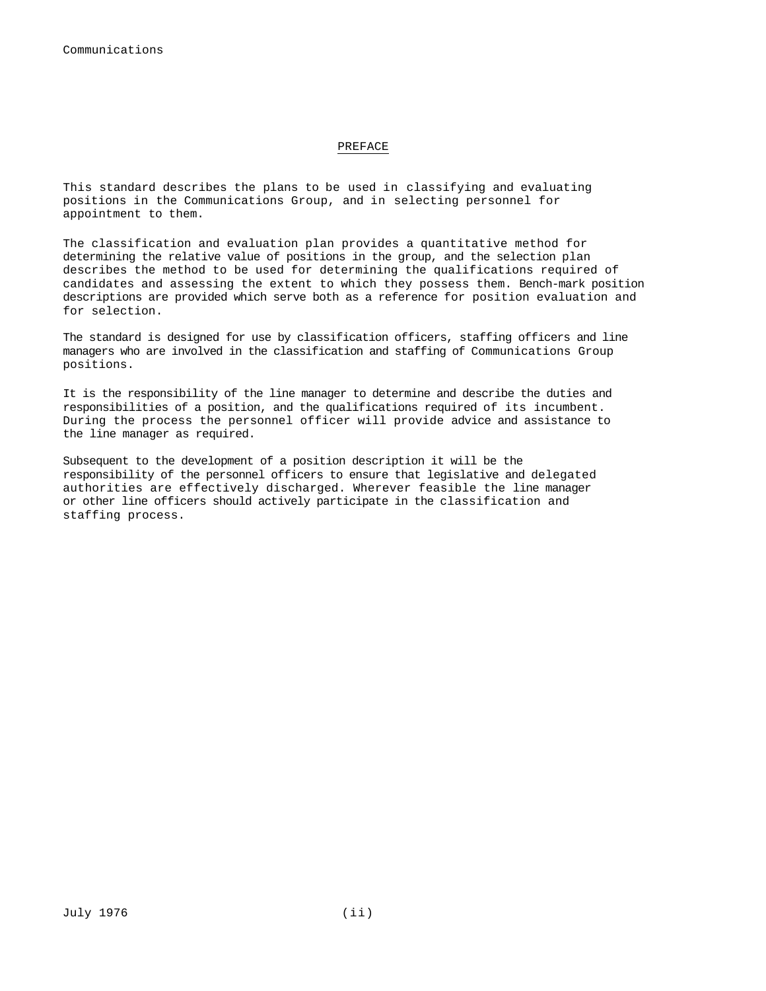#### PREFACE

This standard describes the plans to be used in classifying and evaluating positions in the Communications Group, and in selecting personnel for appointment to them.

The classification and evaluation plan provides a quantitative method for determining the relative value of positions in the group, and the selection plan describes the method to be used for determining the qualifications required of candidates and assessing the extent to which they possess them. Bench-mark position descriptions are provided which serve both as a reference for position evaluation and for selection.

The standard is designed for use by classification officers, staffing officers and line managers who are involved in the classification and staffing of Communications Group positions.

It is the responsibility of the line manager to determine and describe the duties and responsibilities of a position, and the qualifications required of its incumbent. During the process the personnel officer will provide advice and assistance to the line manager as required.

Subsequent to the development of a position description it will be the responsibility of the personnel officers to ensure that legislative and delegated authorities are effectively discharged. Wherever feasible the line manager or other line officers should actively participate in the classification and staffing process.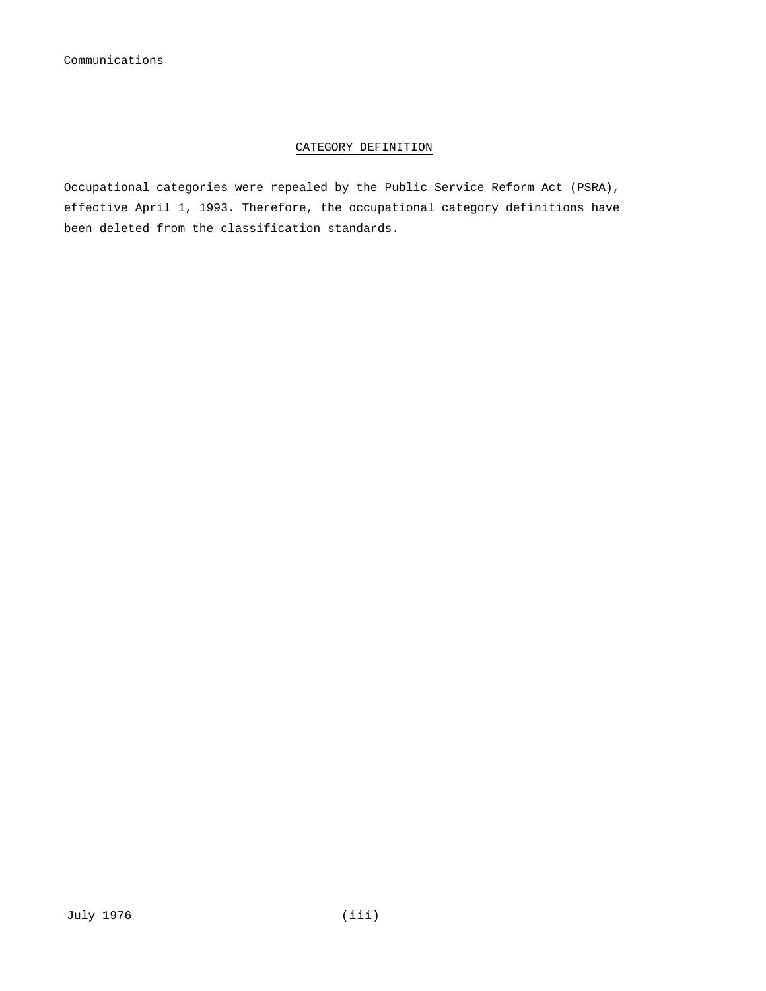#### CATEGORY DEFINITION

Occupational categories were repealed by the Public Service Reform Act (PSRA), effective April 1, 1993. Therefore, the occupational category definitions have been deleted from the classification standards.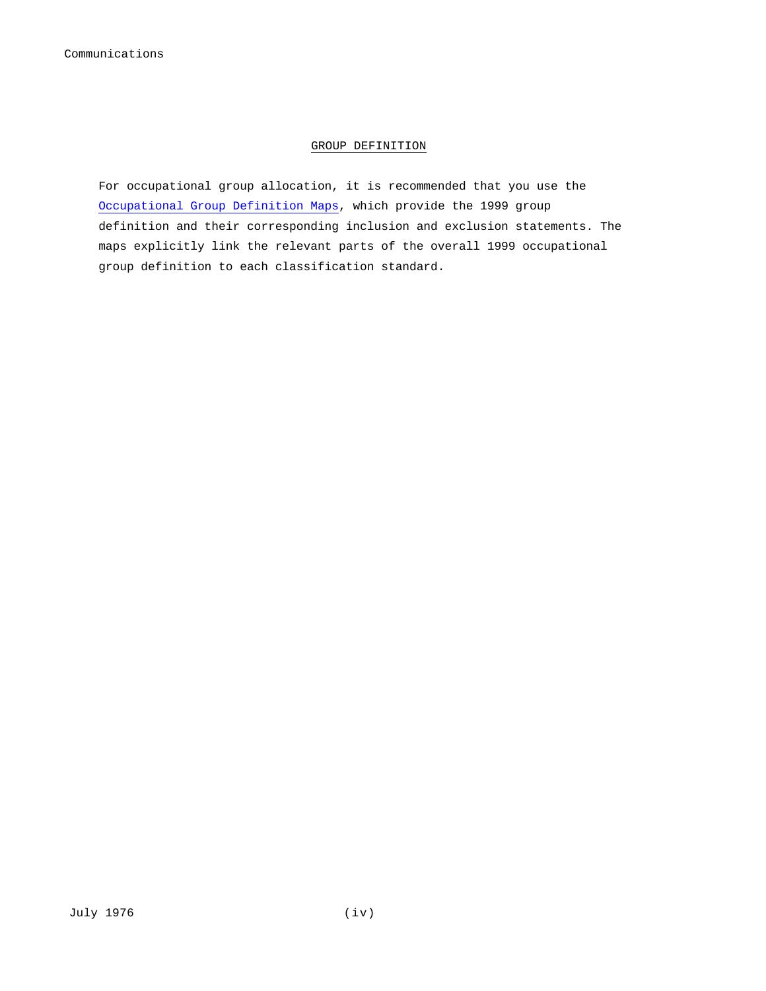#### GROUP DEFINITION

For occupational group allocation, it is recommended that you use the Occupational Group Definition Maps, which provide the 1999 group definition and their corresponding inclusion and exclusion statements. The maps explicitly link the relevant parts of the overall 1999 occupational group definition to each classification standard.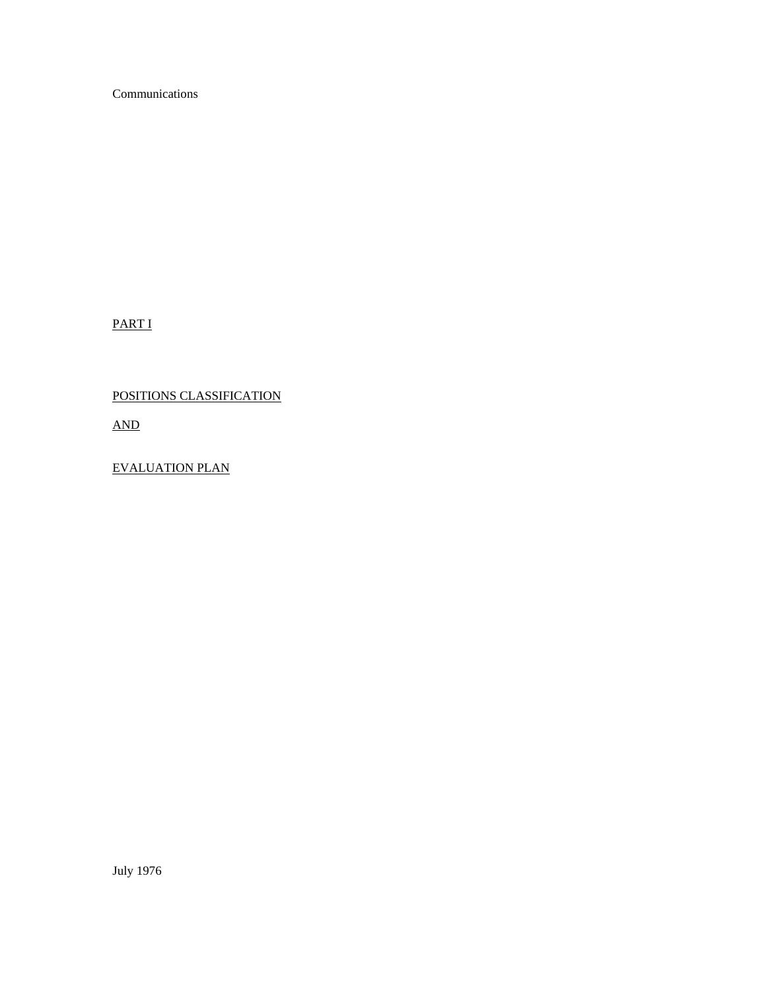Communications

PART I

## POSITIONS CLASSIFICATION

AND

EVALUATION PLAN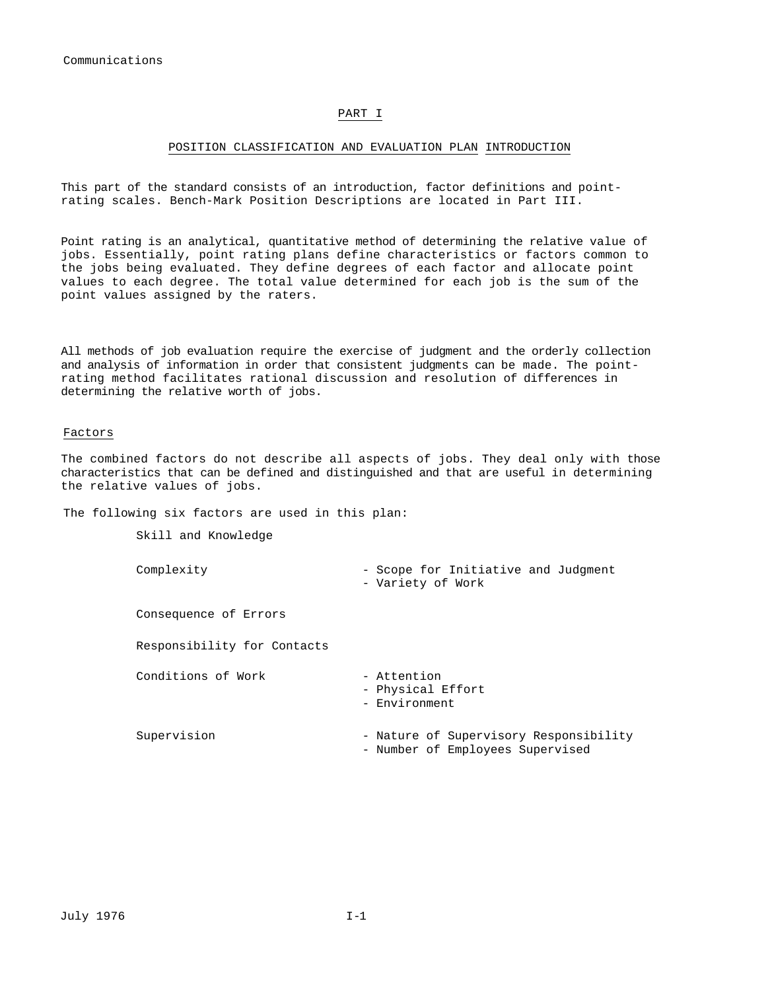#### PART I

#### POSITION CLASSIFICATION AND EVALUATION PLAN INTRODUCTION

This part of the standard consists of an introduction, factor definitions and pointrating scales. Bench-Mark Position Descriptions are located in Part III.

Point rating is an analytical, quantitative method of determining the relative value of jobs. Essentially, point rating plans define characteristics or factors common to the jobs being evaluated. They define degrees of each factor and allocate point values to each degree. The total value determined for each job is the sum of the point values assigned by the raters.

All methods of job evaluation require the exercise of judgment and the orderly collection and analysis of information in order that consistent judgments can be made. The pointrating method facilitates rational discussion and resolution of differences in determining the relative worth of jobs.

#### Factors

The combined factors do not describe all aspects of jobs. They deal only with those characteristics that can be defined and distinguished and that are useful in determining the relative values of jobs.

The following six factors are used in this plan:

Skill and Knowledge

| Complexity                  | - Scope for Initiative and Judgment<br>- Variety of Work                   |
|-----------------------------|----------------------------------------------------------------------------|
| Consequence of Errors       |                                                                            |
| Responsibility for Contacts |                                                                            |
| Conditions of Work          | - Attention<br>- Physical Effort<br>- Environment                          |
| Supervision                 | - Nature of Supervisory Responsibility<br>- Number of Employees Supervised |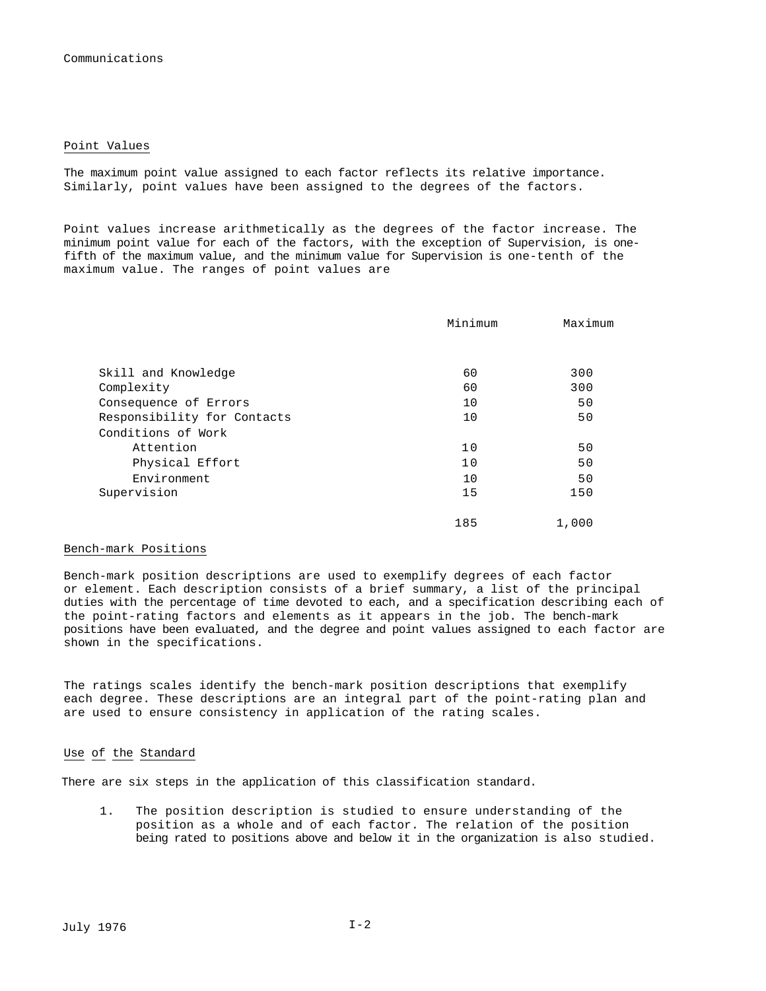#### Point Values

The maximum point value assigned to each factor reflects its relative importance. Similarly, point values have been assigned to the degrees of the factors.

Point values increase arithmetically as the degrees of the factor increase. The minimum point value for each of the factors, with the exception of Supervision, is onefifth of the maximum value, and the minimum value for Supervision is one-tenth of the maximum value. The ranges of point values are

|                             | Minimum | Maximum |
|-----------------------------|---------|---------|
|                             |         |         |
| Skill and Knowledge         | 60      | 300     |
| Complexity                  | 60      | 300     |
| Consequence of Errors       | 10      | 50      |
| Responsibility for Contacts | 10      | 50      |
| Conditions of Work          |         |         |
| Attention                   | 10      | 50      |
| Physical Effort             | 10      | 50      |
| Environment                 | 10      | 50      |
| Supervision                 | 15      | 150     |
|                             | 185     | 1,000   |

#### Bench-mark Positions

Bench-mark position descriptions are used to exemplify degrees of each factor or element. Each description consists of a brief summary, a list of the principal duties with the percentage of time devoted to each, and a specification describing each of the point-rating factors and elements as it appears in the job. The bench-mark positions have been evaluated, and the degree and point values assigned to each factor are shown in the specifications.

The ratings scales identify the bench-mark position descriptions that exemplify each degree. These descriptions are an integral part of the point-rating plan and are used to ensure consistency in application of the rating scales.

#### Use of the Standard

There are six steps in the application of this classification standard.

1. The position description is studied to ensure understanding of the position as a whole and of each factor. The relation of the position being rated to positions above and below it in the organization is also studied.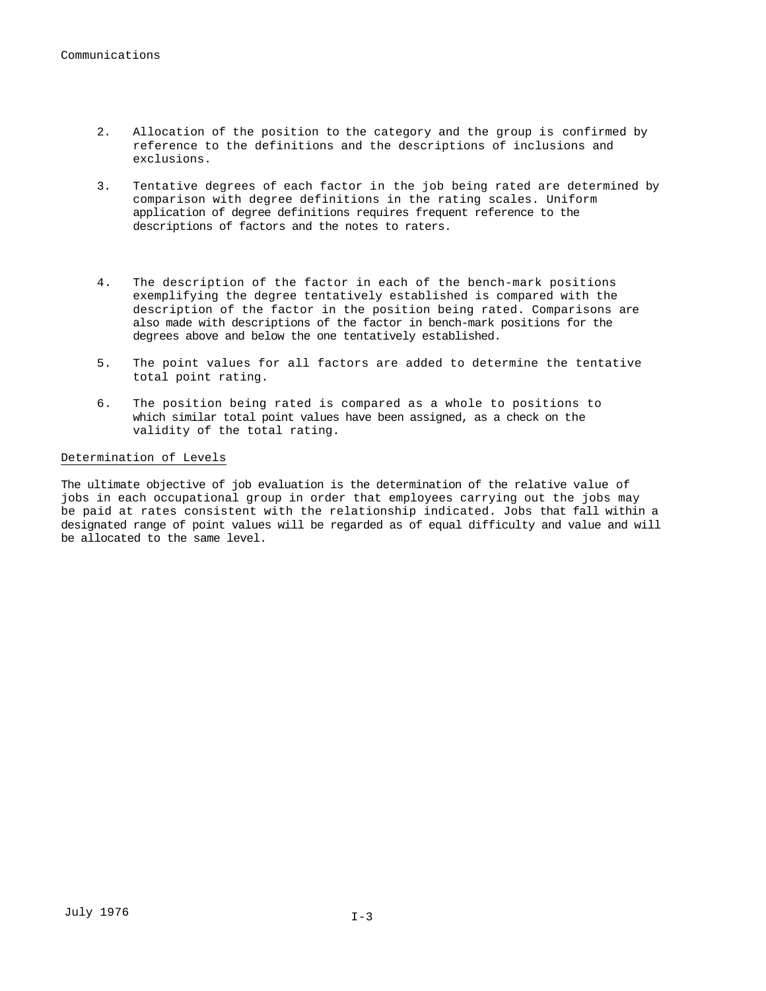- 2. Allocation of the position to the category and the group is confirmed by reference to the definitions and the descriptions of inclusions and exclusions.
- 3. Tentative degrees of each factor in the job being rated are determined by comparison with degree definitions in the rating scales. Uniform application of degree definitions requires frequent reference to the descriptions of factors and the notes to raters.
- 4. The description of the factor in each of the bench-mark positions exemplifying the degree tentatively established is compared with the description of the factor in the position being rated. Comparisons are also made with descriptions of the factor in bench-mark positions for the degrees above and below the one tentatively established.
- 5. The point values for all factors are added to determine the tentative total point rating.
- 6. The position being rated is compared as a whole to positions to which similar total point values have been assigned, as a check on the validity of the total rating.

#### Determination of Levels

The ultimate objective of job evaluation is the determination of the relative value of jobs in each occupational group in order that employees carrying out the jobs may be paid at rates consistent with the relationship indicated. Jobs that fall within a designated range of point values will be regarded as of equal difficulty and value and will be allocated to the same level.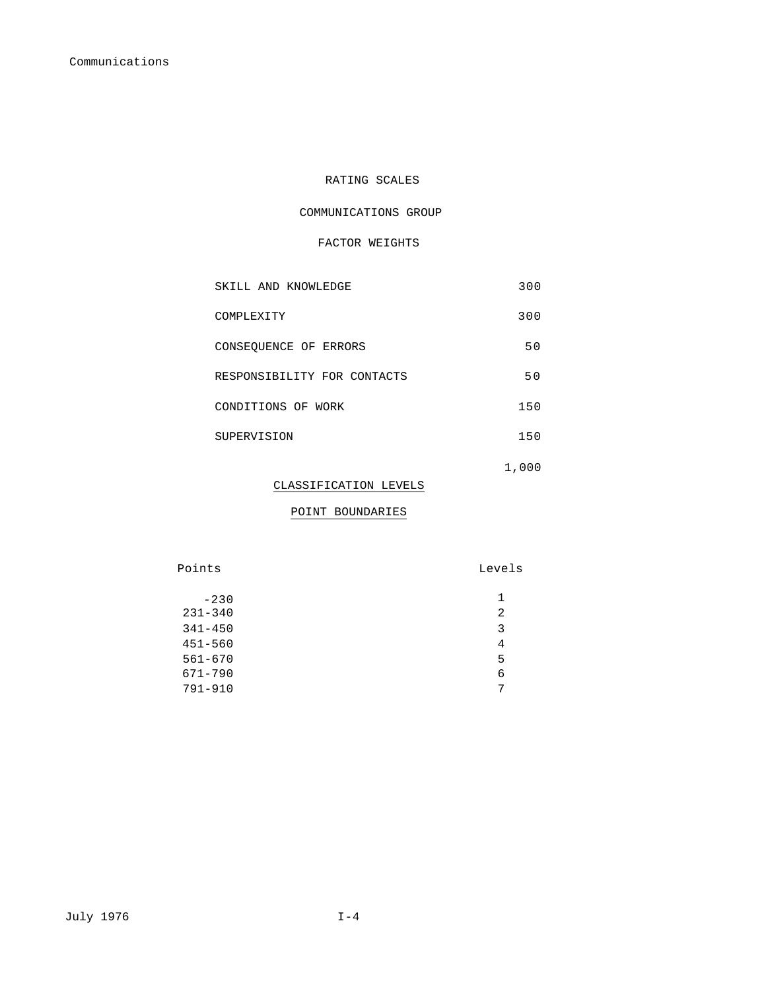### RATING SCALES

#### COMMUNICATIONS GROUP

#### FACTOR WEIGHTS

| SKILL AND KNOWLEDGE         | 300   |
|-----------------------------|-------|
| COMPLEXITY                  | 300   |
| CONSEOUENCE OF ERRORS       | 50    |
| RESPONSIBILITY FOR CONTACTS | 50    |
| CONDITIONS OF WORK          | 150   |
| SUPERVISION                 | 150   |
|                             | 1,000 |

#### CLASSIFICATION LEVELS

#### POINT BOUNDARIES

Points Levels

| $-230$      | 1. |
|-------------|----|
| $231 - 340$ | 2  |
| $341 - 450$ | 3  |
| 451-560     | 4  |
| $561 - 670$ | 5  |
| 671-790     | 6  |
| 791-910     | 7  |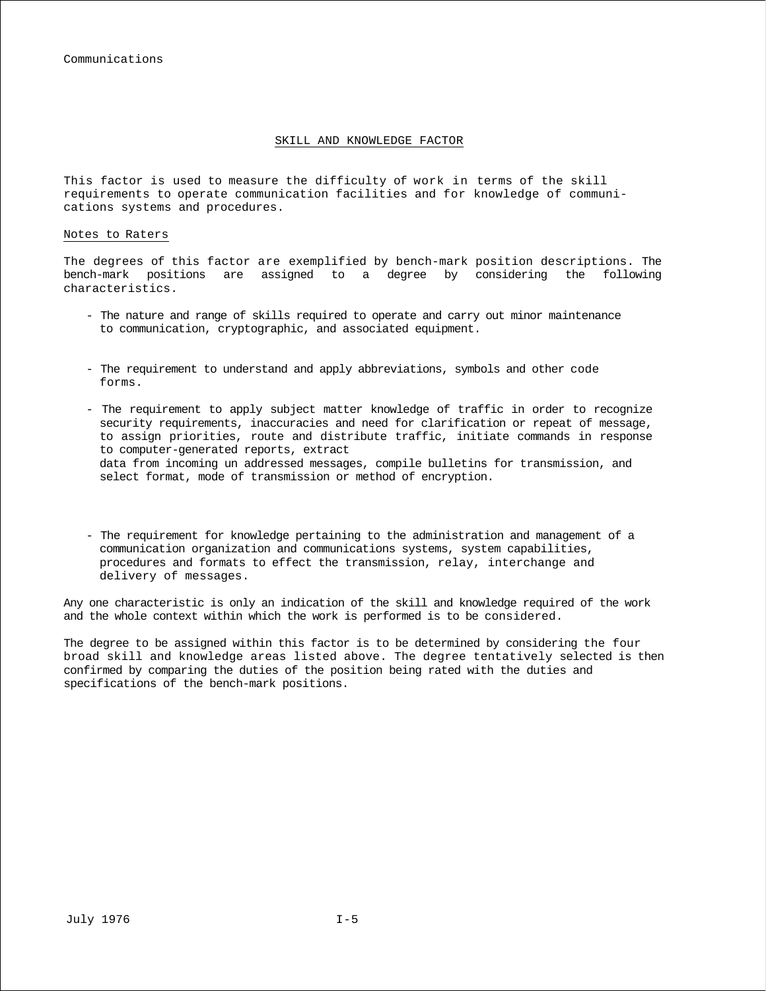#### SKILL AND KNOWLEDGE FACTOR

This factor is used to measure the difficulty of work in terms of the skill requirements to operate communication facilities and for knowledge of communications systems and procedures.

#### Notes to Raters

The degrees of this factor are exemplified by bench-mark position descriptions. The bench-mark positions are assigned to a degree by considering the following characteristics.

- The nature and range of skills required to operate and carry out minor maintenance to communication, cryptographic, and associated equipment.
- The requirement to understand and apply abbreviations, symbols and other code forms.
- The requirement to apply subject matter knowledge of traffic in order to recognize security requirements, inaccuracies and need for clarification or repeat of message, to assign priorities, route and distribute traffic, initiate commands in response to computer-generated reports, extract data from incoming un addressed messages, compile bulletins for transmission, and select format, mode of transmission or method of encryption.
- The requirement for knowledge pertaining to the administration and management of a communication organization and communications systems, system capabilities, procedures and formats to effect the transmission, relay, interchange and delivery of messages.

Any one characteristic is only an indication of the skill and knowledge required of the work and the whole context within which the work is performed is to be considered.

The degree to be assigned within this factor is to be determined by considering the four broad skill and knowledge areas listed above. The degree tentatively selected is then confirmed by comparing the duties of the position being rated with the duties and specifications of the bench-mark positions.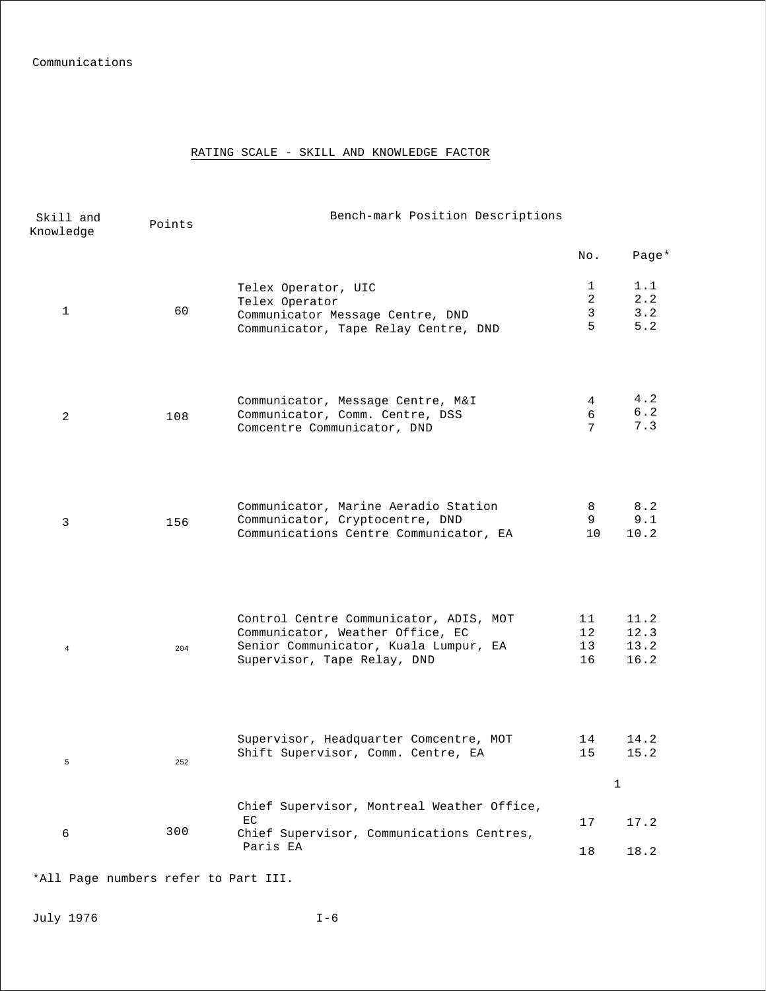#### RATING SCALE - SKILL AND KNOWLEDGE FACTOR

| Skill and<br>Knowledge | Points | Bench-mark Position Descriptions                                                                                                                   |                                         |                              |
|------------------------|--------|----------------------------------------------------------------------------------------------------------------------------------------------------|-----------------------------------------|------------------------------|
|                        |        |                                                                                                                                                    | No.                                     | Page*                        |
| $\mathbf{1}$           | 60     | Telex Operator, UIC<br>Telex Operator<br>Communicator Message Centre, DND<br>Communicator, Tape Relay Centre, DND                                  | $\mathbf 1$<br>$\overline{2}$<br>3<br>5 | 1.1<br>2.2<br>3.2<br>5.2     |
| 2                      | 108    | Communicator, Message Centre, M&I<br>Communicator, Comm. Centre, DSS<br>Comcentre Communicator, DND                                                | 4<br>6<br>7                             | 4.2<br>$6.2$<br>7.3          |
| 3                      | 156    | Communicator, Marine Aeradio Station<br>Communicator, Cryptocentre, DND<br>Communications Centre Communicator, EA                                  | 8<br>9<br>10                            | 8.2<br>9.1<br>10.2           |
| $\bf{4}$               | 204    | Control Centre Communicator, ADIS, MOT<br>Communicator, Weather Office, EC<br>Senior Communicator, Kuala Lumpur, EA<br>Supervisor, Tape Relay, DND | 11<br>12<br>13<br>16                    | 11.2<br>12.3<br>13.2<br>16.2 |
| $\mathsf S$            | 252    | Supervisor, Headquarter Comcentre, MOT<br>Shift Supervisor, Comm. Centre, EA                                                                       | 14<br>15                                | 14.2<br>15.2<br>$\mathbf 1$  |
| 6                      | 300    | Chief Supervisor, Montreal Weather Office,<br>EC<br>Chief Supervisor, Communications Centres,<br>Paris EA                                          | 17<br>18                                | 17.2<br>18.2                 |

\*All Page numbers refer to Part III.

July 1976 I-6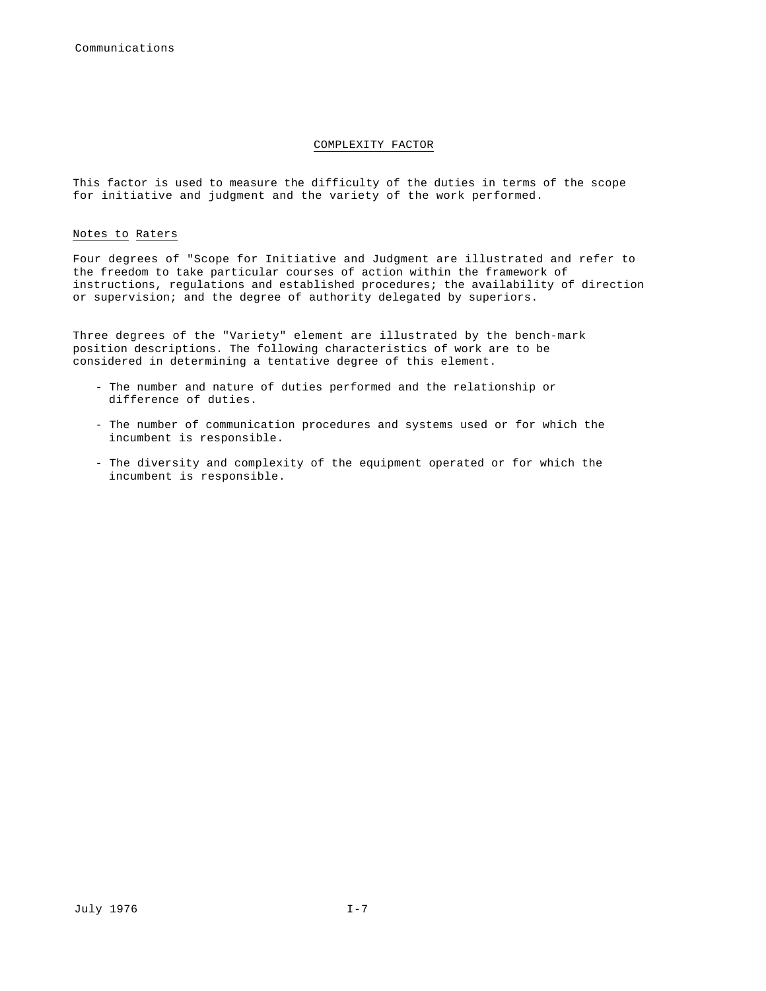#### COMPLEXITY FACTOR

This factor is used to measure the difficulty of the duties in terms of the scope for initiative and judgment and the variety of the work performed.

#### Notes to Raters

Four degrees of "Scope for Initiative and Judgment are illustrated and refer to the freedom to take particular courses of action within the framework of instructions, regulations and established procedures; the availability of direction or supervision; and the degree of authority delegated by superiors.

Three degrees of the "Variety" element are illustrated by the bench-mark position descriptions. The following characteristics of work are to be considered in determining a tentative degree of this element.

- The number and nature of duties performed and the relationship or difference of duties.
- The number of communication procedures and systems used or for which the incumbent is responsible.
- The diversity and complexity of the equipment operated or for which the incumbent is responsible.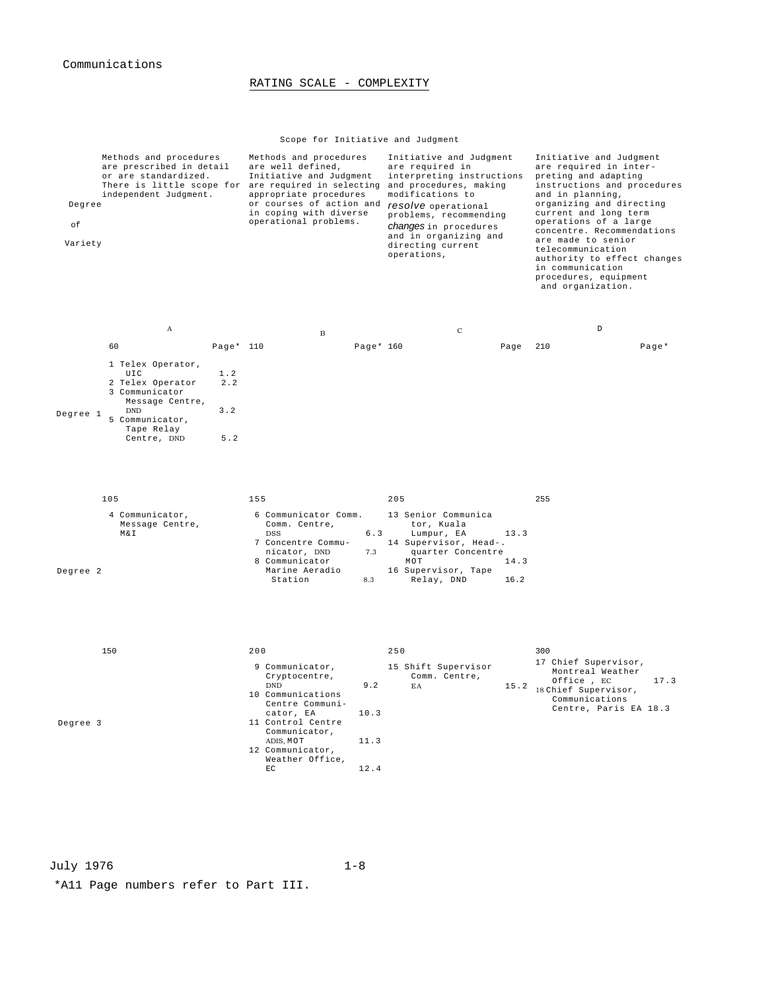#### RATING SCALE - COMPLEXITY

#### Scope for Initiative and Judgment

| Degree<br>οf<br>Variety |     | Methods and procedures<br>are prescribed in detail<br>or are standardized.<br>There is little scope for are required in selecting<br>independent Judgment. |                          | Methods and procedures<br>are well defined,<br>Initiative and Judgment<br>appropriate procedures<br>or courses of action and<br>in coping with diverse<br>operational problems. |            |           | Initiative and Judgment<br>are required in<br>interpreting instructions<br>and procedures, making<br>modifications to<br>resolve operational<br>problems, recommending<br><i>changes</i> in procedures<br>and in organizing and<br>directing current<br>operations, |                      | Initiative and Judgment<br>are required in inter-<br>preting and adapting<br>instructions and procedures<br>and in planning,<br>organizing and directing<br>current and long term<br>operations of a large<br>concentre. Recommendations<br>are made to senior<br>telecommunication<br>authority to effect changes<br>in communication<br>procedures, equipment<br>and organization. |      |  |
|-------------------------|-----|------------------------------------------------------------------------------------------------------------------------------------------------------------|--------------------------|---------------------------------------------------------------------------------------------------------------------------------------------------------------------------------|------------|-----------|---------------------------------------------------------------------------------------------------------------------------------------------------------------------------------------------------------------------------------------------------------------------|----------------------|--------------------------------------------------------------------------------------------------------------------------------------------------------------------------------------------------------------------------------------------------------------------------------------------------------------------------------------------------------------------------------------|------|--|
|                         |     | $\boldsymbol{A}$                                                                                                                                           |                          | $\mathbf B$                                                                                                                                                                     |            |           | $\mathbf C$                                                                                                                                                                                                                                                         |                      | D                                                                                                                                                                                                                                                                                                                                                                                    |      |  |
|                         | 60  |                                                                                                                                                            | Page* 110                |                                                                                                                                                                                 |            | Page* 160 |                                                                                                                                                                                                                                                                     | Page                 | 210<br>$Page*$                                                                                                                                                                                                                                                                                                                                                                       |      |  |
| Degree 1                |     | 1 Telex Operator,<br>UIC<br>2 Telex Operator<br>3 Communicator<br>Message Centre,<br><b>DND</b><br>5 Communicator,<br>Tape Relay<br>Centre, DND            | 1.2<br>2.2<br>3.2<br>5.2 |                                                                                                                                                                                 |            |           |                                                                                                                                                                                                                                                                     |                      |                                                                                                                                                                                                                                                                                                                                                                                      |      |  |
|                         | 105 |                                                                                                                                                            |                          | 155                                                                                                                                                                             |            |           | 205                                                                                                                                                                                                                                                                 |                      | 255                                                                                                                                                                                                                                                                                                                                                                                  |      |  |
| Degree 2                |     | 4 Communicator,<br>Message Centre,<br>M&Ι                                                                                                                  |                          | 6 Communicator Comm.<br>Comm. Centre,<br><b>DSS</b><br>7 Concentre Commu-<br>nicator, DND<br>8 Communicator<br>Marine Aeradio<br>Station                                        | 7.3<br>8.3 | 6.3       | 13 Senior Communica<br>tor, Kuala<br>Lumpur, EA<br>14 Supervisor, Head-.<br>quarter Concentre<br>MOT<br>16 Supervisor, Tape<br>Relay, DND                                                                                                                           | 13.3<br>14.3<br>16.2 |                                                                                                                                                                                                                                                                                                                                                                                      |      |  |
|                         | 150 |                                                                                                                                                            |                          | 200<br>9 Communicator,<br>Cryptocentre,<br><b>DND</b>                                                                                                                           | 9.2        |           | 250<br>15 Shift Supervisor<br>Comm. Centre,<br>EA                                                                                                                                                                                                                   |                      | 300<br>17 Chief Supervisor,<br>Montreal Weather<br>Office, EC<br>$15.2$ 18 Chief Supervisor,                                                                                                                                                                                                                                                                                         | 17.3 |  |

Degree 3

DND 9.2 10 Communications Centre Communi-<br>
cator, EA 10.3<br>
11 Control Centre<br>
Communicator, 11.3<br>
ADIS, MOT 11.3 12 Communicator, Weather Office, EC  $12.4$ 18 Chief Supervisor, Communications Centre, Paris EA 18.3

July 1976 1-8

\*A11 Page numbers refer to Part III.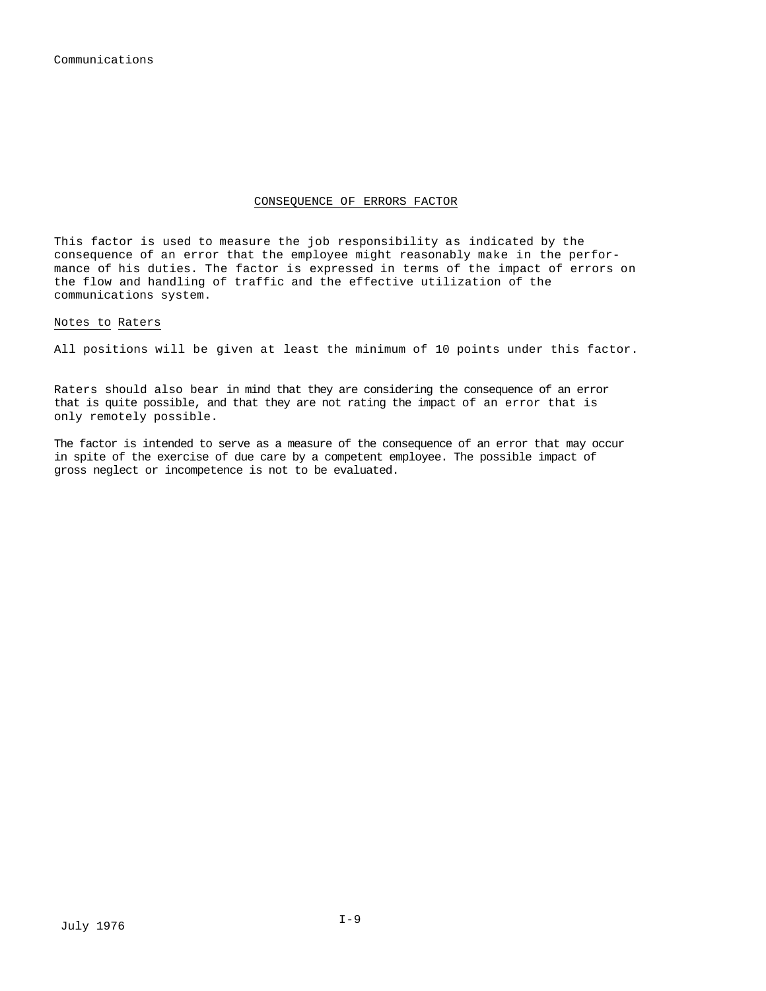#### CONSEQUENCE OF ERRORS FACTOR

This factor is used to measure the job responsibility as indicated by the consequence of an error that the employee might reasonably make in the performance of his duties. The factor is expressed in terms of the impact of errors on the flow and handling of traffic and the effective utilization of the communications system.

#### Notes to Raters

All positions will be given at least the minimum of 10 points under this factor.

Raters should also bear in mind that they are considering the consequence of an error that is quite possible, and that they are not rating the impact of an error that is only remotely possible.

The factor is intended to serve as a measure of the consequence of an error that may occur in spite of the exercise of due care by a competent employee. The possible impact of gross neglect or incompetence is not to be evaluated.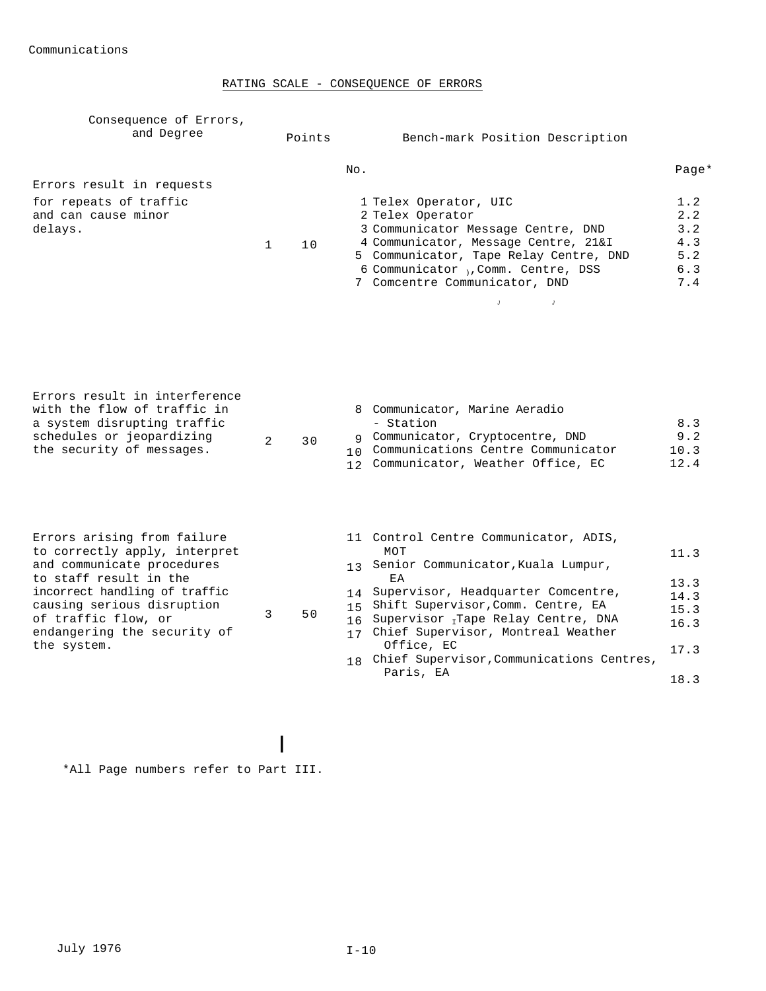#### RATING SCALE - CONSEQUENCE OF ERRORS

| Consequence of Errors,<br>and Degree                                                                                                                                                                                                                     | Points               | Bench-mark Position Description                                                                                                                                                                                                                                                                                                              |                                                          |
|----------------------------------------------------------------------------------------------------------------------------------------------------------------------------------------------------------------------------------------------------------|----------------------|----------------------------------------------------------------------------------------------------------------------------------------------------------------------------------------------------------------------------------------------------------------------------------------------------------------------------------------------|----------------------------------------------------------|
| Errors result in requests<br>for repeats of traffic<br>and can cause minor<br>delays.                                                                                                                                                                    | 10<br>$\mathbf{1}$   | No.<br>1 Telex Operator, UIC<br>2 Telex Operator<br>3 Communicator Message Centre, DND<br>4 Communicator, Message Centre, 21&I<br>5 Communicator, Tape Relay Centre, DND<br>6 Communicator, Comm. Centre, DSS<br>7 Comcentre Communicator, DND<br>$\overline{1}$<br>$\overline{J}$                                                           | $Page*$<br>1.2<br>2.2<br>3.2<br>4.3<br>5.2<br>6.3<br>7.4 |
| Errors result in interference<br>with the flow of traffic in<br>a system disrupting traffic<br>schedules or jeopardizing<br>the security of messages.                                                                                                    | $\mathfrak{D}$<br>30 | 8 Communicator, Marine Aeradio<br>- Station<br>9 Communicator, Cryptocentre, DND<br>10 Communications Centre Communicator<br>12 Communicator, Weather Office, EC                                                                                                                                                                             | 8.3<br>9.2<br>10.3<br>12.4                               |
| Errors arising from failure<br>to correctly apply, interpret<br>and communicate procedures<br>to staff result in the<br>incorrect handling of traffic<br>causing serious disruption<br>of traffic flow, or<br>endangering the security of<br>the system. | 3<br>50              | 11 Control Centre Communicator, ADIS,<br>MOT<br>13 Senior Communicator, Kuala Lumpur,<br>EA<br>Supervisor, Headquarter Comcentre,<br>14<br>15 Shift Supervisor, Comm. Centre, EA<br>16 Supervisor Tape Relay Centre, DNA<br>17 Chief Supervisor, Montreal Weather<br>Office, EC<br>18 Chief Supervisor, Communications Centres,<br>Paris, EA | 11.3<br>13.3<br>14.3<br>15.3<br>16.3<br>17.3<br>18.3     |

\*All Page numbers refer to Part III.

I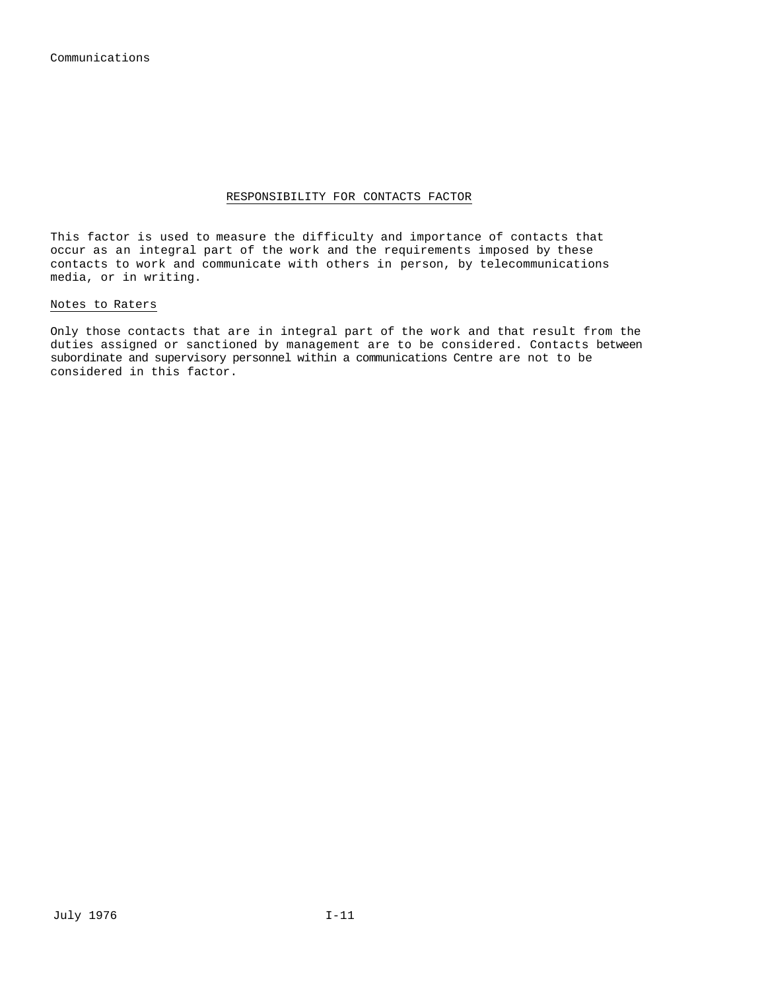#### RESPONSIBILITY FOR CONTACTS FACTOR

This factor is used to measure the difficulty and importance of contacts that occur as an integral part of the work and the requirements imposed by these contacts to work and communicate with others in person, by telecommunications media, or in writing.

#### Notes to Raters

Only those contacts that are in integral part of the work and that result from the duties assigned or sanctioned by management are to be considered. Contacts between subordinate and supervisory personnel within a communications Centre are not to be considered in this factor.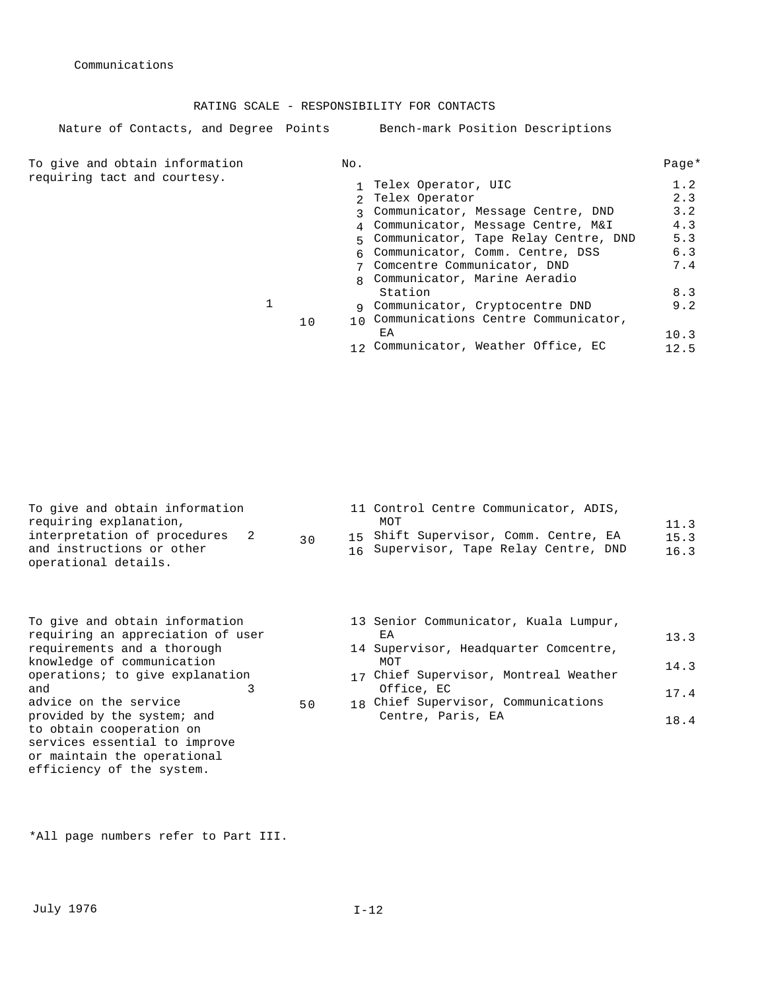RATING SCALE - RESPONSIBILITY FOR CONTACTS

Nature of Contacts, and Degree Points Bench-mark Position Descriptions

To give and obtain information No. No. requiring tact and courtesy.

|    | 1 Telex Operator, UIC                               | 1.2  |
|----|-----------------------------------------------------|------|
|    | Telex Operator<br>$\mathcal{D}$                     | 2.3  |
|    | Communicator, Message Centre, DND<br>$\overline{2}$ | 3.2  |
|    | 4 Communicator, Message Centre, M&I                 | 4.3  |
|    | 5 Communicator, Tape Relay Centre, DND              | 5.3  |
|    | 6 Communicator, Comm. Centre, DSS                   | 6.3  |
|    | 7 Comcentre Communicator, DND                       | 7.4  |
|    | g Communicator, Marine Aeradio                      |      |
|    | Station                                             | 8.3  |
|    | 9 Communicator, Cryptocentre DND                    | 9.2  |
| 10 | 10 Communications Centre Communicator,              |      |
|    | ЕA                                                  | 10.3 |
|    | Communicator, Weather Office, EC                    | 12.5 |

| requiring explanation,<br>MOT<br>11.3<br>interpretation of procedures<br>15 Shift Supervisor, Comm. Centre, EA<br>15.3 |  |
|------------------------------------------------------------------------------------------------------------------------|--|
| 30<br>and instructions or other<br>16 Supervisor, Tape Relay Centre, DND<br>16.3<br>operational details.               |  |

50

| To give and obtain information<br>requiring an appreciation of user<br>requirements and a thorough |
|----------------------------------------------------------------------------------------------------|
| knowledge of communication                                                                         |
| operations; to give explanation                                                                    |
| and                                                                                                |
| advice on the service                                                                              |
| provided by the system; and                                                                        |
| to obtain cooperation on                                                                           |
| services essential to improve                                                                      |
| or maintain the operational                                                                        |
| efficiency of the system.                                                                          |

| 13 Senior Communicator, Kuala Lumpur,<br>ЕA |      |
|---------------------------------------------|------|
|                                             | 13.3 |
| 14 Supervisor, Headquarter Comcentre,       |      |
| MOT                                         | 14.3 |
| 17 Chief Supervisor, Montreal Weather       |      |
| Office, EC                                  | 17.4 |
| 18 Chief Supervisor, Communications         |      |
| Centre, Paris, EA                           |      |
|                                             | 184  |

\*All page numbers refer to Part III.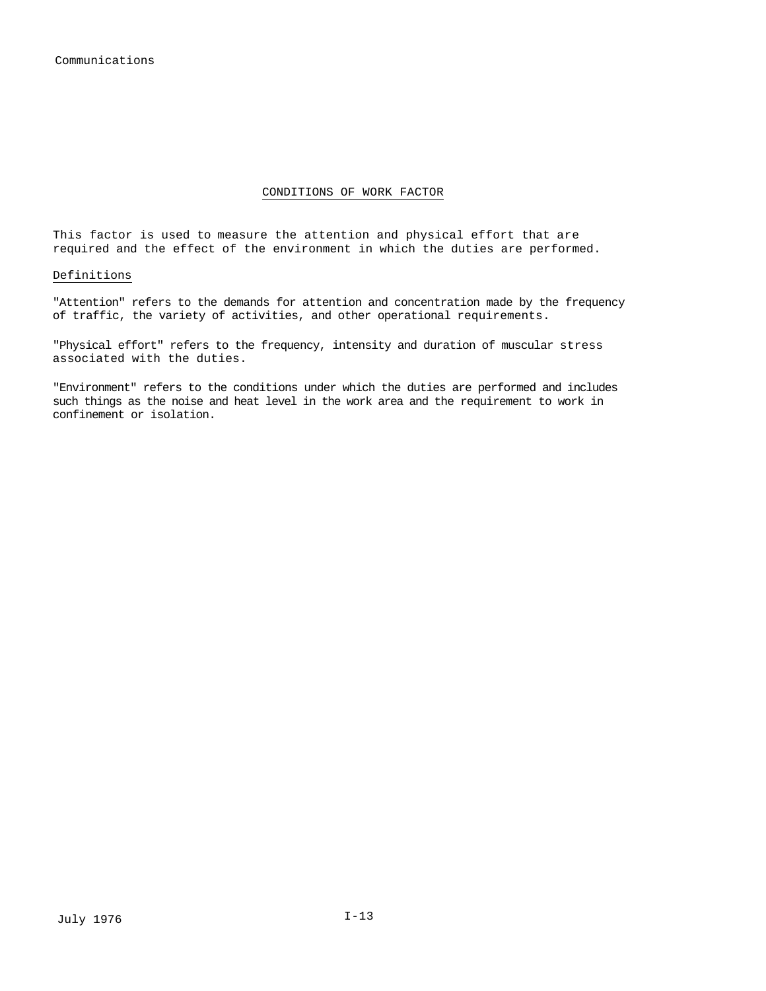#### CONDITIONS OF WORK FACTOR

This factor is used to measure the attention and physical effort that are required and the effect of the environment in which the duties are performed.

#### Definitions

"Attention" refers to the demands for attention and concentration made by the frequency of traffic, the variety of activities, and other operational requirements.

"Physical effort" refers to the frequency, intensity and duration of muscular stress associated with the duties.

"Environment" refers to the conditions under which the duties are performed and includes such things as the noise and heat level in the work area and the requirement to work in confinement or isolation.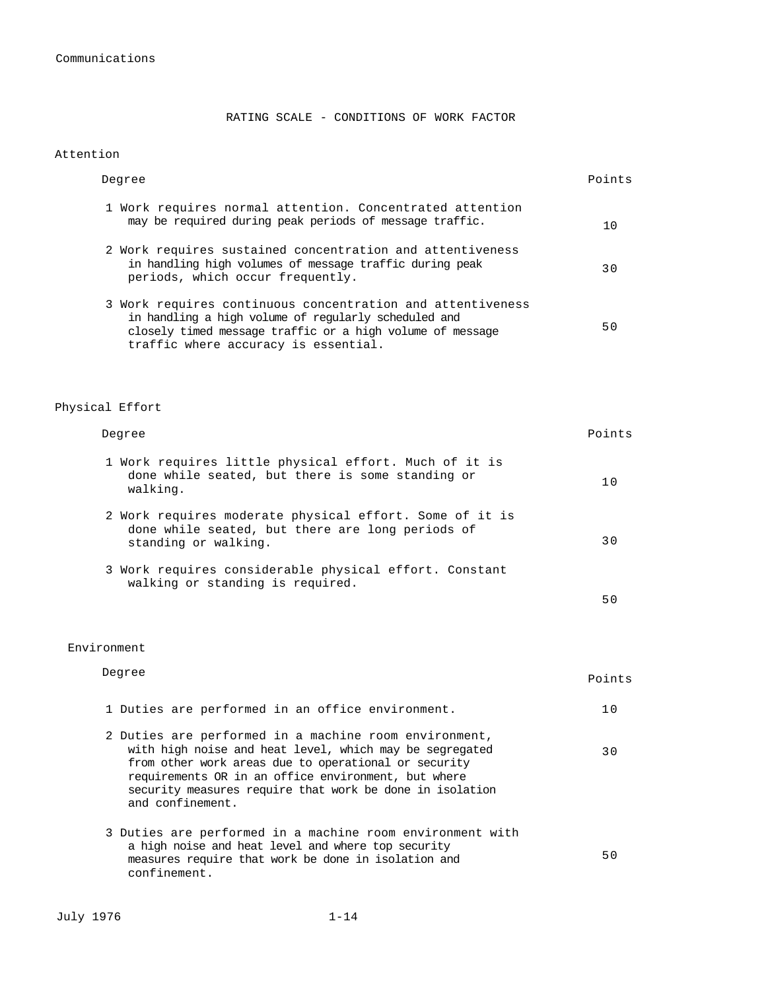RATING SCALE - CONDITIONS OF WORK FACTOR

#### Attention

|                 | Degree                                                                                                                                                                                                                  | Points |
|-----------------|-------------------------------------------------------------------------------------------------------------------------------------------------------------------------------------------------------------------------|--------|
|                 | 1 Work requires normal attention. Concentrated attention<br>may be required during peak periods of message traffic.                                                                                                     | 10     |
|                 | 2 Work requires sustained concentration and attentiveness<br>in handling high volumes of message traffic during peak<br>periods, which occur frequently.                                                                | 30     |
|                 | 3 Work requires continuous concentration and attentiveness<br>in handling a high volume of regularly scheduled and<br>closely timed message traffic or a high volume of message<br>traffic where accuracy is essential. | 50     |
| Physical Effort |                                                                                                                                                                                                                         |        |
|                 | Degree                                                                                                                                                                                                                  | Points |

| 1 Work requires little physical effort. Much of it is<br>done while seated, but there is some standing or<br>walking.               |     |  |
|-------------------------------------------------------------------------------------------------------------------------------------|-----|--|
| 2 Work requires moderate physical effort. Some of it is<br>done while seated, but there are long periods of<br>standing or walking. | ר 3 |  |
| 3 Work requires considerable physical effort. Constant<br>walking or standing is required.                                          |     |  |
|                                                                                                                                     |     |  |

Environment

| Degree                                                                                                                                                                                                                                                                                                          | Points |
|-----------------------------------------------------------------------------------------------------------------------------------------------------------------------------------------------------------------------------------------------------------------------------------------------------------------|--------|
| 1 Duties are performed in an office environment.                                                                                                                                                                                                                                                                | 1 N    |
| 2 Duties are performed in a machine room environment,<br>with high noise and heat level, which may be segregated<br>from other work areas due to operational or security<br>requirements OR in an office environment, but where<br>security measures require that work be done in isolation<br>and confinement. | 3 O    |
| 3 Duties are performed in a machine room environment with<br>a high noise and heat level and where top security<br>measures require that work be done in isolation and<br>confinement.                                                                                                                          | 50     |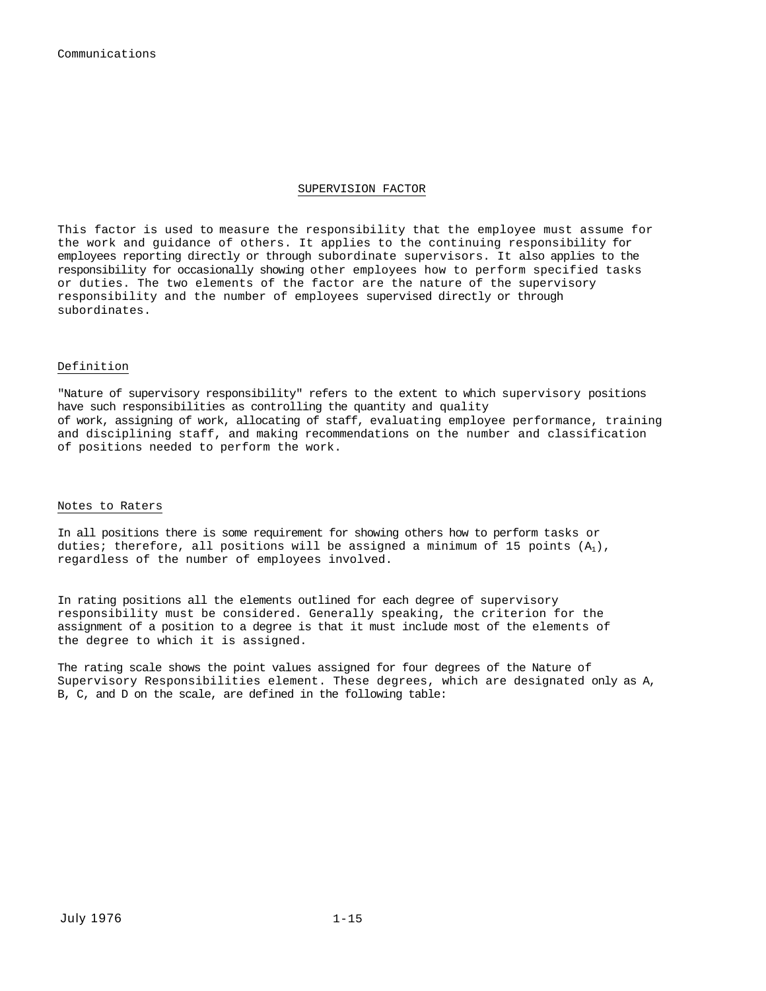Communications

#### SUPERVISION FACTOR

This factor is used to measure the responsibility that the employee must assume for the work and guidance of others. It applies to the continuing responsibility for employees reporting directly or through subordinate supervisors. It also applies to the responsibility for occasionally showing other employees how to perform specified tasks or duties. The two elements of the factor are the nature of the supervisory responsibility and the number of employees supervised directly or through subordinates.

#### Definition

"Nature of supervisory responsibility" refers to the extent to which supervisory positions have such responsibilities as controlling the quantity and quality of work, assigning of work, allocating of staff, evaluating employee performance, training and disciplining staff, and making recommendations on the number and classification of positions needed to perform the work.

#### Notes to Raters

In all positions there is some requirement for showing others how to perform tasks or duties; therefore, all positions will be assigned a minimum of 15 points  $(A_1)$ , regardless of the number of employees involved.

In rating positions all the elements outlined for each degree of supervisory responsibility must be considered. Generally speaking, the criterion for the assignment of a position to a degree is that it must include most of the elements of the degree to which it is assigned.

The rating scale shows the point values assigned for four degrees of the Nature of Supervisory Responsibilities element. These degrees, which are designated only as A, B, C, and D on the scale, are defined in the following table: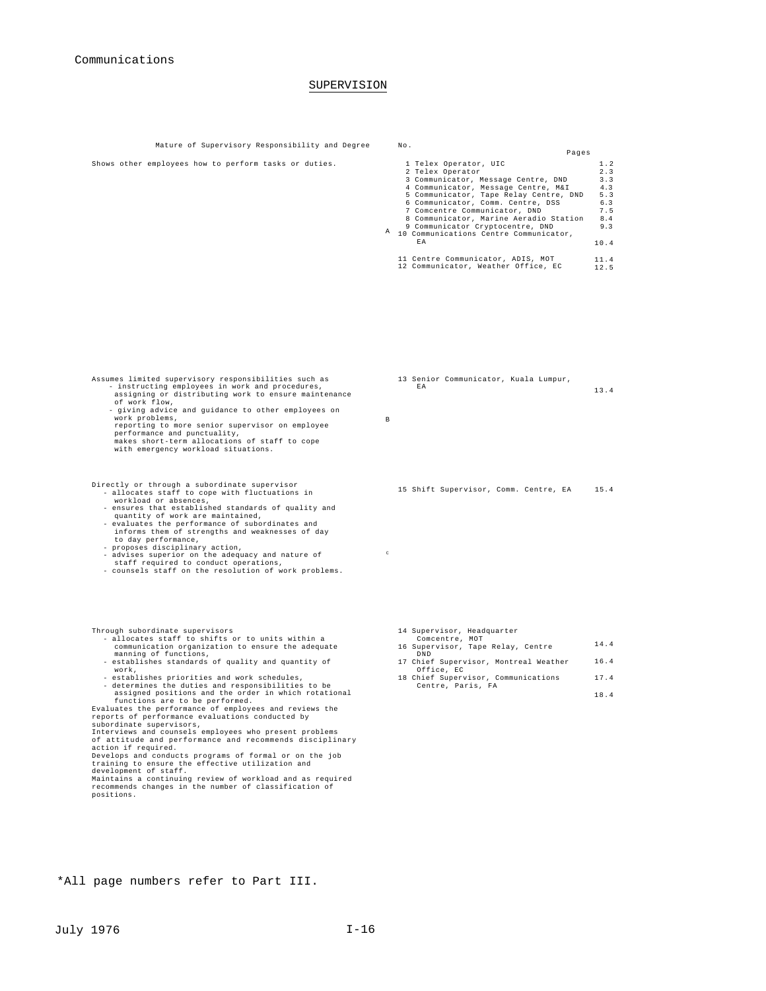#### SUPERVISION

Mature of Supervisory Responsibility and Degree No. Pages Shows other employees how to perform tasks or duties. A 9 Communicator Cryptocentre, DND 10 Communications Centre Communicator, 1 Telex Operator<br>2 Telex Operator<br>3 Communicator, Message Centre, DND<br>4 Communicator, Message Centre, M&I<br>5 Communicator, Tape Relay Centre, DND 6 Communicator, Comm. Centre, DSS 7 Comcentre Communicator, DND 8 Communicator, Marine Aeradio Station EA 11 Centre Communicator, ADIS, MOT 12 Communicator, Weather Office, EC 1.2 2.3 3.3 4.3 5.3 6.3 7.5  $8.4$ 9.3 10.4 11.4 12.5 Assumes limited supervisory responsibilities such as - instructing employees in work and procedures, assigning or distributing work to ensure maintenance of work flow, - giving advice and guidance to other employees on work problems, reporting to more senior supervisor on employee performance and punctuality, makes short-term allocations of staff to cope with emergency workload situations. B 13 Senior Communicator, Kuala Lumpur, EA 13.4 Directly or through a subordinate supervisor - allocates staff to cope with fluctuations in workload or absences,<br>- ensures that established standards of quality and<br>quantity of work are maintained,<br>- evaluates the performance of subordinates and<br>informs them of strengths and weaknesses of day<br>to day performance, 15 Shift Supervisor, Comm. Centre, EA 15.4

 $\qquad$ 

- proposes disciplinary action, advises superior on the adequacy and nature of staff required to conduct operations,
- counsels staff on the resolution of work problems.

- Through subordinate supervisors allocates staff to shifts or to units within a communication organization to ensure the adequate manning of functions, - establishes standards of quality and quantity of
	-
- work,<br>- establishes priorities and work schedules,<br>- establishes priorities and responsibilities to be<br>asigned positions and the order in which rotational<br>functions are to be performed.<br>Evaluates the performance of employe

Develops and conducts programs of formal or on the job training to ensure the effective utilization and development of staff.

Maintains a continuing review of workload and as required recommends changes in the number of classification of positions.

- 14 Supervisor, Headquarter
- Comcentre, MOT 16 Supervisor, Tape Relay, Centre DND 17 Chief Supervisor, Montreal Weather Office, EC 18 Chief Supervisor, Communications Centre, Paris, FA 14.4 16.4 17.4
	- 18.4

\*All page numbers refer to Part III.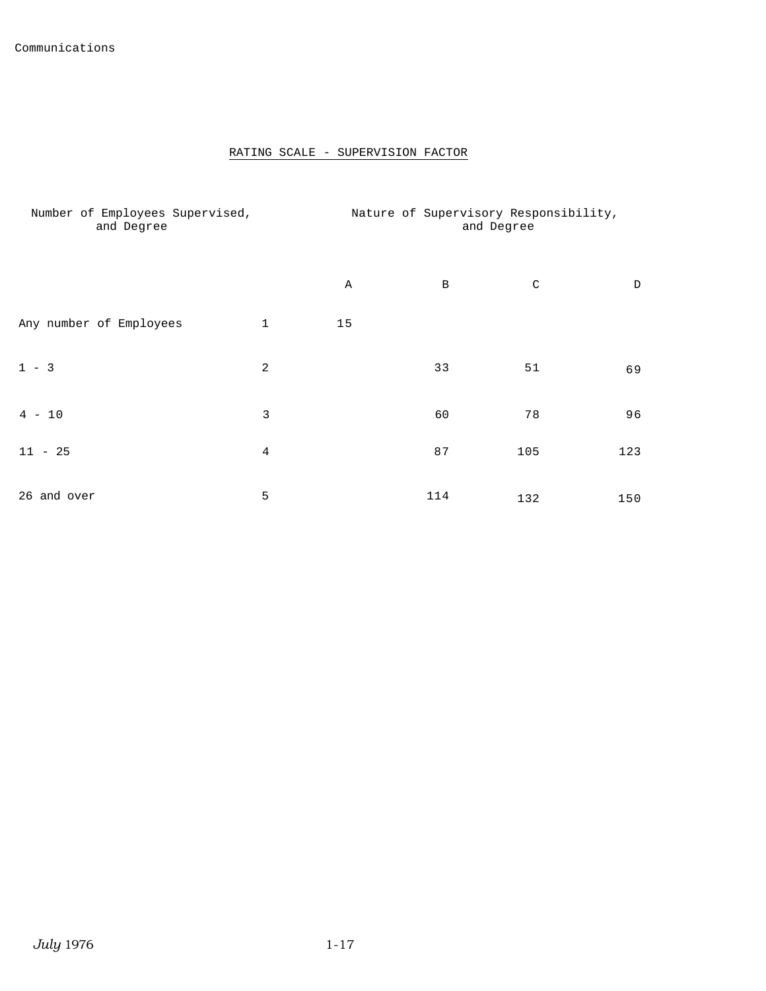### RATING SCALE - SUPERVISION FACTOR

| Number of Employees Supervised,<br>and Degree |                | Nature of Supervisory Responsibility,<br>and Degree |     |             |     |
|-----------------------------------------------|----------------|-----------------------------------------------------|-----|-------------|-----|
|                                               |                | Α                                                   | B   | $\mathsf C$ | D   |
| Any number of Employees                       | $\mathbf{1}$   | 15                                                  |     |             |     |
| $1 - 3$                                       | $\overline{a}$ |                                                     | 33  | 51          | 69  |
| $4 - 10$                                      | 3              |                                                     | 60  | 78          | 96  |
| $11 - 25$                                     | 4              |                                                     | 87  | 105         | 123 |
| 26 and over                                   | 5              |                                                     | 114 | 132         | 150 |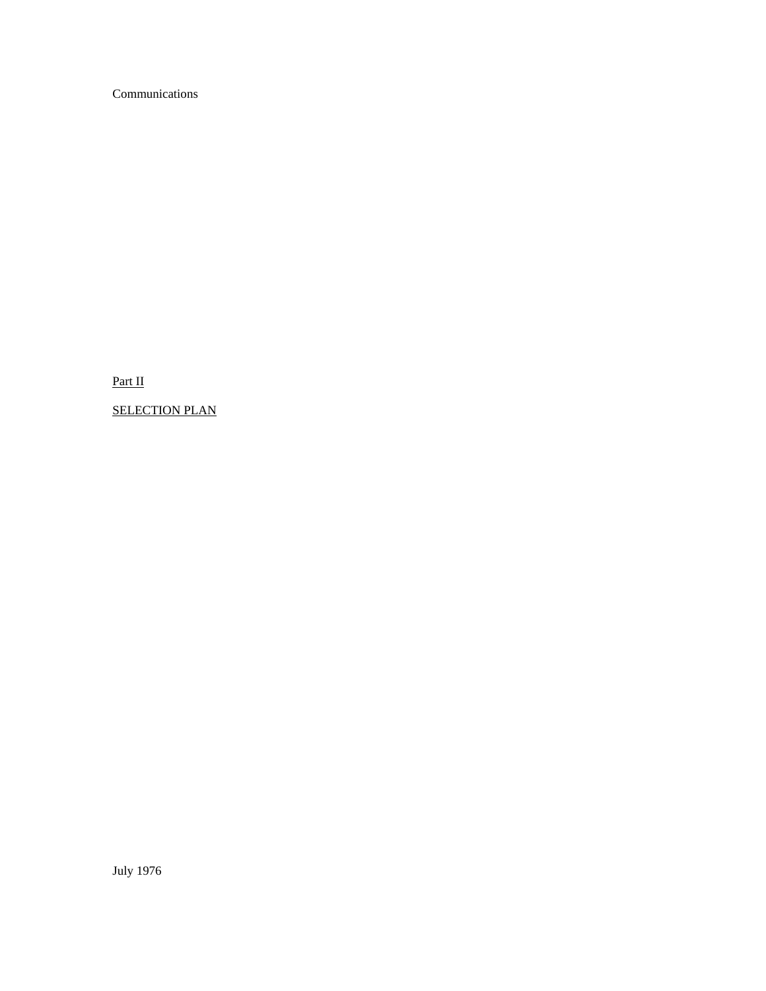Communications

Part II

SELECTION PLAN

July 1976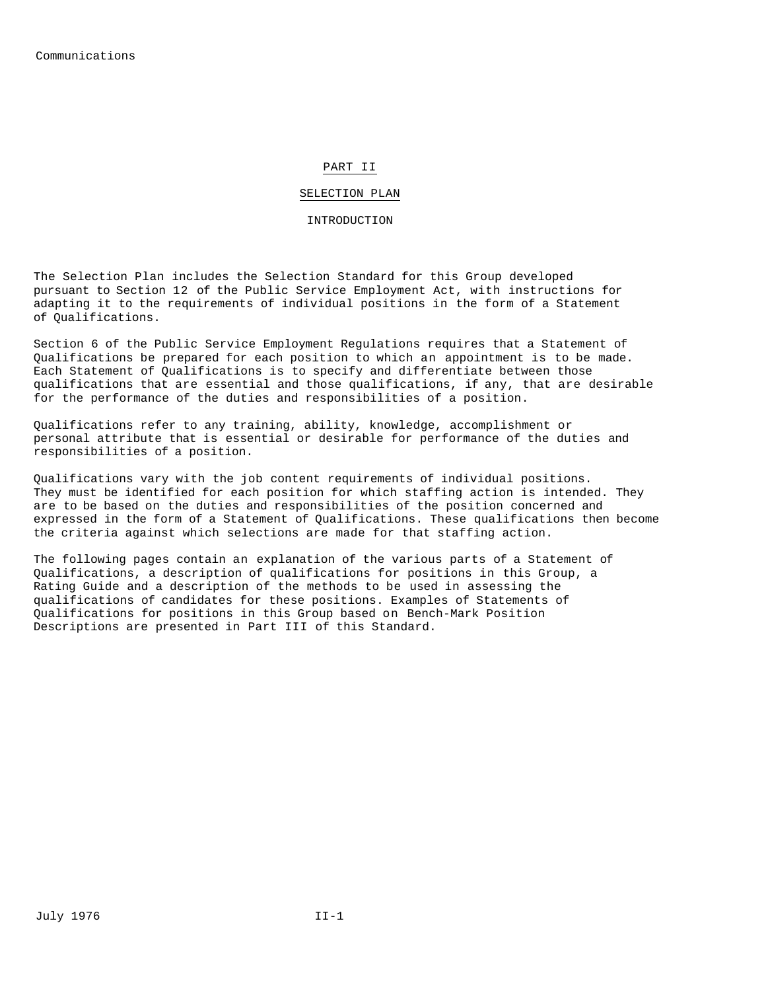#### PART II

#### SELECTION PLAN

#### INTRODUCTION

The Selection Plan includes the Selection Standard for this Group developed pursuant to Section 12 of the Public Service Employment Act, with instructions for adapting it to the requirements of individual positions in the form of a Statement of Qualifications.

Section 6 of the Public Service Employment Regulations requires that a Statement of Qualifications be prepared for each position to which an appointment is to be made. Each Statement of Qualifications is to specify and differentiate between those qualifications that are essential and those qualifications, if any, that are desirable for the performance of the duties and responsibilities of a position.

Qualifications refer to any training, ability, knowledge, accomplishment or personal attribute that is essential or desirable for performance of the duties and responsibilities of a position.

Qualifications vary with the job content requirements of individual positions. They must be identified for each position for which staffing action is intended. They are to be based on the duties and responsibilities of the position concerned and expressed in the form of a Statement of Qualifications. These qualifications then become the criteria against which selections are made for that staffing action.

The following pages contain an explanation of the various parts of a Statement of Qualifications, a description of qualifications for positions in this Group, a Rating Guide and a description of the methods to be used in assessing the qualifications of candidates for these positions. Examples of Statements of Qualifications for positions in this Group based on Bench-Mark Position Descriptions are presented in Part III of this Standard.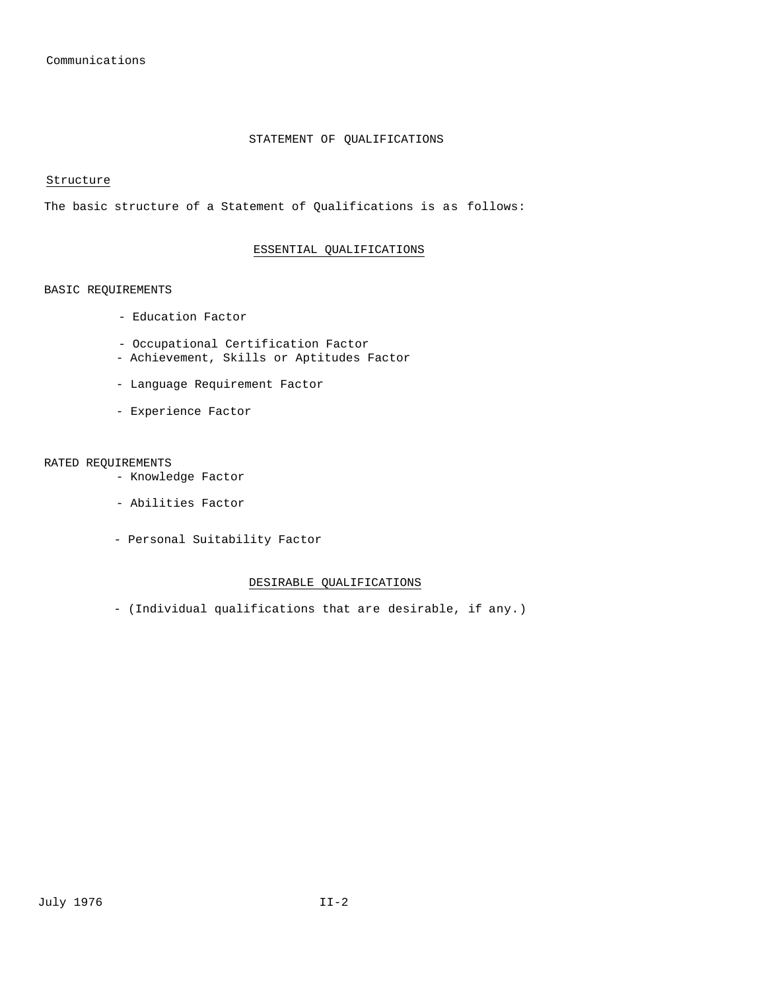#### STATEMENT OF QUALIFICATIONS

Structure

The basic structure of a Statement of Qualifications is as follows:

#### ESSENTIAL QUALIFICATIONS

#### BASIC REQUIREMENTS

- Education Factor
- Occupational Certification Factor
- Achievement, Skills or Aptitudes Factor
- Language Requirement Factor
- Experience Factor

#### RATED REQUIREMENTS

- Knowledge Factor
- Abilities Factor
- Personal Suitability Factor

#### DESIRABLE QUALIFICATIONS

- (Individual qualifications that are desirable, if any.)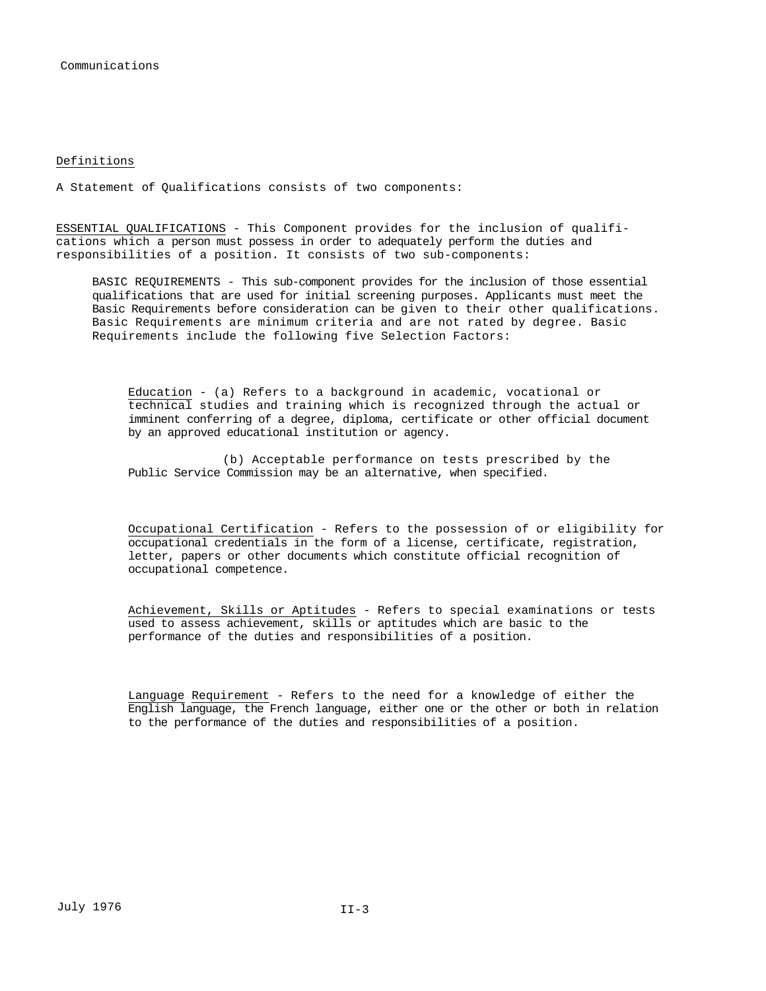#### Definitions

A Statement of Qualifications consists of two components:

ESSENTIAL QUALIFICATIONS - This Component provides for the inclusion of qualifications which a person must possess in order to adequately perform the duties and responsibilities of a position. It consists of two sub-components:

BASIC REQUIREMENTS - This sub-component provides for the inclusion of those essential qualifications that are used for initial screening purposes. Applicants must meet the Basic Requirements before consideration can be given to their other qualifications. Basic Requirements are minimum criteria and are not rated by degree. Basic Requirements include the following five Selection Factors:

Education - (a) Refers to a background in academic, vocational or technical studies and training which is recognized through the actual or imminent conferring of a degree, diploma, certificate or other official document by an approved educational institution or agency.

(b) Acceptable performance on tests prescribed by the Public Service Commission may be an alternative, when specified.

Occupational Certification - Refers to the possession of or eligibility for occupational credentials in the form of a license, certificate, registration, letter, papers or other documents which constitute official recognition of occupational competence.

Achievement, Skills or Aptitudes - Refers to special examinations or tests used to assess achievement, skills or aptitudes which are basic to the performance of the duties and responsibilities of a position.

Language Requirement - Refers to the need for a knowledge of either the English language, the French language, either one or the other or both in relation to the performance of the duties and responsibilities of a position.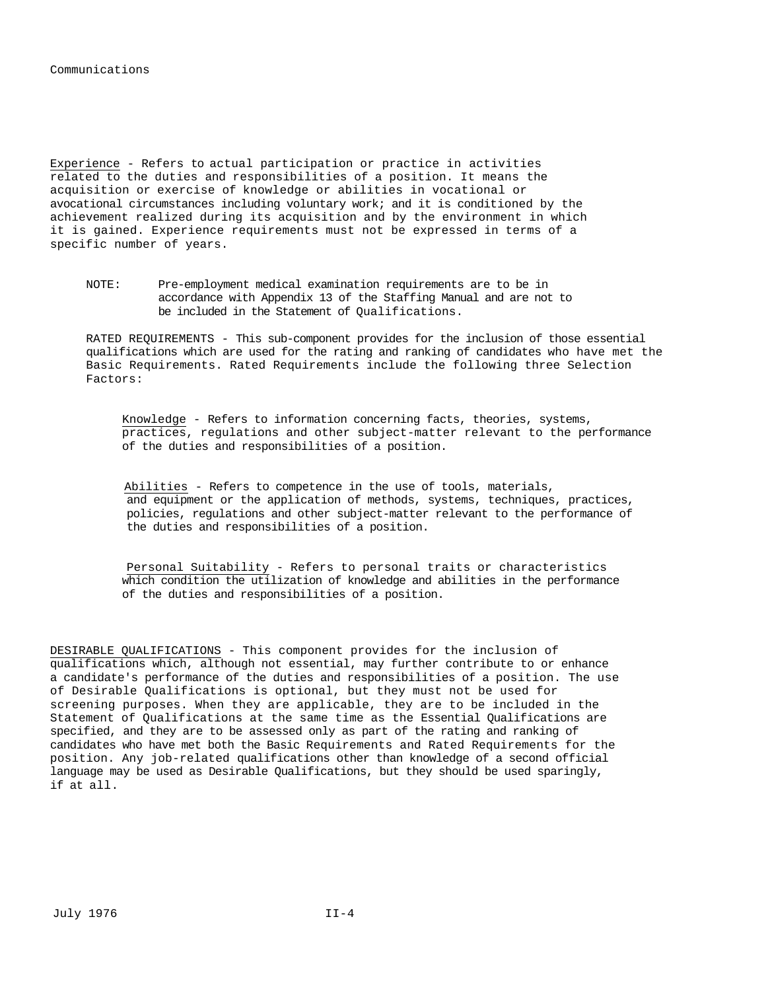Experience - Refers to actual participation or practice in activities related to the duties and responsibilities of a position. It means the acquisition or exercise of knowledge or abilities in vocational or avocational circumstances including voluntary work; and it is conditioned by the achievement realized during its acquisition and by the environment in which it is gained. Experience requirements must not be expressed in terms of a specific number of years.

NOTE: Pre-employment medical examination requirements are to be in accordance with Appendix 13 of the Staffing Manual and are not to be included in the Statement of Qualifications.

RATED REQUIREMENTS - This sub-component provides for the inclusion of those essential qualifications which are used for the rating and ranking of candidates who have met the Basic Requirements. Rated Requirements include the following three Selection Factors:

Knowledge - Refers to information concerning facts, theories, systems, practices, regulations and other subject-matter relevant to the performance of the duties and responsibilities of a position.

Abilities - Refers to competence in the use of tools, materials, and equipment or the application of methods, systems, techniques, practices, policies, regulations and other subject-matter relevant to the performance of the duties and responsibilities of a position.

Personal Suitability - Refers to personal traits or characteristics which condition the utilization of knowledge and abilities in the performance of the duties and responsibilities of a position.

DESIRABLE QUALIFICATIONS - This component provides for the inclusion of qualifications which, although not essential, may further contribute to or enhance a candidate's performance of the duties and responsibilities of a position. The use of Desirable Qualifications is optional, but they must not be used for screening purposes. When they are applicable, they are to be included in the Statement of Qualifications at the same time as the Essential Qualifications are specified, and they are to be assessed only as part of the rating and ranking of candidates who have met both the Basic Requirements and Rated Requirements for the position. Any job-related qualifications other than knowledge of a second official language may be used as Desirable Qualifications, but they should be used sparingly, if at all.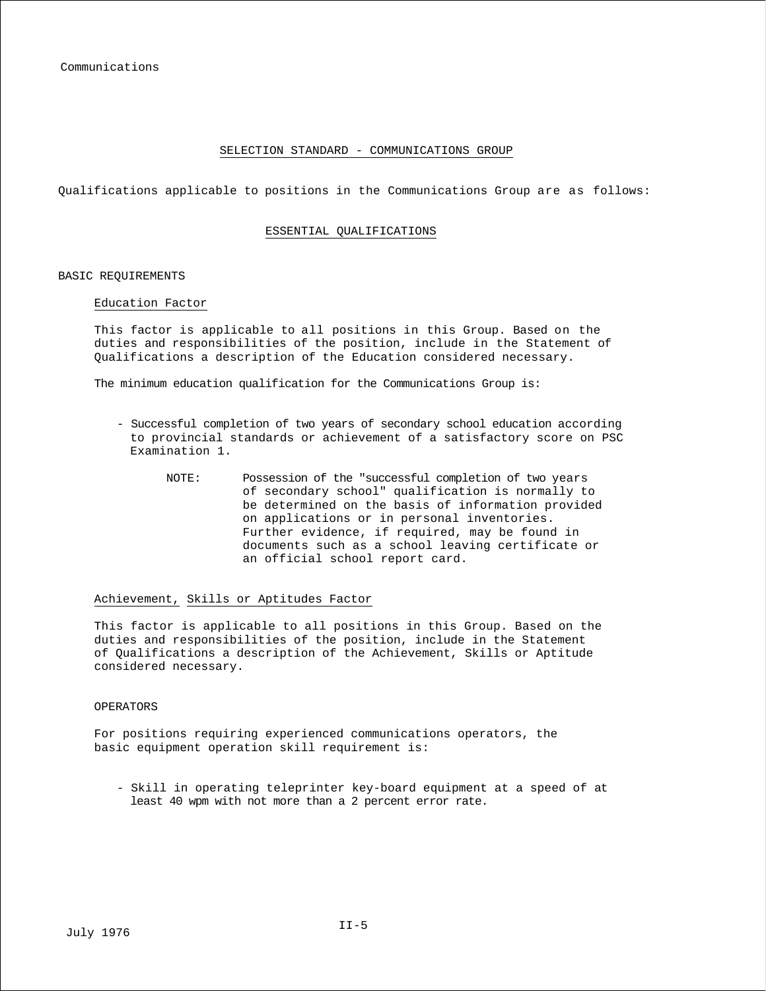#### SELECTION STANDARD - COMMUNICATIONS GROUP

Qualifications applicable to positions in the Communications Group are as follows:

#### ESSENTIAL QUALIFICATIONS

#### BASIC REQUIREMENTS

#### Education Factor

This factor is applicable to all positions in this Group. Based on the duties and responsibilities of the position, include in the Statement of Qualifications a description of the Education considered necessary.

The minimum education qualification for the Communications Group is:

- Successful completion of two years of secondary school education according to provincial standards or achievement of a satisfactory score on PSC Examination 1.
	- NOTE: Possession of the "successful completion of two years of secondary school" qualification is normally to be determined on the basis of information provided on applications or in personal inventories. Further evidence, if required, may be found in documents such as a school leaving certificate or an official school report card.

#### Achievement, Skills or Aptitudes Factor

This factor is applicable to all positions in this Group. Based on the duties and responsibilities of the position, include in the Statement of Qualifications a description of the Achievement, Skills or Aptitude considered necessary.

#### OPERATORS

For positions requiring experienced communications operators, the basic equipment operation skill requirement is:

- Skill in operating teleprinter key-board equipment at a speed of at least 40 wpm with not more than a 2 percent error rate.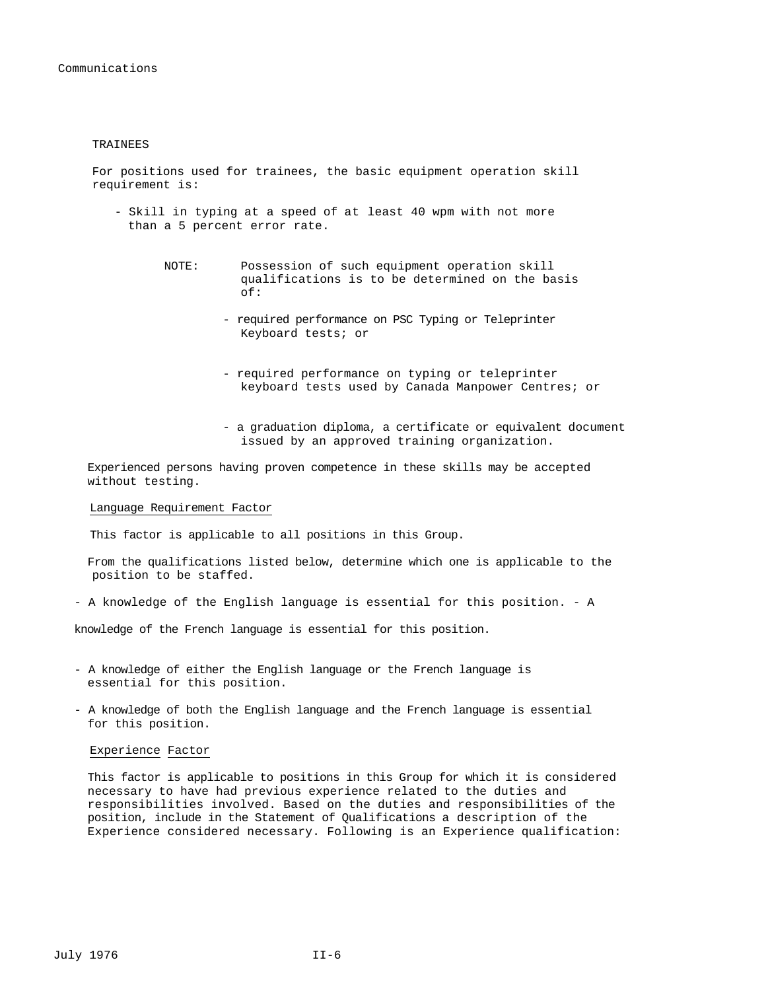#### TRAINEES

For positions used for trainees, the basic equipment operation skill requirement is:

- Skill in typing at a speed of at least 40 wpm with not more than a 5 percent error rate.
	- NOTE: Possession of such equipment operation skill qualifications is to be determined on the basis of:
		- required performance on PSC Typing or Teleprinter Keyboard tests; or
		- required performance on typing or teleprinter keyboard tests used by Canada Manpower Centres; or
		- a graduation diploma, a certificate or equivalent document issued by an approved training organization.

Experienced persons having proven competence in these skills may be accepted without testing.

#### Language Requirement Factor

This factor is applicable to all positions in this Group.

- From the qualifications listed below, determine which one is applicable to the position to be staffed.
- A knowledge of the English language is essential for this position. A

knowledge of the French language is essential for this position.

- A knowledge of either the English language or the French language is essential for this position.
- A knowledge of both the English language and the French language is essential for this position.

#### Experience Factor

This factor is applicable to positions in this Group for which it is considered necessary to have had previous experience related to the duties and responsibilities involved. Based on the duties and responsibilities of the position, include in the Statement of Qualifications a description of the Experience considered necessary. Following is an Experience qualification: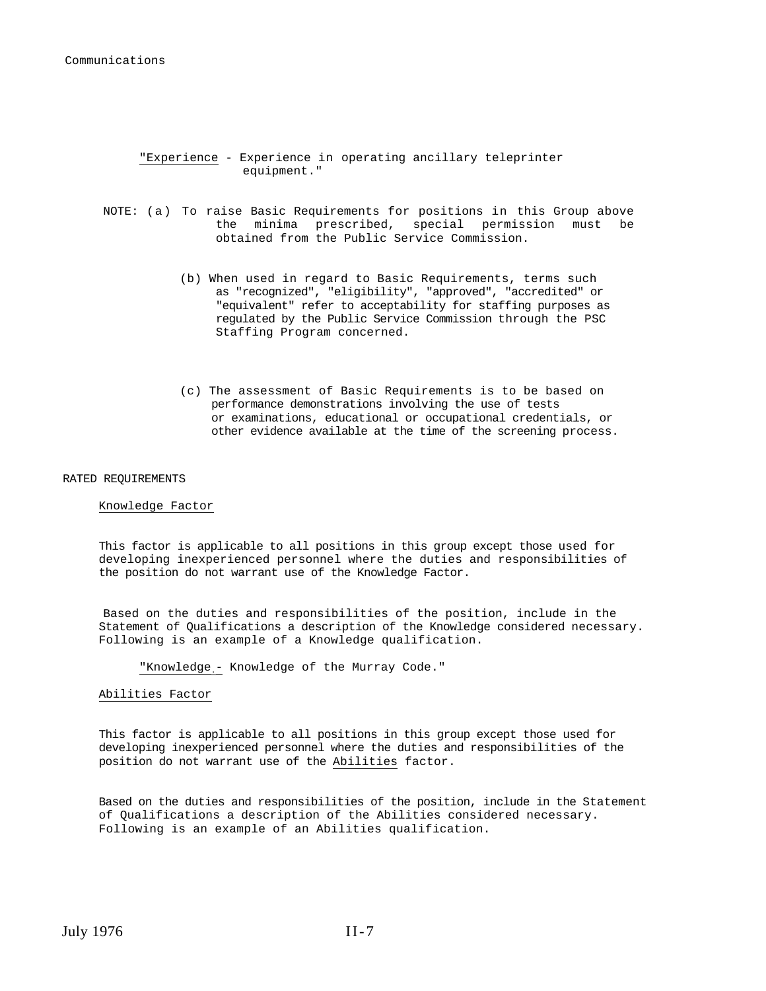#### "Experience - Experience in operating ancillary teleprinter equipment."

- NOTE: (a) To raise Basic Requirements for positions in this Group above the minima prescribed, special permission must be obtained from the Public Service Commission.
	- (b) When used in regard to Basic Requirements, terms such as "recognized", "eligibility", "approved", "accredited" or "equivalent" refer to acceptability for staffing purposes as regulated by the Public Service Commission through the PSC Staffing Program concerned.
	- (c) The assessment of Basic Requirements is to be based on performance demonstrations involving the use of tests or examinations, educational or occupational credentials, or other evidence available at the time of the screening process.

#### RATED REQUIREMENTS

#### Knowledge Factor

This factor is applicable to all positions in this group except those used for developing inexperienced personnel where the duties and responsibilities of the position do not warrant use of the Knowledge Factor.

Based on the duties and responsibilities of the position, include in the Statement of Qualifications a description of the Knowledge considered necessary. Following is an example of a Knowledge qualification.

"Knowledge - Knowledge of the Murray Code."

#### Abilities Factor

This factor is applicable to all positions in this group except those used for developing inexperienced personnel where the duties and responsibilities of the position do not warrant use of the Abilities factor.

Based on the duties and responsibilities of the position, include in the Statement of Qualifications a description of the Abilities considered necessary. Following is an example of an Abilities qualification.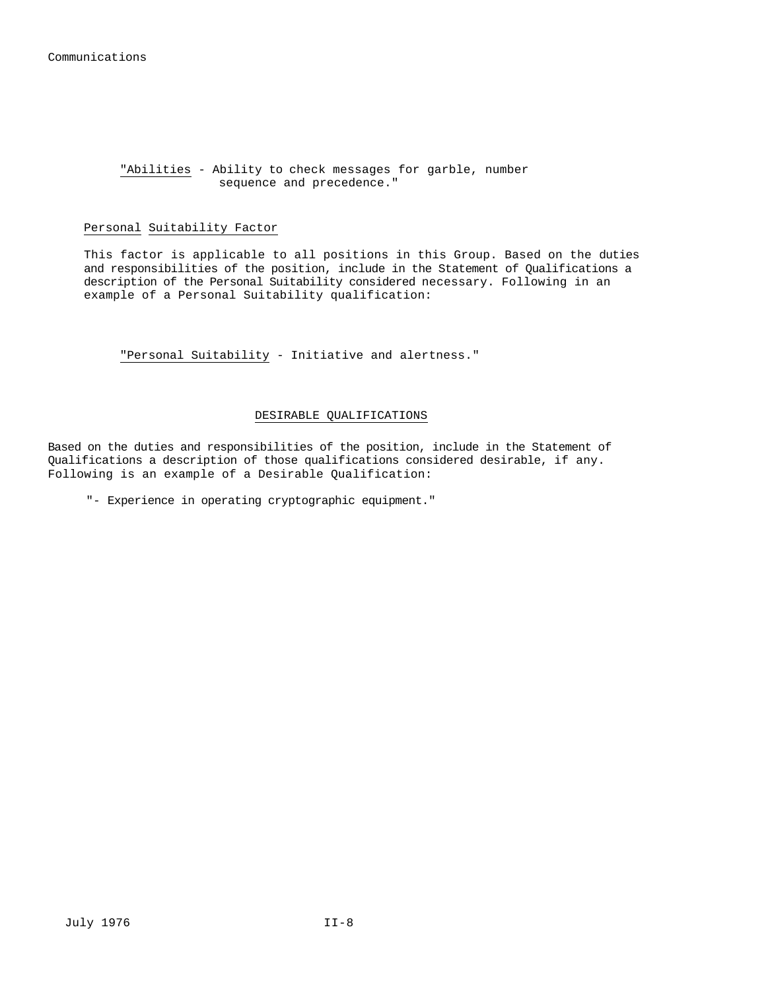#### "Abilities - Ability to check messages for garble, number sequence and precedence."

#### Personal Suitability Factor

This factor is applicable to all positions in this Group. Based on the duties and responsibilities of the position, include in the Statement of Qualifications a description of the Personal Suitability considered necessary. Following in an example of a Personal Suitability qualification:

"Personal Suitability - Initiative and alertness."

#### DESIRABLE QUALIFICATIONS

Based on the duties and responsibilities of the position, include in the Statement of Qualifications a description of those qualifications considered desirable, if any. Following is an example of a Desirable Qualification:

"- Experience in operating cryptographic equipment."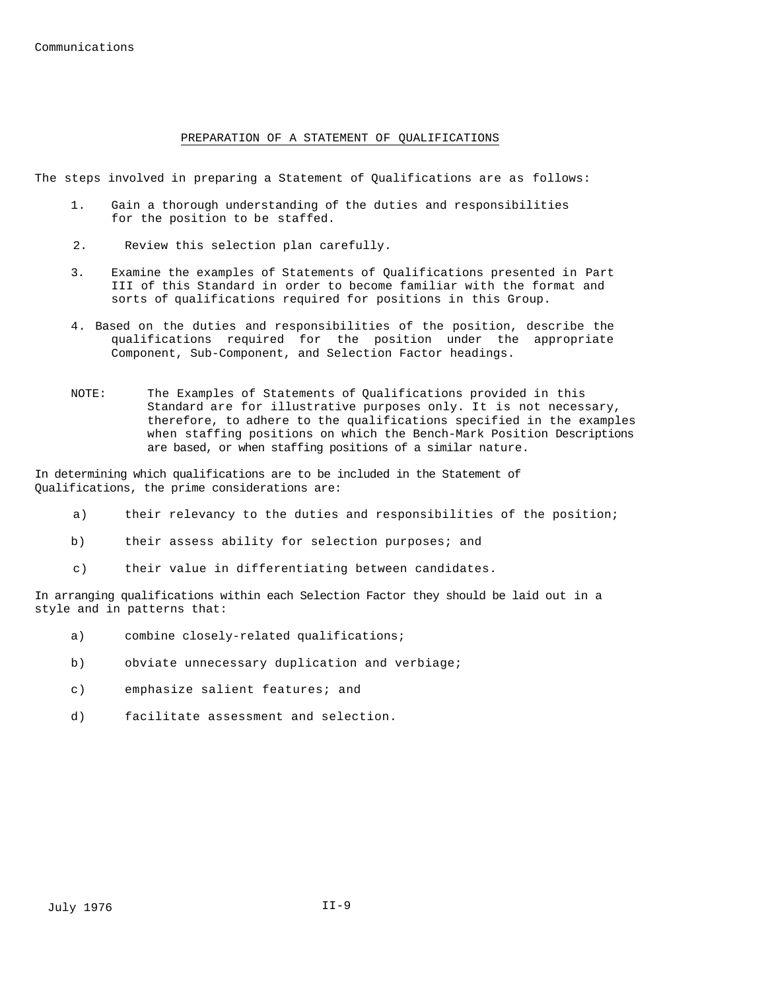Communications

#### PREPARATION OF A STATEMENT OF QUALIFICATIONS

The steps involved in preparing a Statement of Qualifications are as follows:

- 1. Gain a thorough understanding of the duties and responsibilities for the position to be staffed.
- 2. Review this selection plan carefully.
- 3. Examine the examples of Statements of Qualifications presented in Part III of this Standard in order to become familiar with the format and sorts of qualifications required for positions in this Group.
- 4. Based on the duties and responsibilities of the position, describe the qualifications required for the position under the appropriate Component, Sub-Component, and Selection Factor headings.
- NOTE: The Examples of Statements of Qualifications provided in this Standard are for illustrative purposes only. It is not necessary, therefore, to adhere to the qualifications specified in the examples when staffing positions on which the Bench-Mark Position Descriptions are based, or when staffing positions of a similar nature.

In determining which qualifications are to be included in the Statement of Qualifications, the prime considerations are:

- a) their relevancy to the duties and responsibilities of the position;
- b) their assess ability for selection purposes; and
- c) their value in differentiating between candidates.

In arranging qualifications within each Selection Factor they should be laid out in a style and in patterns that:

- a) combine closely-related qualifications;
- b) obviate unnecessary duplication and verbiage;
- c) emphasize salient features; and
- d) facilitate assessment and selection.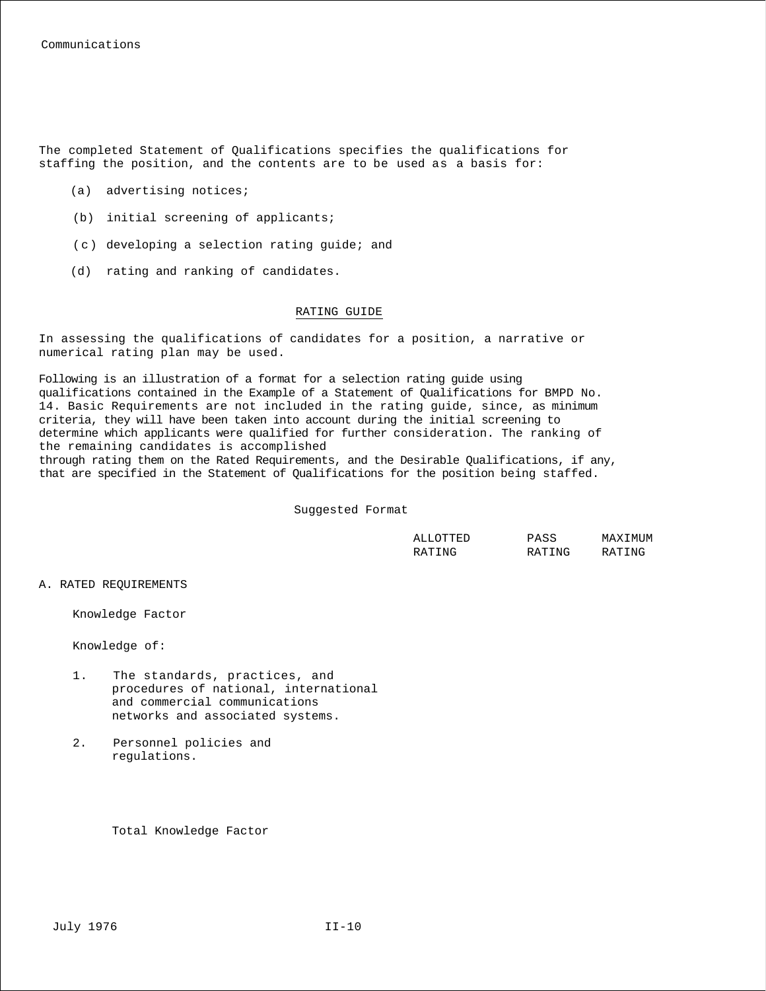The completed Statement of Qualifications specifies the qualifications for staffing the position, and the contents are to be used as a basis for:

- (a) advertising notices;
- (b) initial screening of applicants;
- ( c ) developing a selection rating guide; and
- (d) rating and ranking of candidates.

#### RATING GUIDE

In assessing the qualifications of candidates for a position, a narrative or numerical rating plan may be used.

Following is an illustration of a format for a selection rating guide using qualifications contained in the Example of a Statement of Qualifications for BMPD No. 14. Basic Requirements are not included in the rating guide, since, as minimum criteria, they will have been taken into account during the initial screening to determine which applicants were qualified for further consideration. The ranking of the remaining candidates is accomplished through rating them on the Rated Requirements, and the Desirable Qualifications, if any,

that are specified in the Statement of Qualifications for the position being staffed.

Suggested Format

| ALLOTTED | PASS   | MAXIMUM |
|----------|--------|---------|
| RATING   | RATING | RATING  |

#### A. RATED REQUIREMENTS

Knowledge Factor

Knowledge of:

- 1. The standards, practices, and procedures of national, international and commercial communications networks and associated systems.
- 2. Personnel policies and regulations.

Total Knowledge Factor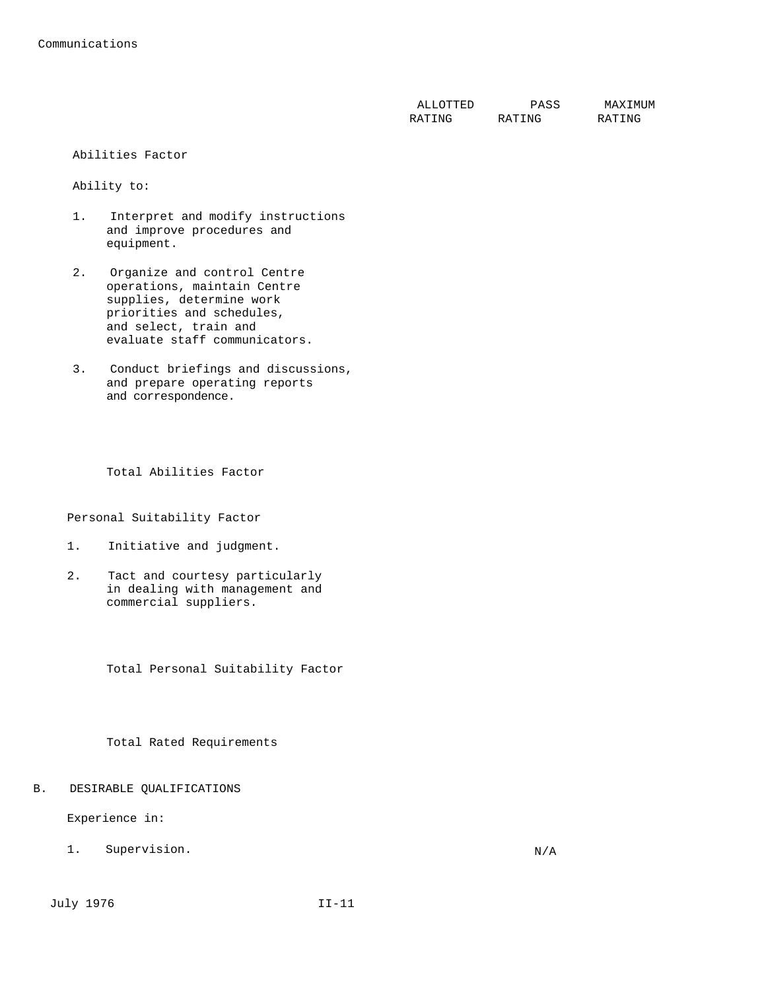| ALLOTTED | PASS   | MAXTMUM |
|----------|--------|---------|
| RATING   | RATING | RATING  |

#### Abilities Factor

Ability to:

- 1. Interpret and modify instructions and improve procedures and equipment.
- 2. Organize and control Centre operations, maintain Centre supplies, determine work priorities and schedules, and select, train and evaluate staff communicators.
- 3. Conduct briefings and discussions, and prepare operating reports and correspondence.

Total Abilities Factor

Personal Suitability Factor

- 1. Initiative and judgment.
- 2. Tact and courtesy particularly in dealing with management and commercial suppliers.

Total Personal Suitability Factor

Total Rated Requirements

B. DESIRABLE QUALIFICATIONS

Experience in:

1. Supervision. N/A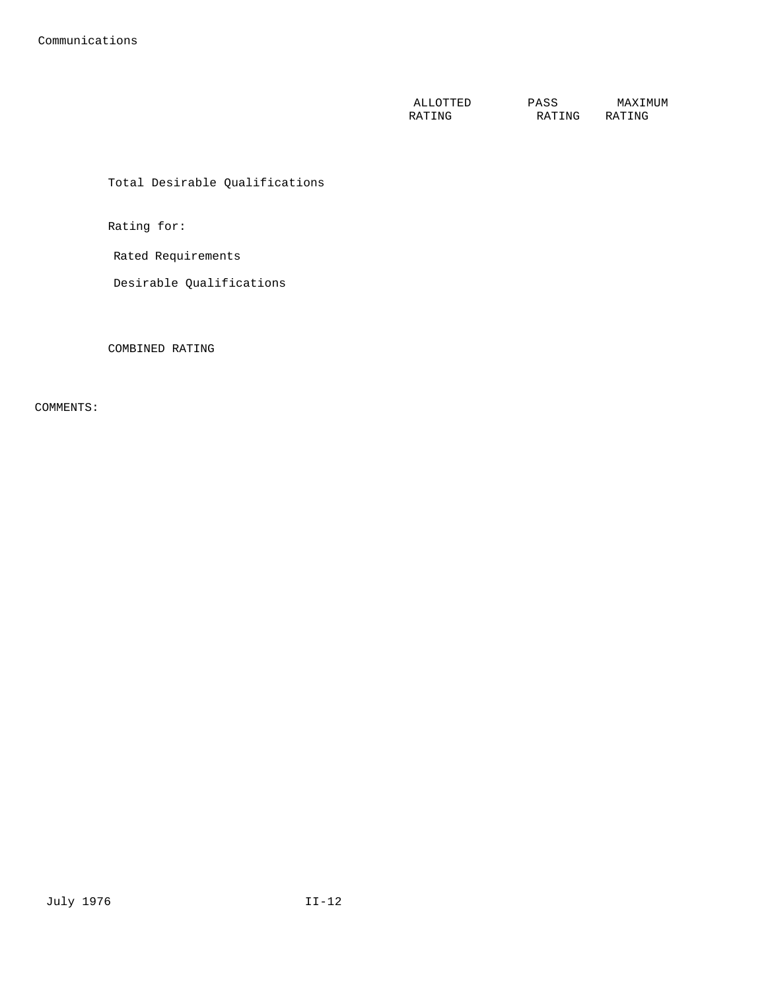ALLOTTED RATING PASS RATING MAXIMUM RATING

Total Desirable Qualifications

Rating for:

Rated Requirements

Desirable Qualifications

COMBINED RATING

COMMENTS: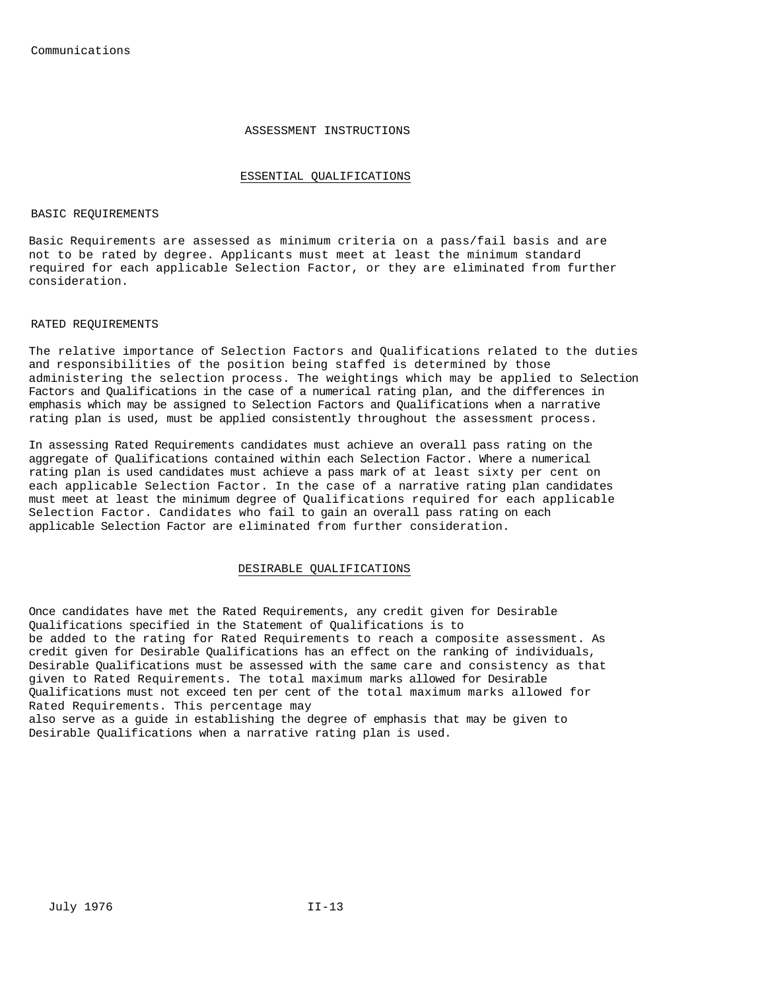#### ASSESSMENT INSTRUCTIONS

#### ESSENTIAL QUALIFICATIONS

#### BASIC REQUIREMENTS

Basic Requirements are assessed as minimum criteria on a pass/fail basis and are not to be rated by degree. Applicants must meet at least the minimum standard required for each applicable Selection Factor, or they are eliminated from further consideration.

#### RATED REQUIREMENTS

The relative importance of Selection Factors and Qualifications related to the duties and responsibilities of the position being staffed is determined by those administering the selection process. The weightings which may be applied to Selection Factors and Qualifications in the case of a numerical rating plan, and the differences in emphasis which may be assigned to Selection Factors and Qualifications when a narrative rating plan is used, must be applied consistently throughout the assessment process.

In assessing Rated Requirements candidates must achieve an overall pass rating on the aggregate of Qualifications contained within each Selection Factor. Where a numerical rating plan is used candidates must achieve a pass mark of at least sixty per cent on each applicable Selection Factor. In the case of a narrative rating plan candidates must meet at least the minimum degree of Qualifications required for each applicable Selection Factor. Candidates who fail to gain an overall pass rating on each applicable Selection Factor are eliminated from further consideration.

#### DESIRABLE QUALIFICATIONS

Once candidates have met the Rated Requirements, any credit given for Desirable Qualifications specified in the Statement of Qualifications is to be added to the rating for Rated Requirements to reach a composite assessment. As credit given for Desirable Qualifications has an effect on the ranking of individuals, Desirable Qualifications must be assessed with the same care and consistency as that given to Rated Requirements. The total maximum marks allowed for Desirable Qualifications must not exceed ten per cent of the total maximum marks allowed for Rated Requirements. This percentage may also serve as a guide in establishing the degree of emphasis that may be given to Desirable Qualifications when a narrative rating plan is used.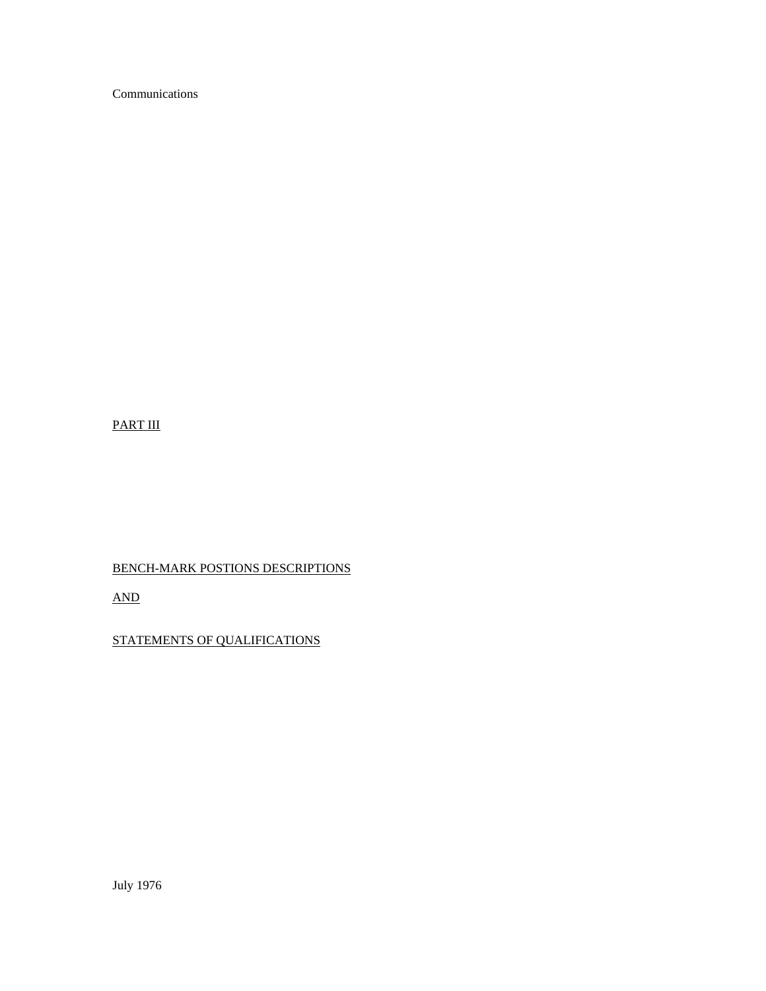Communications

## PART III

# BENCH-MARK POSTIONS DESCRIPTIONS

AND

# STATEMENTS OF QUALIFICATIONS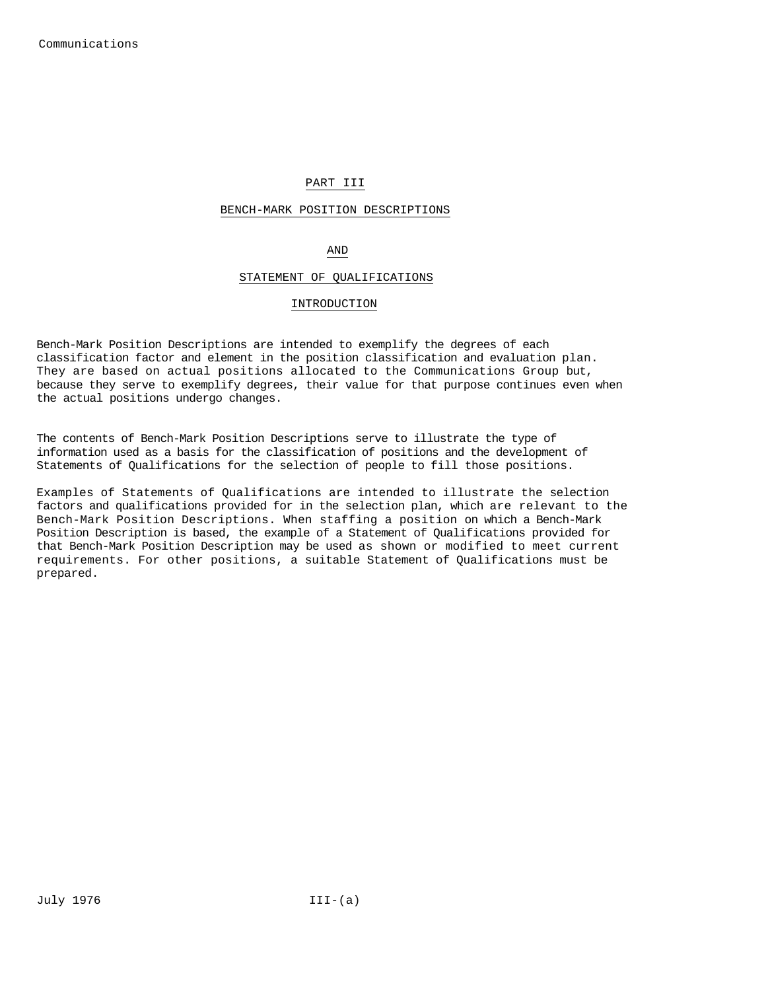## PART III

#### BENCH-MARK POSITION DESCRIPTIONS

## AND

#### STATEMENT OF QUALIFICATIONS

#### INTRODUCTION

Bench-Mark Position Descriptions are intended to exemplify the degrees of each classification factor and element in the position classification and evaluation plan. They are based on actual positions allocated to the Communications Group but, because they serve to exemplify degrees, their value for that purpose continues even when the actual positions undergo changes.

The contents of Bench-Mark Position Descriptions serve to illustrate the type of information used as a basis for the classification of positions and the development of Statements of Qualifications for the selection of people to fill those positions.

Examples of Statements of Qualifications are intended to illustrate the selection factors and qualifications provided for in the selection plan, which are relevant to the Bench-Mark Position Descriptions. When staffing a position on which a Bench-Mark Position Description is based, the example of a Statement of Qualifications provided for that Bench-Mark Position Description may be used as shown or modified to meet current requirements. For other positions, a suitable Statement of Qualifications must be prepared.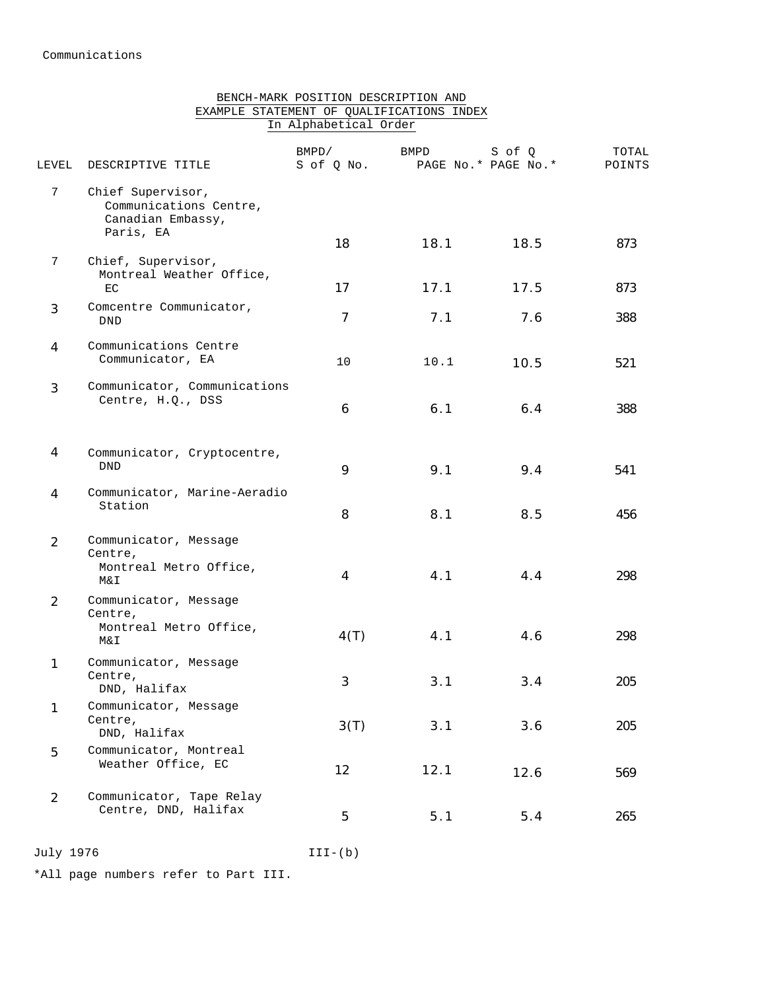## BENCH-MARK POSITION DESCRIPTION AND EXAMPLE STATEMENT OF QUALIFICATIONS INDEX In Alphabetical Order

| LEVEL          | DESCRIPTIVE TITLE                                                             | BMPD/<br>S of Q No. | BMPD | S of O<br>PAGE No.* PAGE No.* | TOTAL<br>POINTS |
|----------------|-------------------------------------------------------------------------------|---------------------|------|-------------------------------|-----------------|
| 7              | Chief Supervisor,<br>Communications Centre,<br>Canadian Embassy,<br>Paris, EA | 18                  | 18.1 | 18.5                          | 873             |
| 7              | Chief, Supervisor,<br>Montreal Weather Office,<br>EC                          | 17                  | 17.1 | 17.5                          | 873             |
| 3              | Comcentre Communicator,<br>DND                                                | $\overline{7}$      | 7.1  | 7.6                           | 388             |
| 4              | Communications Centre<br>Communicator, EA                                     | 10                  | 10.1 | 10.5                          | 521             |
| 3              | Communicator, Communications<br>Centre, H.Q., DSS                             | 6                   | 6.1  | 6.4                           | 388             |
| 4              | Communicator, Cryptocentre,<br><b>DND</b>                                     | 9                   | 9.1  | 9.4                           | 541             |
| 4              | Communicator, Marine-Aeradio<br>Station                                       | 8                   | 8.1  | 8.5                           | 456             |
| $\overline{2}$ | Communicator, Message<br>Centre,<br>Montreal Metro Office,<br>Μ&Ι             | 4                   | 4.1  | 4.4                           | 298             |
| 2              | Communicator, Message<br>Centre,<br>Montreal Metro Office,<br>Μ&Ι             | 4(T)                | 4.1  | 4.6                           | 298             |
| 1              | Communicator, Message<br>Centre,<br>DND, Halifax                              | 3                   | 3.1  | 3.4                           | 205             |
| 1              | Communicator, Message<br>Centre,<br>DND, Halifax                              | 3(T)                | 3.1  | 3.6                           | 205             |
| 5              | Communicator, Montreal<br>Weather Office, EC                                  | 12                  | 12.1 | 12.6                          | 569             |
| $\overline{2}$ | Communicator, Tape Relay<br>Centre, DND, Halifax                              | 5                   | 5.1  | 5.4                           | 265             |

July 1976 III-(b)

\*All page numbers refer to Part III.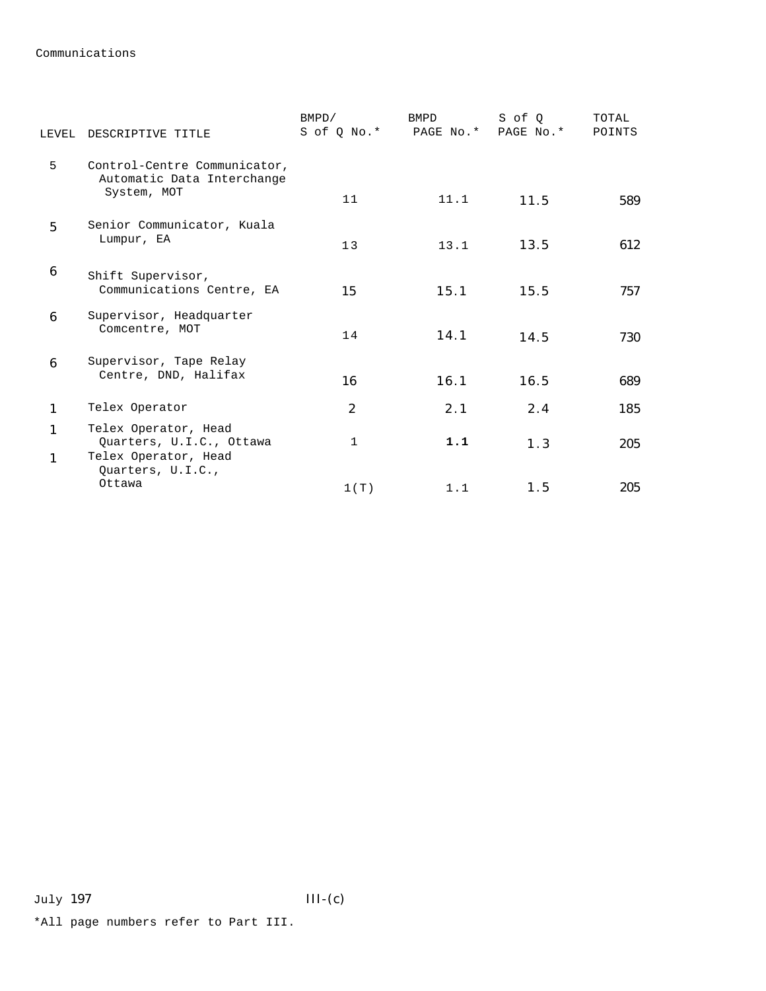Communications

| LEVEL  | DESCRIPTIVE TITLE                                                        | BMPD/<br>S of Q No.* | <b>BMPD</b><br>PAGE No.* | S of O<br>PAGE No.* | TOTAL<br>POINTS |
|--------|--------------------------------------------------------------------------|----------------------|--------------------------|---------------------|-----------------|
| 5      | Control-Centre Communicator,<br>Automatic Data Interchange               |                      |                          |                     |                 |
|        | System, MOT                                                              | 11                   | 11.1                     | 11.5                | 589             |
| 5      | Senior Communicator, Kuala<br>Lumpur, EA                                 | 13                   | 13.1                     | 13.5                | 612             |
| 6      | Shift Supervisor,<br>Communications Centre, EA                           | 15                   | 15.1                     | 15.5                | 757             |
| 6      | Supervisor, Headquarter<br>Comcentre, MOT                                | 14                   | 14.1                     | 14.5                | 730             |
| 6      | Supervisor, Tape Relay<br>Centre, DND, Halifax                           | 16                   | 16.1                     | 16.5                | 689             |
| 1      | Telex Operator                                                           | $\overline{2}$       | 2.1                      | 2.4                 | 185             |
| 1<br>1 | Telex Operator, Head<br>Quarters, U.I.C., Ottawa<br>Telex Operator, Head | 1                    | 1.1                      | 1.3                 | 205             |
|        | Quarters, U.I.C.,<br>Ottawa                                              | 1(T)                 | 1.1                      | 1.5                 | 205             |

\*All page numbers refer to Part III.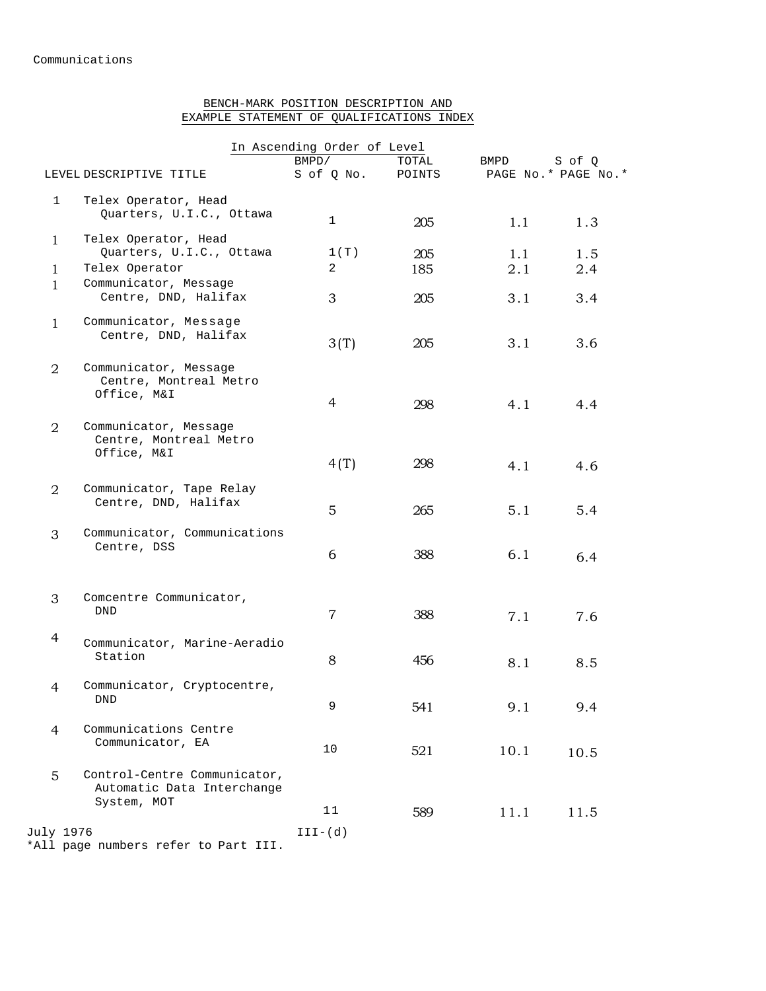## BENCH-MARK POSITION DESCRIPTION AND EXAMPLE STATEMENT OF QUALIFICATIONS INDEX

|                |                                                                           | In Ascending Order of Level |        |      |                     |
|----------------|---------------------------------------------------------------------------|-----------------------------|--------|------|---------------------|
|                |                                                                           | BMPD/                       | TOTAL  | BMPD | S of Q              |
|                | LEVEL DESCRIPTIVE TITLE                                                   | S of Q No.                  | POINTS |      | PAGE No.* PAGE No.* |
| $\mathbf 1$    | Telex Operator, Head                                                      |                             |        |      |                     |
|                | Quarters, U.I.C., Ottawa                                                  | 1                           | 205    | 1.1  | 1.3                 |
| $\mathbf{1}$   | Telex Operator, Head                                                      |                             |        |      |                     |
|                | Quarters, U.I.C., Ottawa                                                  | 1(T)                        | 205    | 1.1  | 1.5                 |
| $\mathbf{1}$   | Telex Operator                                                            | 2                           | 185    | 2.1  | 2.4                 |
| 1              | Communicator, Message                                                     |                             |        |      |                     |
|                | Centre, DND, Halifax                                                      | 3                           | 205    | 3.1  | 3.4                 |
| $\mathbf{1}$   | Communicator, Message<br>Centre, DND, Halifax                             | 3(T)                        | 205    | 3.1  | 3.6                 |
| $\overline{2}$ | Communicator, Message<br>Centre, Montreal Metro<br>Office, M&I            | 4                           | 298    | 4.1  | 4.4                 |
| $\overline{2}$ | Communicator, Message<br>Centre, Montreal Metro<br>Office, M&I            | 4(T)                        | 298    | 4.1  | 4.6                 |
| $\overline{2}$ | Communicator, Tape Relay<br>Centre, DND, Halifax                          | 5                           | 265    | 5.1  | 5.4                 |
| 3              | Communicator, Communications<br>Centre, DSS                               | 6                           | 388    | 6.1  | 6.4                 |
| 3              | Comcentre Communicator,<br><b>DND</b>                                     | $\overline{7}$              | 388    | 7.1  | 7.6                 |
| $\overline{4}$ | Communicator, Marine-Aeradio<br>Station                                   | 8                           | 456    | 8.1  | 8.5                 |
| 4              | Communicator, Cryptocentre,<br>DND                                        | 9                           | 541    | 9.1  | 9.4                 |
| $\overline{4}$ | Communications Centre<br>Communicator, EA                                 | 10                          | 521    | 10.1 | 10.5                |
| 5              | Control-Centre Communicator,<br>Automatic Data Interchange<br>System, MOT | 11                          | 589    | 11.1 | 11.5                |
| July 1976      |                                                                           | $III-(d)$                   |        |      |                     |
|                |                                                                           |                             |        |      |                     |

\*All page numbers refer to Part III.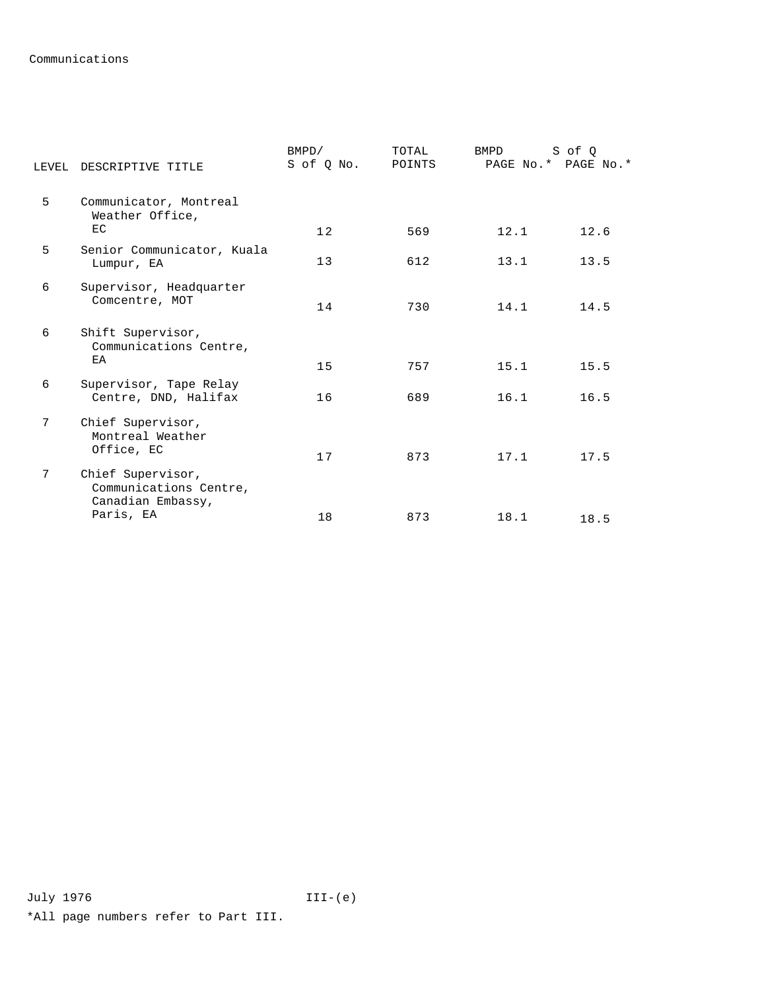## Communications

|   | LEVEL DESCRIPTIVE TITLE                                          | BMPD/<br>S of Q No. | TOTAL<br>POINTS | <b>BMPD</b><br>PAGE No.* PAGE No.* | S of Q |
|---|------------------------------------------------------------------|---------------------|-----------------|------------------------------------|--------|
| 5 | Communicator, Montreal<br>Weather Office,                        |                     |                 |                                    |        |
|   | EC                                                               | 12                  | 569             | 12.1                               | 12.6   |
| 5 | Senior Communicator, Kuala<br>Lumpur, EA                         | 13                  | 612             | 13.1                               | 13.5   |
| 6 | Supervisor, Headquarter<br>Comcentre, MOT                        | 14                  | 730             | 14.1                               | 14.5   |
| 6 | Shift Supervisor,<br>Communications Centre,<br>EA                | 15                  | 757             | 15.1                               | 15.5   |
| 6 | Supervisor, Tape Relay<br>Centre, DND, Halifax                   | 16                  | 689             | 16.1                               | 16.5   |
| 7 | Chief Supervisor,<br>Montreal Weather<br>Office, EC              | 17                  | 873             | 17.1                               | 17.5   |
| 7 | Chief Supervisor,<br>Communications Centre,<br>Canadian Embassy, |                     |                 |                                    |        |
|   | Paris, EA                                                        | 18                  | 873             | 18.1                               | 18.5   |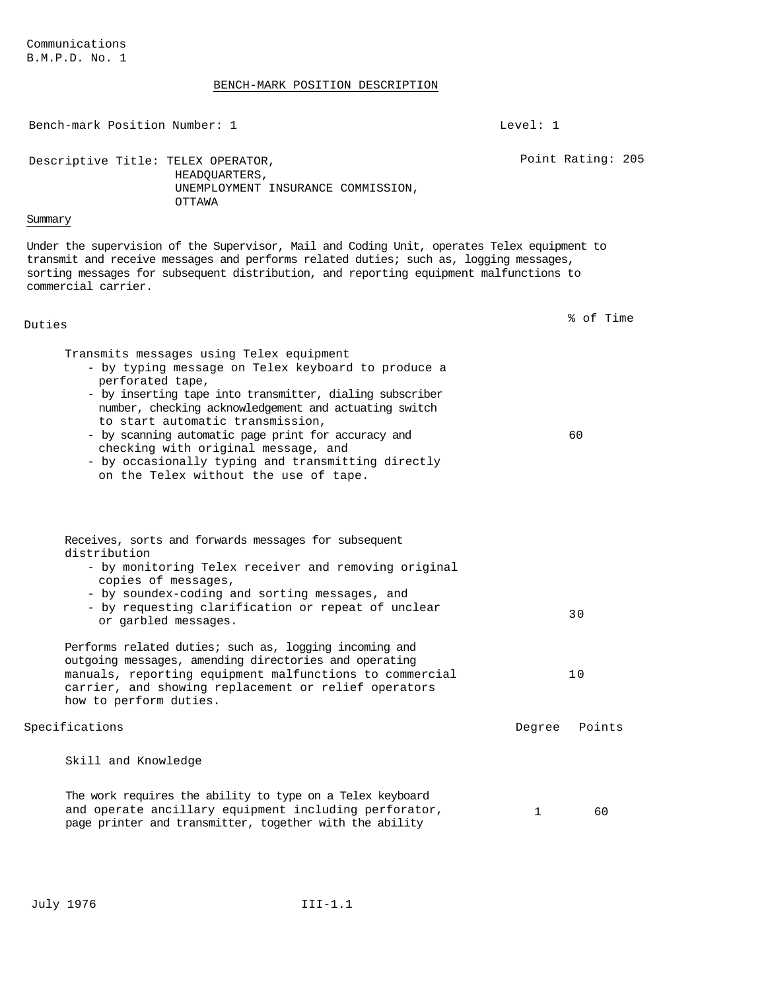#### BENCH-MARK POSITION DESCRIPTION

Bench-mark Position Number: 1 Level: 1 Descriptive Title: TELEX OPERATOR, HEADQUARTERS, UNEMPLOYMENT INSURANCE COMMISSION, OTTAWA Point Rating: 205 Summary Under the supervision of the Supervisor, Mail and Coding Unit, operates Telex equipment to transmit and receive messages and performs related duties; such as, logging messages, sorting messages for subsequent distribution, and reporting equipment malfunctions to commercial carrier. Duties % of Time Transmits messages using Telex equipment - by typing message on Telex keyboard to produce a perforated tape, - by inserting tape into transmitter, dialing subscriber number, checking acknowledgement and actuating switch to start automatic transmission, - by scanning automatic page print for accuracy and checking with original message, and - by occasionally typing and transmitting directly on the Telex without the use of tape. 60 Receives, sorts and forwards messages for subsequent distribution - by monitoring Telex receiver and removing original copies of messages, - by soundex-coding and sorting messages, and - by requesting clarification or repeat of unclear by requesting charitication of repeat of uncrear 30<br>or garbled messages. Performs related duties; such as, logging incoming and outgoing messages, amending directories and operating manuals, reporting equipment malfunctions to commercial carrier, and showing replacement or relief operators how to perform duties. 10 Specifications **Degree** Points **Degree** Points Skill and Knowledge The work requires the ability to type on a Telex keyboard

and operate ancillary equipment including perforator, page printer and transmitter, together with the ability 1 60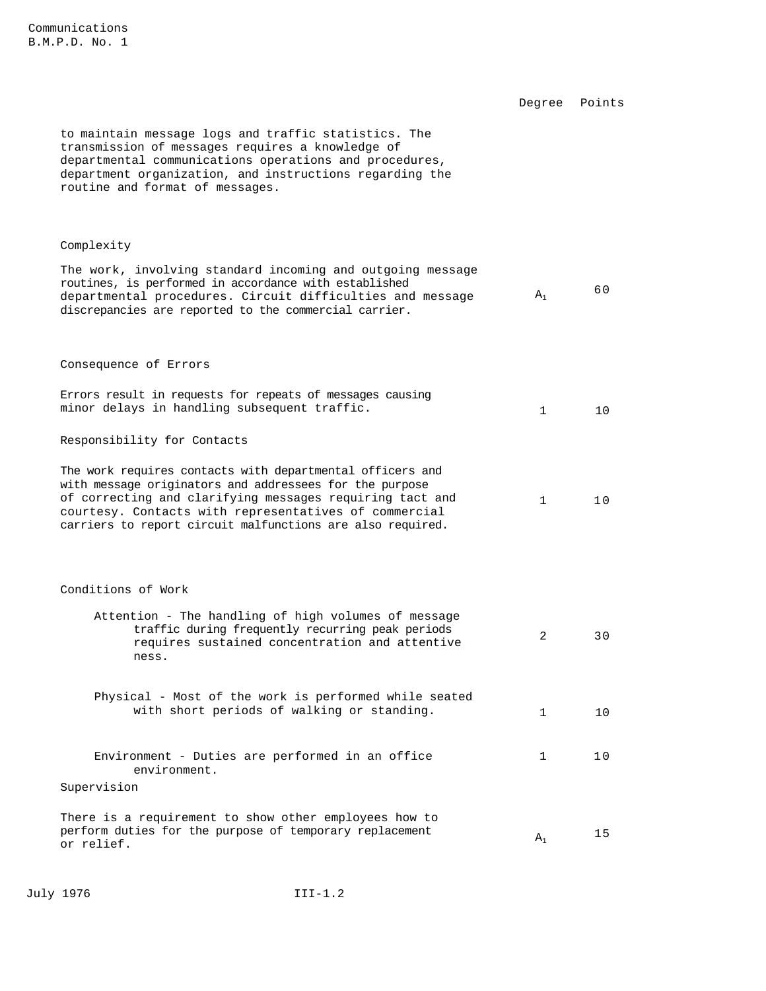|                                                                                                                                                                                                                                                                                                         | Degree       | Points |
|---------------------------------------------------------------------------------------------------------------------------------------------------------------------------------------------------------------------------------------------------------------------------------------------------------|--------------|--------|
| to maintain message logs and traffic statistics. The<br>transmission of messages requires a knowledge of<br>departmental communications operations and procedures,<br>department organization, and instructions regarding the<br>routine and format of messages.                                        |              |        |
| Complexity                                                                                                                                                                                                                                                                                              |              |        |
| The work, involving standard incoming and outgoing message<br>routines, is performed in accordance with established<br>departmental procedures. Circuit difficulties and message<br>discrepancies are reported to the commercial carrier.                                                               | $A_1$        | 60     |
| Consequence of Errors                                                                                                                                                                                                                                                                                   |              |        |
| Errors result in requests for repeats of messages causing<br>minor delays in handling subsequent traffic.                                                                                                                                                                                               | $\mathbf{1}$ | 10     |
| Responsibility for Contacts                                                                                                                                                                                                                                                                             |              |        |
| The work requires contacts with departmental officers and<br>with message originators and addressees for the purpose<br>of correcting and clarifying messages requiring tact and<br>courtesy. Contacts with representatives of commercial<br>carriers to report circuit malfunctions are also required. | $\mathbf{1}$ | 10     |
| Conditions of Work                                                                                                                                                                                                                                                                                      |              |        |
| Attention - The handling of high volumes of message<br>traffic during frequently recurring peak periods<br>requires sustained concentration and attentive<br>ness.                                                                                                                                      | 2            | 30     |
| Physical - Most of the work is performed while seated<br>with short periods of walking or standing.                                                                                                                                                                                                     | $\mathbf{1}$ | 10     |
| Environment - Duties are performed in an office<br>environment.                                                                                                                                                                                                                                         | $\mathbf{1}$ | 10     |
| Supervision                                                                                                                                                                                                                                                                                             |              |        |
| There is a requirement to show other employees how to<br>perform duties for the purpose of temporary replacement<br>or relief.                                                                                                                                                                          | $A_1$        | 15     |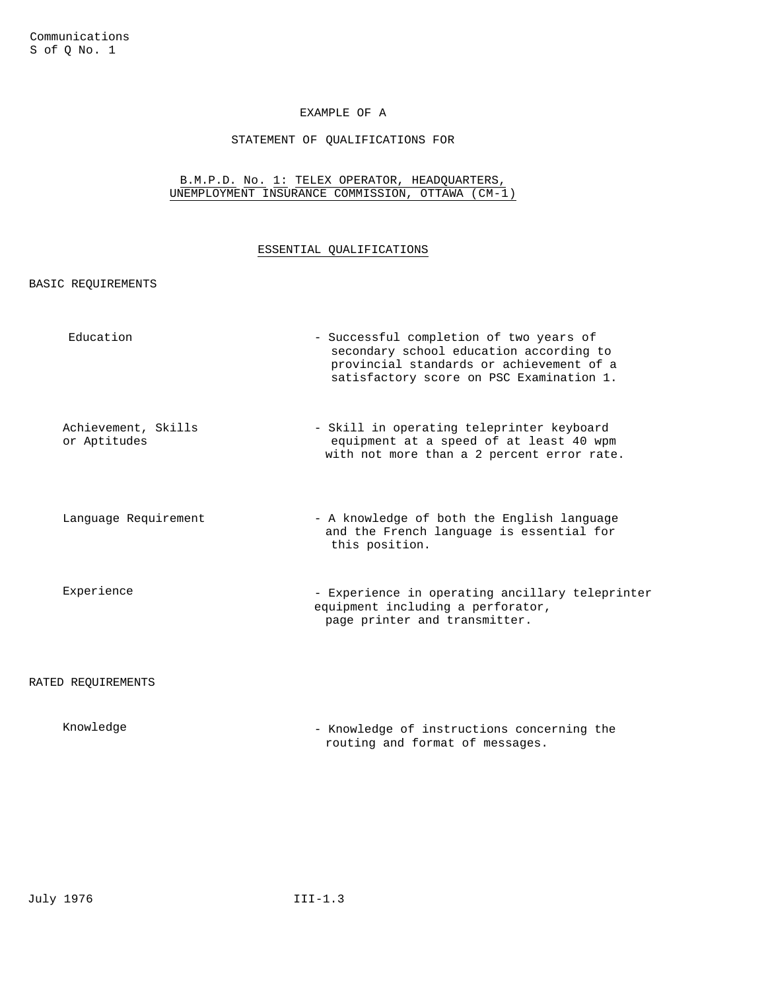## STATEMENT OF QUALIFICATIONS FOR

#### B.M.P.D. No. 1: TELEX OPERATOR, HEADQUARTERS, UNEMPLOYMENT INSURANCE COMMISSION, OTTAWA (CM-1)

### ESSENTIAL QUALIFICATIONS

#### BASIC REQUIREMENTS

| Education                           | - Successful completion of two years of<br>secondary school education according to<br>provincial standards or achievement of a<br>satisfactory score on PSC Examination 1. |
|-------------------------------------|----------------------------------------------------------------------------------------------------------------------------------------------------------------------------|
| Achievement, Skills<br>or Aptitudes | - Skill in operating teleprinter keyboard<br>equipment at a speed of at least 40 wpm<br>with not more than a 2 percent error rate.                                         |
| Language Requirement                | - A knowledge of both the English language<br>and the French language is essential for<br>this position.                                                                   |
| Experience                          | - Experience in operating ancillary teleprinter<br>equipment including a perforator,<br>page printer and transmitter.                                                      |
| RATED REQUIREMENTS                  |                                                                                                                                                                            |
| Knowledge                           | - Knowledge of instructions concerning the                                                                                                                                 |

routing and format of messages.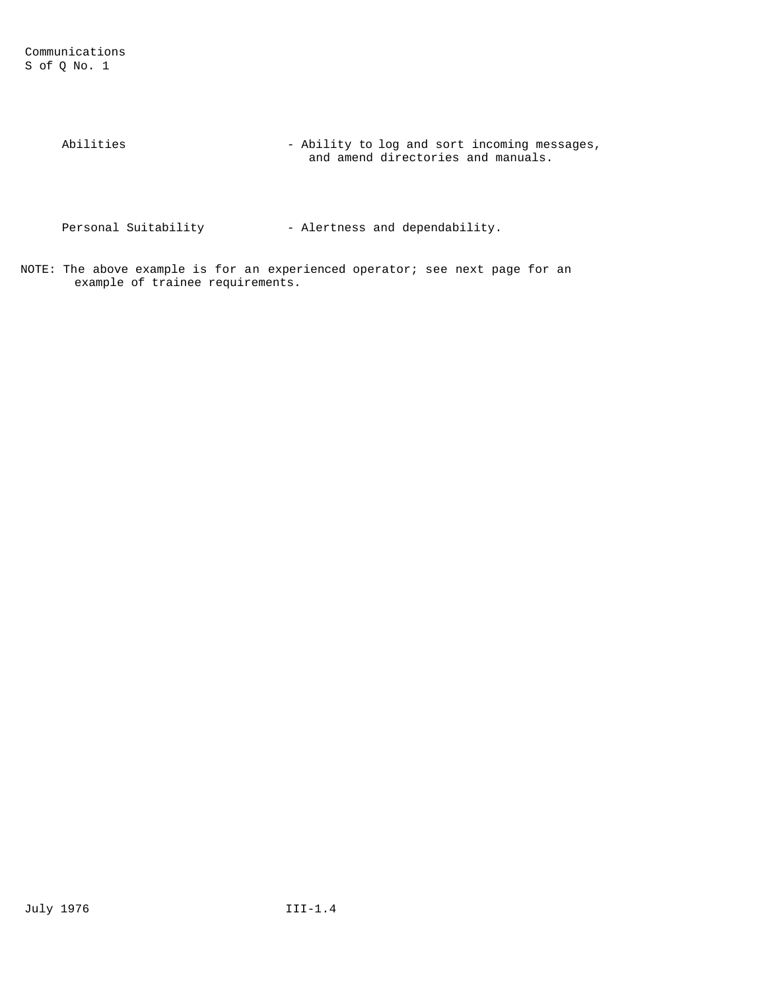Communications S of Q No. 1

> Abilities - Ability to log and sort incoming messages, and amend directories and manuals.

Personal Suitability  $-$  Alertness and dependability.

NOTE: The above example is for an experienced operator; see next page for an example of trainee requirements.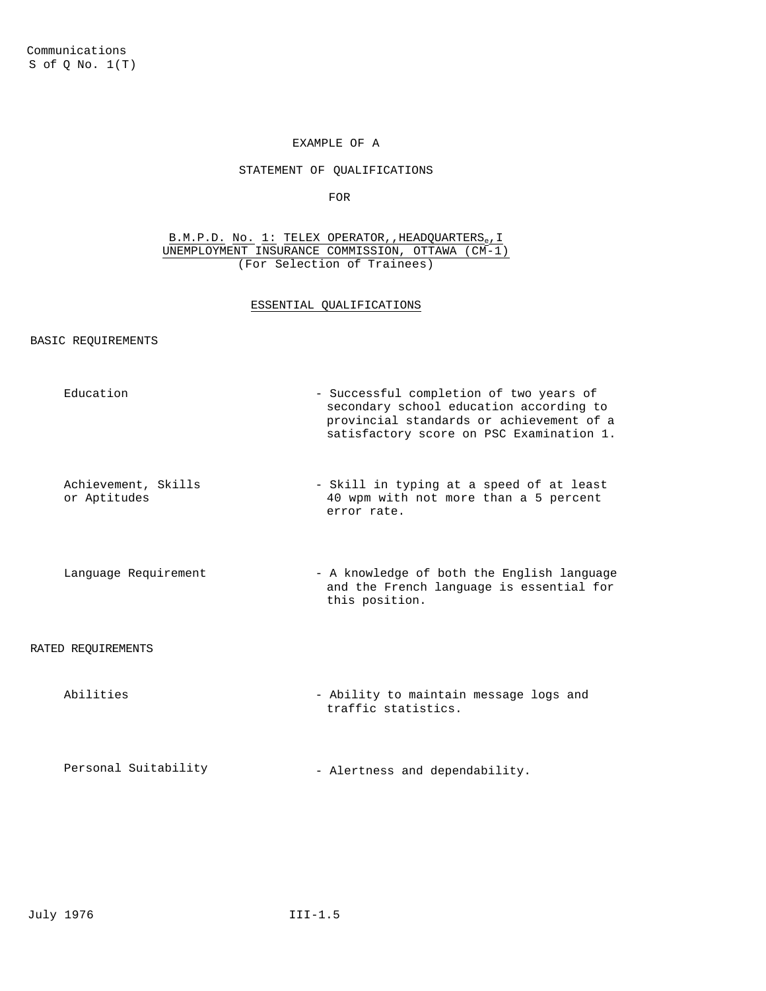## STATEMENT OF QUALIFICATIONS

FOR

B.M.P.D. No. 1: TELEX OPERATOR, HEADQUARTERS<sub>e</sub>, I UNEMPLOYMENT INSURANCE COMMISSION, OTTAWA (CM-1) (For Selection of Trainees)

## ESSENTIAL QUALIFICATIONS

#### BASIC REQUIREMENTS

| Education                           | - Successful completion of two years of<br>secondary school education according to<br>provincial standards or achievement of a<br>satisfactory score on PSC Examination 1. |
|-------------------------------------|----------------------------------------------------------------------------------------------------------------------------------------------------------------------------|
| Achievement, Skills<br>or Aptitudes | - Skill in typing at a speed of at least<br>40 wpm with not more than a 5 percent<br>error rate.                                                                           |
| Language Requirement                | - A knowledge of both the English language<br>and the French language is essential for<br>this position.                                                                   |
| RATED REOUIREMENTS                  |                                                                                                                                                                            |
| Abilities                           | - Ability to maintain message logs and<br>traffic statistics.                                                                                                              |
| Personal Suitability                | - Alertness and dependability.                                                                                                                                             |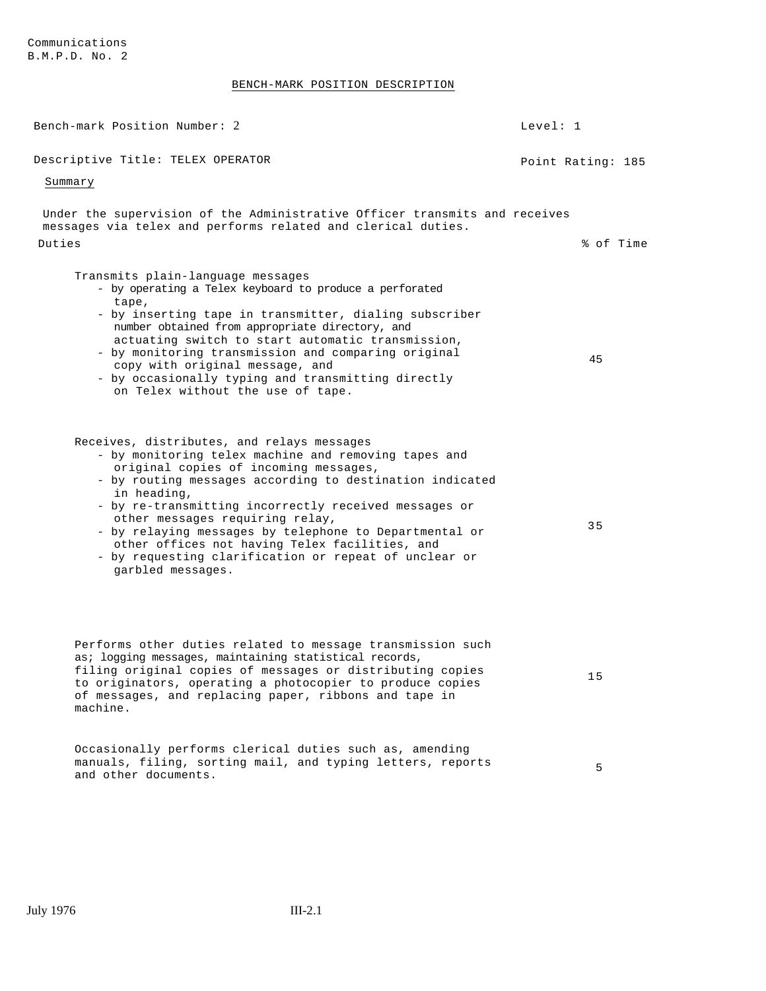## BENCH-MARK POSITION DESCRIPTION

| Bench-mark Position Number: 2                                                                                                                                                                                                                                                                                                                                                                                                                                                                                | Level: 1          |
|--------------------------------------------------------------------------------------------------------------------------------------------------------------------------------------------------------------------------------------------------------------------------------------------------------------------------------------------------------------------------------------------------------------------------------------------------------------------------------------------------------------|-------------------|
| Descriptive Title: TELEX OPERATOR                                                                                                                                                                                                                                                                                                                                                                                                                                                                            | Point Rating: 185 |
| Summary                                                                                                                                                                                                                                                                                                                                                                                                                                                                                                      |                   |
| Under the supervision of the Administrative Officer transmits and receives<br>messages via telex and performs related and clerical duties.<br>Duties                                                                                                                                                                                                                                                                                                                                                         | % of Time         |
| Transmits plain-language messages<br>- by operating a Telex keyboard to produce a perforated<br>tape,<br>- by inserting tape in transmitter, dialing subscriber<br>number obtained from appropriate directory, and<br>actuating switch to start automatic transmission,<br>- by monitoring transmission and comparing original<br>copy with original message, and<br>- by occasionally typing and transmitting directly<br>on Telex without the use of tape.                                                 | 45                |
| Receives, distributes, and relays messages<br>- by monitoring telex machine and removing tapes and<br>original copies of incoming messages,<br>- by routing messages according to destination indicated<br>in heading,<br>- by re-transmitting incorrectly received messages or<br>other messages requiring relay,<br>- by relaying messages by telephone to Departmental or<br>other offices not having Telex facilities, and<br>- by requesting clarification or repeat of unclear or<br>garbled messages. | 35                |
| Performs other duties related to message transmission such<br>as; logging messages, maintaining statistical records,<br>filing original copies of messages or distributing copies<br>to originators, operating a photocopier to produce copies<br>of messages, and replacing paper, ribbons and tape in<br>machine.                                                                                                                                                                                          | 15                |
| Occasionally performs clerical duties such as, amending<br>manuals, filing, sorting mail, and typing letters, reports<br>and other documents.                                                                                                                                                                                                                                                                                                                                                                | 5                 |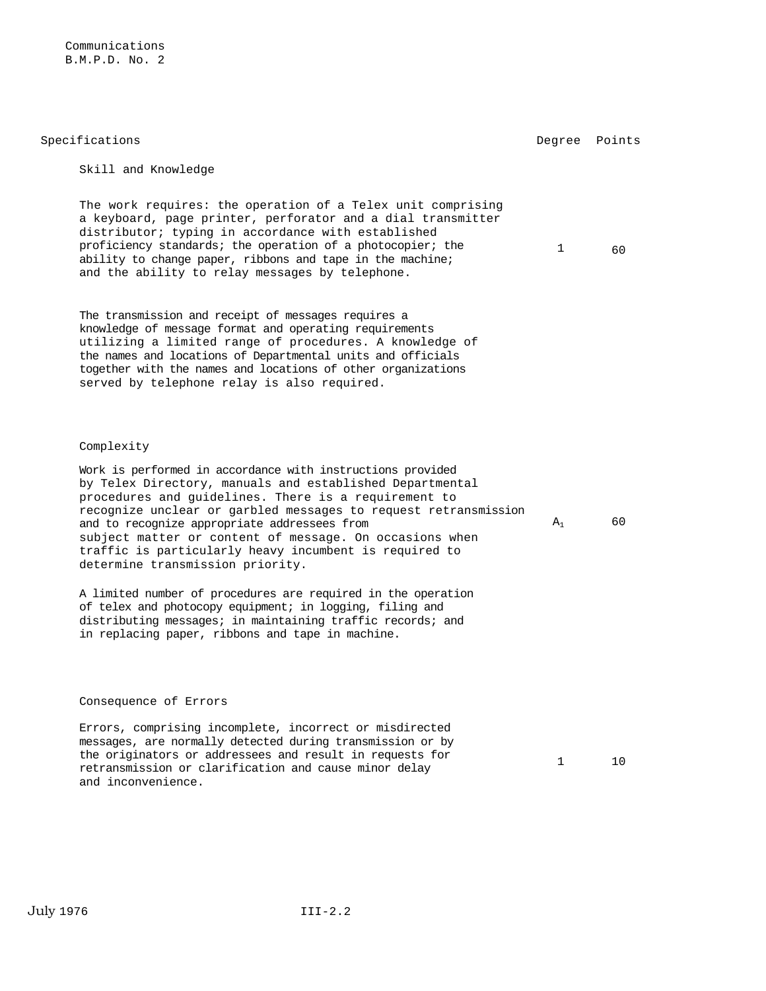| Specifications                                                                                                                                                                                                                                                                                                                                                                                                                                             | Degree | Points |
|------------------------------------------------------------------------------------------------------------------------------------------------------------------------------------------------------------------------------------------------------------------------------------------------------------------------------------------------------------------------------------------------------------------------------------------------------------|--------|--------|
| Skill and Knowledge                                                                                                                                                                                                                                                                                                                                                                                                                                        |        |        |
| The work requires: the operation of a Telex unit comprising<br>a keyboard, page printer, perforator and a dial transmitter<br>distributor; typing in accordance with established<br>proficiency standards; the operation of a photocopier; the<br>ability to change paper, ribbons and tape in the machine;<br>and the ability to relay messages by telephone.                                                                                             | 1      | 60     |
| The transmission and receipt of messages requires a<br>knowledge of message format and operating requirements<br>utilizing a limited range of procedures. A knowledge of<br>the names and locations of Departmental units and officials<br>together with the names and locations of other organizations<br>served by telephone relay is also required.                                                                                                     |        |        |
| Complexity                                                                                                                                                                                                                                                                                                                                                                                                                                                 |        |        |
| Work is performed in accordance with instructions provided<br>by Telex Directory, manuals and established Departmental<br>procedures and quidelines. There is a requirement to<br>recognize unclear or garbled messages to request retransmission<br>and to recognize appropriate addressees from<br>subject matter or content of message. On occasions when<br>traffic is particularly heavy incumbent is required to<br>determine transmission priority. | $A_1$  | 60     |
| A limited number of procedures are required in the operation<br>of telex and photocopy equipment; in logging, filing and<br>distributing messages; in maintaining traffic records; and<br>in replacing paper, ribbons and tape in machine.                                                                                                                                                                                                                 |        |        |
|                                                                                                                                                                                                                                                                                                                                                                                                                                                            |        |        |
| Consequence of Errors                                                                                                                                                                                                                                                                                                                                                                                                                                      |        |        |
| Errors, comprising incomplete, incorrect or misdirected<br>messages, are normally detected during transmission or by<br>the originators or addressees and result in requests for<br>refrequented on an alorification and couse miner delay                                                                                                                                                                                                                 | 1      | 10     |

retransmission or clarification and cause minor delay

and inconvenience.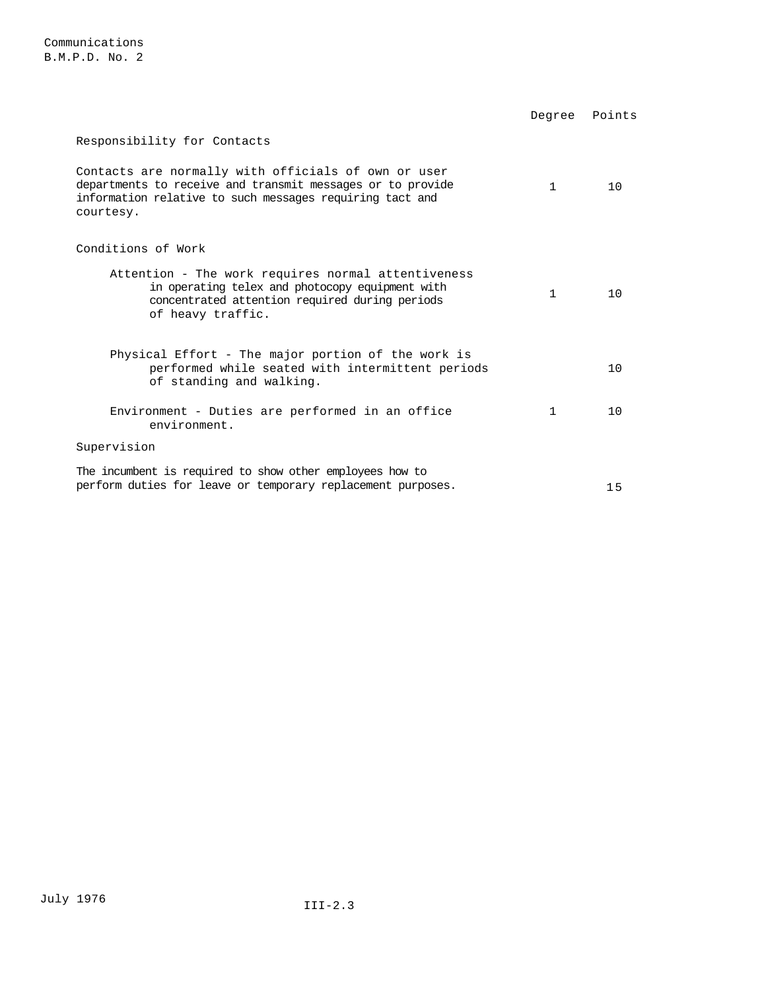|                                                                                                                                                                                            | Degree       | Points |
|--------------------------------------------------------------------------------------------------------------------------------------------------------------------------------------------|--------------|--------|
| Responsibility for Contacts                                                                                                                                                                |              |        |
| Contacts are normally with officials of own or user<br>departments to receive and transmit messages or to provide<br>information relative to such messages requiring tact and<br>courtesy. | 1            | 10     |
| Conditions of Work                                                                                                                                                                         |              |        |
| Attention - The work requires normal attentiveness<br>in operating telex and photocopy equipment with<br>concentrated attention required during periods<br>of heavy traffic.               | $\mathbf{1}$ | 10     |
| Physical Effort - The major portion of the work is<br>performed while seated with intermittent periods<br>of standing and walking.                                                         |              | 10     |
| Environment - Duties are performed in an office<br>environment.                                                                                                                            | 1            | 1 Q    |
| Supervision                                                                                                                                                                                |              |        |
| The incumbent is required to show other employees how to<br>perform duties for leave or temporary replacement purposes.                                                                    |              | 15     |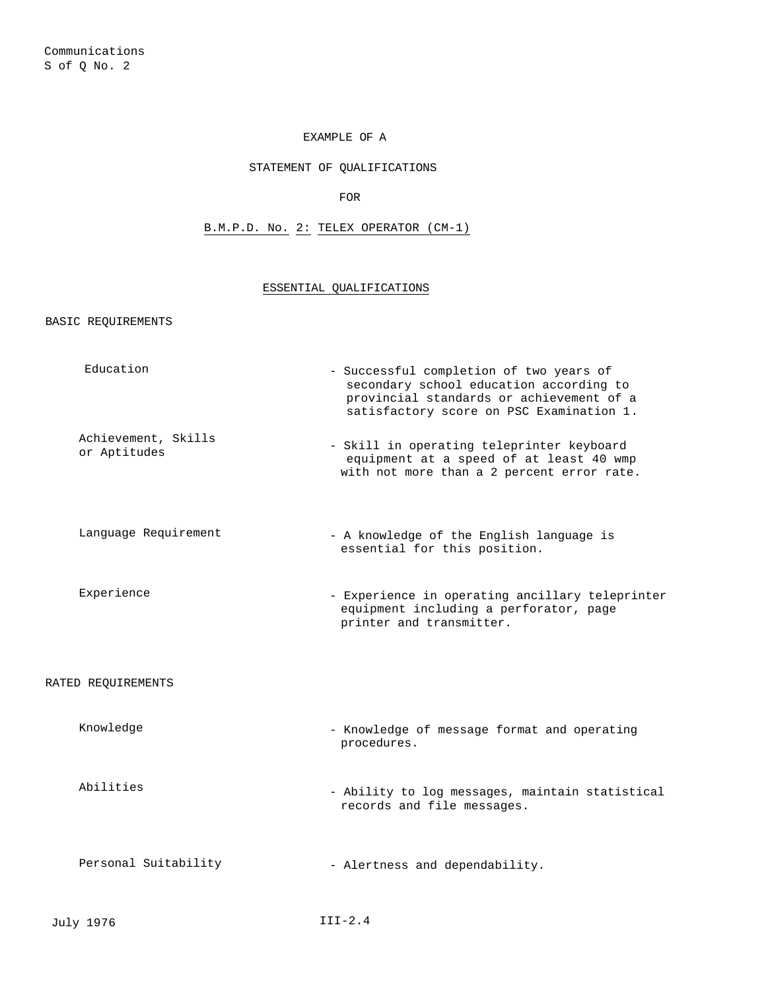### STATEMENT OF QUALIFICATIONS

FOR

B.M.P.D. No. 2: TELEX OPERATOR (CM-1)

## ESSENTIAL QUALIFICATIONS

BASIC REQUIREMENTS

| Education                           | - Successful completion of two years of<br>secondary school education according to<br>provincial standards or achievement of a<br>satisfactory score on PSC Examination 1. |
|-------------------------------------|----------------------------------------------------------------------------------------------------------------------------------------------------------------------------|
| Achievement, Skills<br>or Aptitudes | - Skill in operating teleprinter keyboard<br>equipment at a speed of at least 40 wmp<br>with not more than a 2 percent error rate.                                         |
| Language Requirement                | - A knowledge of the English language is<br>essential for this position.                                                                                                   |
| Experience                          | - Experience in operating ancillary teleprinter<br>equipment including a perforator, page<br>printer and transmitter.                                                      |
| RATED REQUIREMENTS                  |                                                                                                                                                                            |
| Knowledge                           | - Knowledge of message format and operating<br>procedures.                                                                                                                 |
| Abilities                           | - Ability to log messages, maintain statistical<br>records and file messages.                                                                                              |
| Personal Suitability                | - Alertness and dependability.                                                                                                                                             |
| July 1976                           | $III-2.4$                                                                                                                                                                  |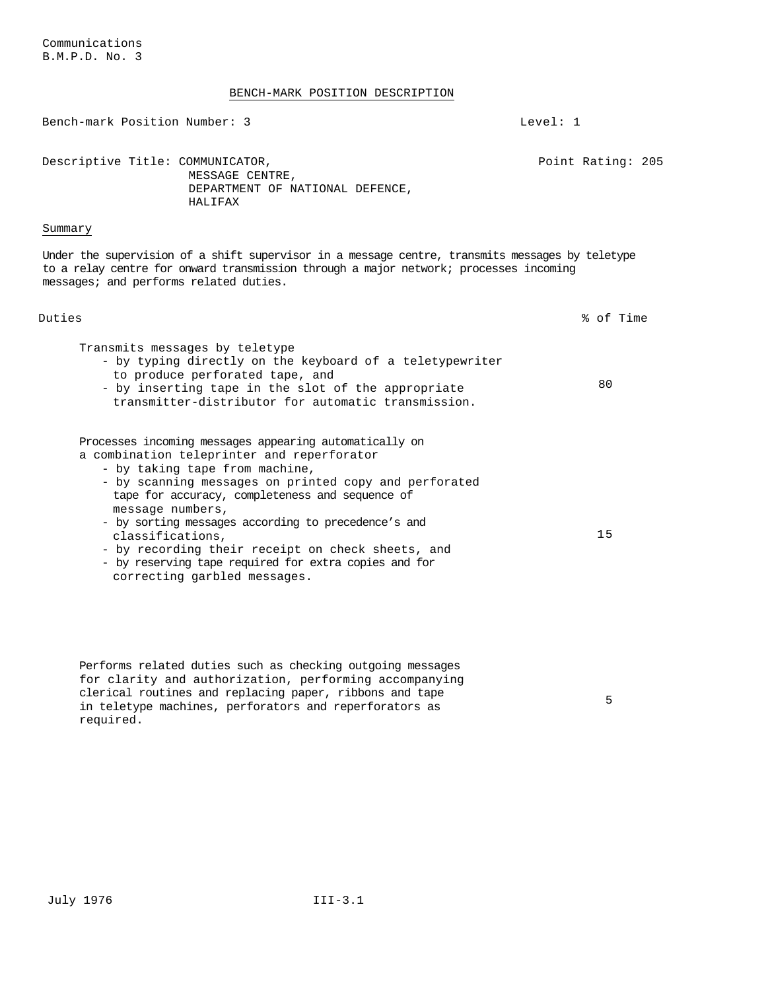## BENCH-MARK POSITION DESCRIPTION

|                                        | BENCH-MARK POSITION DESCRIPTION                                                                                                                                                                                                                                                                                                                                                                                                                         |                   |
|----------------------------------------|---------------------------------------------------------------------------------------------------------------------------------------------------------------------------------------------------------------------------------------------------------------------------------------------------------------------------------------------------------------------------------------------------------------------------------------------------------|-------------------|
| Bench-mark Position Number: 3          |                                                                                                                                                                                                                                                                                                                                                                                                                                                         | Level: 1          |
| Descriptive Title: COMMUNICATOR,       | MESSAGE CENTRE,<br>DEPARTMENT OF NATIONAL DEFENCE,<br>HALIFAX                                                                                                                                                                                                                                                                                                                                                                                           | Point Rating: 205 |
| Summary                                |                                                                                                                                                                                                                                                                                                                                                                                                                                                         |                   |
| messages; and performs related duties. | Under the supervision of a shift supervisor in a message centre, transmits messages by teletype<br>to a relay centre for onward transmission through a major network; processes incoming                                                                                                                                                                                                                                                                |                   |
| Duties                                 |                                                                                                                                                                                                                                                                                                                                                                                                                                                         | % of Time         |
| Transmits messages by teletype         | - by typing directly on the keyboard of a teletypewriter<br>to produce perforated tape, and<br>- by inserting tape in the slot of the appropriate<br>transmitter-distributor for automatic transmission.                                                                                                                                                                                                                                                | 80                |
| message numbers,<br>classifications,   | Processes incoming messages appearing automatically on<br>a combination teleprinter and reperforator<br>- by taking tape from machine,<br>- by scanning messages on printed copy and perforated<br>tape for accuracy, completeness and sequence of<br>- by sorting messages according to precedence's and<br>- by recording their receipt on check sheets, and<br>- by reserving tape required for extra copies and for<br>correcting garbled messages. | 15                |

Performs related duties such as checking outgoing messages for clarity and authorization, performing accompanying clerical routines and replacing paper, ribbons and tape in teletype machines, perforators and reperforators as required.

5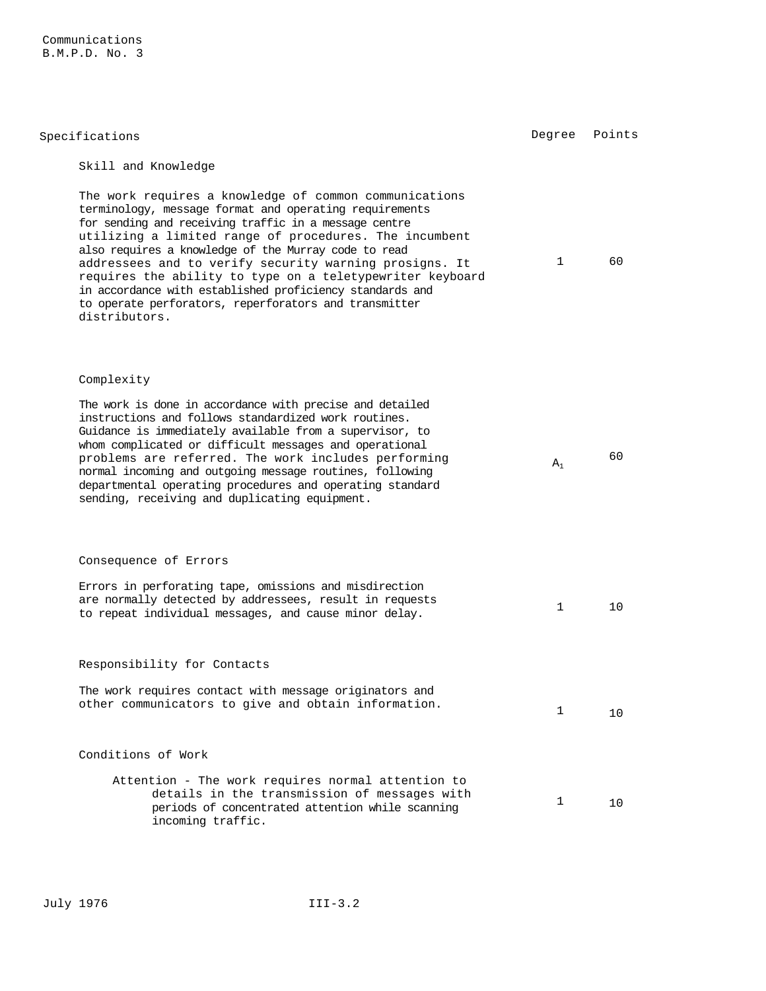| Specifications                                                                                                                                                                                                                                                                                                                                                                                                                                                                                                                                           | Degree       | Points |
|----------------------------------------------------------------------------------------------------------------------------------------------------------------------------------------------------------------------------------------------------------------------------------------------------------------------------------------------------------------------------------------------------------------------------------------------------------------------------------------------------------------------------------------------------------|--------------|--------|
| Skill and Knowledge                                                                                                                                                                                                                                                                                                                                                                                                                                                                                                                                      |              |        |
| The work requires a knowledge of common communications<br>terminology, message format and operating requirements<br>for sending and receiving traffic in a message centre<br>utilizing a limited range of procedures. The incumbent<br>also requires a knowledge of the Murray code to read<br>addressees and to verify security warning prosigns. It<br>requires the ability to type on a teletypewriter keyboard<br>in accordance with established proficiency standards and<br>to operate perforators, reperforators and transmitter<br>distributors. | 1            | 60     |
| Complexity                                                                                                                                                                                                                                                                                                                                                                                                                                                                                                                                               |              |        |
| The work is done in accordance with precise and detailed<br>instructions and follows standardized work routines.<br>Guidance is immediately available from a supervisor, to<br>whom complicated or difficult messages and operational<br>problems are referred. The work includes performing<br>normal incoming and outgoing message routines, following<br>departmental operating procedures and operating standard<br>sending, receiving and duplicating equipment.                                                                                    | $A_1$        | 60     |
| Consequence of Errors                                                                                                                                                                                                                                                                                                                                                                                                                                                                                                                                    |              |        |
| Errors in perforating tape, omissions and misdirection<br>are normally detected by addressees, result in requests<br>to repeat individual messages, and cause minor delay.                                                                                                                                                                                                                                                                                                                                                                               | $\mathbf{1}$ | 10     |
| Responsibility for Contacts                                                                                                                                                                                                                                                                                                                                                                                                                                                                                                                              |              |        |
| The work requires contact with message originators and<br>other communicators to give and obtain information.                                                                                                                                                                                                                                                                                                                                                                                                                                            | 1            | 10     |
| Conditions of Work                                                                                                                                                                                                                                                                                                                                                                                                                                                                                                                                       |              |        |
| Attention - The work requires normal attention to<br>details in the transmission of messages with<br>periods of concentrated attention while scanning<br>incoming traffic.                                                                                                                                                                                                                                                                                                                                                                               | 1            | 10     |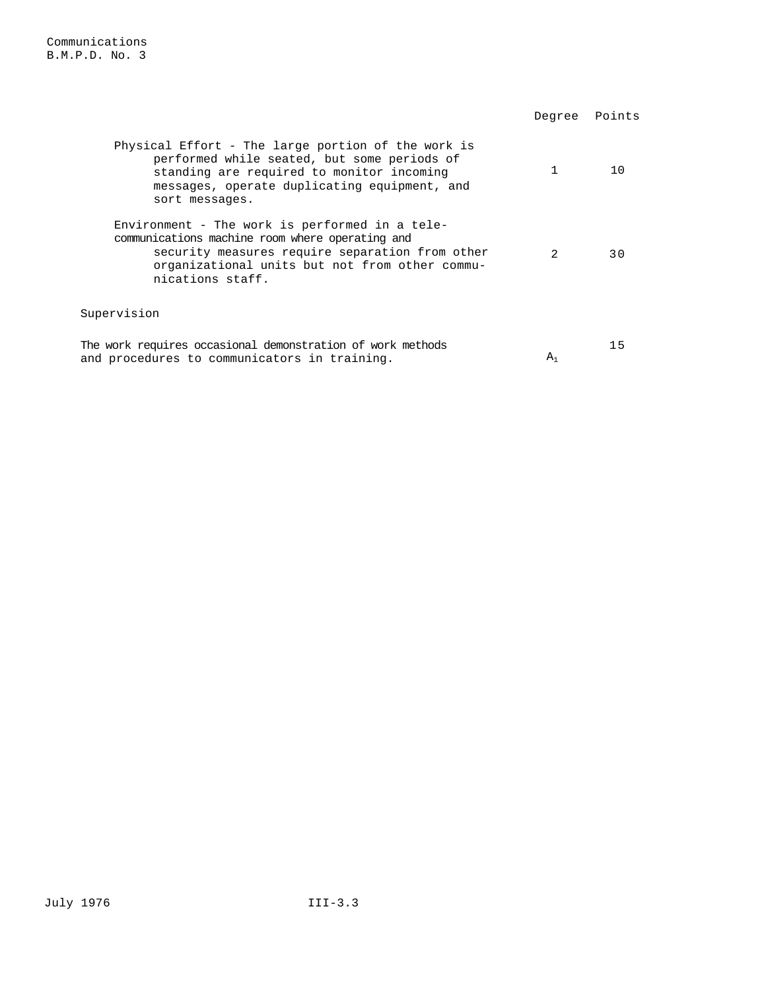|                                                                                                                                                                                                                            | Degree      | Points |
|----------------------------------------------------------------------------------------------------------------------------------------------------------------------------------------------------------------------------|-------------|--------|
| Physical Effort - The large portion of the work is<br>performed while seated, but some periods of<br>standing are required to monitor incoming<br>messages, operate duplicating equipment, and<br>sort messages.           |             | 10     |
| Environment - The work is performed in a tele-<br>communications machine room where operating and<br>security measures require separation from other<br>organizational units but not from other commu-<br>nications staff. | $2^{\circ}$ | 3 O    |
| Supervision                                                                                                                                                                                                                |             |        |
| The work requires occasional demonstration of work methods<br>and procedures to communicators in training.                                                                                                                 | $A_1$       | 15     |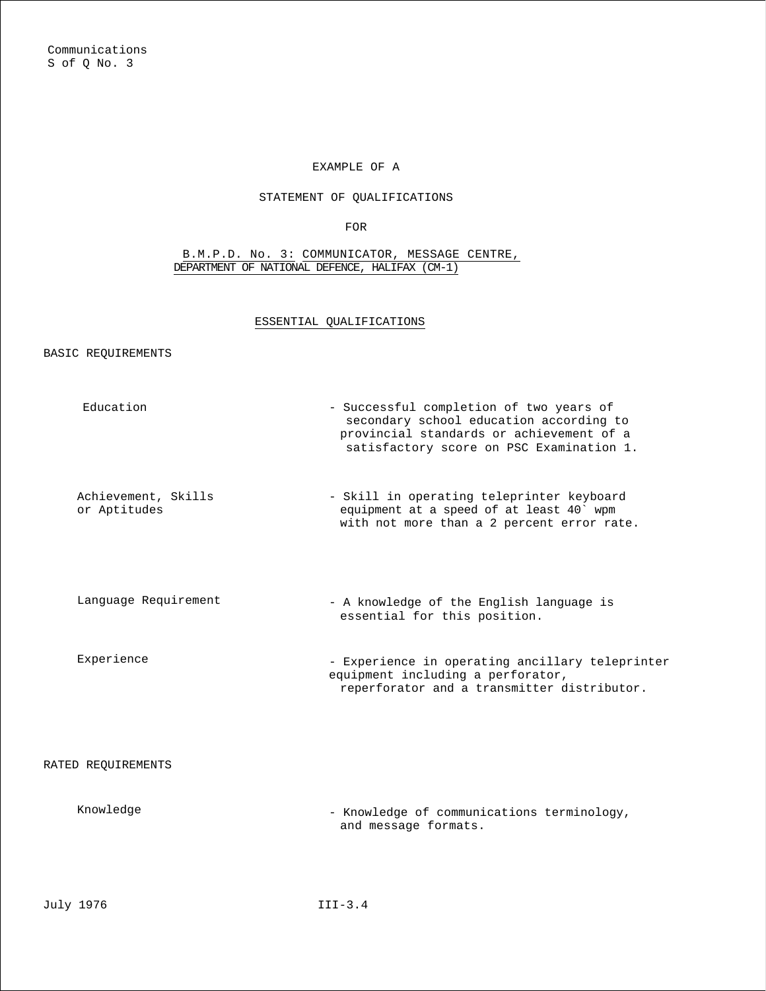## STATEMENT OF QUALIFICATIONS

FOR

#### B.M.P.D. No. 3: COMMUNICATOR, MESSAGE CENTRE, DEPARTMENT OF NATIONAL DEFENCE, HALIFAX (CM-1)

### ESSENTIAL QUALIFICATIONS

BASIC REQUIREMENTS

| Education                           | - Successful completion of two years of<br>secondary school education according to<br>provincial standards or achievement of a<br>satisfactory score on PSC Examination 1. |
|-------------------------------------|----------------------------------------------------------------------------------------------------------------------------------------------------------------------------|
| Achievement, Skills<br>or Aptitudes | - Skill in operating teleprinter keyboard<br>equipment at a speed of at least 40' wpm<br>with not more than a 2 percent error rate.                                        |
| Language Requirement                | - A knowledge of the English language is<br>essential for this position.                                                                                                   |
| Experience                          | - Experience in operating ancillary teleprinter<br>equipment including a perforator,<br>reperforator and a transmitter distributor.                                        |
| RATED REQUIREMENTS                  |                                                                                                                                                                            |
| Knowledge                           | - Knowledge of communications terminology,<br>and message formats.                                                                                                         |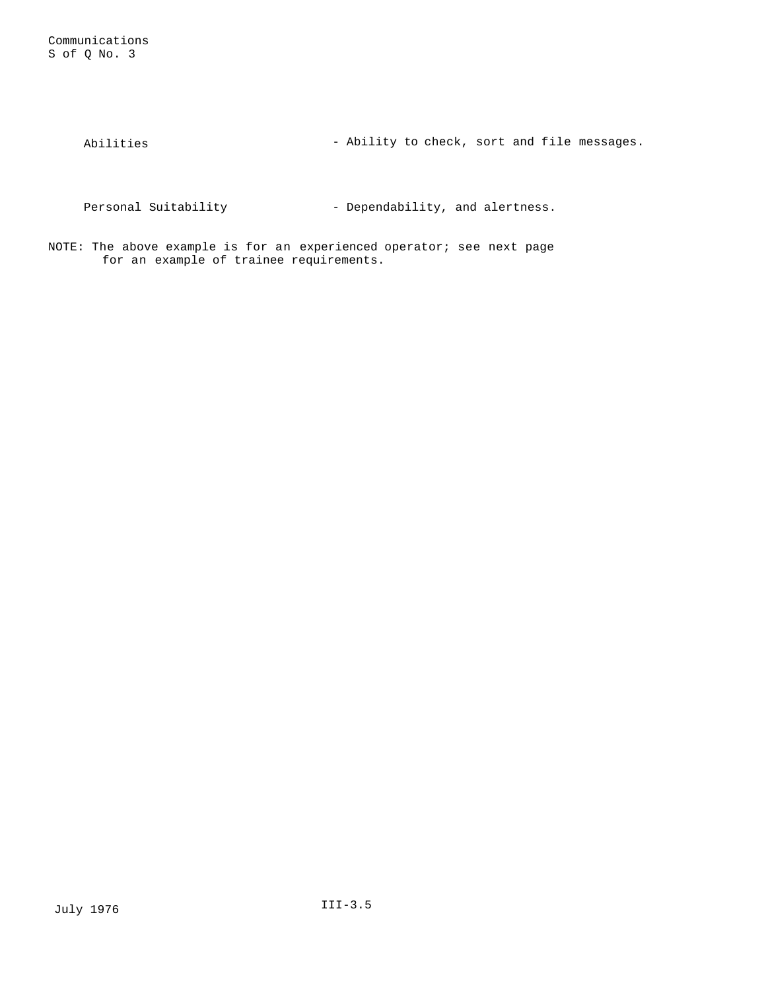Abilities - Ability to check, sort and file messages.

Personal Suitability - Dependability, and alertness.

NOTE: The above example is for an experienced operator; see next page for an example of trainee requirements.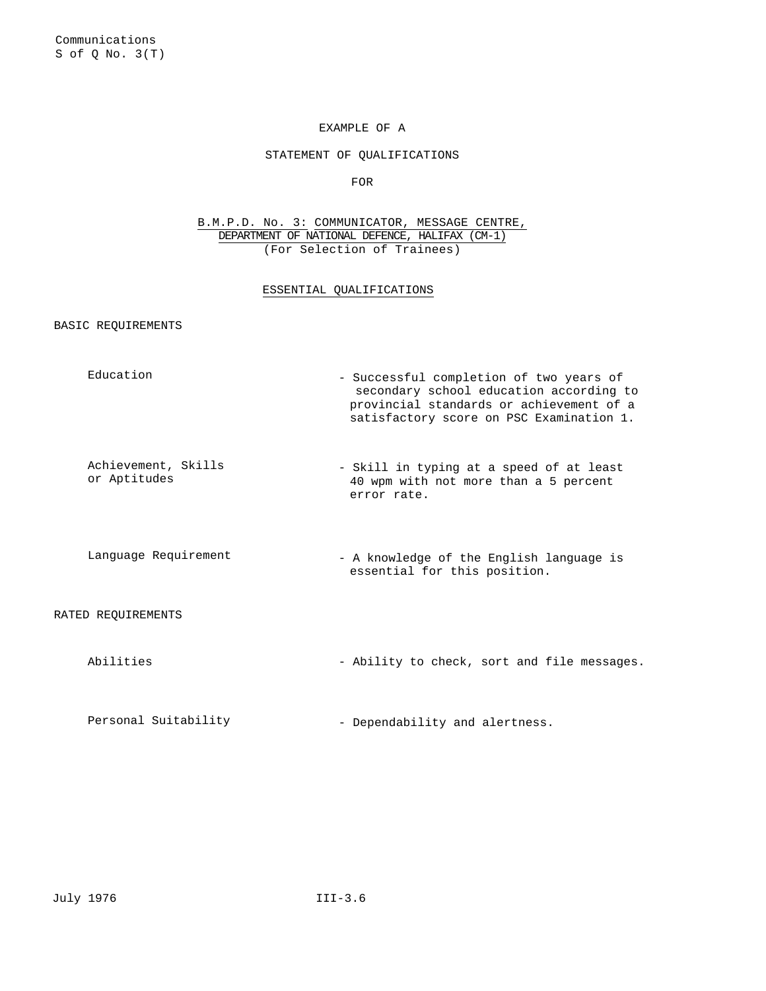#### STATEMENT OF QUALIFICATIONS

FOR

B.M.P.D. No. 3: COMMUNICATOR, MESSAGE CENTRE, DEPARTMENT OF NATIONAL DEFENCE, HALIFAX (CM-1) (For Selection of Trainees)

#### ESSENTIAL QUALIFICATIONS

### BASIC REQUIREMENTS

| Education                           | - Successful completion of two years of<br>secondary school education according to<br>provincial standards or achievement of a<br>satisfactory score on PSC Examination 1. |
|-------------------------------------|----------------------------------------------------------------------------------------------------------------------------------------------------------------------------|
| Achievement, Skills<br>or Aptitudes | - Skill in typing at a speed of at least<br>40 wpm with not more than a 5 percent<br>error rate.                                                                           |
| Language Requirement                | - A knowledge of the English language is<br>essential for this position.                                                                                                   |
| RATED REQUIREMENTS                  |                                                                                                                                                                            |
| Abilities                           | - Ability to check, sort and file messages.                                                                                                                                |
|                                     |                                                                                                                                                                            |

Personal Suitability  $-$  Dependability and alertness.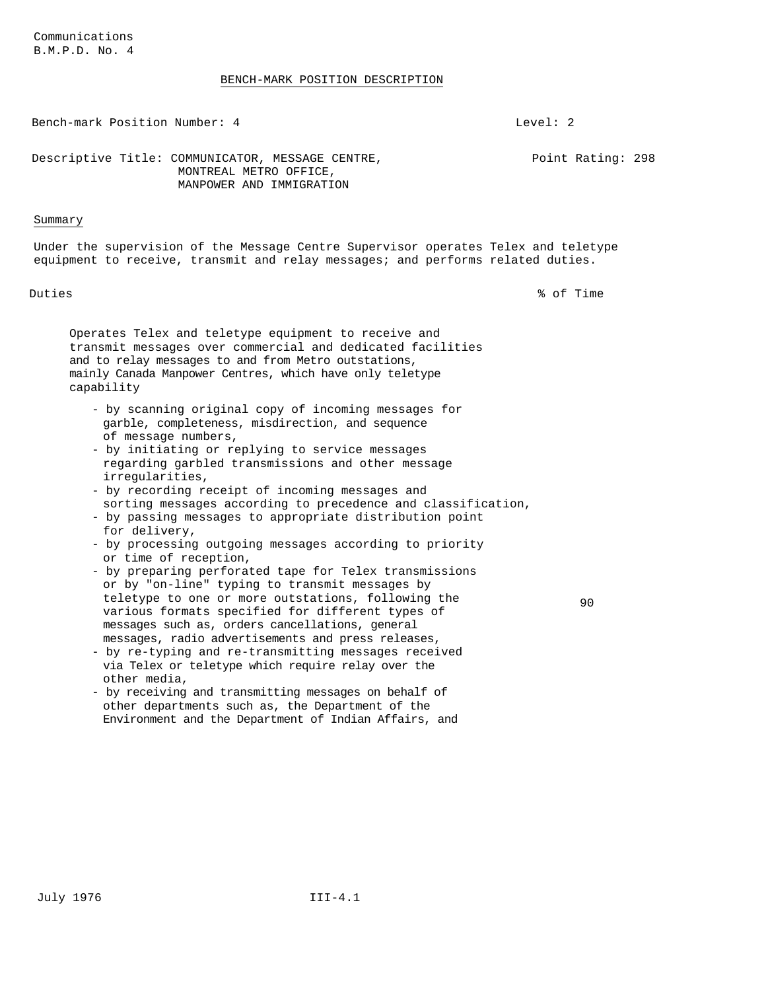#### BENCH-MARK POSITION DESCRIPTION

Bench-mark Position Number: 4 Level: 2

Point Rating: 298

Descriptive Title: COMMUNICATOR, MESSAGE CENTRE, MONTREAL METRO OFFICE,

#### Summary

Under the supervision of the Message Centre Supervisor operates Telex and teletype equipment to receive, transmit and relay messages; and performs related duties.

Duties % of Time

Operates Telex and teletype equipment to receive and transmit messages over commercial and dedicated facilities and to relay messages to and from Metro outstations, mainly Canada Manpower Centres, which have only teletype capability

MANPOWER AND IMMIGRATION

- by scanning original copy of incoming messages for garble, completeness, misdirection, and sequence of message numbers,
- by initiating or replying to service messages regarding garbled transmissions and other message irregularities,
- by recording receipt of incoming messages and sorting messages according to precedence and classification,
- by passing messages to appropriate distribution point for delivery,
- by processing outgoing messages according to priority or time of reception,
- by preparing perforated tape for Telex transmissions or by "on-line" typing to transmit messages by teletype to one or more outstations, following the various formats specified for different types of messages such as, orders cancellations, general messages, radio advertisements and press releases,
- by re-typing and re-transmitting messages received via Telex or teletype which require relay over the other media,
- by receiving and transmitting messages on behalf of other departments such as, the Department of the Environment and the Department of Indian Affairs, and

90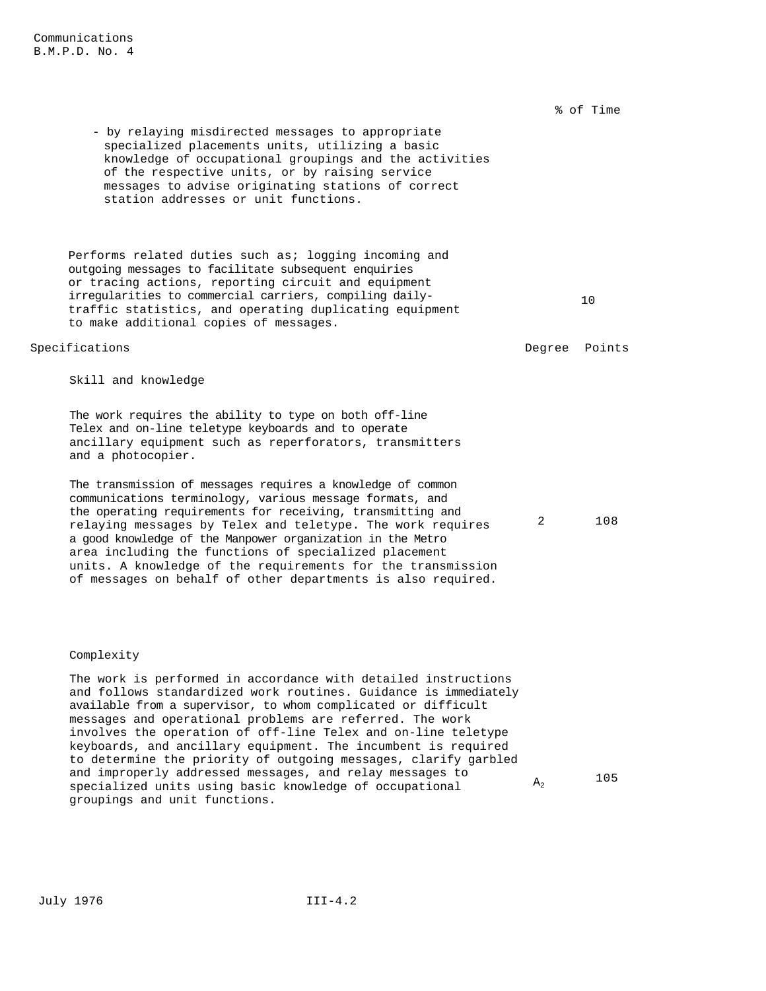% of Time

- by relaying misdirected messages to appropriate specialized placements units, utilizing a basic knowledge of occupational groupings and the activities of the respective units, or by raising service messages to advise originating stations of correct station addresses or unit functions.

Performs related duties such as; logging incoming and outgoing messages to facilitate subsequent enquiries or tracing actions, reporting circuit and equipment irregularities to commercial carriers, compiling dailytraffic statistics, and operating duplicating equipment to make additional copies of messages.

### Specifications and the contractions of the contractions of the contractions of the contractions of the contractions of the contractions of the contractions of the contractions of the contractions of the contractions of the

2 108

10

Skill and knowledge

The work requires the ability to type on both off-line Telex and on-line teletype keyboards and to operate ancillary equipment such as reperforators, transmitters and a photocopier.

The transmission of messages requires a knowledge of common communications terminology, various message formats, and the operating requirements for receiving, transmitting and relaying messages by Telex and teletype. The work requires a good knowledge of the Manpower organization in the Metro area including the functions of specialized placement units. A knowledge of the requirements for the transmission of messages on behalf of other departments is also required.

#### Complexity

The work is performed in accordance with detailed instructions and follows standardized work routines. Guidance is immediately available from a supervisor, to whom complicated or difficult messages and operational problems are referred. The work involves the operation of off-line Telex and on-line teletype keyboards, and ancillary equipment. The incumbent is required to determine the priority of outgoing messages, clarify garbled and improperly addressed messages, and relay messages to specialized units using basic knowledge of occupational groupings and unit functions.  $A_2$  105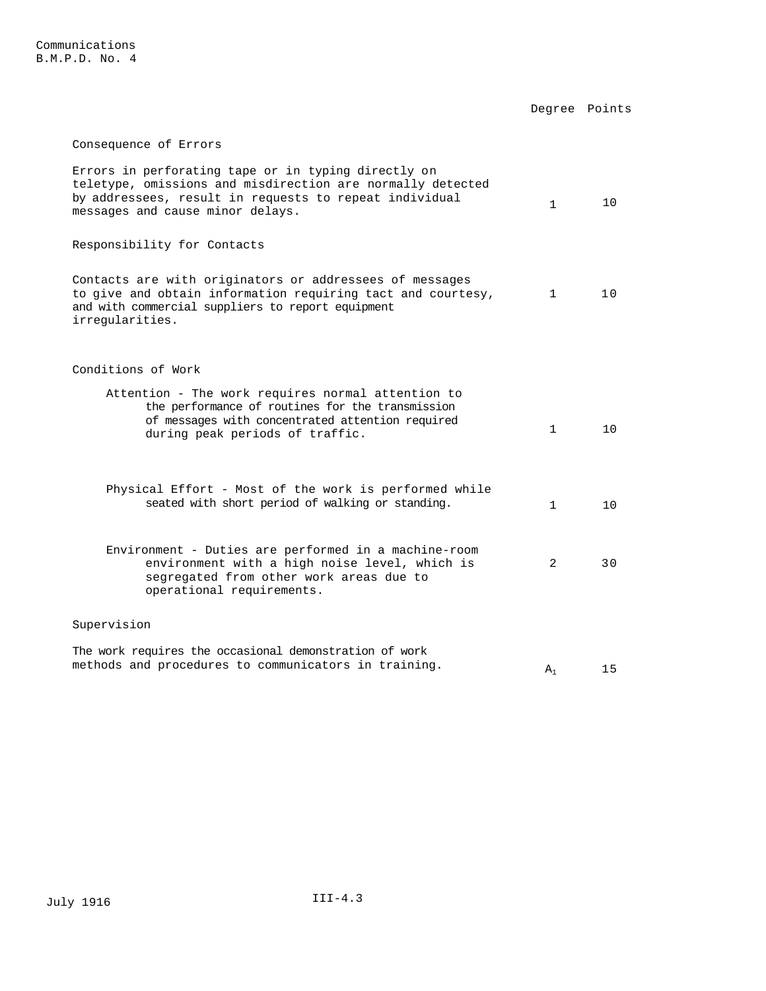|                                                                                                                                                                                                                 |              | Degree Points |
|-----------------------------------------------------------------------------------------------------------------------------------------------------------------------------------------------------------------|--------------|---------------|
| Consequence of Errors                                                                                                                                                                                           |              |               |
| Errors in perforating tape or in typing directly on<br>teletype, omissions and misdirection are normally detected<br>by addressees, result in requests to repeat individual<br>messages and cause minor delays. | $\mathbf{1}$ | 10            |
| Responsibility for Contacts                                                                                                                                                                                     |              |               |
| Contacts are with originators or addressees of messages<br>to give and obtain information requiring tact and courtesy,<br>and with commercial suppliers to report equipment<br>irregularities.                  | $\mathbf{1}$ | 10            |
| Conditions of Work                                                                                                                                                                                              |              |               |
| Attention - The work requires normal attention to<br>the performance of routines for the transmission<br>of messages with concentrated attention required<br>during peak periods of traffic.                    | $\mathbf{1}$ | 10            |
| Physical Effort - Most of the work is performed while<br>seated with short period of walking or standing.                                                                                                       | $\mathbf{1}$ | 10            |
| Environment - Duties are performed in a machine-room<br>environment with a high noise level, which is<br>segregated from other work areas due to<br>operational requirements.                                   | 2            | 30            |
| Supervision                                                                                                                                                                                                     |              |               |
| The work requires the occasional demonstration of work<br>mothods and prosodures to semminisators in training                                                                                                   |              |               |

methods and procedures to communicators in training.  $A_1$  15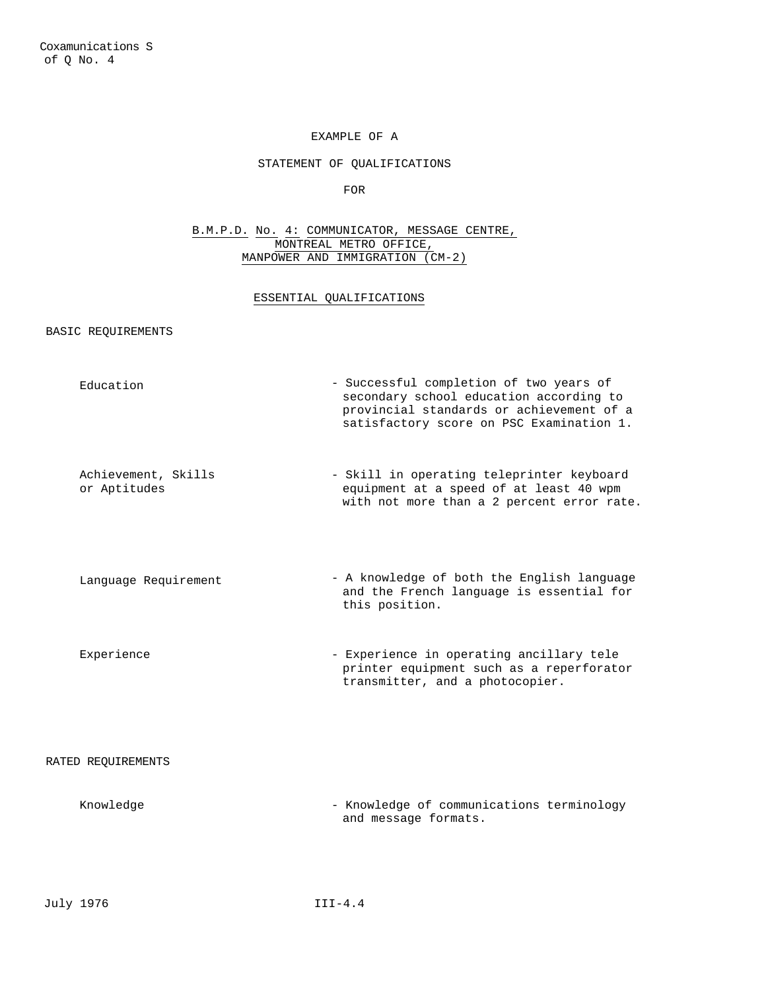## STATEMENT OF QUALIFICATIONS

FOR

B.M.P.D. No. 4: COMMUNICATOR, MESSAGE CENTRE, MONTREAL METRO OFFICE, MANPOWER AND IMMIGRATION (CM-2)

### ESSENTIAL QUALIFICATIONS

BASIC REQUIREMENTS

| Education                           | - Successful completion of two years of<br>secondary school education according to<br>provincial standards or achievement of a<br>satisfactory score on PSC Examination 1. |
|-------------------------------------|----------------------------------------------------------------------------------------------------------------------------------------------------------------------------|
| Achievement, Skills<br>or Aptitudes | - Skill in operating teleprinter keyboard<br>equipment at a speed of at least 40 wpm<br>with not more than a 2 percent error rate.                                         |
| Language Requirement                | - A knowledge of both the English language<br>and the French language is essential for<br>this position.                                                                   |
| Experience                          | - Experience in operating ancillary tele<br>printer equipment such as a reperforator<br>transmitter, and a photocopier.                                                    |
| RATED REOUIREMENTS                  |                                                                                                                                                                            |
| Knowledge                           | - Knowledge of communications terminology                                                                                                                                  |

and message formats.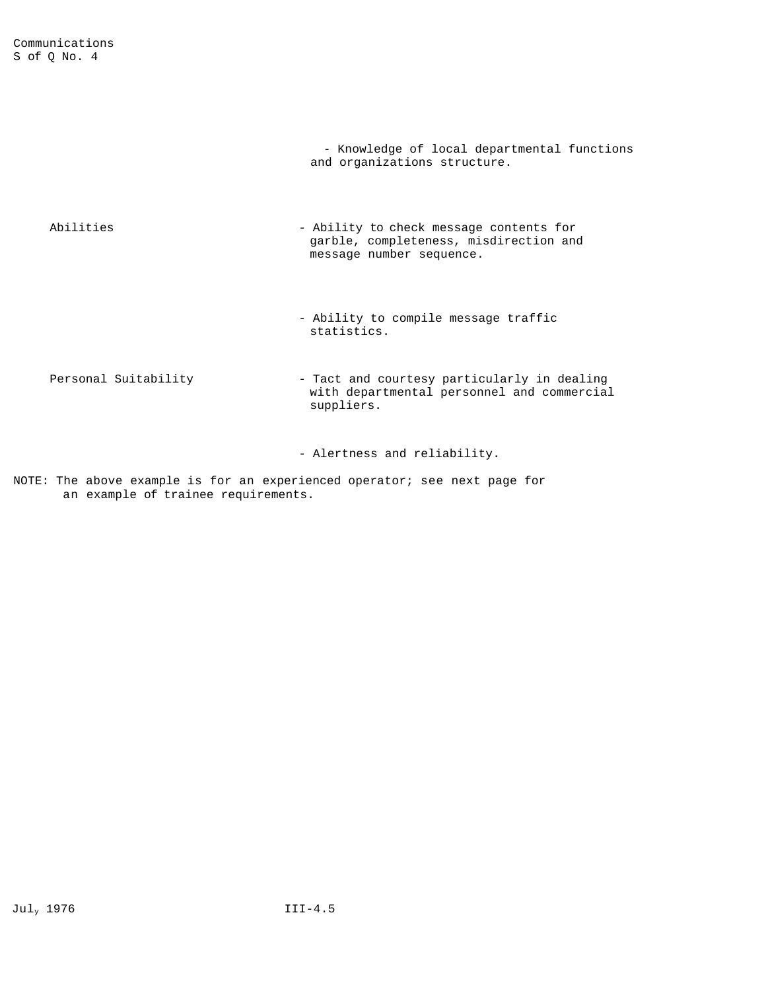|                      | - Knowledge of local departmental functions<br>and organizations structure.                                   |
|----------------------|---------------------------------------------------------------------------------------------------------------|
| Abilities            | - Ability to check message contents for<br>garble, completeness, misdirection and<br>message number sequence. |
|                      | - Ability to compile message traffic<br>statistics.                                                           |
| Personal Suitability | - Tact and courtesy particularly in dealing<br>with departmental personnel and commercial<br>suppliers.       |
|                      | - Alertness and reliability.                                                                                  |

NOTE: The above example is for an experienced operator; see next page for an example of trainee requirements.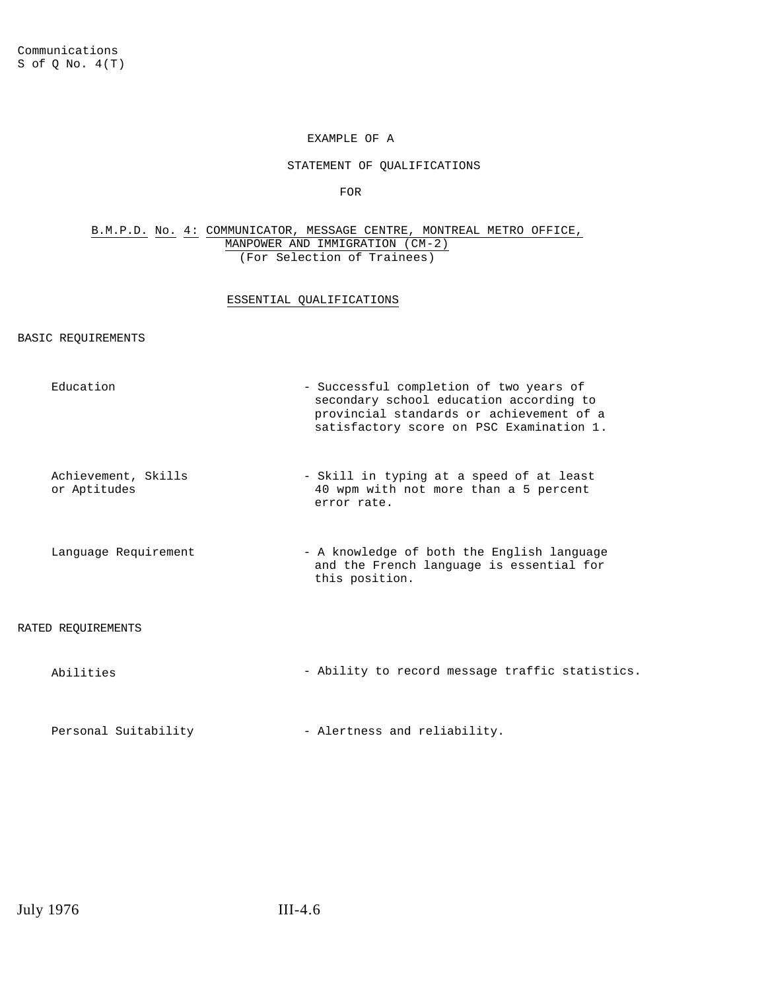STATEMENT OF QUALIFICATIONS

FOR

#### B.M.P.D. No. 4: COMMUNICATOR, MESSAGE CENTRE, MONTREAL METRO OFFICE, MANPOWER AND IMMIGRATION (CM-2) (For Selection of Trainees)

### ESSENTIAL QUALIFICATIONS

### BASIC REQUIREMENTS

| Education                           | - Successful completion of two years of<br>secondary school education according to<br>provincial standards or achievement of a<br>satisfactory score on PSC Examination 1. |
|-------------------------------------|----------------------------------------------------------------------------------------------------------------------------------------------------------------------------|
| Achievement, Skills<br>or Aptitudes | - Skill in typing at a speed of at least<br>40 wpm with not more than a 5 percent<br>error rate.                                                                           |
| Language Requirement                | - A knowledge of both the English language<br>and the French language is essential for<br>this position.                                                                   |
| RATED REOUIREMENTS                  |                                                                                                                                                                            |
| Abilities                           | - Ability to record message traffic statistics.                                                                                                                            |
| Personal Suitability                | - Alertness and reliability.                                                                                                                                               |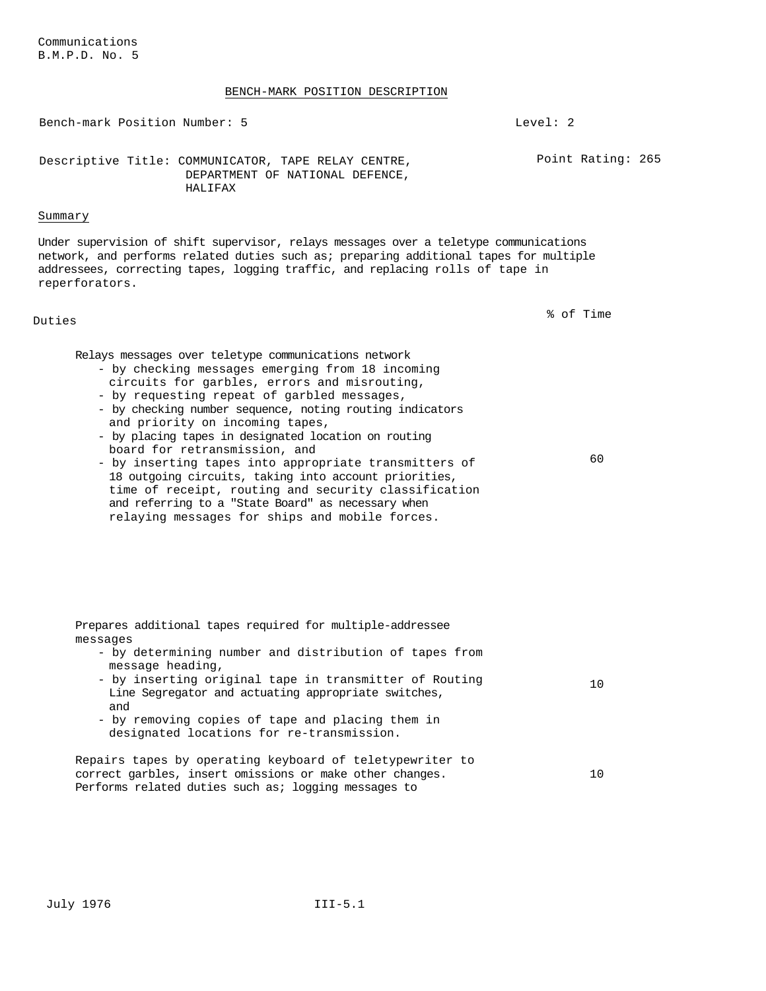#### BENCH-MARK POSITION DESCRIPTION

Bench-mark Position Number: 5 Level: 2

Descriptive Title: COMMUNICATOR, TAPE RELAY CENTRE, DEPARTMENT OF NATIONAL DEFENCE, HALIFAX

#### Summary

Under supervision of shift supervisor, relays messages over a teletype communications network, and performs related duties such as; preparing additional tapes for multiple addressees, correcting tapes, logging traffic, and replacing rolls of tape in reperforators.

Duties % of Time

Point Rating: 265

Relays messages over teletype communications network

- by checking messages emerging from 18 incoming circuits for garbles, errors and misrouting,
- by requesting repeat of garbled messages,
- by checking number sequence, noting routing indicators and priority on incoming tapes,
- by placing tapes in designated location on routing board for retransmission, and
- by inserting tapes into appropriate transmitters of 18 outgoing circuits, taking into account priorities, time of receipt, routing and security classification and referring to a "State Board" as necessary when relaying messages for ships and mobile forces. 60

| Prepares additional tapes required for multiple-addressee                                                                                                                    |     |
|------------------------------------------------------------------------------------------------------------------------------------------------------------------------------|-----|
| messages                                                                                                                                                                     |     |
| - by determining number and distribution of tapes from<br>message heading,                                                                                                   |     |
| - by inserting original tape in transmitter of Routing<br>Line Segregator and actuating appropriate switches,<br>and                                                         |     |
| - by removing copies of tape and placing them in<br>designated locations for re-transmission.                                                                                |     |
| Repairs tapes by operating keyboard of teletypewriter to<br>correct garbles, insert omissions or make other changes.<br>Performs related duties such as; logging messages to | 1 O |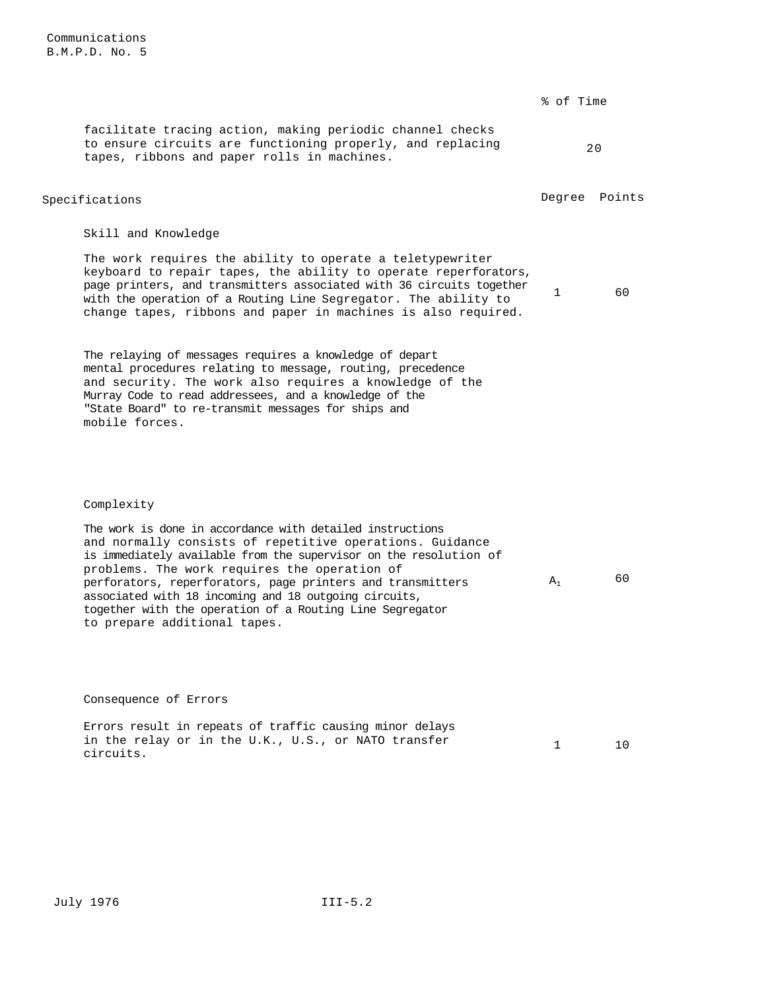|                                                                                                                                                                                                                                                                                                                                                                                                                                                               | % of Time    |               |
|---------------------------------------------------------------------------------------------------------------------------------------------------------------------------------------------------------------------------------------------------------------------------------------------------------------------------------------------------------------------------------------------------------------------------------------------------------------|--------------|---------------|
| facilitate tracing action, making periodic channel checks<br>to ensure circuits are functioning properly, and replacing<br>tapes, ribbons and paper rolls in machines.                                                                                                                                                                                                                                                                                        |              | 20            |
| Specifications                                                                                                                                                                                                                                                                                                                                                                                                                                                |              | Degree Points |
| Skill and Knowledge                                                                                                                                                                                                                                                                                                                                                                                                                                           |              |               |
| The work requires the ability to operate a teletypewriter<br>keyboard to repair tapes, the ability to operate reperforators,<br>page printers, and transmitters associated with 36 circuits together<br>with the operation of a Routing Line Segregator. The ability to<br>change tapes, ribbons and paper in machines is also required.                                                                                                                      | $\mathbf{1}$ | 60            |
| The relaying of messages requires a knowledge of depart<br>mental procedures relating to message, routing, precedence<br>and security. The work also requires a knowledge of the<br>Murray Code to read addressees, and a knowledge of the<br>"State Board" to re-transmit messages for ships and<br>mobile forces.                                                                                                                                           |              |               |
| Complexity                                                                                                                                                                                                                                                                                                                                                                                                                                                    |              |               |
| The work is done in accordance with detailed instructions<br>and normally consists of repetitive operations. Guidance<br>is immediately available from the supervisor on the resolution of<br>problems. The work requires the operation of<br>perforators, reperforators, page printers and transmitters<br>associated with 18 incoming and 18 outgoing circuits,<br>together with the operation of a Routing Line Segregator<br>to prepare additional tapes. | $A_1$        | 60            |
| Consequence of Errors                                                                                                                                                                                                                                                                                                                                                                                                                                         |              |               |
| Errors result in repeats of traffic causing minor delays<br>in the relay or in the U.K., U.S., or NATO transfer<br>circuits.                                                                                                                                                                                                                                                                                                                                  | $\mathbf{1}$ | 10            |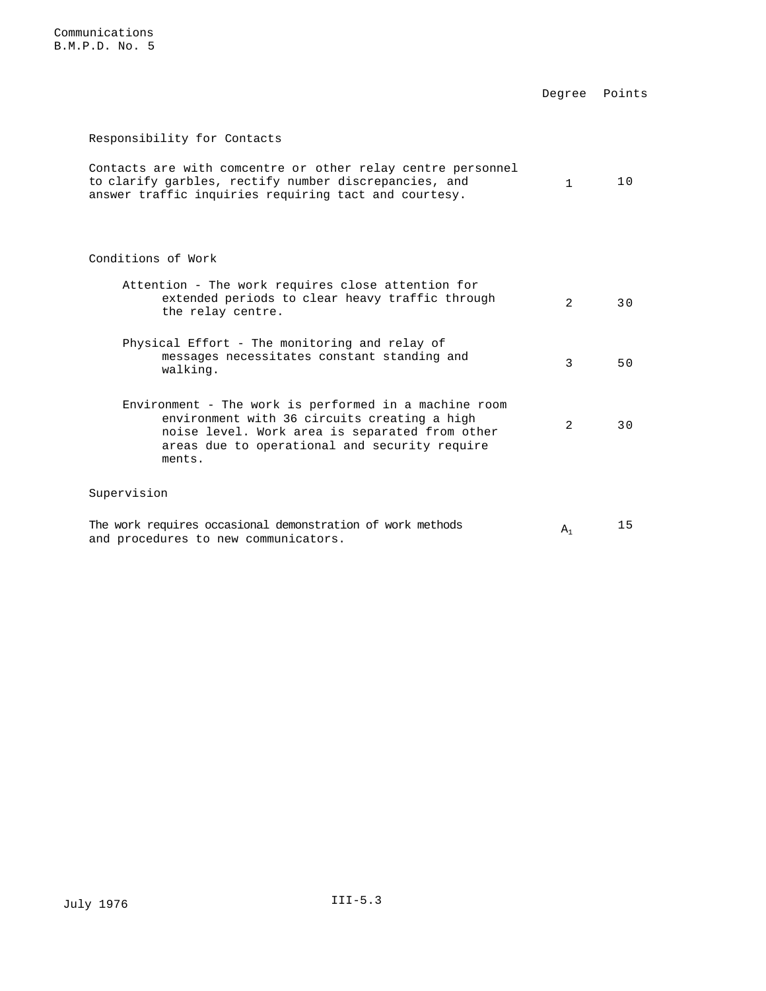Degree Points

## Responsibility for Contacts

| Contacts are with comcentre or other relay centre personnel |          |    |
|-------------------------------------------------------------|----------|----|
| to clarify garbles, rectify number discrepancies, and       | $\sim$ 1 | 10 |
| answer traffic inquiries requiring tact and courtesy.       |          |    |

Conditions of Work

| Attention - The work requires close attention for<br>extended periods to clear heavy traffic through<br>the relay centre.                                                                                          | $\mathfrak{D}$ | 3 O |
|--------------------------------------------------------------------------------------------------------------------------------------------------------------------------------------------------------------------|----------------|-----|
| Physical Effort - The monitoring and relay of<br>messages necessitates constant standing and<br>walking.                                                                                                           | 3              | 50  |
| Environment - The work is performed in a machine room<br>environment with 36 circuits creating a high<br>noise level. Work area is separated from other<br>areas due to operational and security require<br>ments. | $\mathcal{D}$  | 3 O |
| Supervision                                                                                                                                                                                                        |                |     |

|                                      | The work requires occasional demonstration of work methods |  | A <sup>2</sup> |  |
|--------------------------------------|------------------------------------------------------------|--|----------------|--|
| and procedures to new communicators. |                                                            |  |                |  |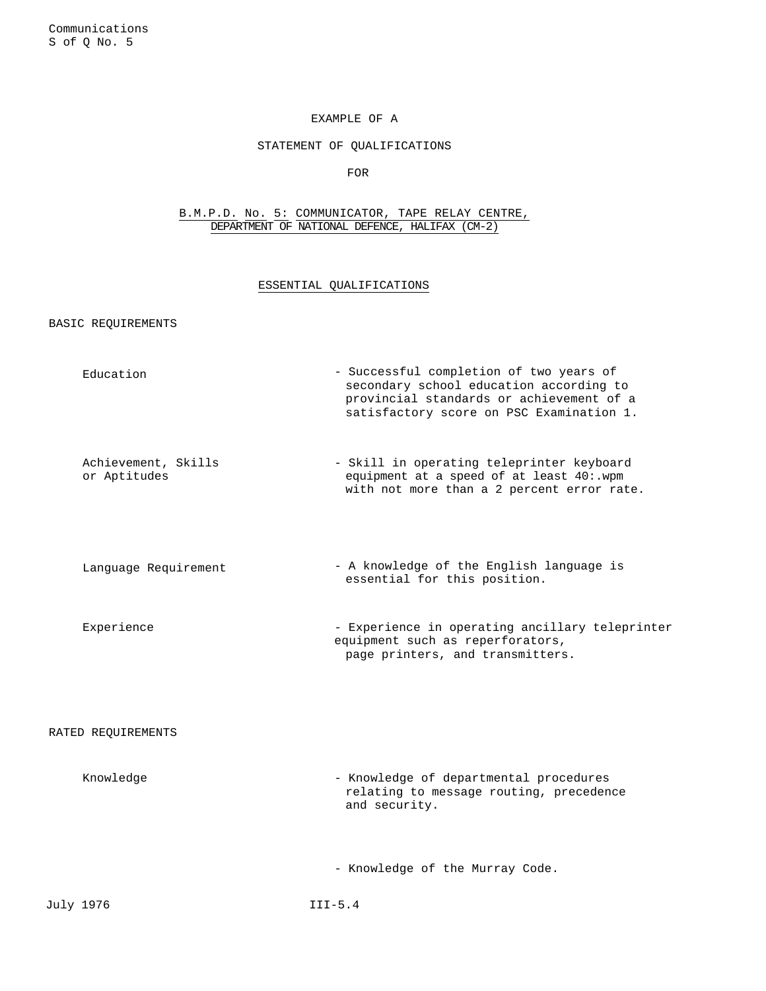## STATEMENT OF QUALIFICATIONS

FOR

B.M.P.D. No. 5: COMMUNICATOR, TAPE RELAY CENTRE, DEPARTMENT OF NATIONAL DEFENCE, HALIFAX (CM-2)

## ESSENTIAL QUALIFICATIONS

### BASIC REQUIREMENTS

| Education                           | - Successful completion of two years of<br>secondary school education according to<br>provincial standards or achievement of a<br>satisfactory score on PSC Examination 1. |
|-------------------------------------|----------------------------------------------------------------------------------------------------------------------------------------------------------------------------|
| Achievement, Skills<br>or Aptitudes | - Skill in operating teleprinter keyboard<br>equipment at a speed of at least 40:.wpm<br>with not more than a 2 percent error rate.                                        |
| Language Requirement                | - A knowledge of the English language is<br>essential for this position.                                                                                                   |
| Experience                          | - Experience in operating ancillary teleprinter<br>equipment such as reperforators,<br>page printers, and transmitters.                                                    |
| RATED REQUIREMENTS                  |                                                                                                                                                                            |
| Knowledge                           | - Knowledge of departmental procedures<br>relating to message routing, precedence<br>and security.                                                                         |
|                                     | - Knowledge of the Murray Code.                                                                                                                                            |
| July 1976                           | $III-5.4$                                                                                                                                                                  |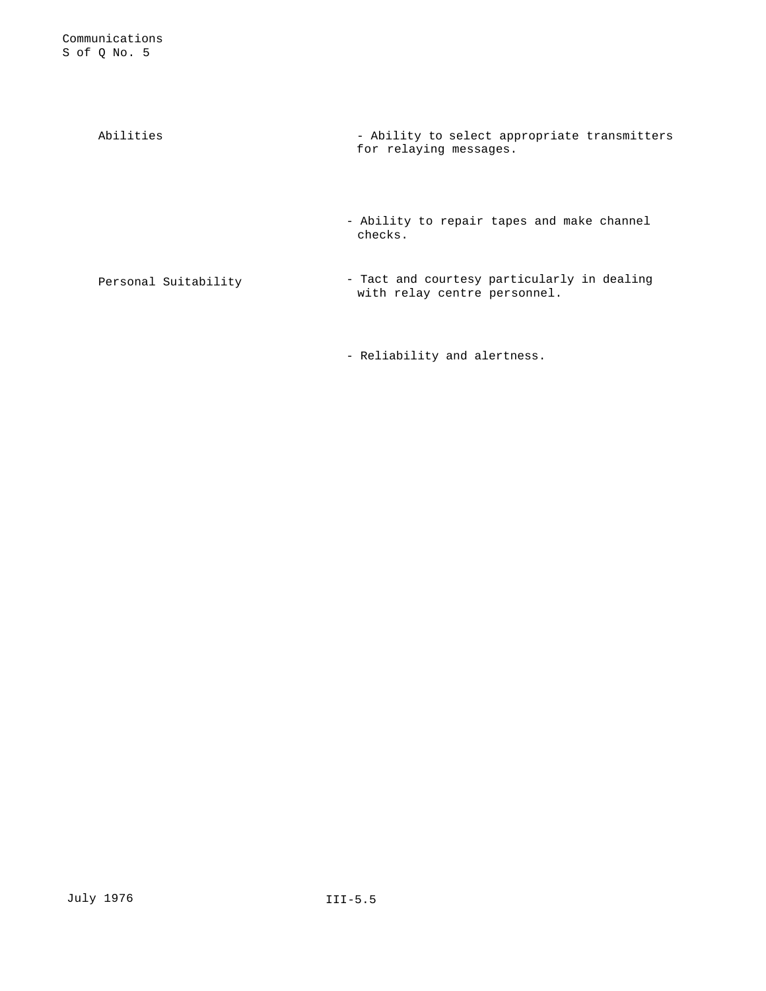Abilities - Ability to select appropriate transmitters for relaying messages.

> - Ability to repair tapes and make channel checks.

Personal Suitability - Tact and courtesy particularly in dealing with relay centre personnel.

- Reliability and alertness.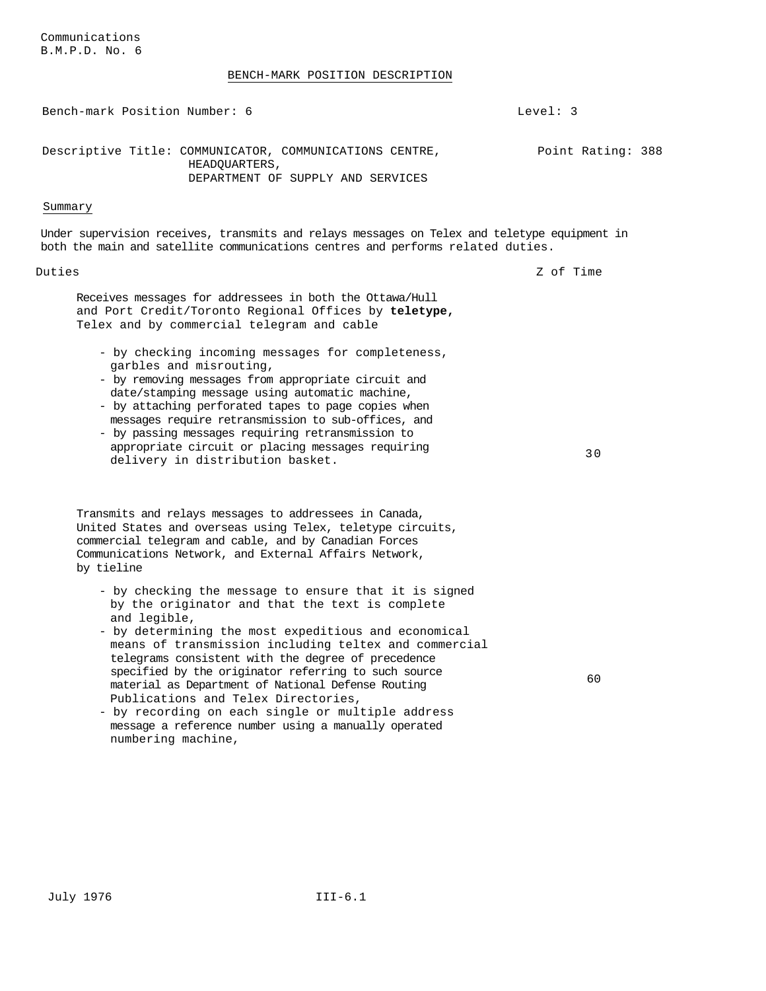BENCH-MARK POSITION DESCRIPTION

Bench-mark Position Number: 6 Level: 3 Descriptive Title: COMMUNICATOR, COMMUNICATIONS CENTRE, HEADQUARTERS, DEPARTMENT OF SUPPLY AND SERVICES Point Rating: 388 Summary Under supervision receives, transmits and relays messages on Telex and teletype equipment in both the main and satellite communications centres and performs related duties. Duties 2 of Time 2 of Time 2 of Time 2 of Time 2 of Time 2 of Time 2 of Time 2 of Time 2 of Time 2 of Time 2 of Time 2 of Time 2 of Time 2 of Time 2 of Time 2 of Time 2 of Time 2 of Time 2 of Time 2 of Time 2 of Time 2 of Receives messages for addressees in both the Ottawa/Hull and Port Credit/Toronto Regional Offices by **teletype,**  Telex and by commercial telegram and cable - by checking incoming messages for completeness, garbles and misrouting, - by removing messages from appropriate circuit and date/stamping message using automatic machine, - by attaching perforated tapes to page copies when messages require retransmission to sub-offices, and - by passing messages requiring retransmission to appropriate circuit or placing messages requiring appropriate circuit or piacing messages requiring<br>delivery in distribution basket. Transmits and relays messages to addressees in Canada, United States and overseas using Telex, teletype circuits, commercial telegram and cable, and by Canadian Forces Communications Network, and External Affairs Network, by tieline - by checking the message to ensure that it is signed by the originator and that the text is complete and legible, - by determining the most expeditious and economical means of transmission including teltex and commercial telegrams consistent with the degree of precedence specified by the originator referring to such source material as Department of National Defense Routing Publications and Telex Directories, - by recording on each single or multiple address message a reference number using a manually operated  $60$ 

numbering machine,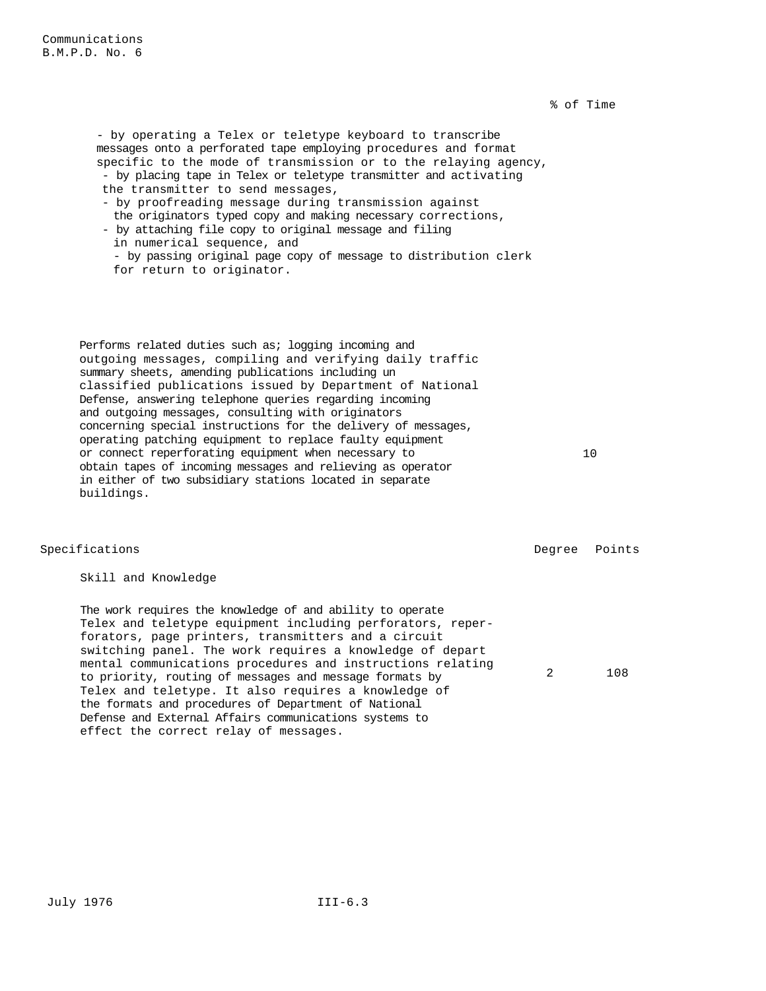% of Time

- by operating a Telex or teletype keyboard to transcribe messages onto a perforated tape employing procedures and format specific to the mode of transmission or to the relaying agency, - by placing tape in Telex or teletype transmitter and activating the transmitter to send messages, - by proofreading message during transmission against

the originators typed copy and making necessary corrections, - by attaching file copy to original message and filing in numerical sequence, and - by passing original page copy of message to distribution clerk

for return to originator.

Performs related duties such as; logging incoming and outgoing messages, compiling and verifying daily traffic summary sheets, amending publications including un classified publications issued by Department of National Defense, answering telephone queries regarding incoming and outgoing messages, consulting with originators concerning special instructions for the delivery of messages, operating patching equipment to replace faulty equipment or connect reperforating equipment when necessary to obtain tapes of incoming messages and relieving as operator in either of two subsidiary stations located in separate buildings.

Specifications **Degree** Points **Degree** Points

Skill and Knowledge

The work requires the knowledge of and ability to operate Telex and teletype equipment including perforators, reperforators, page printers, transmitters and a circuit switching panel. The work requires a knowledge of depart mental communications procedures and instructions relating to priority, routing of messages and message formats by Telex and teletype. It also requires a knowledge of the formats and procedures of Department of National Defense and External Affairs communications systems to effect the correct relay of messages.

10

2 108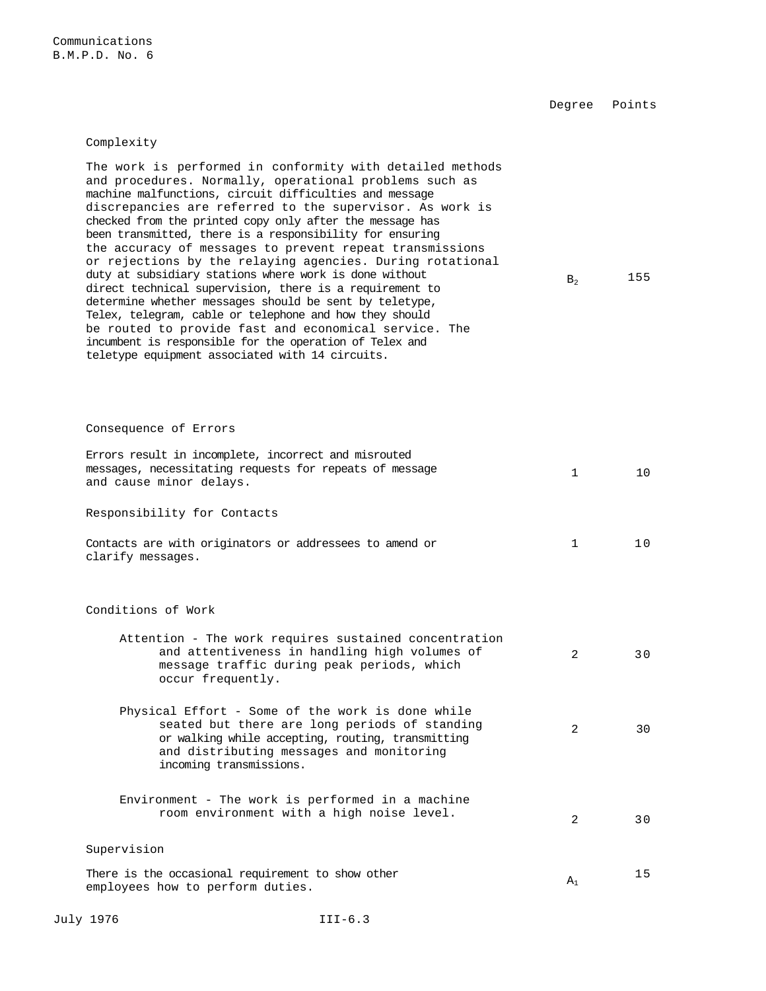Communications B.M.P.D. No. 6

Degree Points

Complexity

| The work is performed in conformity with detailed methods<br>and procedures. Normally, operational problems such as<br>machine malfunctions, circuit difficulties and message<br>discrepancies are referred to the supervisor. As work is<br>checked from the printed copy only after the message has<br>been transmitted, there is a responsibility for ensuring<br>the accuracy of messages to prevent repeat transmissions<br>or rejections by the relaying agencies. During rotational<br>duty at subsidiary stations where work is done without<br>direct technical supervision, there is a requirement to<br>determine whether messages should be sent by teletype,<br>Telex, telegram, cable or telephone and how they should<br>be routed to provide fast and economical service. The<br>incumbent is responsible for the operation of Telex and<br>teletype equipment associated with 14 circuits. | $B_2$       | 155 |
|-------------------------------------------------------------------------------------------------------------------------------------------------------------------------------------------------------------------------------------------------------------------------------------------------------------------------------------------------------------------------------------------------------------------------------------------------------------------------------------------------------------------------------------------------------------------------------------------------------------------------------------------------------------------------------------------------------------------------------------------------------------------------------------------------------------------------------------------------------------------------------------------------------------|-------------|-----|
| Consequence of Errors                                                                                                                                                                                                                                                                                                                                                                                                                                                                                                                                                                                                                                                                                                                                                                                                                                                                                       |             |     |
| Errors result in incomplete, incorrect and misrouted<br>messages, necessitating requests for repeats of message<br>and cause minor delays.                                                                                                                                                                                                                                                                                                                                                                                                                                                                                                                                                                                                                                                                                                                                                                  | 1           | 10  |
| Responsibility for Contacts                                                                                                                                                                                                                                                                                                                                                                                                                                                                                                                                                                                                                                                                                                                                                                                                                                                                                 |             |     |
| Contacts are with originators or addressees to amend or<br>clarify messages.                                                                                                                                                                                                                                                                                                                                                                                                                                                                                                                                                                                                                                                                                                                                                                                                                                | $\mathbf 1$ | 10  |
| Conditions of Work                                                                                                                                                                                                                                                                                                                                                                                                                                                                                                                                                                                                                                                                                                                                                                                                                                                                                          |             |     |
| Attention - The work requires sustained concentration<br>and attentiveness in handling high volumes of<br>message traffic during peak periods, which<br>occur frequently.                                                                                                                                                                                                                                                                                                                                                                                                                                                                                                                                                                                                                                                                                                                                   | 2           | 30  |
| Physical Effort - Some of the work is done while<br>seated but there are long periods of standing<br>or walking while accepting, routing, transmitting<br>and distributing messages and monitoring<br>incoming transmissions.                                                                                                                                                                                                                                                                                                                                                                                                                                                                                                                                                                                                                                                                               | 2           | 30  |
| Environment - The work is performed in a machine<br>room environment with a high noise level.                                                                                                                                                                                                                                                                                                                                                                                                                                                                                                                                                                                                                                                                                                                                                                                                               | 2           | 30  |
| Supervision                                                                                                                                                                                                                                                                                                                                                                                                                                                                                                                                                                                                                                                                                                                                                                                                                                                                                                 |             |     |
| There is the occasional requirement to show other<br>employees how to perform duties.                                                                                                                                                                                                                                                                                                                                                                                                                                                                                                                                                                                                                                                                                                                                                                                                                       | $A_1$       | 15  |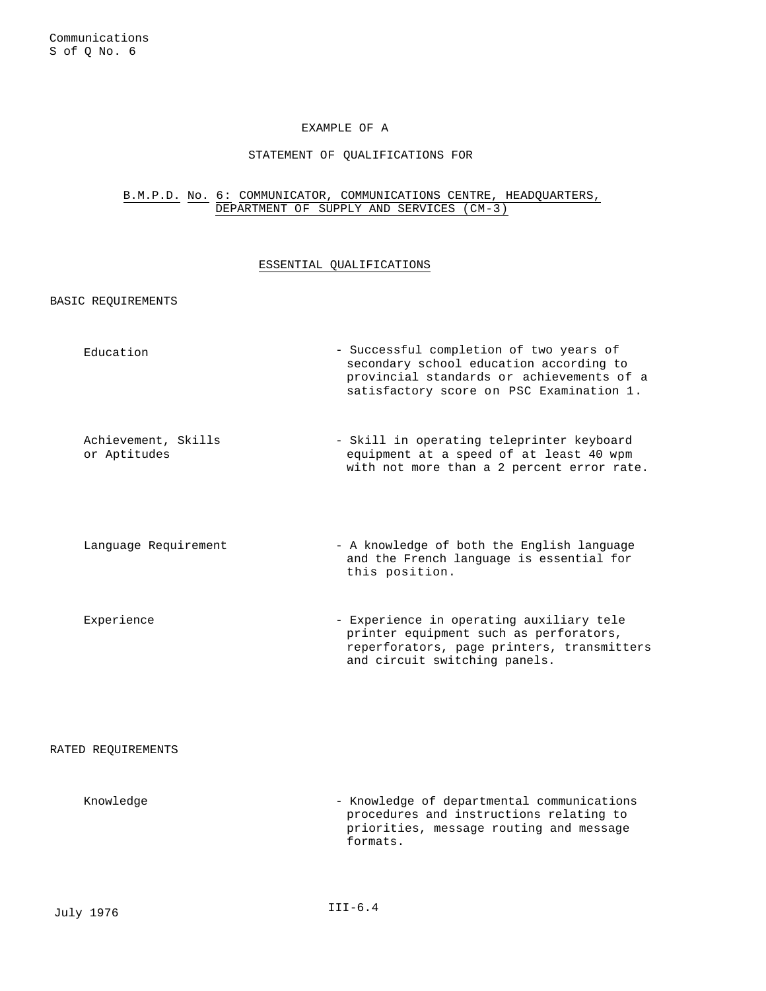### EXAMPLE OF A

### STATEMENT OF QUALIFICATIONS FOR

# B.M.P.D. No. 6: COMMUNICATOR, COMMUNICATIONS CENTRE, HEADQUARTERS, DEPARTMENT OF SUPPLY AND SERVICES (CM-3)

### ESSENTIAL QUALIFICATIONS

BASIC REQUIREMENTS

| Education | - Successful completion of two years of   |
|-----------|-------------------------------------------|
|           | secondary school education according to   |
|           | provincial standards or achievements of a |
|           | satisfactory score on PSC Examination 1.  |
|           |                                           |

- Achievement, Skills or Aptitudes - Skill in operating teleprinter keyboard equipment at a speed of at least 40 wpm with not more than a 2 percent error rate.
- Language Requirement A knowledge of both the English language and the French language is essential for this position.
- Experience Experience in operating auxiliary tele printer equipment such as perforators, reperforators, page printers, transmitters and circuit switching panels.

### RATED REQUIREMENTS

Knowledge - Knowledge of departmental communications procedures and instructions relating to priorities, message routing and message formats.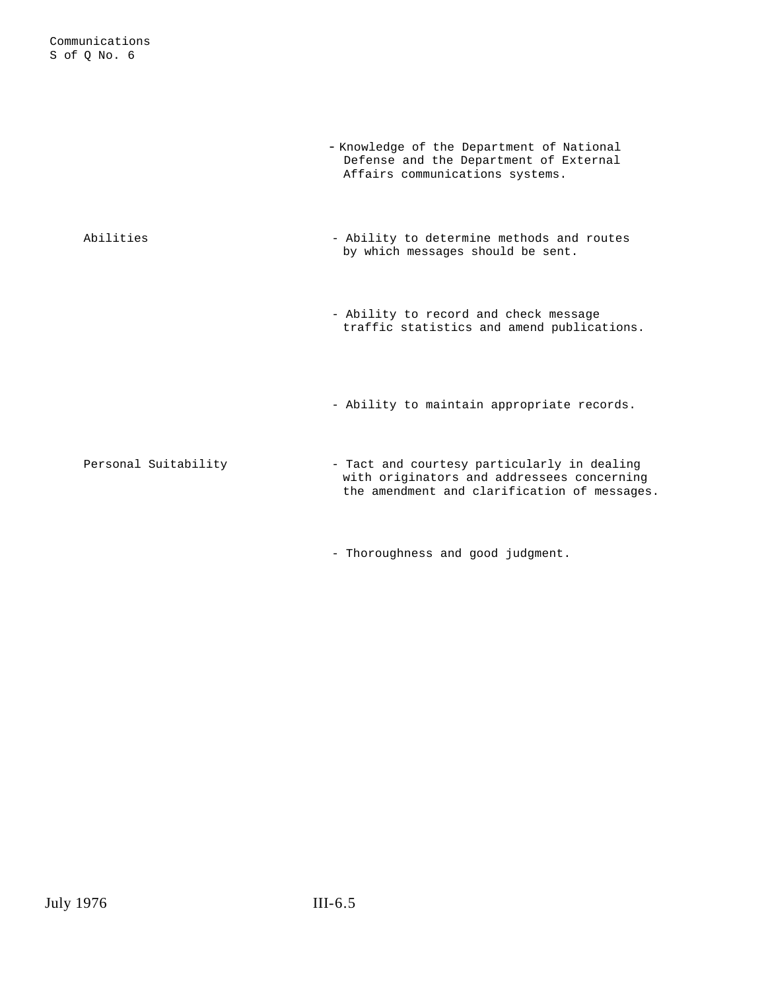|                      | - Knowledge of the Department of National<br>Defense and the Department of External<br>Affairs communications systems.                    |
|----------------------|-------------------------------------------------------------------------------------------------------------------------------------------|
| Abilities            | - Ability to determine methods and routes<br>by which messages should be sent.                                                            |
|                      | - Ability to record and check message<br>traffic statistics and amend publications.                                                       |
|                      | - Ability to maintain appropriate records.                                                                                                |
| Personal Suitability | - Tact and courtesy particularly in dealing<br>with originators and addressees concerning<br>the amendment and clarification of messages. |

- Thoroughness and good judgment.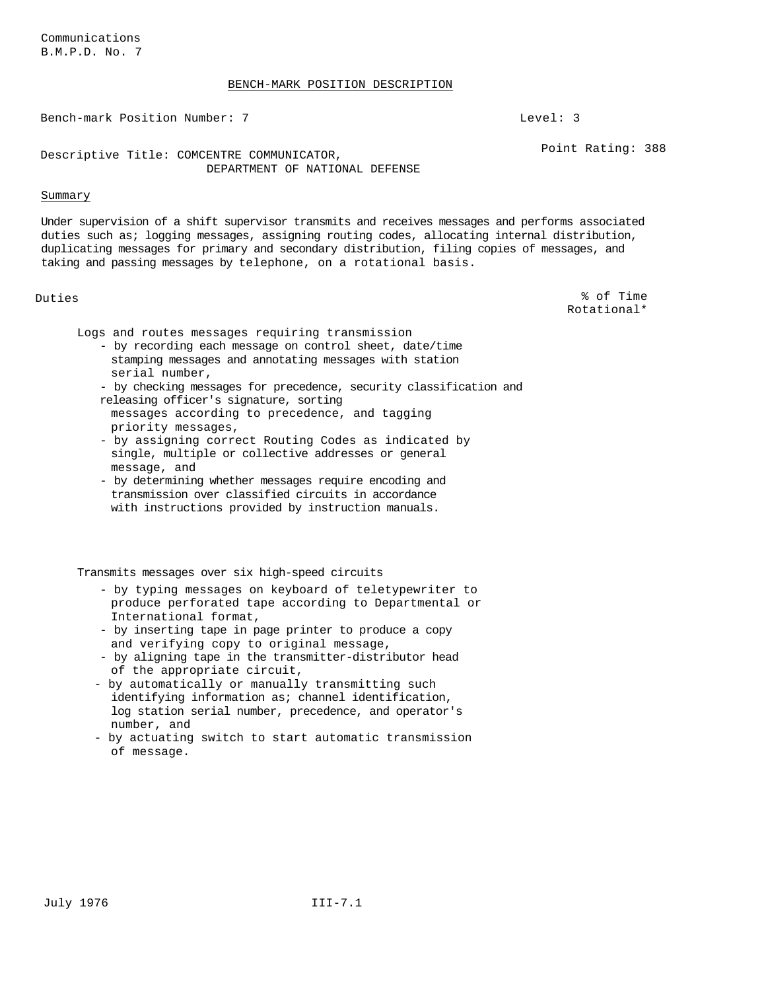### BENCH-MARK POSITION DESCRIPTION

Bench-mark Position Number: 7 Level: 3

Descriptive Title: COMCENTRE COMMUNICATOR, DEPARTMENT OF NATIONAL DEFENSE

### Summary

Under supervision of a shift supervisor transmits and receives messages and performs associated duties such as; logging messages, assigning routing codes, allocating internal distribution, duplicating messages for primary and secondary distribution, filing copies of messages, and taking and passing messages by telephone, on a rotational basis.

Duties % of Time Rotational\*

Point Rating: 388

Logs and routes messages requiring transmission

- by recording each message on control sheet, date/time stamping messages and annotating messages with station serial number,
- by checking messages for precedence, security classification and releasing officer's signature, sorting
- messages according to precedence, and tagging priority messages,
- by assigning correct Routing Codes as indicated by single, multiple or collective addresses or general message, and
- by determining whether messages require encoding and transmission over classified circuits in accordance with instructions provided by instruction manuals.

Transmits messages over six high-speed circuits

- by typing messages on keyboard of teletypewriter to produce perforated tape according to Departmental or International format,
- by inserting tape in page printer to produce a copy and verifying copy to original message,
- by aligning tape in the transmitter-distributor head of the appropriate circuit,
- by automatically or manually transmitting such identifying information as; channel identification, log station serial number, precedence, and operator's number, and
- by actuating switch to start automatic transmission of message.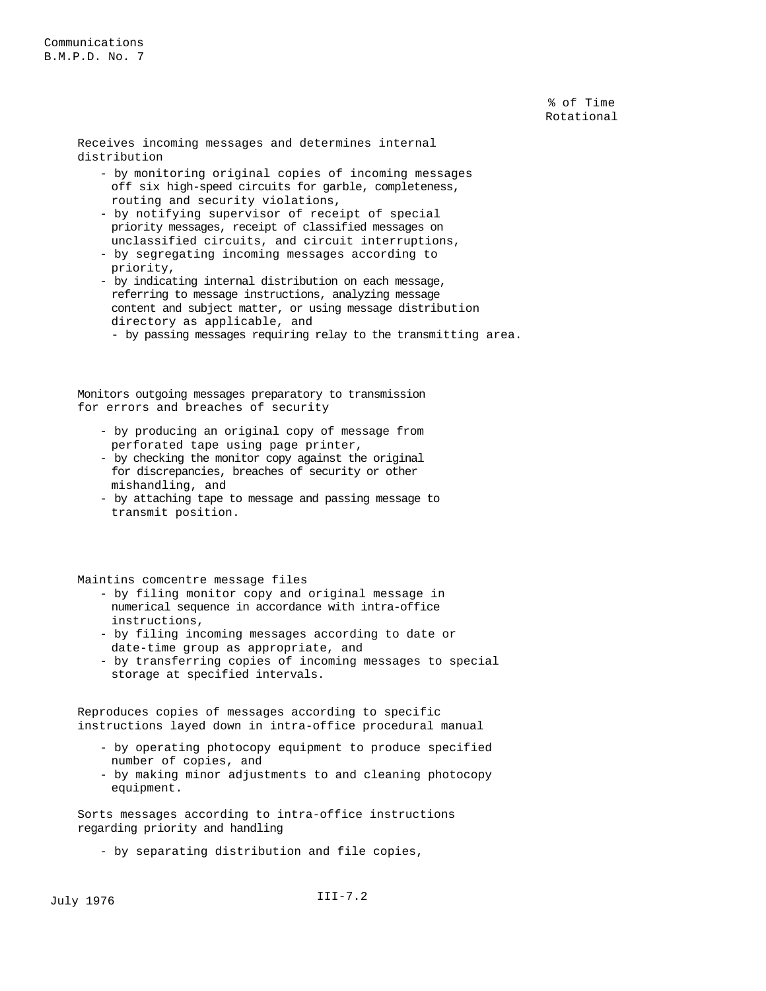% of Time Rotational

Receives incoming messages and determines internal distribution

- by monitoring original copies of incoming messages off six high-speed circuits for garble, completeness, routing and security violations,
- by notifying supervisor of receipt of special priority messages, receipt of classified messages on unclassified circuits, and circuit interruptions,
- by segregating incoming messages according to priority,
- by indicating internal distribution on each message, referring to message instructions, analyzing message content and subject matter, or using message distribution directory as applicable, and
	- by passing messages requiring relay to the transmitting area.

Monitors outgoing messages preparatory to transmission for errors and breaches of security

- by producing an original copy of message from perforated tape using page printer,
- by checking the monitor copy against the original for discrepancies, breaches of security or other mishandling, and
- by attaching tape to message and passing message to transmit position.

Maintins comcentre message files

- by filing monitor copy and original message in numerical sequence in accordance with intra-office instructions,
- by filing incoming messages according to date or date-time group as appropriate, and
- by transferring copies of incoming messages to special storage at specified intervals.

Reproduces copies of messages according to specific instructions layed down in intra-office procedural manual

- by operating photocopy equipment to produce specified number of copies, and
- by making minor adjustments to and cleaning photocopy equipment.

Sorts messages according to intra-office instructions regarding priority and handling

- by separating distribution and file copies,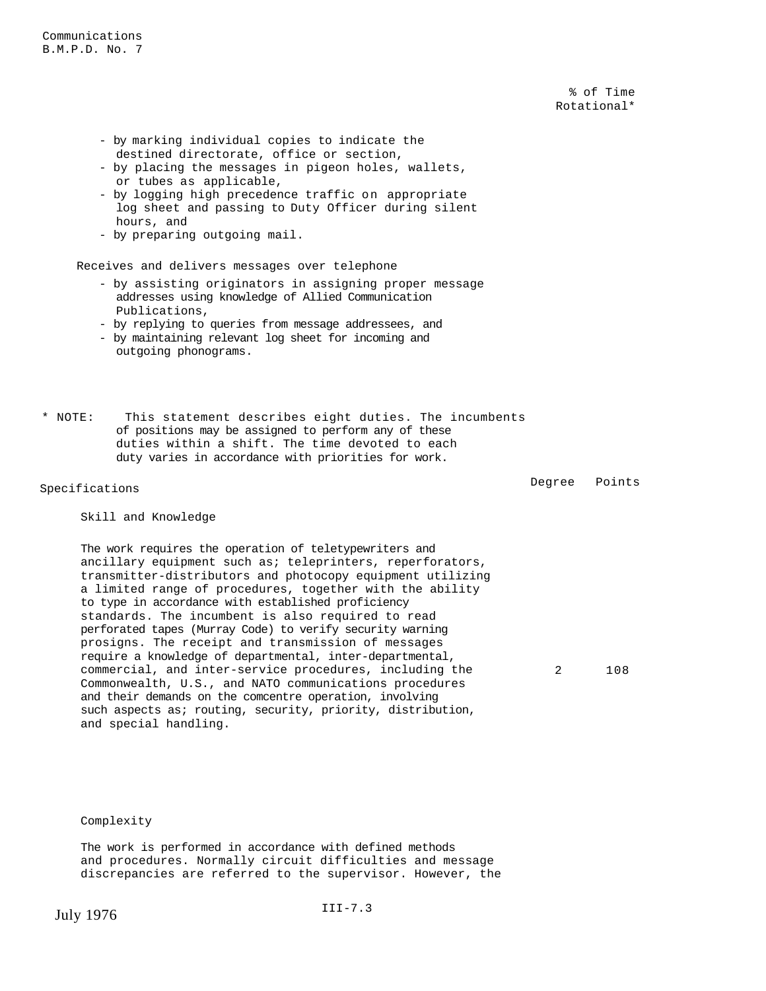% of Time Rotational\*

- by marking individual copies to indicate the destined directorate, office or section,
- by placing the messages in pigeon holes, wallets, or tubes as applicable,
- by logging high precedence traffic on appropriate log sheet and passing to Duty Officer during silent hours, and
- by preparing outgoing mail.

Receives and delivers messages over telephone

- by assisting originators in assigning proper message addresses using knowledge of Allied Communication Publications,
- by replying to queries from message addressees, and
- by maintaining relevant log sheet for incoming and outgoing phonograms.

\* NOTE: This statement describes eight duties. The incumbents of positions may be assigned to perform any of these duties within a shift. The time devoted to each duty varies in accordance with priorities for work.

Specifications and the set of the Specifications of the Specifications of the Degree Points of the Degree  $\sim$  Degree  $\sim$  Points

### Skill and Knowledge

The work requires the operation of teletypewriters and ancillary equipment such as; teleprinters, reperforators, transmitter-distributors and photocopy equipment utilizing a limited range of procedures, together with the ability to type in accordance with established proficiency standards. The incumbent is also required to read perforated tapes (Murray Code) to verify security warning prosigns. The receipt and transmission of messages require a knowledge of departmental, inter-departmental, commercial, and inter-service procedures, including the Commonwealth, U.S., and NATO communications procedures and their demands on the comcentre operation, involving such aspects as; routing, security, priority, distribution, and special handling.

2 108

Complexity

The work is performed in accordance with defined methods and procedures. Normally circuit difficulties and message discrepancies are referred to the supervisor. However, the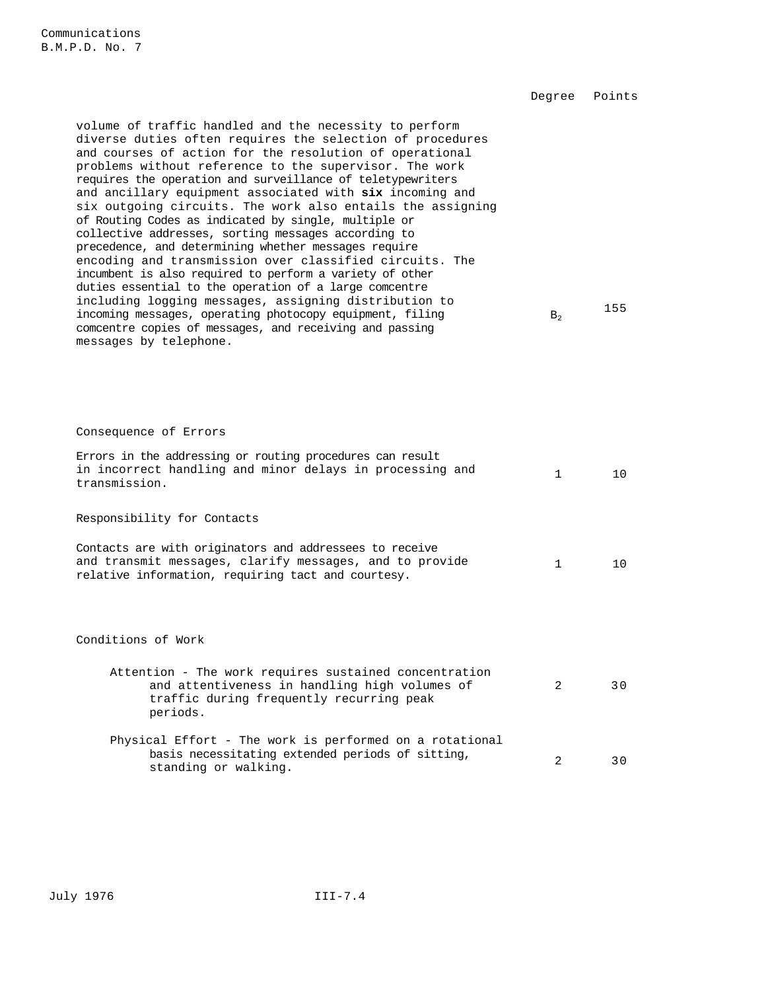Degree Points volume of traffic handled and the necessity to perform diverse duties often requires the selection of procedures and courses of action for the resolution of operational problems without reference to the supervisor. The work requires the operation and surveillance of teletypewriters and ancillary equipment associated with **six** incoming and six outgoing circuits. The work also entails the assigning of Routing Codes as indicated by single, multiple or collective addresses, sorting messages according to precedence, and determining whether messages require encoding and transmission over classified circuits. The incumbent is also required to perform a variety of other duties essential to the operation of a large comcentre including logging messages, assigning distribution to incoming messages, operating photocopy equipment, filing comcentre copies of messages, and receiving and passing messages by telephone.  $B<sub>2</sub>$ 155 Consequence of Errors Errors in the addressing or routing procedures can result in incorrect handling and minor delays in processing and transmission. 1 10 Responsibility for Contacts Contacts are with originators and addressees to receive and transmit messages, clarify messages, and to provide relative information, requiring tact and courtesy. 1 10 Conditions of Work Attention - The work requires sustained concentration and attentiveness in handling high volumes of traffic during frequently recurring peak periods. 2 30 Physical Effort - The work is performed on a rotational basis necessitating extended periods of sitting, basis hecessicating extended periods of sitting,<br>standing or walking.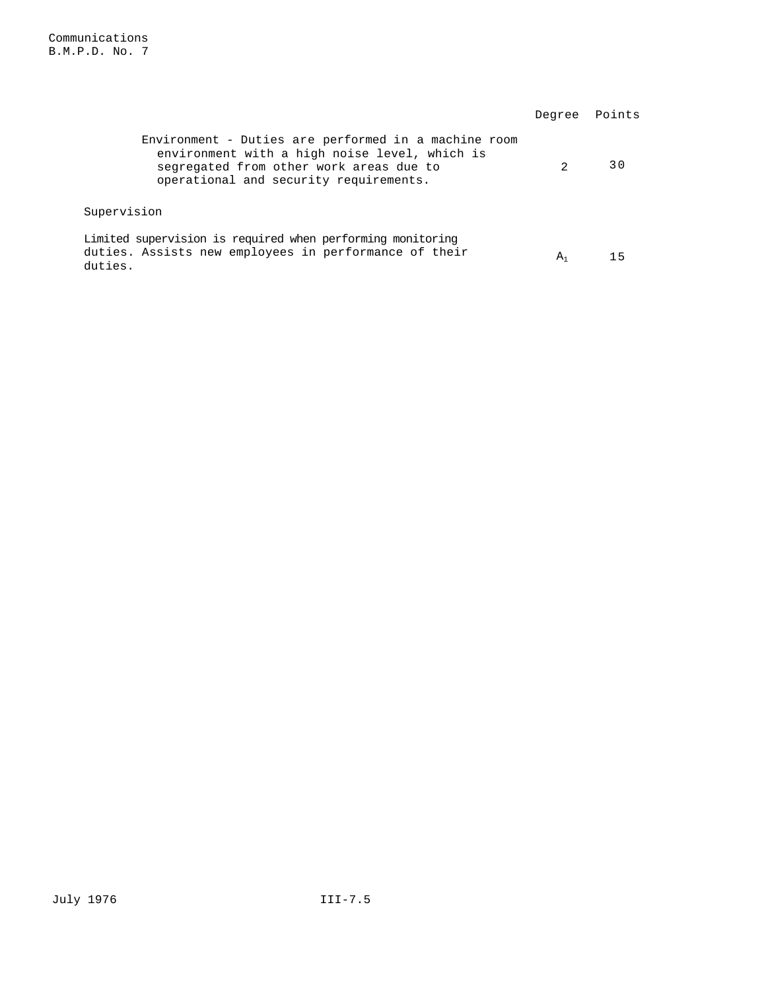|                                                                                                                                                                                            | Degree Points |    |
|--------------------------------------------------------------------------------------------------------------------------------------------------------------------------------------------|---------------|----|
| Environment - Duties are performed in a machine room<br>environment with a high noise level, which is<br>segregated from other work areas due to<br>operational and security requirements. | 2             | 30 |
| Supervision                                                                                                                                                                                |               |    |
| Limited supervision is required when performing monitoring<br>duties. Assists new employees in performance of their<br>duties.                                                             | $A_1$         |    |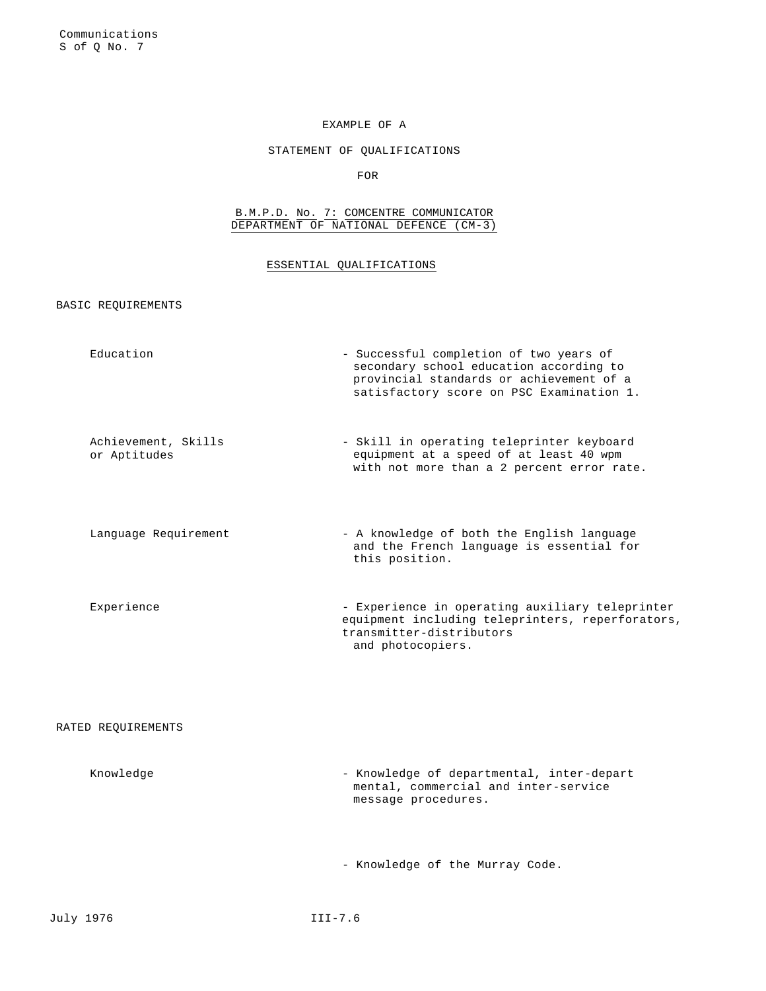# EXAMPLE OF A

# STATEMENT OF QUALIFICATIONS

FOR

### B.M.P.D. No. 7: COMCENTRE COMMUNICATOR DEPARTMENT OF NATIONAL DEFENCE (CM-3)

# ESSENTIAL QUALIFICATIONS

BASIC REQUIREMENTS

| Education                           | - Successful completion of two years of<br>secondary school education according to<br>provincial standards or achievement of a<br>satisfactory score on PSC Examination 1. |
|-------------------------------------|----------------------------------------------------------------------------------------------------------------------------------------------------------------------------|
| Achievement, Skills<br>or Aptitudes | - Skill in operating teleprinter keyboard<br>equipment at a speed of at least 40 wpm<br>with not more than a 2 percent error rate.                                         |
| Language Requirement                | - A knowledge of both the English language<br>and the French language is essential for<br>this position.                                                                   |
| Experience                          | - Experience in operating auxiliary teleprinter<br>equipment including teleprinters, reperforators,<br>transmitter-distributors<br>and photocopiers.                       |
| RATED REQUIREMENTS                  |                                                                                                                                                                            |
| Knowledge                           | - Knowledge of departmental, inter-depart<br>mental, commercial and inter-service<br>message procedures.                                                                   |
|                                     | - Knowledge of the Murray Code.                                                                                                                                            |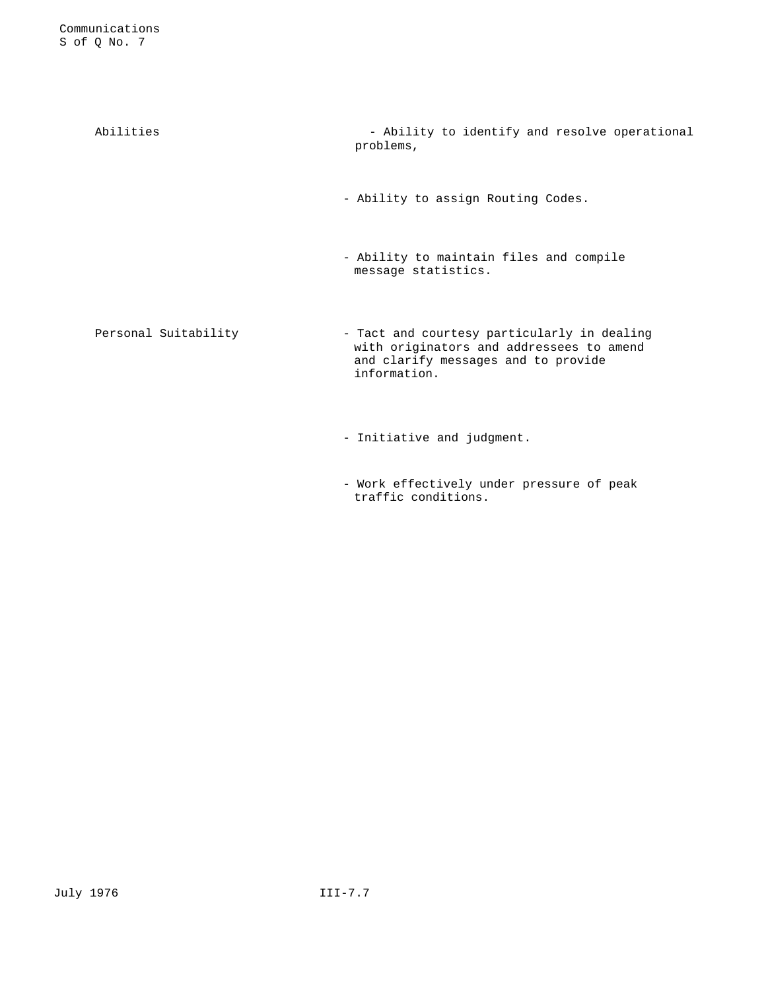| Abilities            | - Ability to identify and resolve operational<br>problems,                                                                                     |
|----------------------|------------------------------------------------------------------------------------------------------------------------------------------------|
|                      | - Ability to assign Routing Codes.                                                                                                             |
|                      | - Ability to maintain files and compile<br>message statistics.                                                                                 |
| Personal Suitability | - Tact and courtesy particularly in dealing<br>with originators and addressees to amend<br>and clarify messages and to provide<br>information. |
|                      | - Initiative and judgment.                                                                                                                     |

- Work effectively under pressure of peak traffic conditions.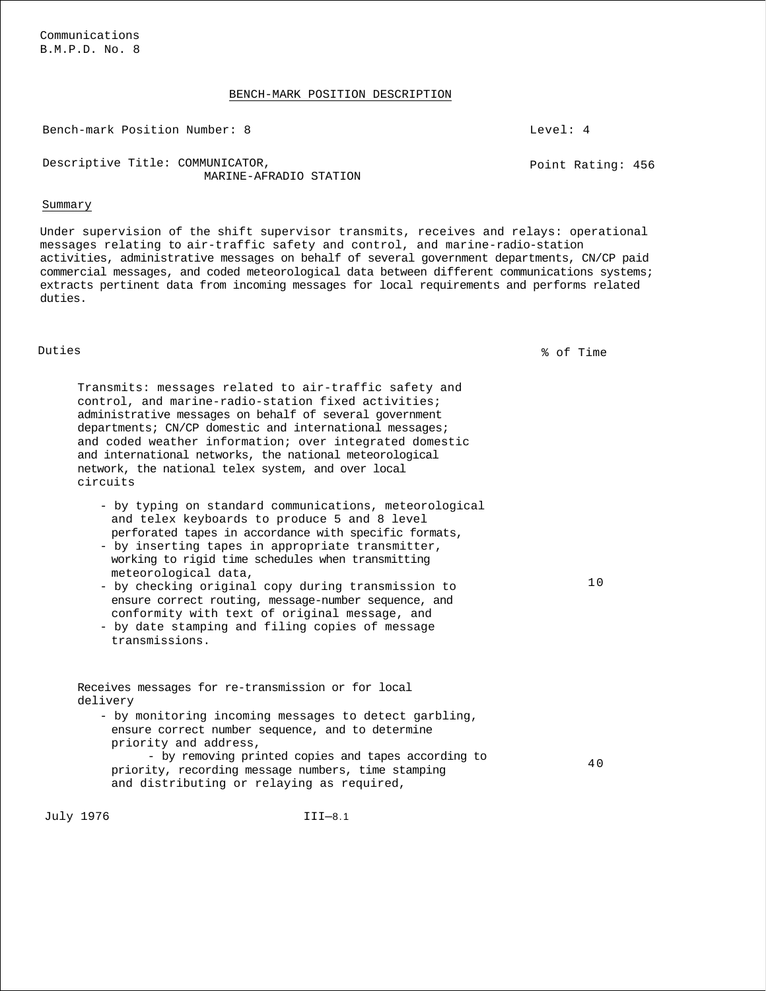Communications B.M.P.D. No. 8

### BENCH-MARK POSITION DESCRIPTION

Bench-mark Position Number: 8 and 1 and 1 and 1 and 1 and 1 and 1 and 1 and 1 and 1 and 1 and 1 and 1 and 1 and 1 and 1 and 1 and 1 and 1 and 1 and 1 and 1 and 1 and 1 and 1 and 1 and 1 and 1 and 1 and 1 and 1 and 1 and 1

Descriptive Title: COMMUNICATOR, MARINE-AFRADIO STATION

### Summary

Under supervision of the shift supervisor transmits, receives and relays: operational messages relating to air-traffic safety and control, and marine-radio-station activities, administrative messages on behalf of several government departments, CN/CP paid commercial messages, and coded meteorological data between different communications systems; extracts pertinent data from incoming messages for local requirements and performs related duties.

Duties % of Time

Transmits: messages related to air-traffic safety and control, and marine-radio-station fixed activities; administrative messages on behalf of several government departments; CN/CP domestic and international messages; and coded weather information; over integrated domestic and international networks, the national meteorological network, the national telex system, and over local circuits

- by typing on standard communications, meteorological and telex keyboards to produce 5 and 8 level perforated tapes in accordance with specific formats,
- by inserting tapes in appropriate transmitter, working to rigid time schedules when transmitting meteorological data,
- by checking original copy during transmission to ensure correct routing, message-number sequence, and conformity with text of original message, and
- by date stamping and filing copies of message transmissions.

Receives messages for re-transmission or for local delivery

- by monitoring incoming messages to detect garbling, ensure correct number sequence, and to determine priority and address, - by removing printed copies and tapes according to

priority, recording message numbers, time stamping and distributing or relaying as required, 40

July 1976 III—8.1

Point Rating: 456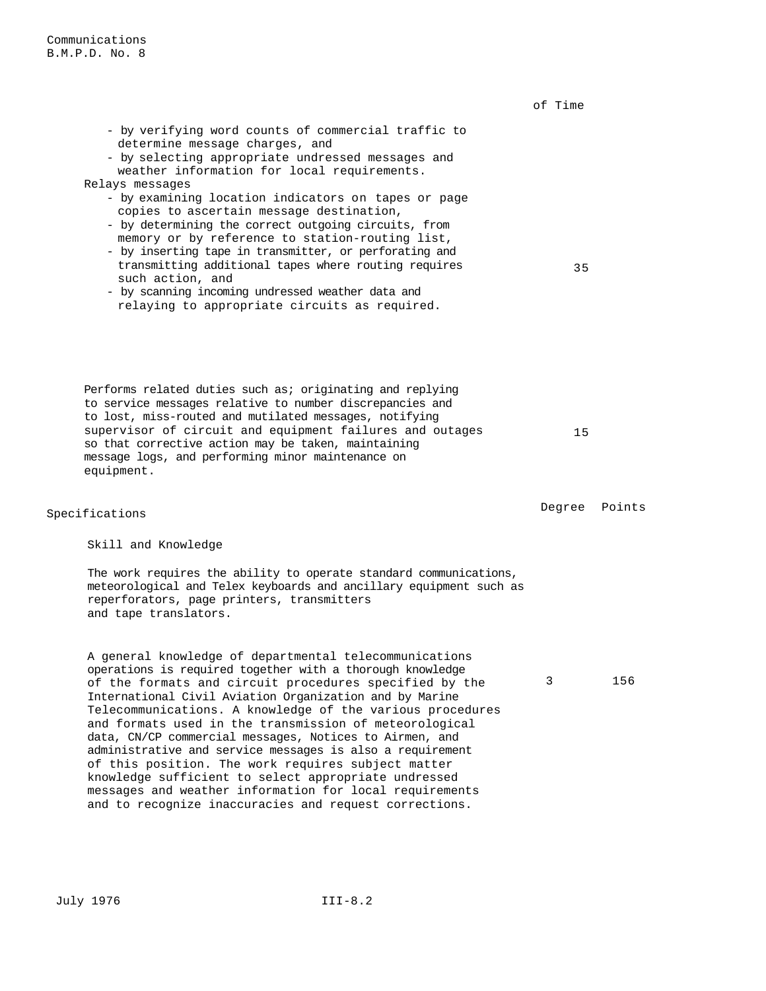|                                                                                                                                                                                                                                                                                                                                                                                                                                                                                                                                                                                                                                                                        | of Time |        |
|------------------------------------------------------------------------------------------------------------------------------------------------------------------------------------------------------------------------------------------------------------------------------------------------------------------------------------------------------------------------------------------------------------------------------------------------------------------------------------------------------------------------------------------------------------------------------------------------------------------------------------------------------------------------|---------|--------|
| - by verifying word counts of commercial traffic to<br>determine message charges, and<br>- by selecting appropriate undressed messages and<br>weather information for local requirements.<br>Relays messages<br>- by examining location indicators on tapes or page<br>copies to ascertain message destination,<br>- by determining the correct outgoing circuits, from<br>memory or by reference to station-routing list,<br>- by inserting tape in transmitter, or perforating and<br>transmitting additional tapes where routing requires<br>such action, and<br>- by scanning incoming undressed weather data and<br>relaying to appropriate circuits as required. | 35      |        |
| Performs related duties such as; originating and replying<br>to service messages relative to number discrepancies and<br>to lost, miss-routed and mutilated messages, notifying<br>supervisor of circuit and equipment failures and outages<br>so that corrective action may be taken, maintaining<br>message logs, and performing minor maintenance on<br>equipment.                                                                                                                                                                                                                                                                                                  | 15      |        |
| Specifications                                                                                                                                                                                                                                                                                                                                                                                                                                                                                                                                                                                                                                                         | Degree  | Points |
| Skill and Knowledge                                                                                                                                                                                                                                                                                                                                                                                                                                                                                                                                                                                                                                                    |         |        |
| The work requires the ability to operate standard communications,<br>meteorological and Telex keyboards and ancillary equipment such as<br>reperforators, page printers, transmitters<br>and tape translators.                                                                                                                                                                                                                                                                                                                                                                                                                                                         |         |        |
| A general knowledge of departmental telecommunications<br>operations is required together with a thorough knowledge<br>of the formats and circuit procedures specified by the<br>International Civil Aviation Organization and by Marine<br>Telecommunications. A knowledge of the various procedures<br>and formats used in the transmission of meteorological<br>data, CN/CP commercial messages, Notices to Airmen, and<br>administrative and service messages is also a requirement<br>of this position. The work requires subject matter                                                                                                                          | 3       | 156    |

knowledge sufficient to select appropriate undressed messages and weather information for local requirements and to recognize inaccuracies and request corrections.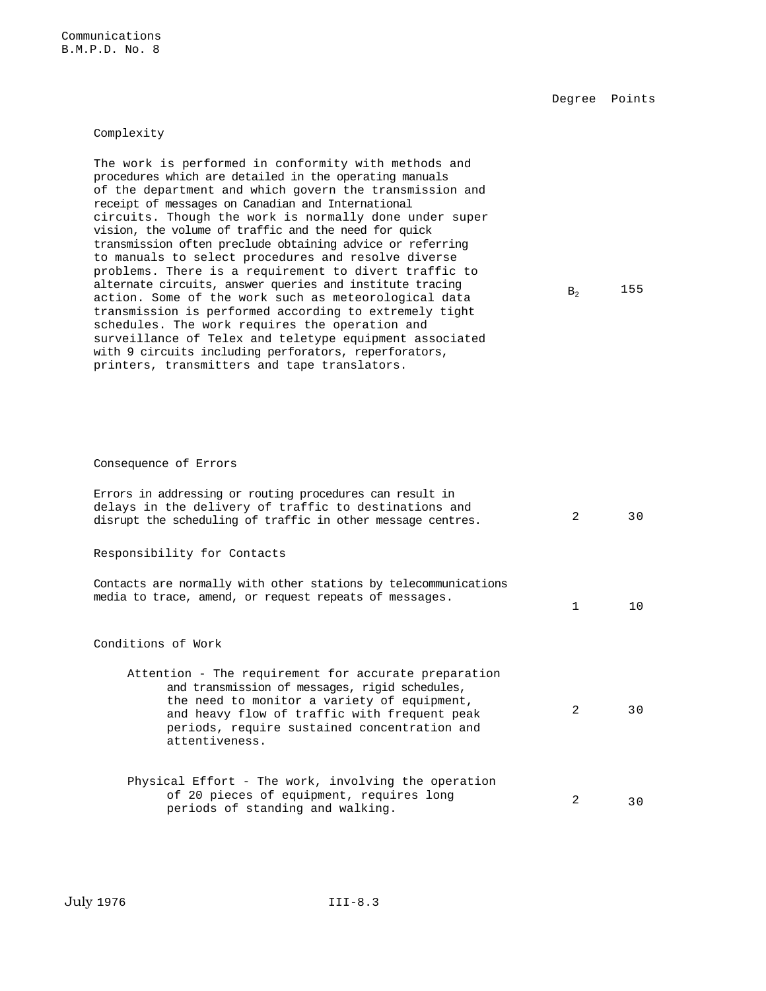Degree Points

Complexity

The work is performed in conformity with methods and procedures which are detailed in the operating manuals of the department and which govern the transmission and receipt of messages on Canadian and International circuits. Though the work is normally done under super vision, the volume of traffic and the need for quick transmission often preclude obtaining advice or referring to manuals to select procedures and resolve diverse problems. There is a requirement to divert traffic to alternate circuits, answer queries and institute tracing action. Some of the work such as meteorological data transmission is performed according to extremely tight schedules. The work requires the operation and surveillance of Telex and teletype equipment associated with 9 circuits including perforators, reperforators, printers, transmitters and tape translators.

# $B_2$  155

### Consequence of Errors

| Errors in addressing or routing procedures can result in<br>delays in the delivery of traffic to destinations and<br>disrupt the scheduling of traffic in other message centres.                                                                                        | $\mathcal{L}$ | 30 |
|-------------------------------------------------------------------------------------------------------------------------------------------------------------------------------------------------------------------------------------------------------------------------|---------------|----|
| Responsibility for Contacts                                                                                                                                                                                                                                             |               |    |
| Contacts are normally with other stations by telecommunications<br>media to trace, amend, or request repeats of messages.                                                                                                                                               | $\mathbf{1}$  | 10 |
| Conditions of Work                                                                                                                                                                                                                                                      |               |    |
| Attention - The requirement for accurate preparation<br>and transmission of messages, rigid schedules,<br>the need to monitor a variety of equipment,<br>and heavy flow of traffic with frequent peak<br>periods, require sustained concentration and<br>attentiveness. | 2             | 30 |
| Physical Effort - The work, involving the operation<br>of 20 pieces of equipment, requires long<br>periods of standing and walking.                                                                                                                                     | 2             | 30 |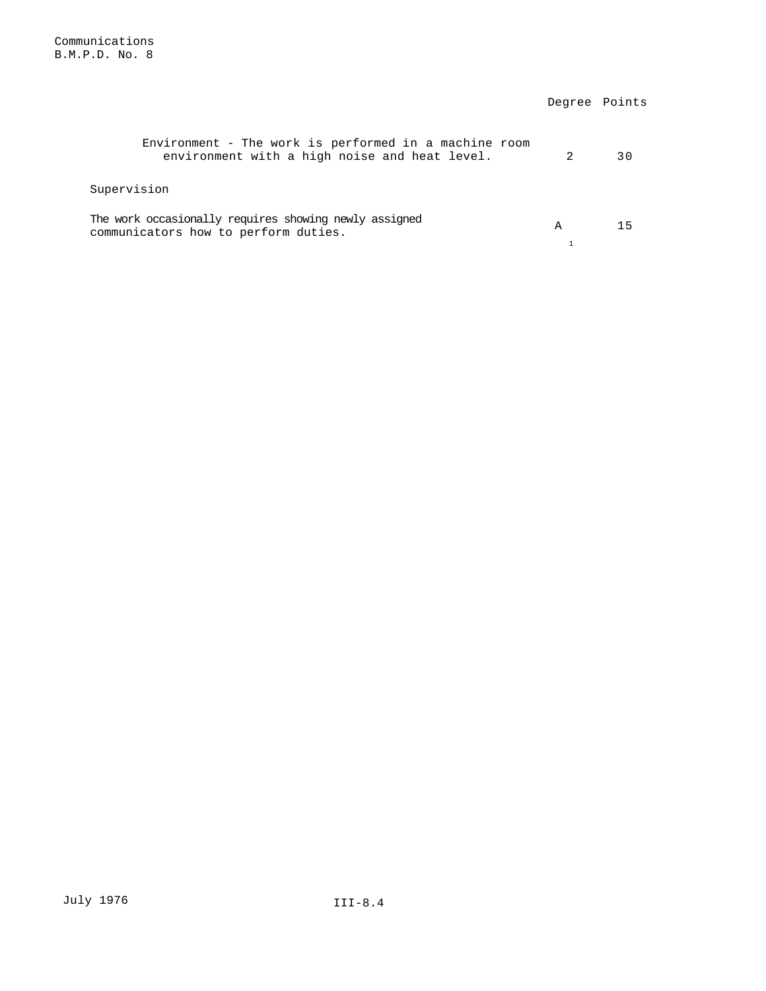|                                                                                                        |   | Degree Points |
|--------------------------------------------------------------------------------------------------------|---|---------------|
| Environment - The work is performed in a machine room<br>environment with a high noise and heat level. |   | 30            |
| Supervision                                                                                            |   |               |
| The work occasionally requires showing newly assigned<br>communicators how to perform duties.          | A | 15            |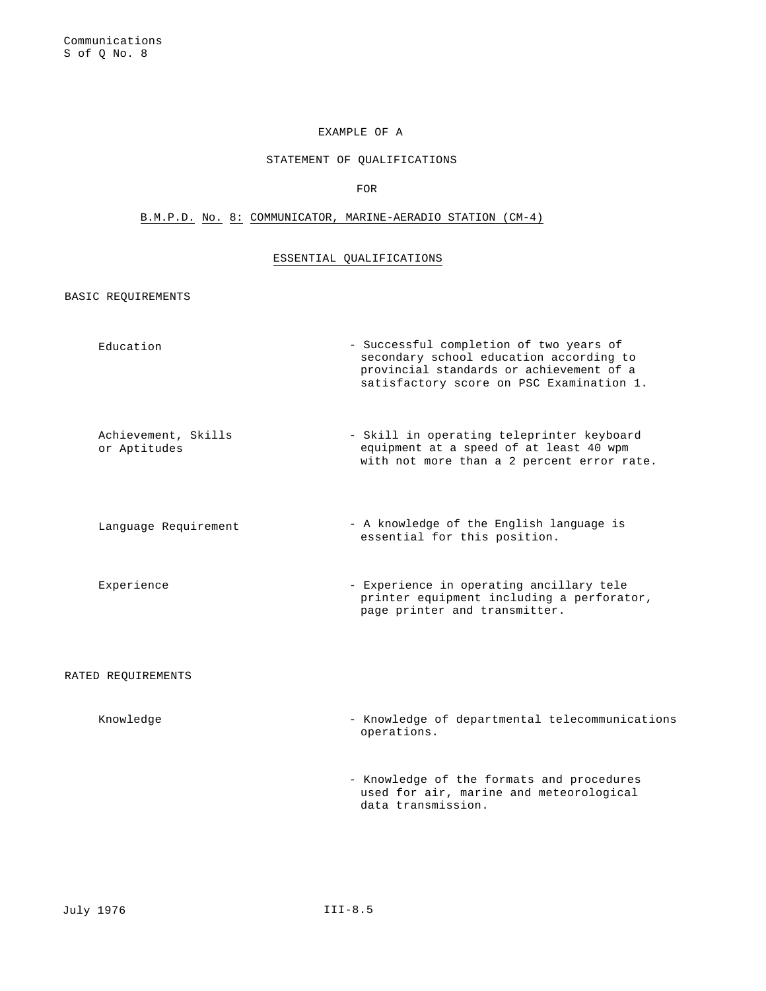# EXAMPLE OF A

# STATEMENT OF QUALIFICATIONS

FOR

# B.M.P.D. No. 8: COMMUNICATOR, MARINE-AERADIO STATION (CM-4)

# ESSENTIAL QUALIFICATIONS

BASIC REQUIREMENTS

| Education                           | - Successful completion of two years of<br>secondary school education according to<br>provincial standards or achievement of a<br>satisfactory score on PSC Examination 1. |
|-------------------------------------|----------------------------------------------------------------------------------------------------------------------------------------------------------------------------|
| Achievement, Skills<br>or Aptitudes | - Skill in operating teleprinter keyboard<br>equipment at a speed of at least 40 wpm<br>with not more than a 2 percent error rate.                                         |
| Language Requirement                | - A knowledge of the English language is<br>essential for this position.                                                                                                   |
| Experience                          | - Experience in operating ancillary tele<br>printer equipment including a perforator,<br>page printer and transmitter.                                                     |
| RATED REQUIREMENTS                  |                                                                                                                                                                            |
| Knowledge                           | - Knowledge of departmental telecommunications<br>operations.                                                                                                              |
|                                     | - Knowledge of the formats and procedures<br>used for air, marine and meteorological<br>data transmission.                                                                 |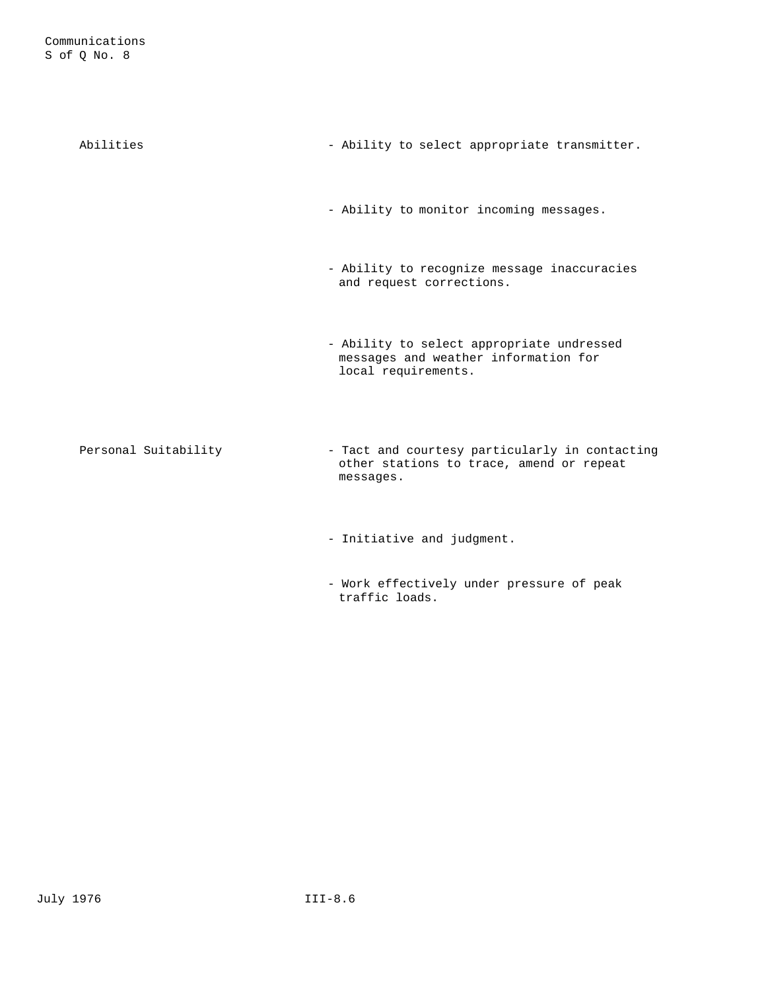| Abilities            | - Ability to select appropriate transmitter.                                                             |
|----------------------|----------------------------------------------------------------------------------------------------------|
|                      | - Ability to monitor incoming messages.                                                                  |
|                      | - Ability to recognize message inaccuracies<br>and request corrections.                                  |
|                      | - Ability to select appropriate undressed<br>messages and weather information for<br>local requirements. |
| Personal Suitability | - Tact and courtesy particularly in contacting<br>other stations to trace, amend or repeat<br>messages.  |
|                      | - Initiative and judgment.                                                                               |

- Work effectively under pressure of peak traffic loads.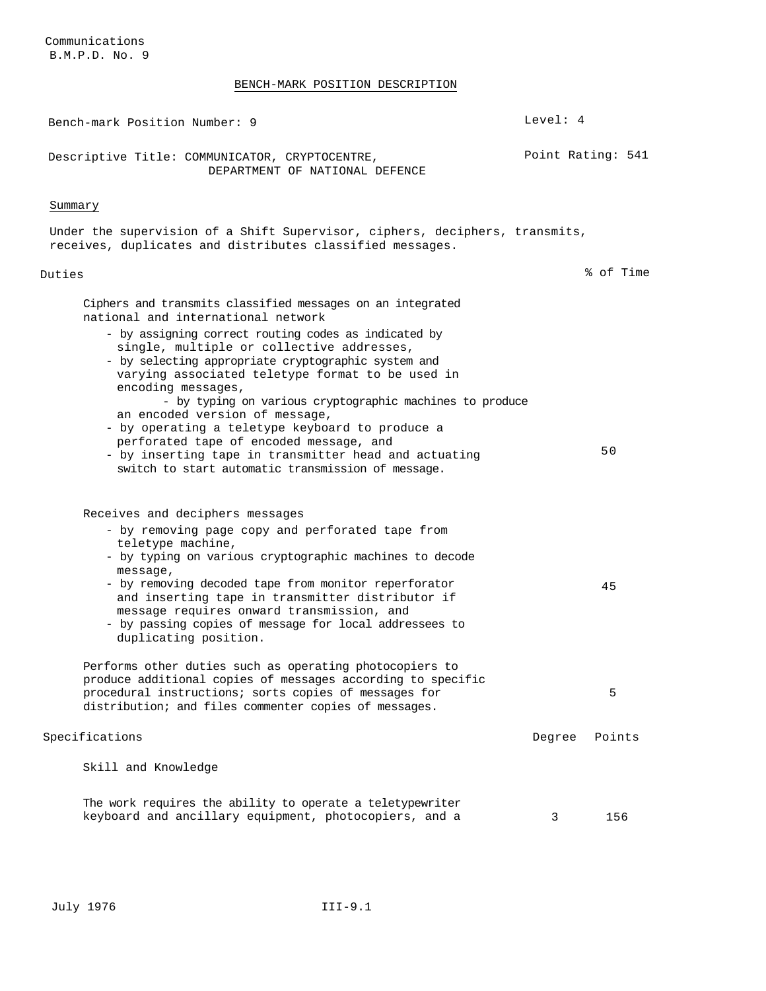# BENCH-MARK POSITION DESCRIPTION

| Bench-mark Position Number: 9                                                                                                                                                                                                                                                                                                                                                                                                                                                                                                                                                                                                                     | Level: $4$ |                   |
|---------------------------------------------------------------------------------------------------------------------------------------------------------------------------------------------------------------------------------------------------------------------------------------------------------------------------------------------------------------------------------------------------------------------------------------------------------------------------------------------------------------------------------------------------------------------------------------------------------------------------------------------------|------------|-------------------|
| Descriptive Title: COMMUNICATOR, CRYPTOCENTRE,<br>DEPARTMENT OF NATIONAL DEFENCE                                                                                                                                                                                                                                                                                                                                                                                                                                                                                                                                                                  |            | Point Rating: 541 |
| Summary                                                                                                                                                                                                                                                                                                                                                                                                                                                                                                                                                                                                                                           |            |                   |
| Under the supervision of a Shift Supervisor, ciphers, deciphers, transmits,<br>receives, duplicates and distributes classified messages.                                                                                                                                                                                                                                                                                                                                                                                                                                                                                                          |            |                   |
| Duties                                                                                                                                                                                                                                                                                                                                                                                                                                                                                                                                                                                                                                            |            | % of Time         |
| Ciphers and transmits classified messages on an integrated<br>national and international network<br>- by assigning correct routing codes as indicated by<br>single, multiple or collective addresses,<br>- by selecting appropriate cryptographic system and<br>varying associated teletype format to be used in<br>encoding messages,<br>- by typing on various cryptographic machines to produce<br>an encoded version of message,<br>- by operating a teletype keyboard to produce a<br>perforated tape of encoded message, and<br>- by inserting tape in transmitter head and actuating<br>switch to start automatic transmission of message. |            | 50                |
| Receives and deciphers messages<br>- by removing page copy and perforated tape from<br>teletype machine,<br>- by typing on various cryptographic machines to decode<br>message,<br>- by removing decoded tape from monitor reperforator<br>and inserting tape in transmitter distributor if<br>message requires onward transmission, and<br>- by passing copies of message for local addressees to<br>duplicating position.                                                                                                                                                                                                                       |            | 45                |
| Performs other duties such as operating photocopiers to<br>produce additional copies of messages according to specific<br>procedural instructions; sorts copies of messages for<br>distribution; and files commenter copies of messages.                                                                                                                                                                                                                                                                                                                                                                                                          |            | 5                 |
| Specifications                                                                                                                                                                                                                                                                                                                                                                                                                                                                                                                                                                                                                                    | Degree     | Points            |
| Skill and Knowledge                                                                                                                                                                                                                                                                                                                                                                                                                                                                                                                                                                                                                               |            |                   |
| The work requires the ability to operate a teletypewriter<br>keyboard and ancillary equipment, photocopiers, and a                                                                                                                                                                                                                                                                                                                                                                                                                                                                                                                                | 3          | 156               |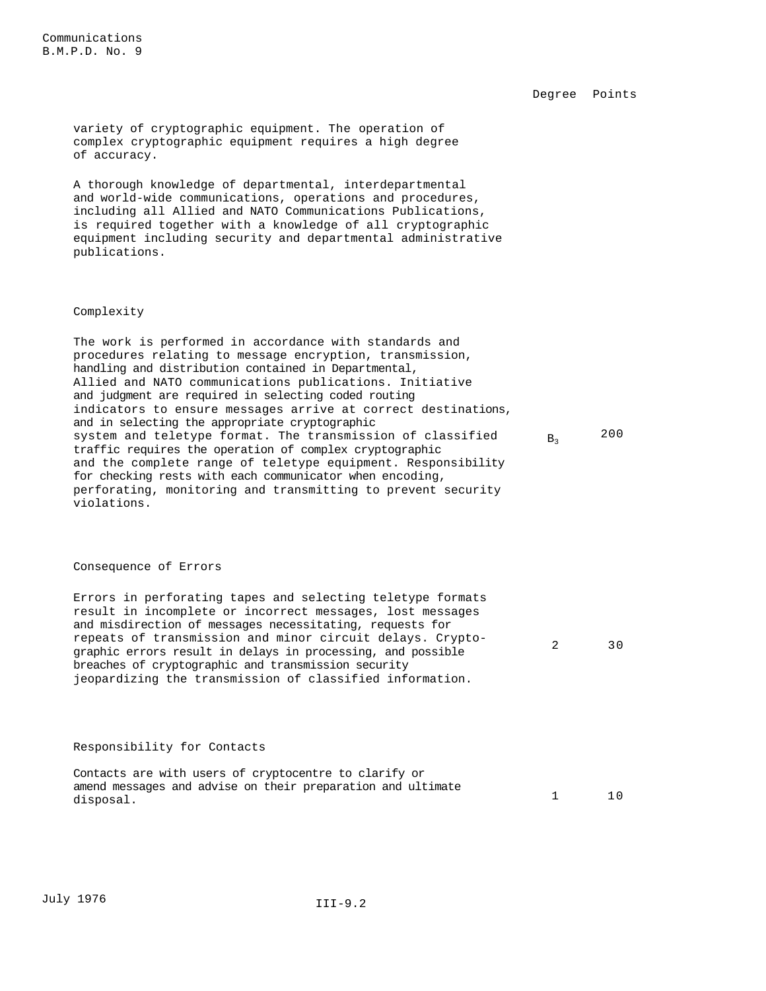2 30

variety of cryptographic equipment. The operation of complex cryptographic equipment requires a high degree of accuracy.

A thorough knowledge of departmental, interdepartmental and world-wide communications, operations and procedures, including all Allied and NATO Communications Publications, is required together with a knowledge of all cryptographic equipment including security and departmental administrative publications.

### Complexity

The work is performed in accordance with standards and procedures relating to message encryption, transmission, handling and distribution contained in Departmental, Allied and NATO communications publications. Initiative and judgment are required in selecting coded routing indicators to ensure messages arrive at correct destinations, and in selecting the appropriate cryptographic system and teletype format. The transmission of classified traffic requires the operation of complex cryptographic and the complete range of teletype equipment. Responsibility for checking rests with each communicator when encoding, perforating, monitoring and transmitting to prevent security violations.  $B_3$  200

### Consequence of Errors

Errors in perforating tapes and selecting teletype formats result in incomplete or incorrect messages, lost messages and misdirection of messages necessitating, requests for repeats of transmission and minor circuit delays. Cryptographic errors result in delays in processing, and possible breaches of cryptographic and transmission security jeopardizing the transmission of classified information.

### Responsibility for Contacts

| Contacts are with users of cryptocentre to clarify or       |  |
|-------------------------------------------------------------|--|
| amend messages and advise on their preparation and ultimate |  |
| disposal.                                                   |  |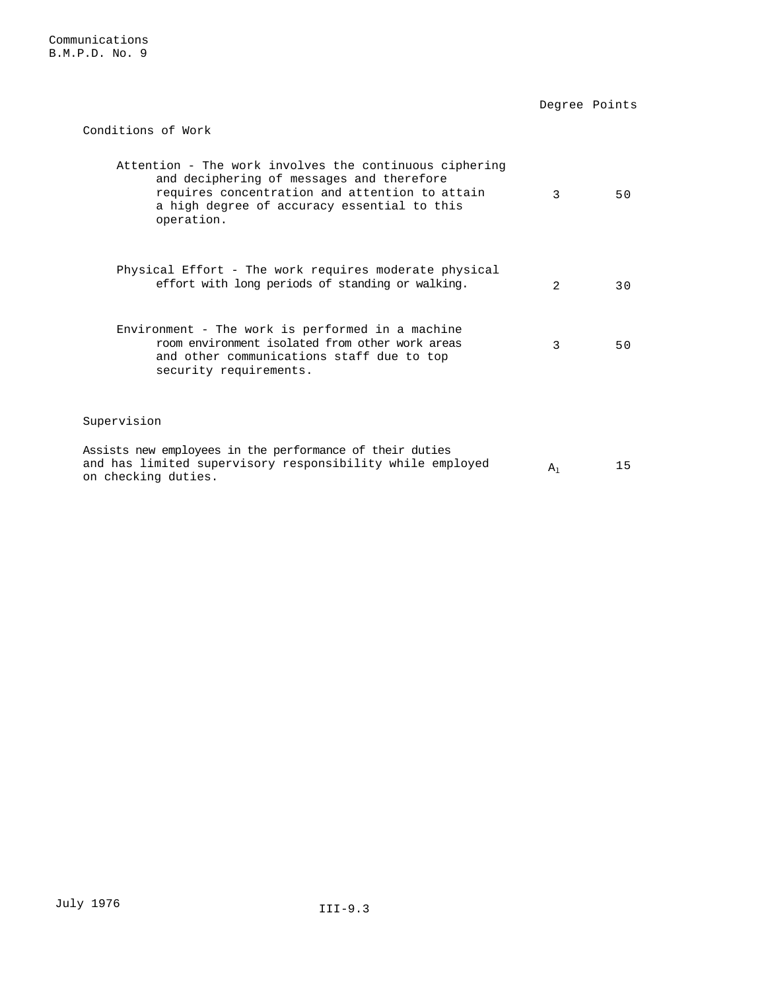Degree Points

Conditions of Work

| Attention - The work involves the continuous ciphering<br>and deciphering of messages and therefore<br>requires concentration and attention to attain<br>a high degree of accuracy essential to this<br>operation. | ζ                           | 50  |
|--------------------------------------------------------------------------------------------------------------------------------------------------------------------------------------------------------------------|-----------------------------|-----|
| Physical Effort - The work requires moderate physical<br>effort with long periods of standing or walking.                                                                                                          | $\mathcal{D}_{\mathcal{L}}$ | 3 O |
| Environment - The work is performed in a machine<br>room environment isolated from other work areas<br>and other communications staff due to top<br>security requirements.                                         | २                           | 50  |
| Supervision                                                                                                                                                                                                        |                             |     |
| Assists new employees in the performance of their duties<br>and has limited supervisory responsibility while employed<br>on checking duties.                                                                       | $A_1$                       | 15  |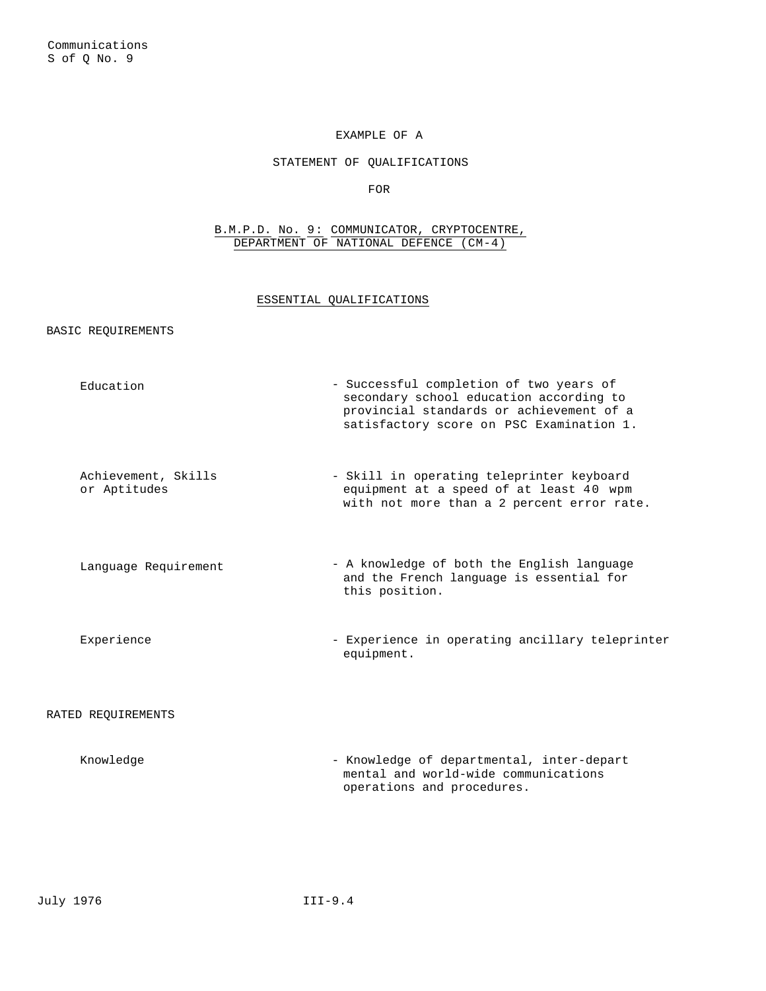# EXAMPLE OF A

# STATEMENT OF QUALIFICATIONS

FOR

### B.M.P.D. No. 9: COMMUNICATOR, CRYPTOCENTRE, DEPARTMENT OF NATIONAL DEFENCE (CM-4)

### ESSENTIAL QUALIFICATIONS

BASIC REQUIREMENTS

| Education                           | - Successful completion of two years of<br>secondary school education according to<br>provincial standards or achievement of a<br>satisfactory score on PSC Examination 1. |
|-------------------------------------|----------------------------------------------------------------------------------------------------------------------------------------------------------------------------|
| Achievement, Skills<br>or Aptitudes | - Skill in operating teleprinter keyboard<br>equipment at a speed of at least 40 wpm<br>with not more than a 2 percent error rate.                                         |
| Language Requirement                | - A knowledge of both the English language<br>and the French language is essential for<br>this position.                                                                   |
| Experience                          | - Experience in operating ancillary teleprinter<br>equipment.                                                                                                              |
| RATED REOUIREMENTS                  |                                                                                                                                                                            |

Knowledge  $\blacksquare$  - Knowledge of departmental, inter-depart mental and world-wide communications operations and procedures.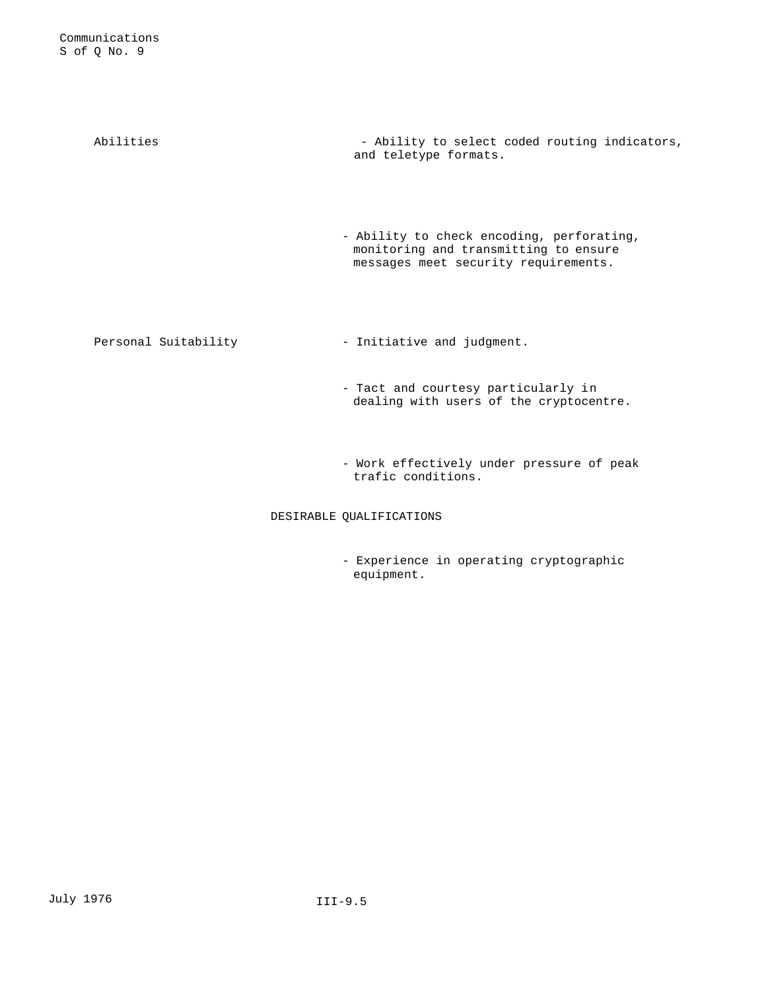Abilities  $\longrightarrow$  - Ability to select coded routing indicators, and teletype formats. - Ability to check encoding, perforating, monitoring and transmitting to ensure messages meet security requirements. Personal Suitability - Initiative and judgment. - Tact and courtesy particularly in dealing with users of the cryptocentre.

> - Work effectively under pressure of peak trafic conditions.

DESIRABLE QUALIFICATIONS

- Experience in operating cryptographic equipment.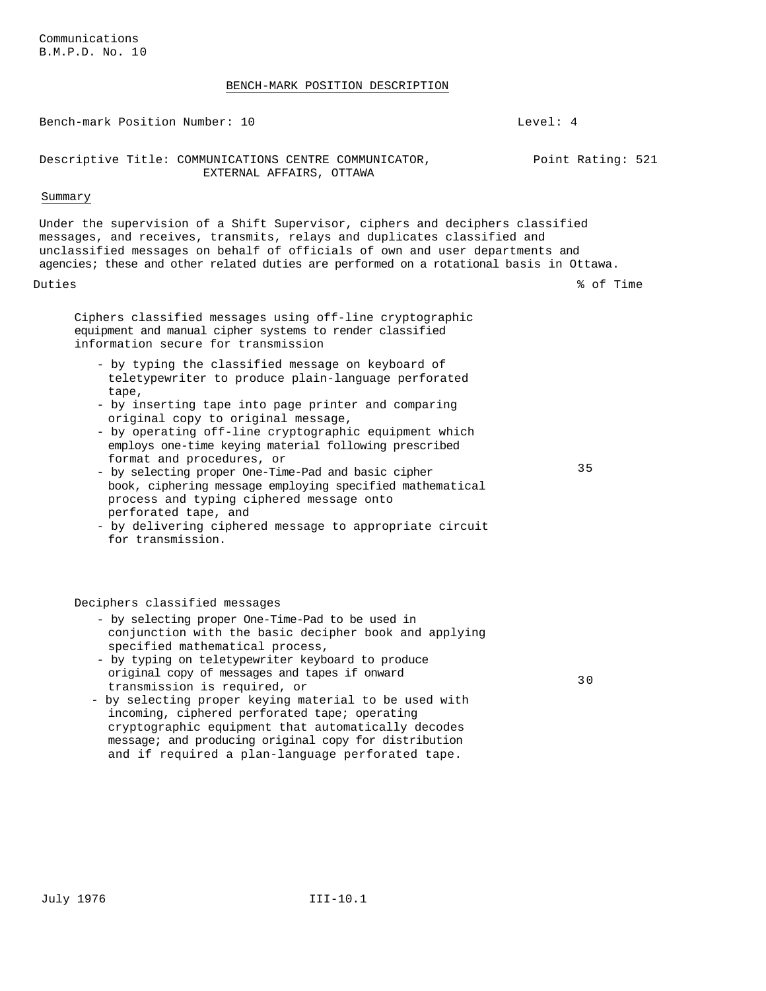Communications B.M.P.D. No. 10

### BENCH-MARK POSITION DESCRIPTION

Bench-mark Position Number: 10 Channel Communication Number: 10 Descriptive Title: COMMUNICATIONS CENTRE COMMUNICATOR, EXTERNAL AFFAIRS, OTTAWA Point Rating: 521 Summary Under the supervision of a Shift Supervisor, ciphers and deciphers classified messages, and receives, transmits, relays and duplicates classified and unclassified messages on behalf of officials of own and user departments and agencies; these and other related duties are performed on a rotational basis in Ottawa. Duties % of Time Ciphers classified messages using off-line cryptographic equipment and manual cipher systems to render classified information secure for transmission - by typing the classified message on keyboard of teletypewriter to produce plain-language perforated tape, - by inserting tape into page printer and comparing original copy to original message, - by operating off-line cryptographic equipment which employs one-time keying material following prescribed format and procedures, or - by selecting proper One-Time-Pad and basic cipher book, ciphering message employing specified mathematical process and typing ciphered message onto perforated tape, and - by delivering ciphered message to appropriate circuit for transmission. 35 Deciphers classified messages - by selecting proper One-Time-Pad to be used in conjunction with the basic decipher book and applying specified mathematical process, - by typing on teletypewriter keyboard to produce original copy of messages and tapes if onward transmission is required, or - by selecting proper keying material to be used with incoming, ciphered perforated tape; operating cryptographic equipment that automatically decodes 30

message; and producing original copy for distribution and if required a plan-language perforated tape.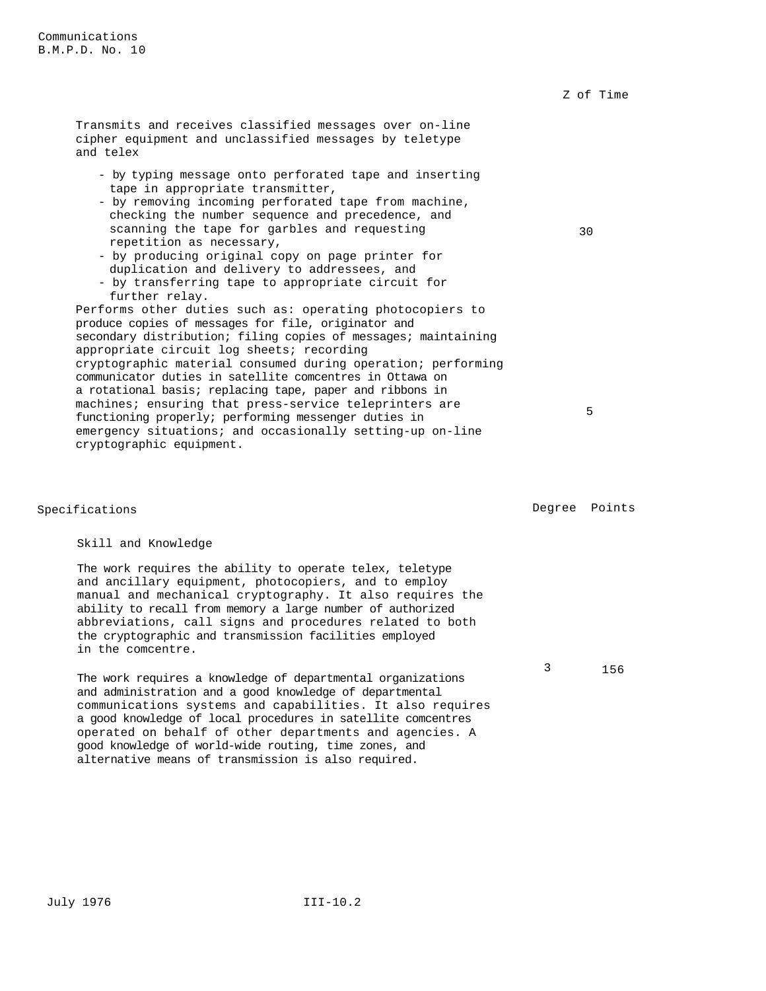Transmits and receives classified messages over on-line cipher equipment and unclassified messages by teletype and telex - by typing message onto perforated tape and inserting tape in appropriate transmitter, - by removing incoming perforated tape from machine, checking the number sequence and precedence, and scanning the tape for garbles and requesting repetition as necessary, - by producing original copy on page printer for duplication and delivery to addressees, and - by transferring tape to appropriate circuit for further relay. Performs other duties such as: operating photocopiers to produce copies of messages for file, originator and secondary distribution; filing copies of messages; maintaining appropriate circuit log sheets; recording cryptographic material consumed during operation; performing communicator duties in satellite comcentres in Ottawa on a rotational basis; replacing tape, paper and ribbons in machines; ensuring that press-service teleprinters are functioning properly; performing messenger duties in emergency situations; and occasionally setting-up on-line cryptographic equipment. 30 5

### Skill and Knowledge

The work requires the ability to operate telex, teletype and ancillary equipment, photocopiers, and to employ manual and mechanical cryptography. It also requires the ability to recall from memory a large number of authorized abbreviations, call signs and procedures related to both the cryptographic and transmission facilities employed in the comcentre.

The work requires a knowledge of departmental organizations and administration and a good knowledge of departmental communications systems and capabilities. It also requires a good knowledge of local procedures in satellite comcentres operated on behalf of other departments and agencies. A good knowledge of world-wide routing, time zones, and alternative means of transmission is also required.

Specifications **Degree** Points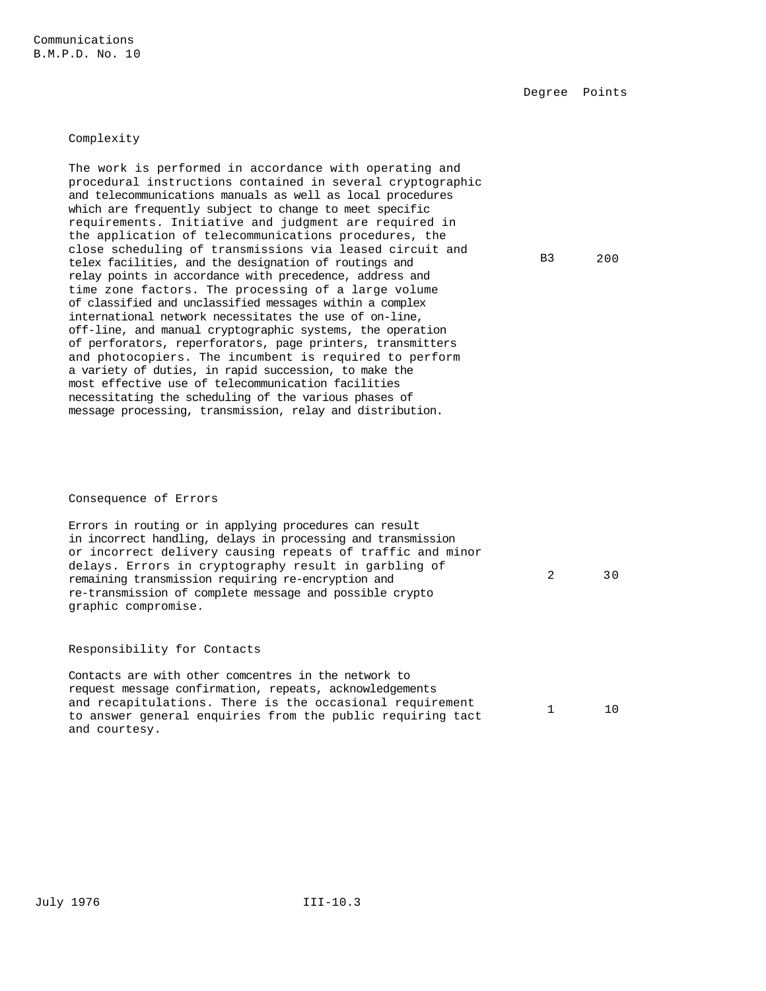Communications B.M.P.D. No. 10

Degree Points

### Complexity

The work is performed in accordance with operating and procedural instructions contained in several cryptographic and telecommunications manuals as well as local procedures which are frequently subject to change to meet specific requirements. Initiative and judgment are required in the application of telecommunications procedures, the close scheduling of transmissions via leased circuit and telex facilities, and the designation of routings and relay points in accordance with precedence, address and time zone factors. The processing of a large volume of classified and unclassified messages within a complex international network necessitates the use of on-line, off-line, and manual cryptographic systems, the operation of perforators, reperforators, page printers, transmitters and photocopiers. The incumbent is required to perform a variety of duties, in rapid succession, to make the most effective use of telecommunication facilities necessitating the scheduling of the various phases of message processing, transmission, relay and distribution.

B3 200

2 30

### Consequence of Errors

Errors in routing or in applying procedures can result in incorrect handling, delays in processing and transmission or incorrect delivery causing repeats of traffic and minor delays. Errors in cryptography result in garbling of remaining transmission requiring re-encryption and re-transmission of complete message and possible crypto graphic compromise.

### Responsibility for Contacts

Contacts are with other comcentres in the network to request message confirmation, repeats, acknowledgements and recapitulations. There is the occasional requirement to answer general enquiries from the public requiring tact and courtesy. 1 10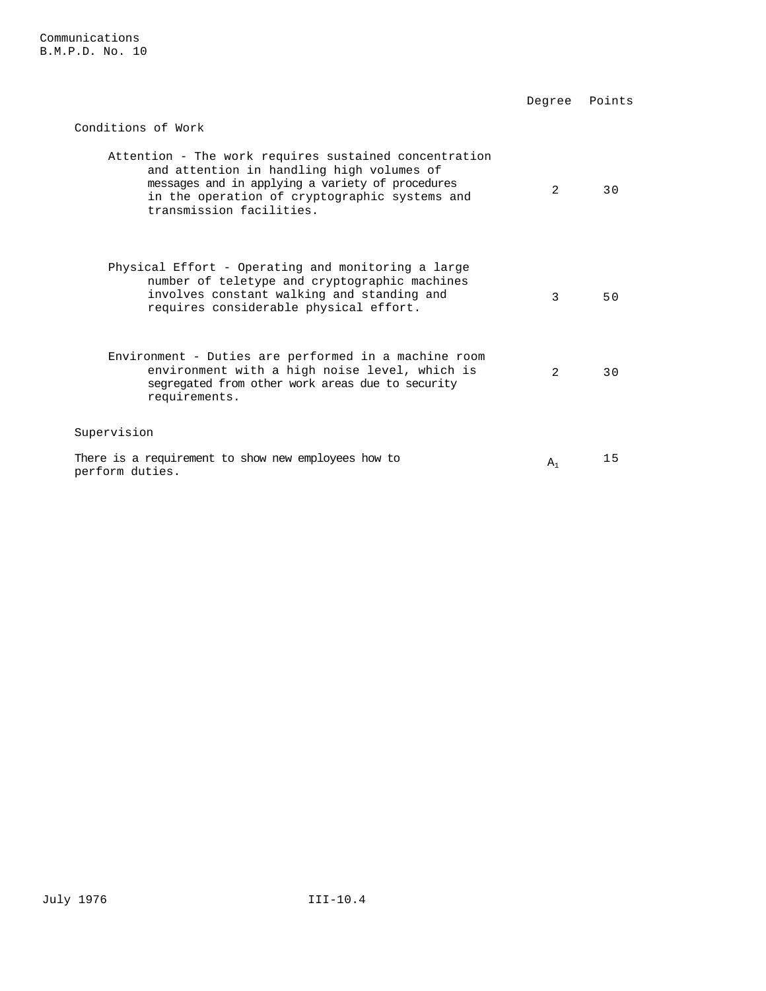|                                                                                                                                                                                                                                     | Degree        | Points |
|-------------------------------------------------------------------------------------------------------------------------------------------------------------------------------------------------------------------------------------|---------------|--------|
| Conditions of Work                                                                                                                                                                                                                  |               |        |
| Attention - The work requires sustained concentration<br>and attention in handling high volumes of<br>messages and in applying a variety of procedures<br>in the operation of cryptographic systems and<br>transmission facilities. | 2             | 30     |
| Physical Effort - Operating and monitoring a large<br>number of teletype and cryptographic machines<br>involves constant walking and standing and<br>requires considerable physical effort.                                         | 3             | 50     |
| Environment - Duties are performed in a machine room<br>environment with a high noise level, which is<br>segregated from other work areas due to security<br>requirements.                                                          | $\mathcal{L}$ | 3 O    |
| Supervision                                                                                                                                                                                                                         |               |        |
| There is a requirement to show new employees how to<br>perform duties.                                                                                                                                                              | $A_1$         | 15     |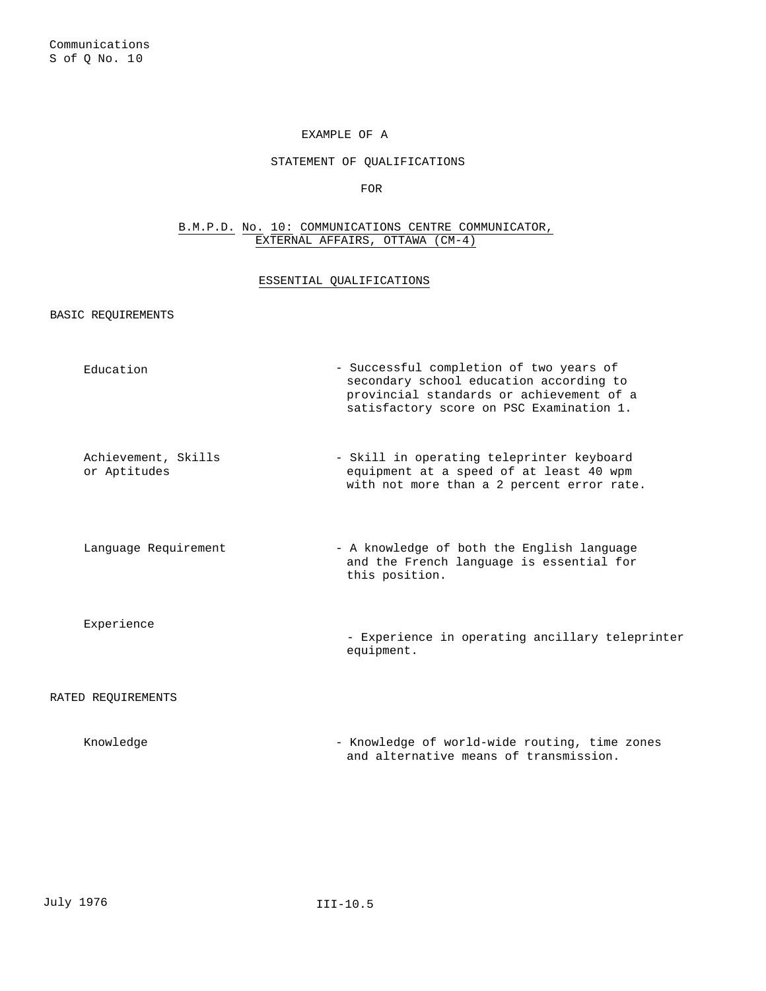### EXAMPLE OF A

# STATEMENT OF QUALIFICATIONS

FOR

# B.M.P.D. No. 10: COMMUNICATIONS CENTRE COMMUNICATOR, EXTERNAL AFFAIRS, OTTAWA (CM-4)

# ESSENTIAL QUALIFICATIONS

BASIC REQUIREMENTS

| Education                           | - Successful completion of two years of<br>secondary school education according to<br>provincial standards or achievement of a<br>satisfactory score on PSC Examination 1. |
|-------------------------------------|----------------------------------------------------------------------------------------------------------------------------------------------------------------------------|
| Achievement, Skills<br>or Aptitudes | - Skill in operating teleprinter keyboard<br>equipment at a speed of at least 40 wpm<br>with not more than a 2 percent error rate.                                         |
| Language Requirement                | - A knowledge of both the English language<br>and the French language is essential for<br>this position.                                                                   |
| Experience                          | - Experience in operating ancillary teleprinter<br>equipment.                                                                                                              |
| RATED REQUIREMENTS                  |                                                                                                                                                                            |
| Knowledge                           | - Knowledge of world-wide routing, time zones<br>and alternative means of transmission.                                                                                    |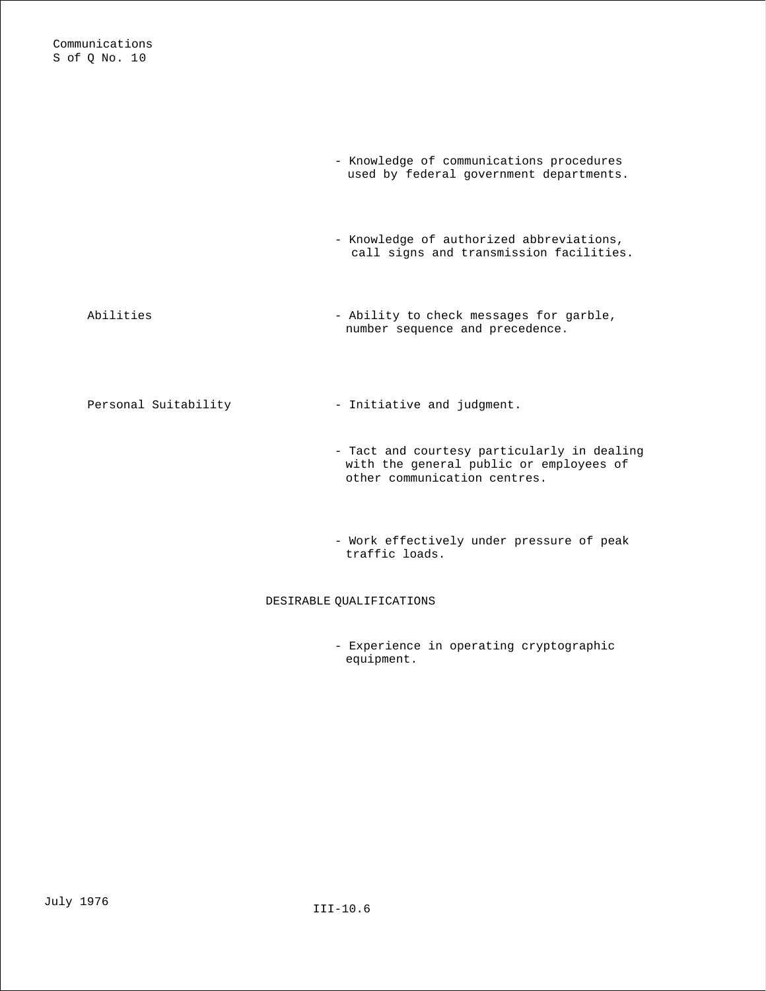|                      | - Knowledge of communications procedures<br>used by federal government departments.                                    |
|----------------------|------------------------------------------------------------------------------------------------------------------------|
|                      | - Knowledge of authorized abbreviations,<br>call signs and transmission facilities.                                    |
| Abilities            | - Ability to check messages for garble,<br>number sequence and precedence.                                             |
| Personal Suitability | - Initiative and judgment.                                                                                             |
|                      | - Tact and courtesy particularly in dealing<br>with the general public or employees of<br>other communication centres. |
|                      | - Work effectively under pressure of peak<br>traffic loads.                                                            |

# DESIRABLE QUALIFICATIONS

- Experience in operating cryptographic equipment.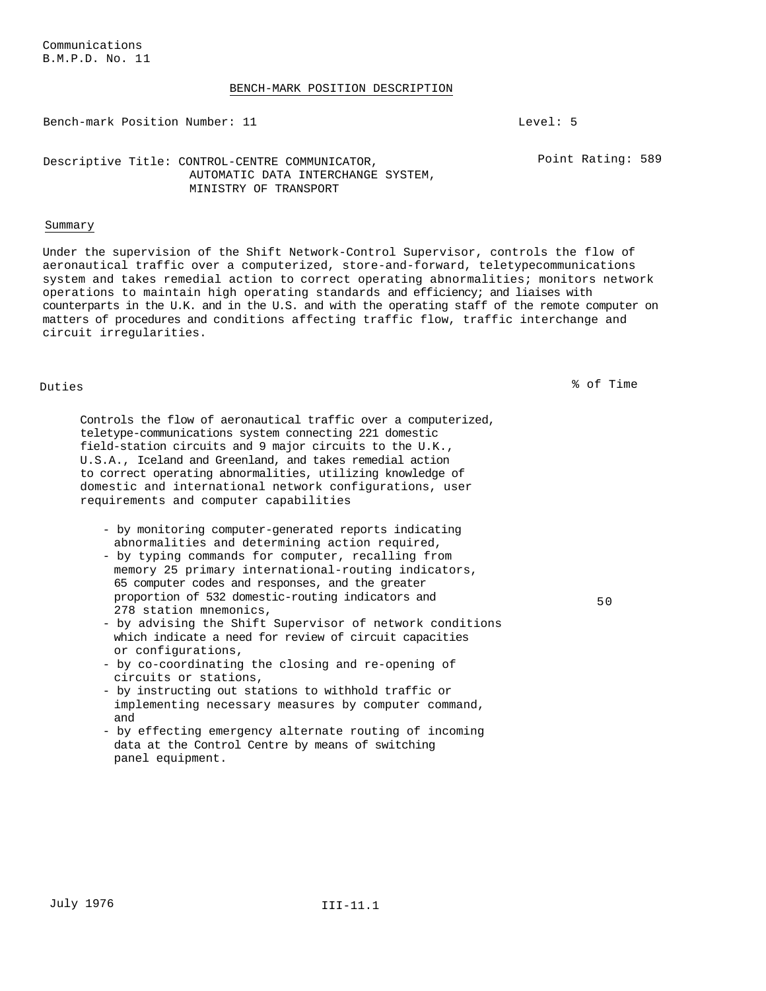### BENCH-MARK POSITION DESCRIPTION

Bench-mark Position Number: 11 Level: 5

Point Rating: 589

# Descriptive Title: CONTROL-CENTRE COMMUNICATOR, AUTOMATIC DATA INTERCHANGE SYSTEM, MINISTRY OF TRANSPORT

# Summary

Under the supervision of the Shift Network-Control Supervisor, controls the flow of aeronautical traffic over a computerized, store-and-forward, teletypecommunications system and takes remedial action to correct operating abnormalities; monitors network operations to maintain high operating standards and efficiency; and liaises with counterparts in the U.K. and in the U.S. and with the operating staff of the remote computer on matters of procedures and conditions affecting traffic flow, traffic interchange and circuit irregularities.

Duties % of Time

50

Controls the flow of aeronautical traffic over a computerized, teletype-communications system connecting 221 domestic field-station circuits and 9 major circuits to the U.K., U.S.A., Iceland and Greenland, and takes remedial action to correct operating abnormalities, utilizing knowledge of domestic and international network configurations, user requirements and computer capabilities

- by monitoring computer-generated reports indicating abnormalities and determining action required,

- by typing commands for computer, recalling from memory 25 primary international-routing indicators, 65 computer codes and responses, and the greater proportion of 532 domestic-routing indicators and 278 station mnemonics,

- by advising the Shift Supervisor of network conditions which indicate a need for review of circuit capacities or configurations,
- by co-coordinating the closing and re-opening of circuits or stations,
- by instructing out stations to withhold traffic or implementing necessary measures by computer command, and
- by effecting emergency alternate routing of incoming data at the Control Centre by means of switching panel equipment.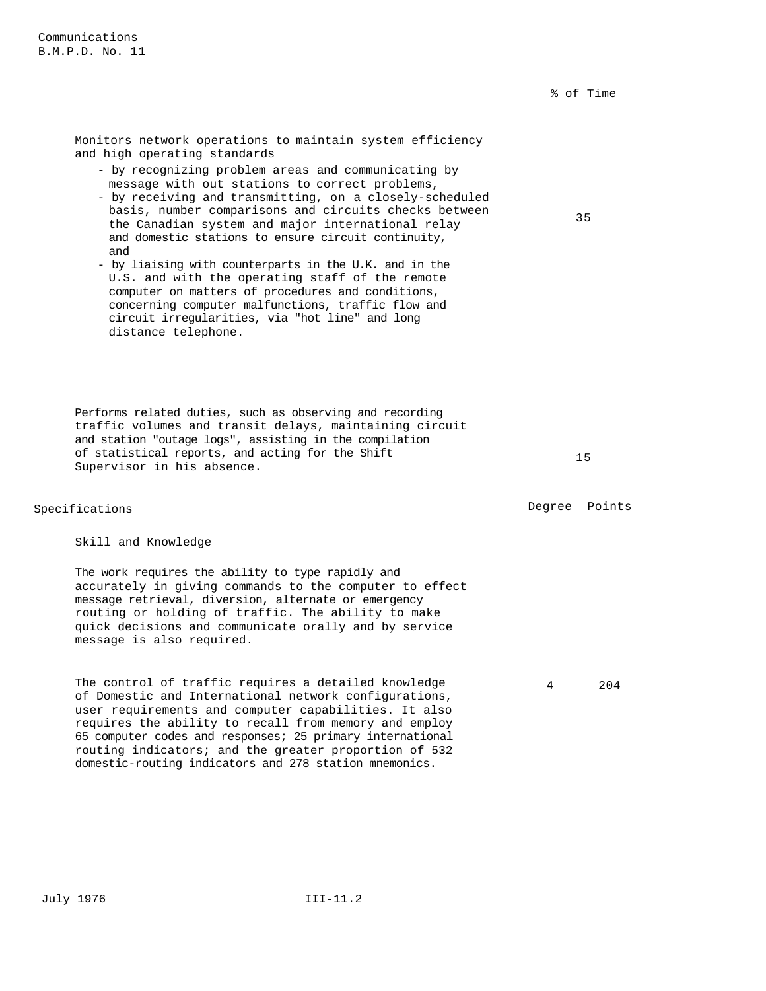35

Monitors network operations to maintain system efficiency and high operating standards

- by recognizing problem areas and communicating by message with out stations to correct problems,
- by receiving and transmitting, on a closely-scheduled basis, number comparisons and circuits checks between the Canadian system and major international relay and domestic stations to ensure circuit continuity, and
- by liaising with counterparts in the U.K. and in the U.S. and with the operating staff of the remote computer on matters of procedures and conditions, concerning computer malfunctions, traffic flow and circuit irregularities, via "hot line" and long distance telephone.

Performs related duties, such as observing and recording traffic volumes and transit delays, maintaining circuit and station "outage logs", assisting in the compilation of statistical reports, and acting for the Shift Supervisor in his absence.

# Specifications **Degree** Points **Degree** Points

Skill and Knowledge

The work requires the ability to type rapidly and accurately in giving commands to the computer to effect message retrieval, diversion, alternate or emergency routing or holding of traffic. The ability to make quick decisions and communicate orally and by service message is also required.

The control of traffic requires a detailed knowledge of Domestic and International network configurations, user requirements and computer capabilities. It also requires the ability to recall from memory and employ 65 computer codes and responses; 25 primary international routing indicators; and the greater proportion of 532 domestic-routing indicators and 278 station mnemonics.

15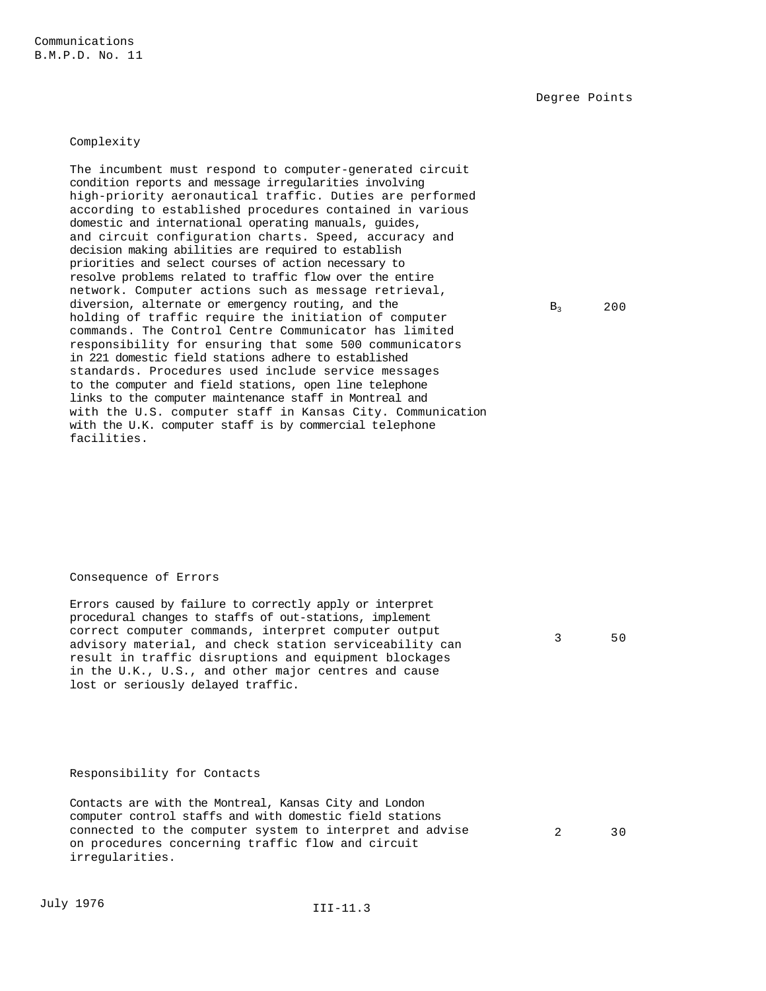Communications B.M.P.D. No. 11

Degree Points

### Complexity

The incumbent must respond to computer-generated circuit condition reports and message irregularities involving high-priority aeronautical traffic. Duties are performed according to established procedures contained in various domestic and international operating manuals, guides, and circuit configuration charts. Speed, accuracy and decision making abilities are required to establish priorities and select courses of action necessary to resolve problems related to traffic flow over the entire network. Computer actions such as message retrieval, diversion, alternate or emergency routing, and the holding of traffic require the initiation of computer commands. The Control Centre Communicator has limited responsibility for ensuring that some 500 communicators in 221 domestic field stations adhere to established standards. Procedures used include service messages to the computer and field stations, open line telephone links to the computer maintenance staff in Montreal and with the U.S. computer staff in Kansas City. Communication with the U.K. computer staff is by commercial telephone facilities.

### Consequence of Errors

Errors caused by failure to correctly apply or interpret procedural changes to staffs of out-stations, implement correct computer commands, interpret computer output advisory material, and check station serviceability can result in traffic disruptions and equipment blockages in the U.K., U.S., and other major centres and cause lost or seriously delayed traffic.

### Responsibility for Contacts

Contacts are with the Montreal, Kansas City and London computer control staffs and with domestic field stations connected to the computer system to interpret and advise on procedures concerning traffic flow and circuit irregularities.

 $B_3$  200

3 50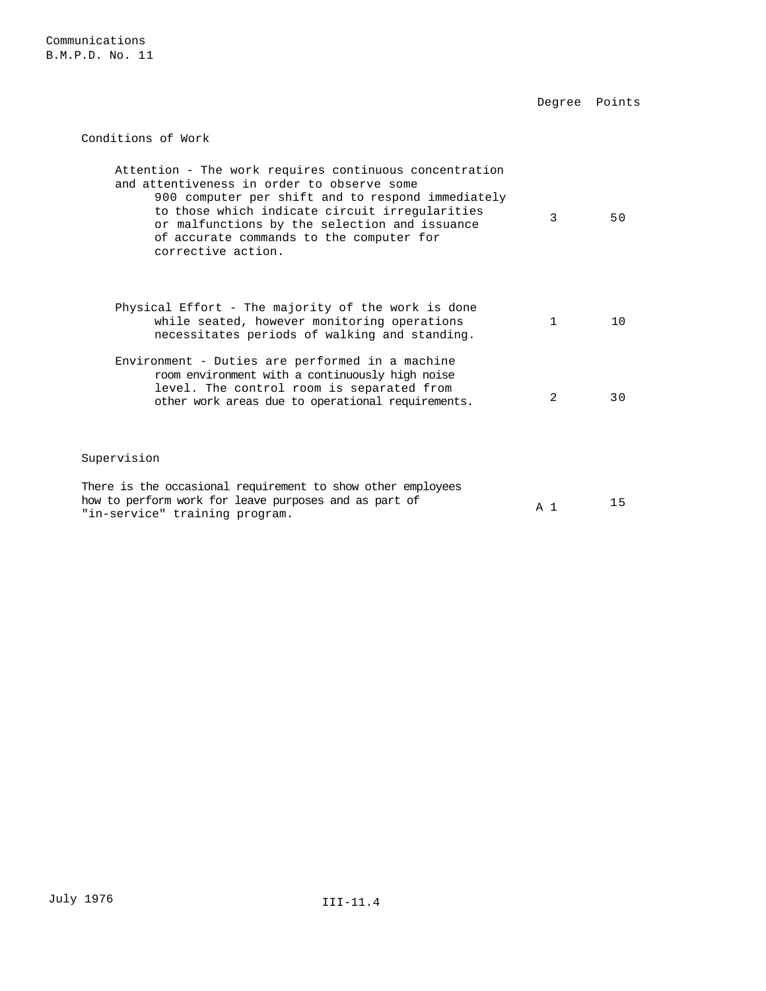Conditions of Work Attention - The work requires continuous concentration and attentiveness in order to observe some 900 computer per shift and to respond immediately to those which indicate circuit irregularities or malfunctions by the selection and issuance of accurate commands to the computer for corrective action. 3 50 Physical Effort - The majority of the work is done while seated, however monitoring operations necessitates periods of walking and standing. 1 10 Environment - Duties are performed in a machine room environment with a continuously high noise level. The control room is separated from other work areas due to operational requirements.<br>30 30 Supervision There is the occasional requirement to show other employees how to perform work for leave purposes and as part of  $A_1$   $A_1$   $A_5$ <br>"in-service" training program.

Degree Points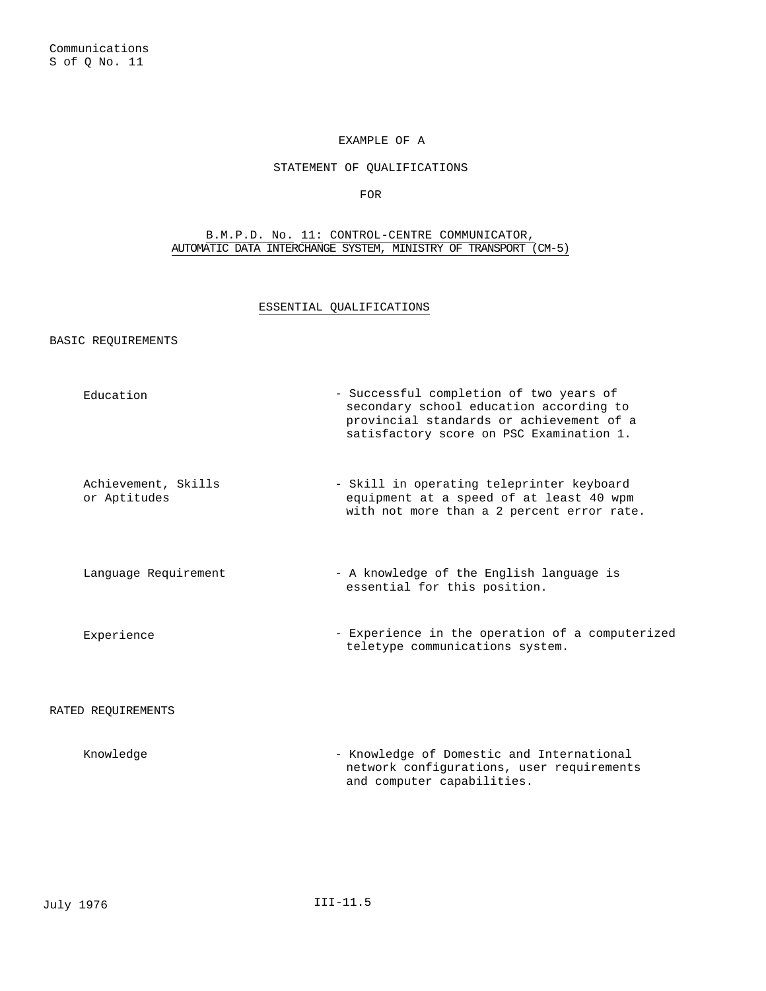# EXAMPLE OF A

### STATEMENT OF QUALIFICATIONS

FOR

# B.M.P.D. No. 11: CONTROL-CENTRE COMMUNICATOR, AUTOMATIC DATA INTERCHANGE SYSTEM, MINISTRY OF TRANSPORT (CM-5)

# ESSENTIAL QUALIFICATIONS

# BASIC REQUIREMENTS

| Education                           | - Successful completion of two years of<br>secondary school education according to<br>provincial standards or achievement of a<br>satisfactory score on PSC Examination 1. |
|-------------------------------------|----------------------------------------------------------------------------------------------------------------------------------------------------------------------------|
| Achievement, Skills<br>or Aptitudes | - Skill in operating teleprinter keyboard<br>equipment at a speed of at least 40 wpm<br>with not more than a 2 percent error rate.                                         |
| Language Requirement                | - A knowledge of the English language is<br>essential for this position.                                                                                                   |
| Experience                          | - Experience in the operation of a computerized<br>teletype communications system.                                                                                         |
| RATED REQUIREMENTS                  |                                                                                                                                                                            |
| $V$ noulodao                        | Epoulodas of Domestic and Interpretional                                                                                                                                   |

| Knowledae | - Knowledge of Domestic and International |
|-----------|-------------------------------------------|
|           | network configurations, user requirements |
|           | and computer capabilities.                |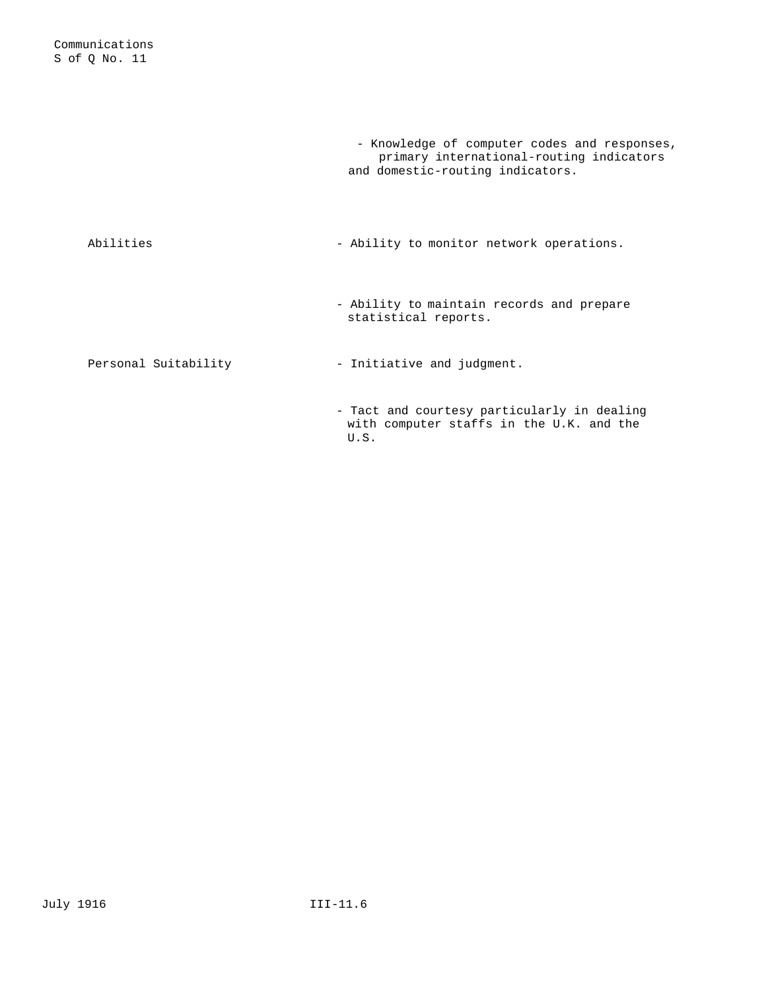|                      | - Knowledge of computer codes and responses,<br>primary international-routing indicators<br>and domestic-routing indicators. |
|----------------------|------------------------------------------------------------------------------------------------------------------------------|
| Abilities            | - Ability to monitor network operations.                                                                                     |
|                      | - Ability to maintain records and prepare<br>statistical reports.                                                            |
| Personal Suitability | - Initiative and judgment.                                                                                                   |
|                      | - Tact and courtesy particularly in dealing<br>with computer staffs in the U.K. and the<br>U.S.                              |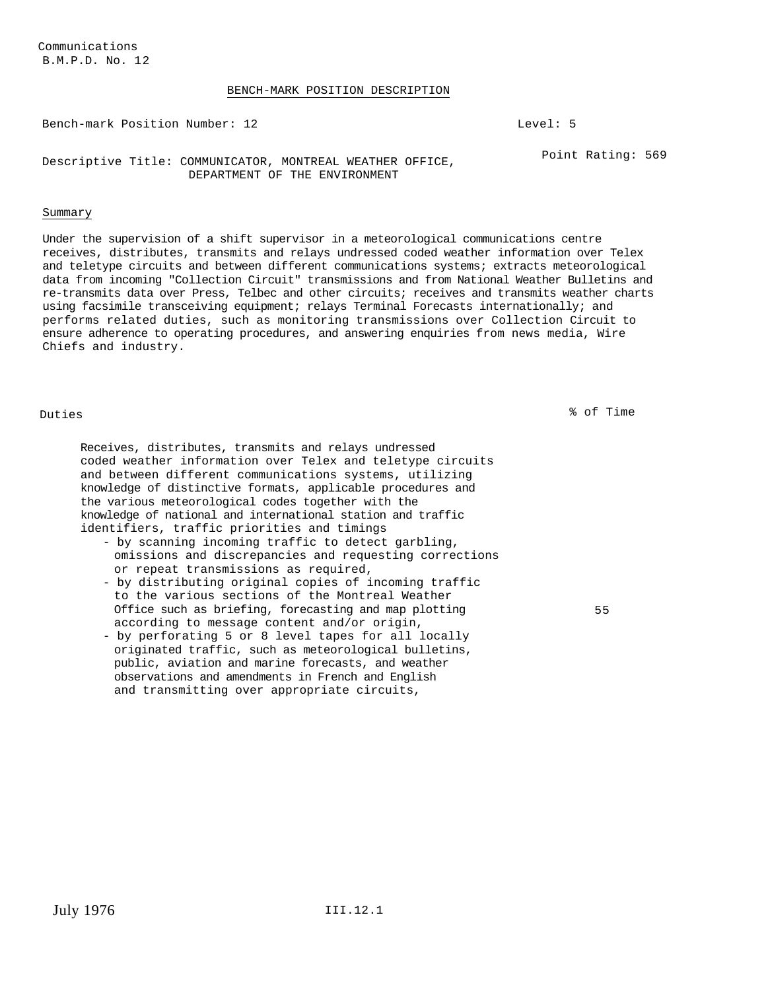### BENCH-MARK POSITION DESCRIPTION

Bench-mark Position Number: 12 Level: 5

Descriptive Title: COMMUNICATOR, MONTREAL WEATHER OFFICE, DEPARTMENT OF THE ENVIRONMENT Point Rating: 569

### Summary

Under the supervision of a shift supervisor in a meteorological communications centre receives, distributes, transmits and relays undressed coded weather information over Telex and teletype circuits and between different communications systems; extracts meteorological data from incoming "Collection Circuit" transmissions and from National Weather Bulletins and re-transmits data over Press, Telbec and other circuits; receives and transmits weather charts using facsimile transceiving equipment; relays Terminal Forecasts internationally; and performs related duties, such as monitoring transmissions over Collection Circuit to ensure adherence to operating procedures, and answering enquiries from news media, Wire Chiefs and industry.

Duties % of Time

Receives, distributes, transmits and relays undressed coded weather information over Telex and teletype circuits and between different communications systems, utilizing knowledge of distinctive formats, applicable procedures and the various meteorological codes together with the knowledge of national and international station and traffic identifiers, traffic priorities and timings

- by scanning incoming traffic to detect garbling, omissions and discrepancies and requesting corrections or repeat transmissions as required,
- by distributing original copies of incoming traffic to the various sections of the Montreal Weather Office such as briefing, forecasting and map plotting according to message content and/or origin,
- by perforating 5 or 8 level tapes for all locally originated traffic, such as meteorological bulletins, public, aviation and marine forecasts, and weather observations and amendments in French and English and transmitting over appropriate circuits,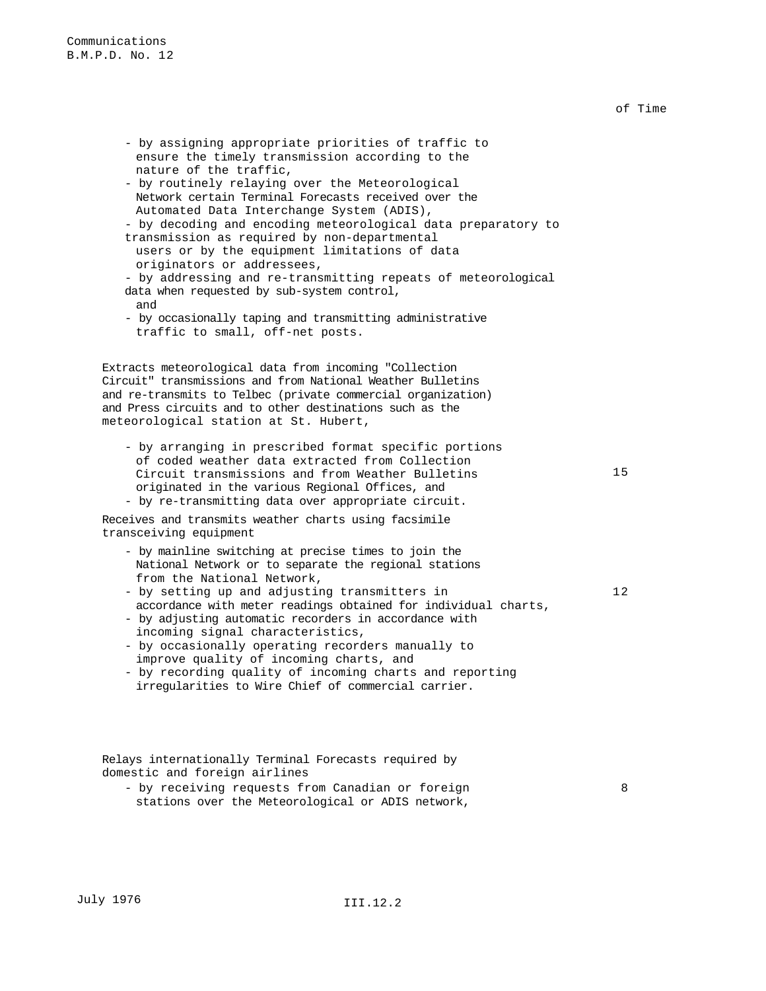- by assigning appropriate priorities of traffic to ensure the timely transmission according to the nature of the traffic, - by routinely relaying over the Meteorological Network certain Terminal Forecasts received over the Automated Data Interchange System (ADIS), - by decoding and encoding meteorological data preparatory to transmission as required by non-departmental users or by the equipment limitations of data originators or addressees, - by addressing and re-transmitting repeats of meteorological data when requested by sub-system control, and - by occasionally taping and transmitting administrative traffic to small, off-net posts. Extracts meteorological data from incoming "Collection Circuit" transmissions and from National Weather Bulletins and re-transmits to Telbec (private commercial organization) and Press circuits and to other destinations such as the meteorological station at St. Hubert, - by arranging in prescribed format specific portions of coded weather data extracted from Collection Circuit transmissions and from Weather Bulletins originated in the various Regional Offices, and - by re-transmitting data over appropriate circuit. Receives and transmits weather charts using facsimile transceiving equipment - by mainline switching at precise times to join the National Network or to separate the regional stations from the National Network, - by setting up and adjusting transmitters in accordance with meter readings obtained for individual charts, - by adjusting automatic recorders in accordance with incoming signal characteristics, - by occasionally operating recorders manually to improve quality of incoming charts, and - by recording quality of incoming charts and reporting irregularities to Wire Chief of commercial carrier.

Relays internationally Terminal Forecasts required by domestic and foreign airlines

- by receiving requests from Canadian or foreign stations over the Meteorological or ADIS network, 8

of Time

15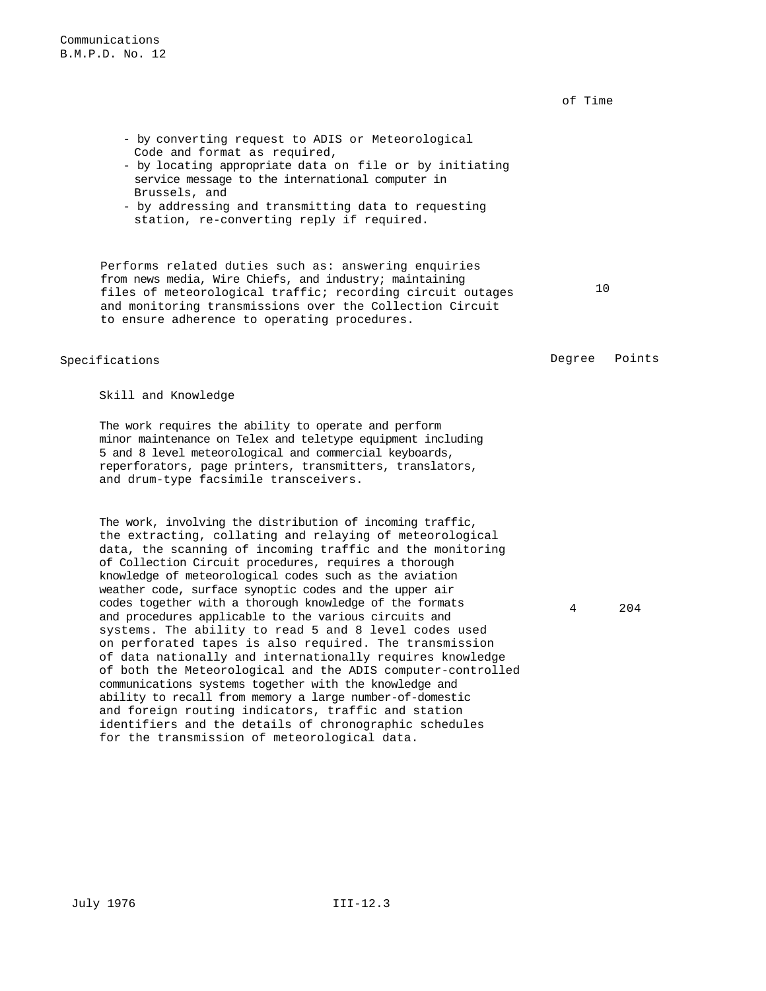of Time

- by converting request to ADIS or Meteorological Code and format as required,
- by locating appropriate data on file or by initiating service message to the international computer in Brussels, and
- by addressing and transmitting data to requesting station, re-converting reply if required.

Performs related duties such as: answering enquiries from news media, Wire Chiefs, and industry; maintaining files of meteorological traffic; recording circuit outages and monitoring transmissions over the Collection Circuit to ensure adherence to operating procedures.

Specifications Degree Points

10

Skill and Knowledge

The work requires the ability to operate and perform minor maintenance on Telex and teletype equipment including 5 and 8 level meteorological and commercial keyboards, reperforators, page printers, transmitters, translators, and drum-type facsimile transceivers.

The work, involving the distribution of incoming traffic, the extracting, collating and relaying of meteorological data, the scanning of incoming traffic and the monitoring of Collection Circuit procedures, requires a thorough knowledge of meteorological codes such as the aviation weather code, surface synoptic codes and the upper air codes together with a thorough knowledge of the formats and procedures applicable to the various circuits and systems. The ability to read 5 and 8 level codes used on perforated tapes is also required. The transmission of data nationally and internationally requires knowledge of both the Meteorological and the ADIS computer-controlled communications systems together with the knowledge and ability to recall from memory a large number-of-domestic and foreign routing indicators, traffic and station identifiers and the details of chronographic schedules for the transmission of meteorological data.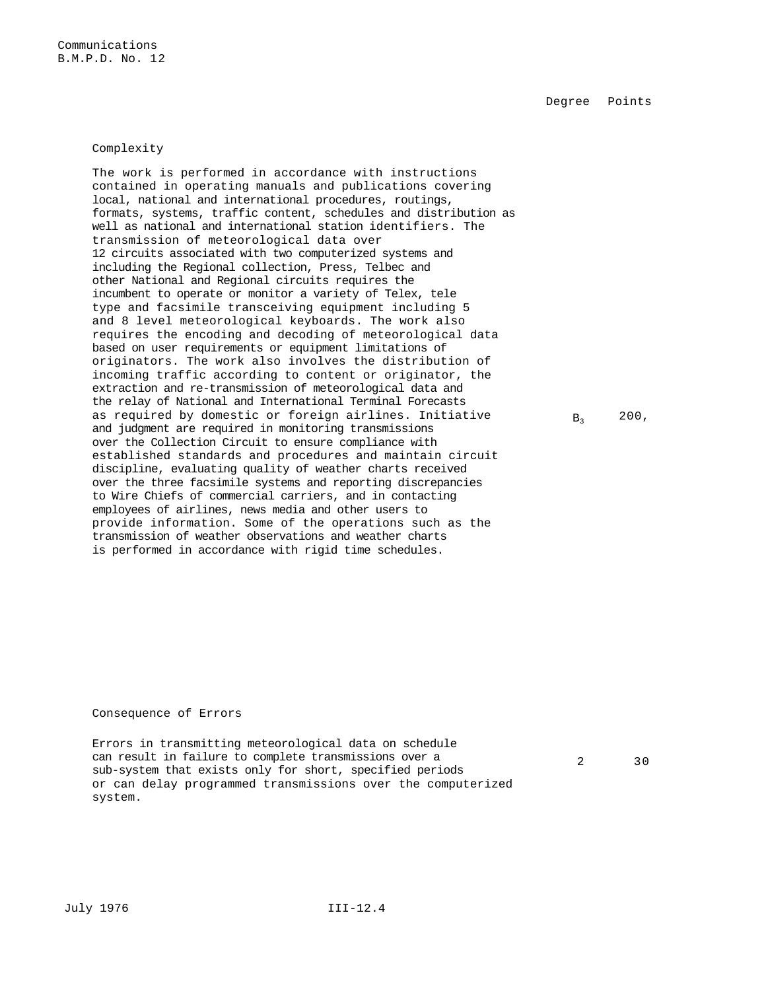Degree Points

## Complexity

The work is performed in accordance with instructions contained in operating manuals and publications covering local, national and international procedures, routings, formats, systems, traffic content, schedules and distribution as well as national and international station identifiers. The transmission of meteorological data over 12 circuits associated with two computerized systems and including the Regional collection, Press, Telbec and other National and Regional circuits requires the incumbent to operate or monitor a variety of Telex, tele type and facsimile transceiving equipment including 5 and 8 level meteorological keyboards. The work also requires the encoding and decoding of meteorological data based on user requirements or equipment limitations of originators. The work also involves the distribution of incoming traffic according to content or originator, the extraction and re-transmission of meteorological data and the relay of National and International Terminal Forecasts as required by domestic or foreign airlines. Initiative and judgment are required in monitoring transmissions over the Collection Circuit to ensure compliance with established standards and procedures and maintain circuit discipline, evaluating quality of weather charts received over the three facsimile systems and reporting discrepancies to Wire Chiefs of commercial carriers, and in contacting employees of airlines, news media and other users to provide information. Some of the operations such as the transmission of weather observations and weather charts is performed in accordance with rigid time schedules.

 $B_3$  200,

Consequence of Errors

Errors in transmitting meteorological data on schedule can result in failure to complete transmissions over a sub-system that exists only for short, specified periods or can delay programmed transmissions over the computerized system.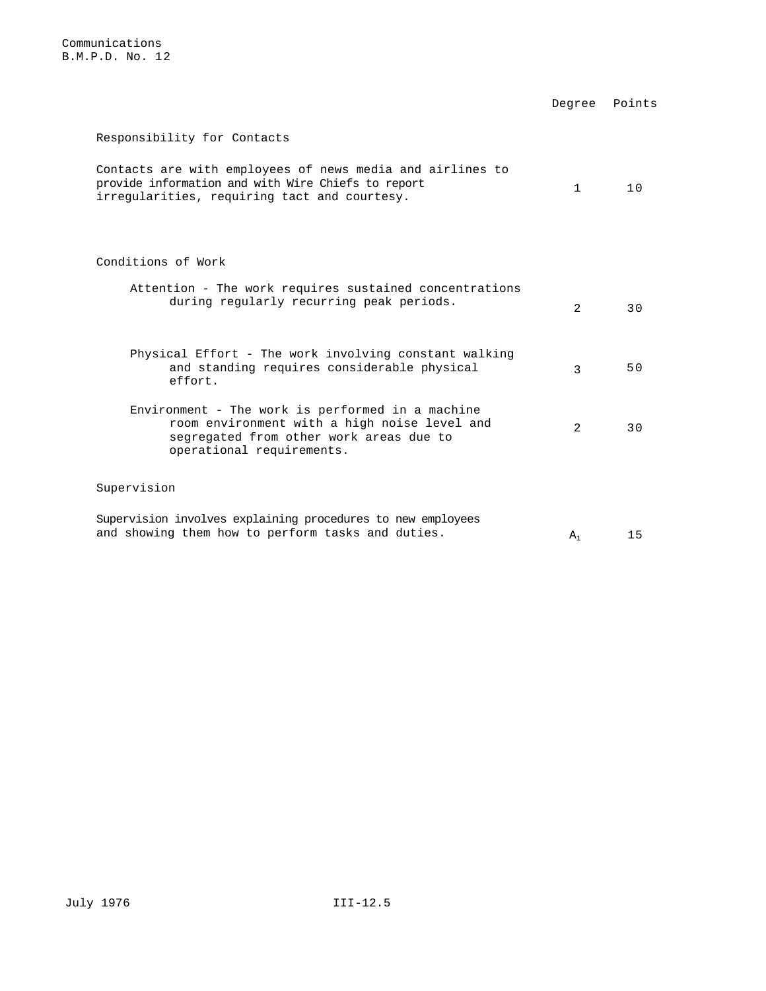Degree Points

# Responsibility for Contacts

| Contacts are with employees of news media and airlines to |      |
|-----------------------------------------------------------|------|
| provide information and with Wire Chiefs to report        | 10 D |
| irregularities, requiring tact and courtesy.              |      |

# Conditions of Work

| Attention - The work requires sustained concentrations<br>during regularly recurring peak periods.                                                                       | $\mathfrak{D}$ | 3 O |
|--------------------------------------------------------------------------------------------------------------------------------------------------------------------------|----------------|-----|
| Physical Effort - The work involving constant walking<br>and standing requires considerable physical<br>effort.                                                          | २              | 50  |
| Environment - The work is performed in a machine<br>room environment with a high noise level and<br>segregated from other work areas due to<br>operational requirements. | $\mathfrak{D}$ | 3 O |
| Supervision                                                                                                                                                              |                |     |
| Supervision involves explaining procedures to new employees<br>and showing them how to perform tasks and duties.                                                         | А,             | 15  |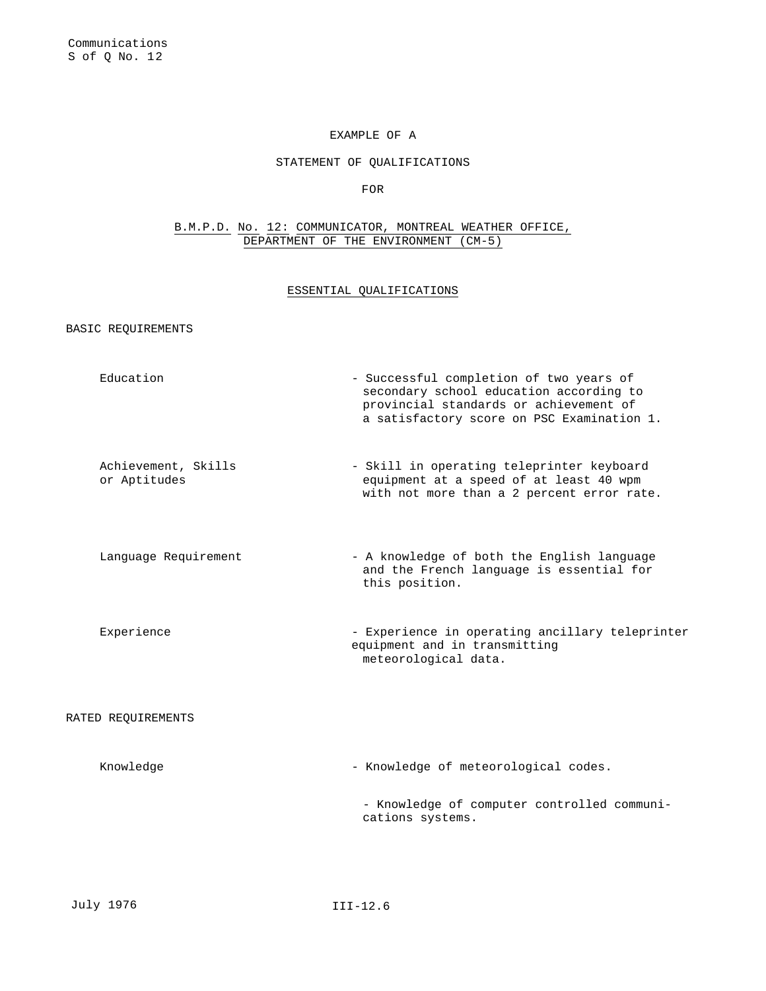## EXAMPLE OF A

## STATEMENT OF QUALIFICATIONS

FOR

# B.M.P.D. No. 12: COMMUNICATOR, MONTREAL WEATHER OFFICE, DEPARTMENT OF THE ENVIRONMENT (CM-5)

## ESSENTIAL QUALIFICATIONS

BASIC REQUIREMENTS

Education - Successful completion of two years of secondary school education according to provincial standards or achievement of a satisfactory score on PSC Examination 1. Achievement, Skills or Aptitudes - Skill in operating teleprinter keyboard equipment at a speed of at least 40 wpm with not more than a 2 percent error rate. Language Requirement - A knowledge of both the English language and the French language is essential for this position. Experience - Experience in operating ancillary teleprinter equipment and in transmitting meteorological data. RATED REQUIREMENTS

| Knowledge | - Knowledge of meteorological codes.                            |
|-----------|-----------------------------------------------------------------|
|           | - Knowledge of computer controlled communi-<br>cations systems. |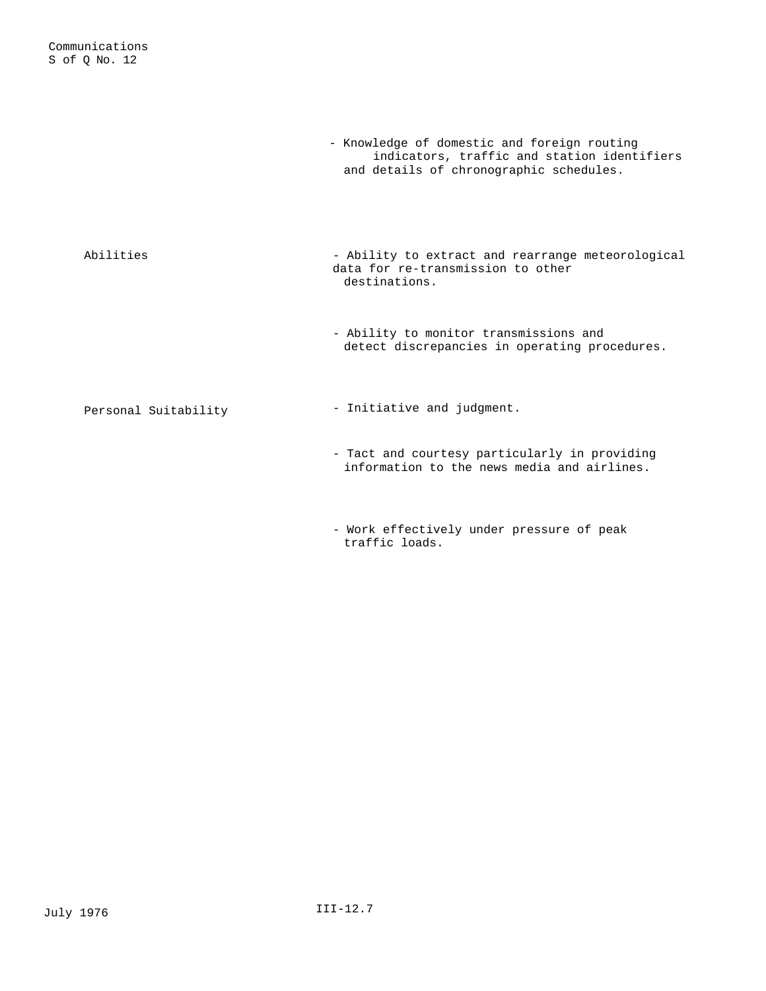|                      | - Knowledge of domestic and foreign routing<br>indicators, traffic and station identifiers<br>and details of chronographic schedules. |
|----------------------|---------------------------------------------------------------------------------------------------------------------------------------|
| Abilities            | - Ability to extract and rearrange meteorological<br>data for re-transmission to other<br>destinations.                               |
|                      | - Ability to monitor transmissions and<br>detect discrepancies in operating procedures.                                               |
| Personal Suitability | - Initiative and judgment.                                                                                                            |
|                      | - Tact and courtesy particularly in providing<br>information to the news media and airlines.                                          |

- Work effectively under pressure of peak traffic loads.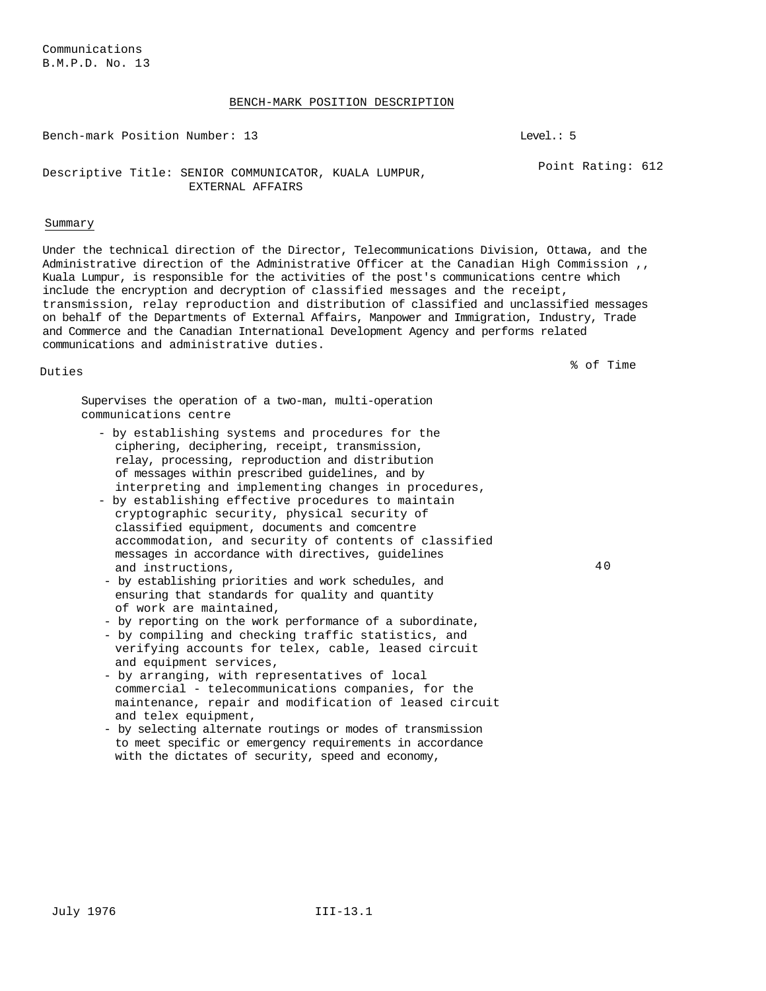### BENCH-MARK POSITION DESCRIPTION

Bench-mark Position Number: 13 Level.: 5

Point Rating: 612

# Descriptive Title: SENIOR COMMUNICATOR, KUALA LUMPUR, EXTERNAL AFFAIRS

### Summary

Under the technical direction of the Director, Telecommunications Division, Ottawa, and the Administrative direction of the Administrative Officer at the Canadian High Commission ,, Kuala Lumpur, is responsible for the activities of the post's communications centre which include the encryption and decryption of classified messages and the receipt, transmission, relay reproduction and distribution of classified and unclassified messages on behalf of the Departments of External Affairs, Manpower and Immigration, Industry, Trade and Commerce and the Canadian International Development Agency and performs related communications and administrative duties.

Duties % of Time

Supervises the operation of a two-man, multi-operation communications centre

- by establishing systems and procedures for the ciphering, deciphering, receipt, transmission, relay, processing, reproduction and distribution of messages within prescribed guidelines, and by interpreting and implementing changes in procedures,
- by establishing effective procedures to maintain cryptographic security, physical security of classified equipment, documents and comcentre accommodation, and security of contents of classified messages in accordance with directives, guidelines and instructions,
- by establishing priorities and work schedules, and ensuring that standards for quality and quantity of work are maintained,
- by reporting on the work performance of a subordinate,
- by compiling and checking traffic statistics, and verifying accounts for telex, cable, leased circuit and equipment services,
- by arranging, with representatives of local commercial - telecommunications companies, for the maintenance, repair and modification of leased circuit and telex equipment,
- by selecting alternate routings or modes of transmission to meet specific or emergency requirements in accordance with the dictates of security, speed and economy,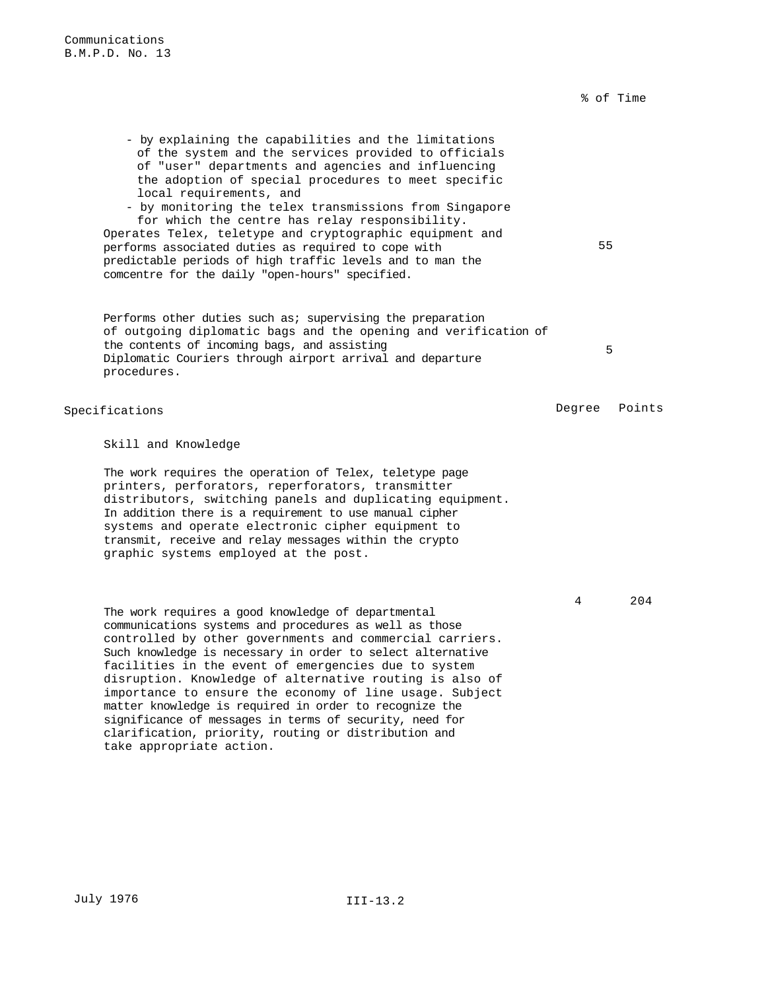% of Time

- by explaining the capabilities and the limitations of the system and the services provided to officials of "user" departments and agencies and influencing the adoption of special procedures to meet specific local requirements, and - by monitoring the telex transmissions from Singapore for which the centre has relay responsibility. Operates Telex, teletype and cryptographic equipment and performs associated duties as required to cope with predictable periods of high traffic levels and to man the comcentre for the daily "open-hours" specified. 55 Performs other duties such as; supervising the preparation of outgoing diplomatic bags and the opening and verification of the contents of incoming bags, and assisting Diplomatic Couriers through airport arrival and departure procedures. 5 Specifications and the set of the Second Second Degree Points

Skill and Knowledge

The work requires the operation of Telex, teletype page printers, perforators, reperforators, transmitter distributors, switching panels and duplicating equipment. In addition there is a requirement to use manual cipher systems and operate electronic cipher equipment to transmit, receive and relay messages within the crypto graphic systems employed at the post.

The work requires a good knowledge of departmental communications systems and procedures as well as those controlled by other governments and commercial carriers. Such knowledge is necessary in order to select alternative facilities in the event of emergencies due to system disruption. Knowledge of alternative routing is also of importance to ensure the economy of line usage. Subject matter knowledge is required in order to recognize the significance of messages in terms of security, need for clarification, priority, routing or distribution and take appropriate action.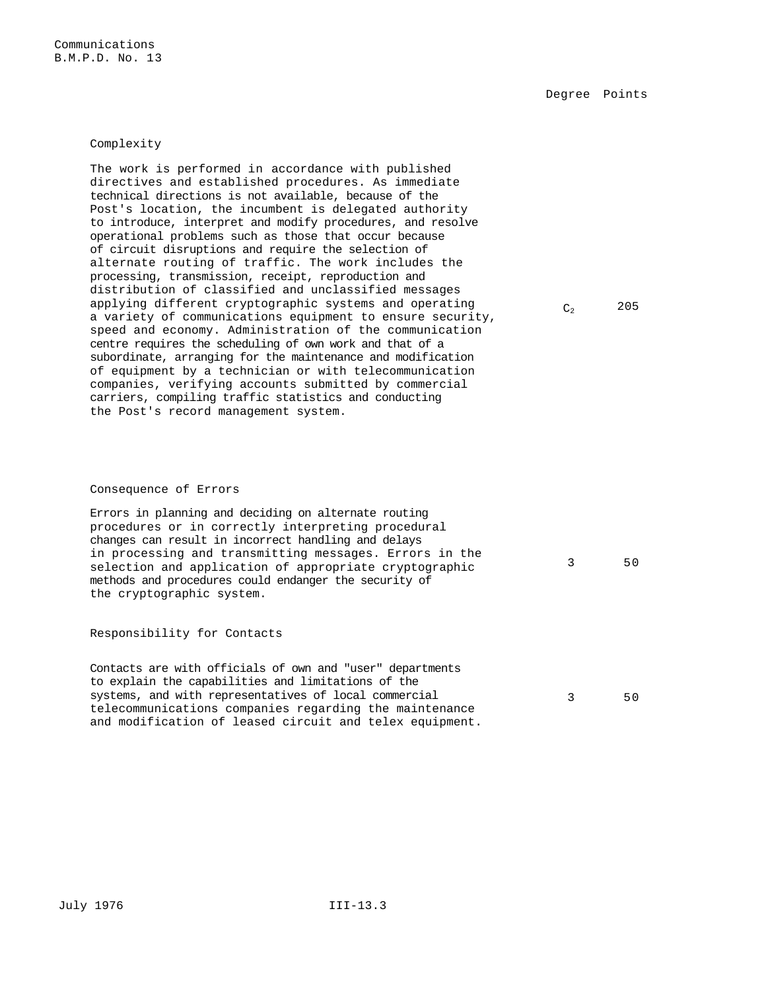### Complexity

The work is performed in accordance with published directives and established procedures. As immediate technical directions is not available, because of the Post's location, the incumbent is delegated authority to introduce, interpret and modify procedures, and resolve operational problems such as those that occur because of circuit disruptions and require the selection of alternate routing of traffic. The work includes the processing, transmission, receipt, reproduction and distribution of classified and unclassified messages applying different cryptographic systems and operating a variety of communications equipment to ensure security, speed and economy. Administration of the communication centre requires the scheduling of own work and that of a subordinate, arranging for the maintenance and modification of equipment by a technician or with telecommunication companies, verifying accounts submitted by commercial carriers, compiling traffic statistics and conducting the Post's record management system.

### Consequence of Errors

Errors in planning and deciding on alternate routing procedures or in correctly interpreting procedural changes can result in incorrect handling and delays in processing and transmitting messages. Errors in the selection and application of appropriate cryptographic methods and procedures could endanger the security of the cryptographic system.

#### Responsibility for Contacts

Contacts are with officials of own and "user" departments to explain the capabilities and limitations of the systems, and with representatives of local commercial telecommunications companies regarding the maintenance and modification of leased circuit and telex equipment.

 $C_2$  205

3 50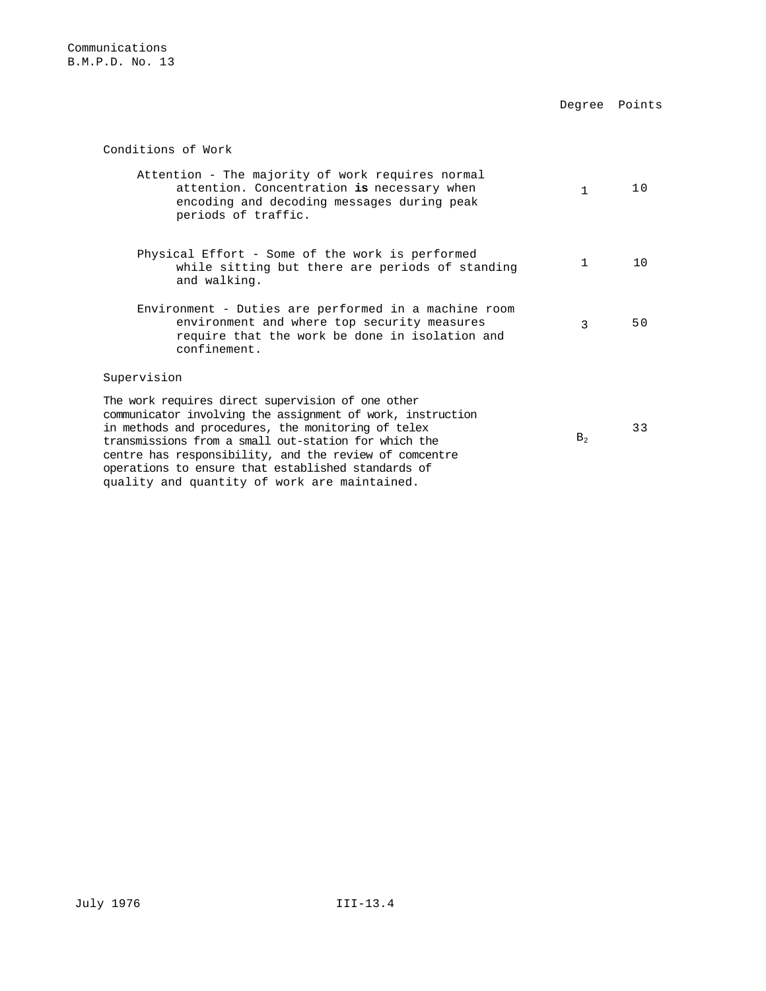Degree Points

Conditions of Work

| Attention - The majority of work requires normal<br>attention. Concentration is necessary when<br>encoding and decoding messages during peak<br>periods of traffic.                                                                                                                                                                           | $\mathbf{1}$   | 10 |
|-----------------------------------------------------------------------------------------------------------------------------------------------------------------------------------------------------------------------------------------------------------------------------------------------------------------------------------------------|----------------|----|
| Physical Effort - Some of the work is performed<br>while sitting but there are periods of standing<br>and walking.                                                                                                                                                                                                                            | 1              | 10 |
| Environment - Duties are performed in a machine room<br>environment and where top security measures<br>require that the work be done in isolation and<br>confinement.                                                                                                                                                                         | ζ              | 50 |
| Supervision                                                                                                                                                                                                                                                                                                                                   |                |    |
| The work requires direct supervision of one other<br>communicator involving the assignment of work, instruction<br>in methods and procedures, the monitoring of telex<br>transmissions from a small out-station for which the<br>centre has responsibility, and the review of comcentre<br>operations to ensure that established standards of | B <sub>2</sub> | 33 |

quality and quantity of work are maintained.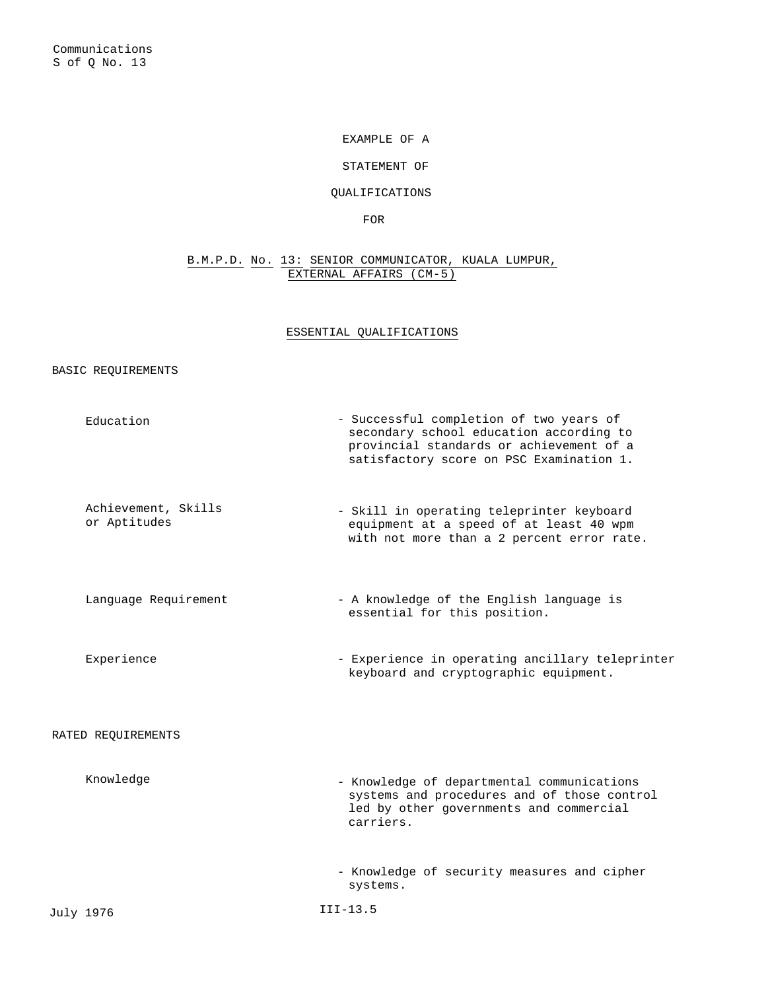# EXAMPLE OF A

# STATEMENT OF

# QUALIFICATIONS

FOR

# B.M.P.D. No. 13: SENIOR COMMUNICATOR, KUALA LUMPUR, EXTERNAL AFFAIRS (CM-5)

# ESSENTIAL QUALIFICATIONS

# BASIC REQUIREMENTS

|           | Education                           | - Successful completion of two years of<br>secondary school education according to<br>provincial standards or achievement of a<br>satisfactory score on PSC Examination 1. |
|-----------|-------------------------------------|----------------------------------------------------------------------------------------------------------------------------------------------------------------------------|
|           | Achievement, Skills<br>or Aptitudes | - Skill in operating teleprinter keyboard<br>equipment at a speed of at least 40 wpm<br>with not more than a 2 percent error rate.                                         |
|           | Language Requirement                | - A knowledge of the English language is<br>essential for this position.                                                                                                   |
|           | Experience                          | - Experience in operating ancillary teleprinter<br>keyboard and cryptographic equipment.                                                                                   |
|           | RATED REQUIREMENTS                  |                                                                                                                                                                            |
|           | Knowledge                           | - Knowledge of departmental communications<br>systems and procedures and of those control<br>led by other governments and commercial<br>carriers.                          |
|           |                                     | - Knowledge of security measures and cipher<br>systems.                                                                                                                    |
| July 1976 |                                     | $III-13.5$                                                                                                                                                                 |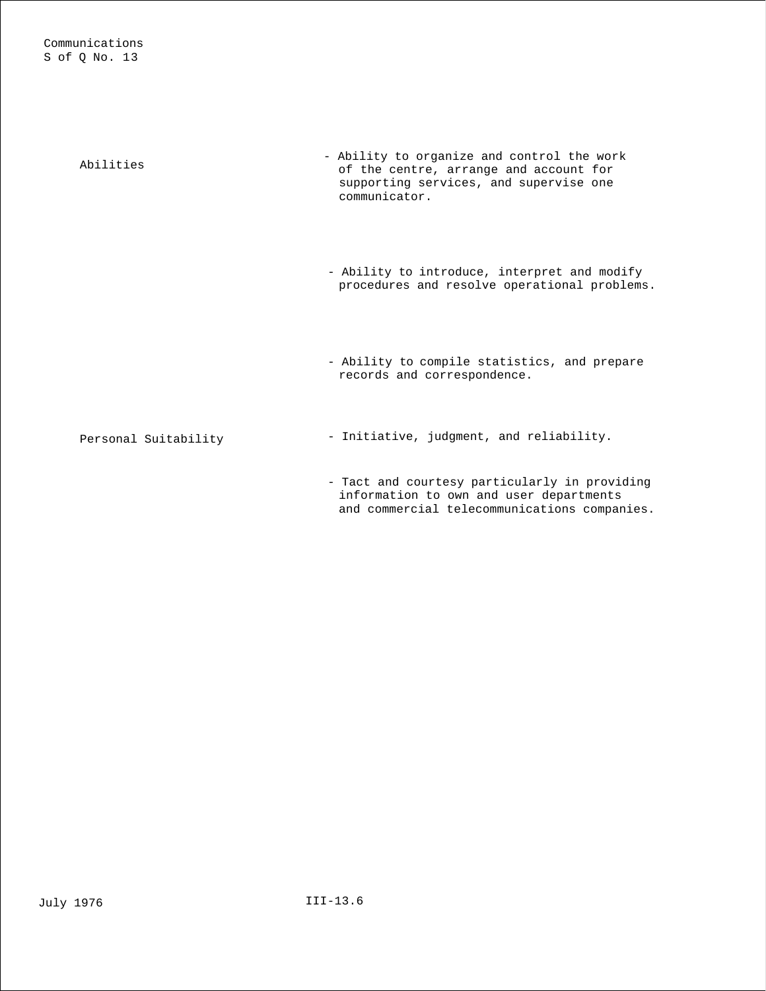| Abilities            | - Ability to organize and control the work<br>of the centre, arrange and account for<br>supporting services, and supervise one<br>communicator. |
|----------------------|-------------------------------------------------------------------------------------------------------------------------------------------------|
|                      | - Ability to introduce, interpret and modify<br>procedures and resolve operational problems.                                                    |
|                      | - Ability to compile statistics, and prepare<br>records and correspondence.                                                                     |
| Personal Suitability | - Initiative, judgment, and reliability.                                                                                                        |
|                      | - Tact and courtesy particularly in providing<br>information to own and user departments<br>and commercial telecommunications companies.        |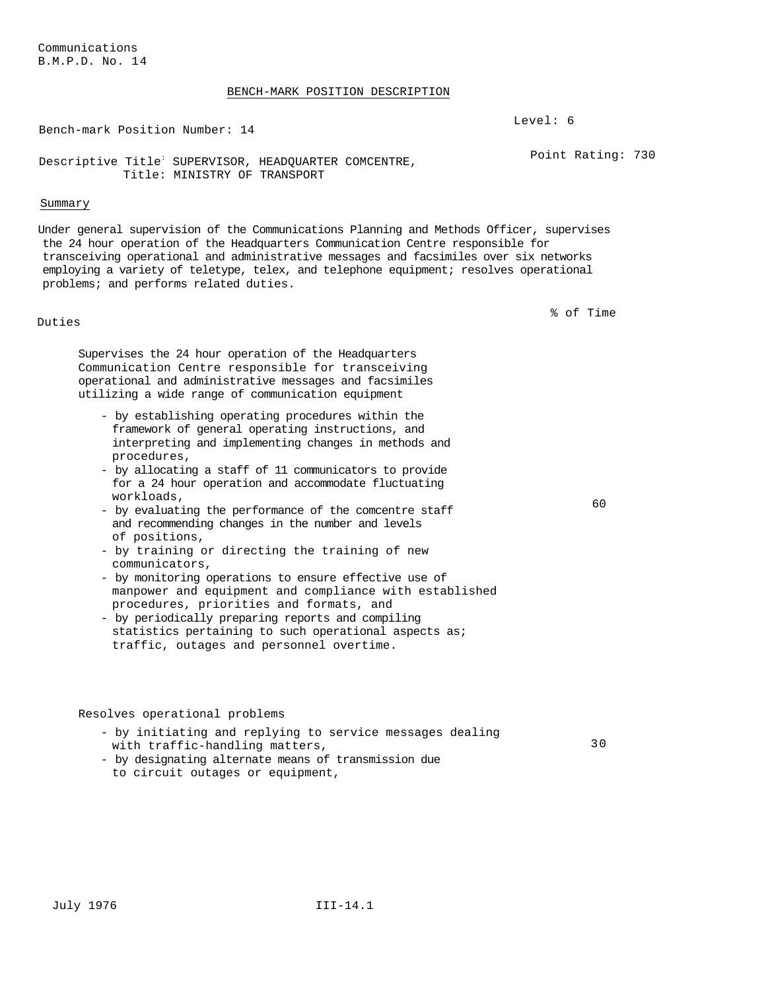#### BENCH-MARK POSITION DESCRIPTION

Bench-mark Position Number: 14

Descriptive Title<sup>:</sup> SUPERVISOR, HEADQUARTER COMCENTRE, Title: MINISTRY OF TRANSPORT

## Summary

Under general supervision of the Communications Planning and Methods Officer, supervises the 24 hour operation of the Headquarters Communication Centre responsible for transceiving operational and administrative messages and facsimiles over six networks employing a variety of teletype, telex, and telephone equipment; resolves operational problems; and performs related duties.

Duties

% of Time

Point Rating: 730

Level: 6

Supervises the 24 hour operation of the Headquarters Communication Centre responsible for transceiving operational and administrative messages and facsimiles utilizing a wide range of communication equipment

- by establishing operating procedures within the framework of general operating instructions, and interpreting and implementing changes in methods and procedures,
- by allocating a staff of 11 communicators to provide for a 24 hour operation and accommodate fluctuating workloads,
- by evaluating the performance of the comcentre staff and recommending changes in the number and levels of positions,
- by training or directing the training of new communicators,
- by monitoring operations to ensure effective use of manpower and equipment and compliance with established procedures, priorities and formats, and
- by periodically preparing reports and compiling statistics pertaining to such operational aspects as; traffic, outages and personnel overtime.

# Resolves operational problems

| - by initiating and replying to service messages dealing |     |
|----------------------------------------------------------|-----|
| with traffic-handling matters,                           | 3 O |
| - by designating alternate means of transmission due     |     |
| to circuit outages or equipment,                         |     |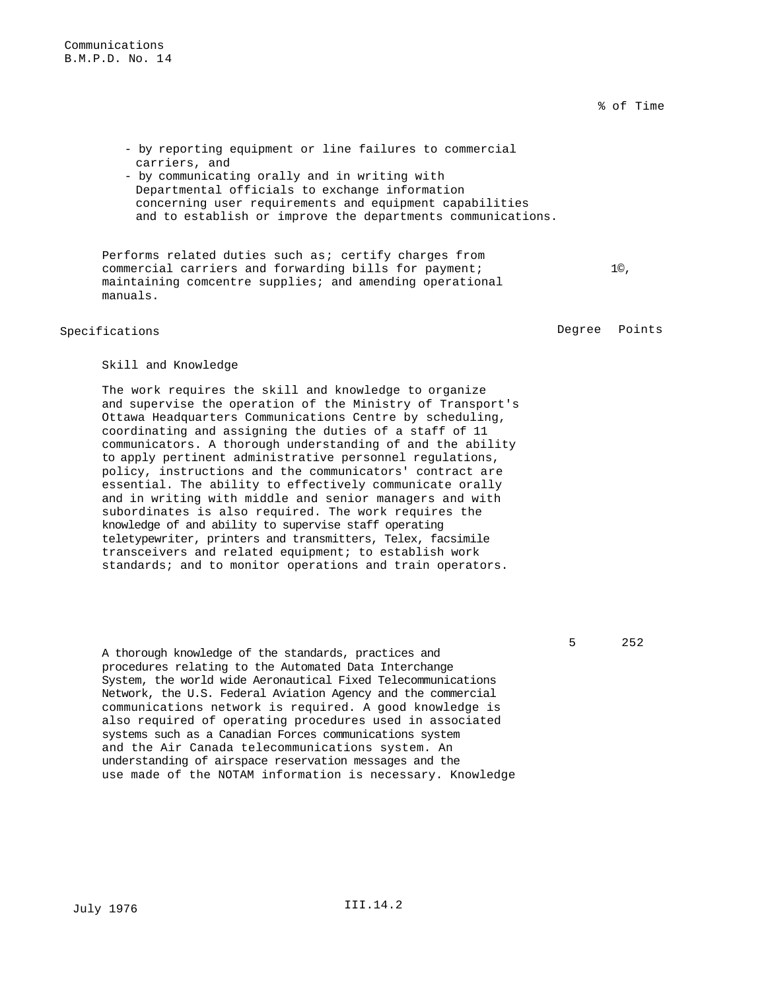% of Time

- by reporting equipment or line failures to commercial carriers, and
- by communicating orally and in writing with Departmental officials to exchange information concerning user requirements and equipment capabilities and to establish or improve the departments communications.

Performs related duties such as; certify charges from commercial carriers and forwarding bills for payment; maintaining comcentre supplies; and amending operational manuals.

Specifications **Degree** Points

1©,

# Skill and Knowledge

The work requires the skill and knowledge to organize and supervise the operation of the Ministry of Transport's Ottawa Headquarters Communications Centre by scheduling, coordinating and assigning the duties of a staff of 11 communicators. A thorough understanding of and the ability to apply pertinent administrative personnel regulations, policy, instructions and the communicators' contract are essential. The ability to effectively communicate orally and in writing with middle and senior managers and with subordinates is also required. The work requires the knowledge of and ability to supervise staff operating teletypewriter, printers and transmitters, Telex, facsimile transceivers and related equipment; to establish work standards; and to monitor operations and train operators.

5 252

A thorough knowledge of the standards, practices and procedures relating to the Automated Data Interchange System, the world wide Aeronautical Fixed Telecommunications Network, the U.S. Federal Aviation Agency and the commercial communications network is required. A good knowledge is also required of operating procedures used in associated systems such as a Canadian Forces communications system and the Air Canada telecommunications system. An understanding of airspace reservation messages and the use made of the NOTAM information is necessary. Knowledge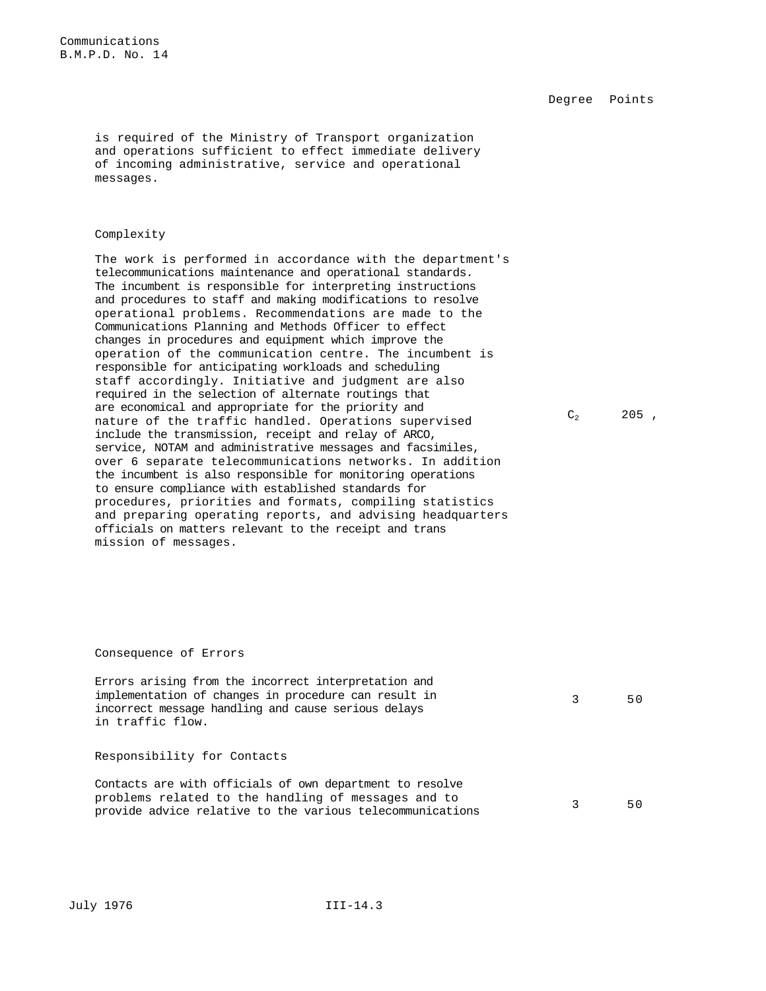Degree Points

is required of the Ministry of Transport organization and operations sufficient to effect immediate delivery of incoming administrative, service and operational messages.

## Complexity

The work is performed in accordance with the department's telecommunications maintenance and operational standards. The incumbent is responsible for interpreting instructions and procedures to staff and making modifications to resolve operational problems. Recommendations are made to the Communications Planning and Methods Officer to effect changes in procedures and equipment which improve the operation of the communication centre. The incumbent is responsible for anticipating workloads and scheduling staff accordingly. Initiative and judgment are also required in the selection of alternate routings that are economical and appropriate for the priority and nature of the traffic handled. Operations supervised include the transmission, receipt and relay of ARCO, service, NOTAM and administrative messages and facsimiles, over 6 separate telecommunications networks. In addition the incumbent is also responsible for monitoring operations to ensure compliance with established standards for procedures, priorities and formats, compiling statistics and preparing operating reports, and advising headquarters officials on matters relevant to the receipt and trans mission of messages.

#### $C_2$  205,

#### Consequence of Errors

Errors arising from the incorrect interpretation and implementation of changes in procedure can result in incorrect message handling and cause serious delays in traffic flow.

## Responsibility for Contacts

Contacts are with officials of own department to resolve problems related to the handling of messages and to problems related to the handling of messages and to  $3$  50<br>provide advice relative to the various telecommunications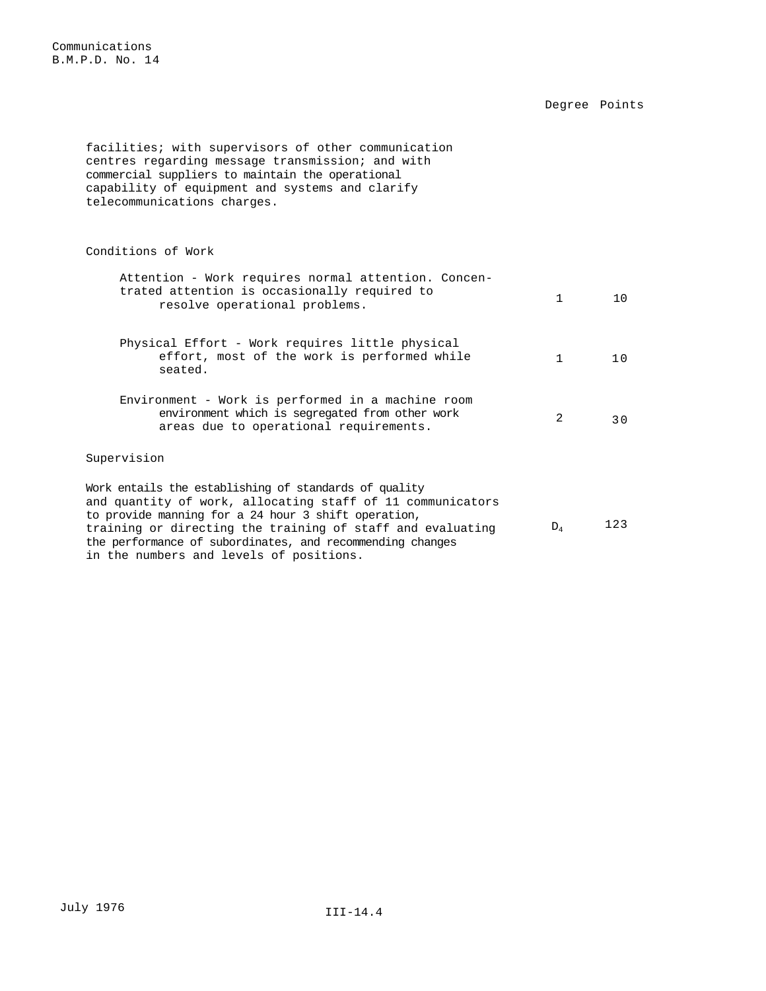Degree Points

facilities; with supervisors of other communication centres regarding message transmission; and with commercial suppliers to maintain the operational capability of equipment and systems and clarify telecommunications charges. Conditions of Work Attention - Work requires normal attention. Concentrated attention is occasionally required to resolve operational problems.<br>The solve operational problems. Physical Effort - Work requires little physical effort, most of the work is performed while seated. 1 10 Environment - Work is performed in a machine room environment which is segregated from other work areas due to operational requirements. 2 30 Supervision Work entails the establishing of standards of quality and quantity of work, allocating staff of 11 communicators to provide manning for a 24 hour 3 shift operation, training or directing the training of staff and evaluating  $D_4$  123 the performance of subordinates, and recommending changes

in the numbers and levels of positions.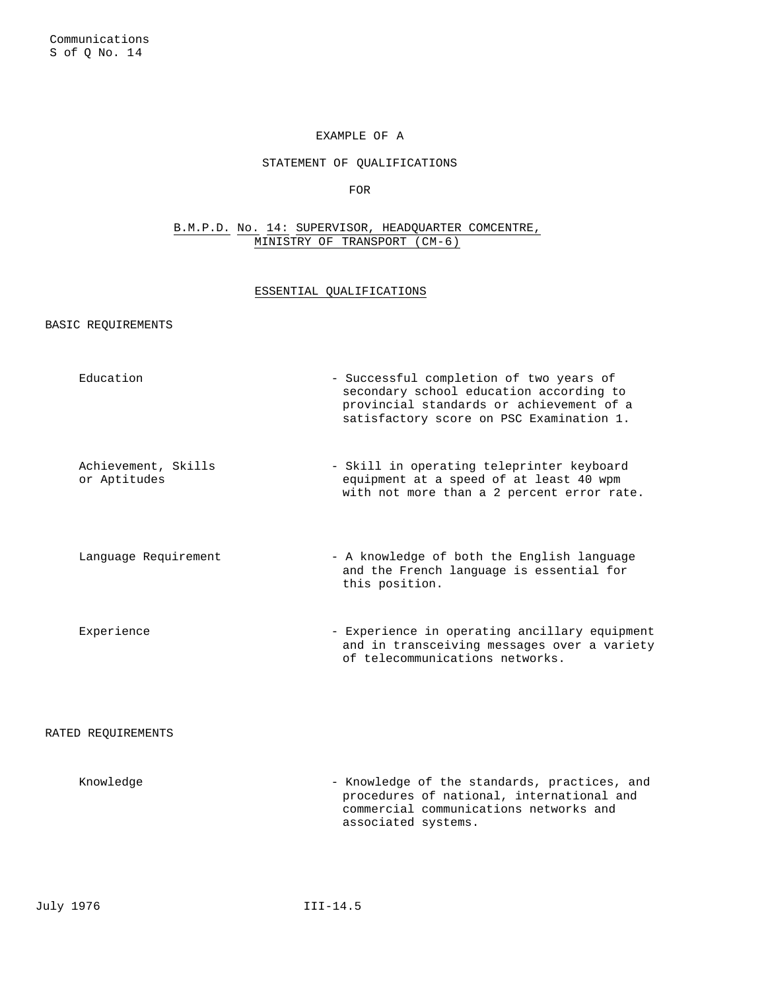# EXAMPLE OF A

# STATEMENT OF QUALIFICATIONS

FOR

# B.M.P.D. No. 14: SUPERVISOR, HEADQUARTER COMCENTRE, MINISTRY OF TRANSPORT (CM-6)

# ESSENTIAL QUALIFICATIONS

# BASIC REQUIREMENTS

| Education                           | - Successful completion of two years of<br>secondary school education according to<br>provincial standards or achievement of a<br>satisfactory score on PSC Examination 1. |
|-------------------------------------|----------------------------------------------------------------------------------------------------------------------------------------------------------------------------|
| Achievement, Skills<br>or Aptitudes | - Skill in operating teleprinter keyboard<br>equipment at a speed of at least 40 wpm<br>with not more than a 2 percent error rate.                                         |
| Language Requirement                | - A knowledge of both the English language<br>and the French language is essential for<br>this position.                                                                   |
| Experience                          | - Experience in operating ancillary equipment<br>and in transceiving messages over a variety<br>of telecommunications networks.                                            |
| RATED REOUIREMENTS                  |                                                                                                                                                                            |
| Knowledge                           | - Knowledge of the standards, practices, and<br>procedures of national, international and<br>commercial communications networks and<br>associated systems.                 |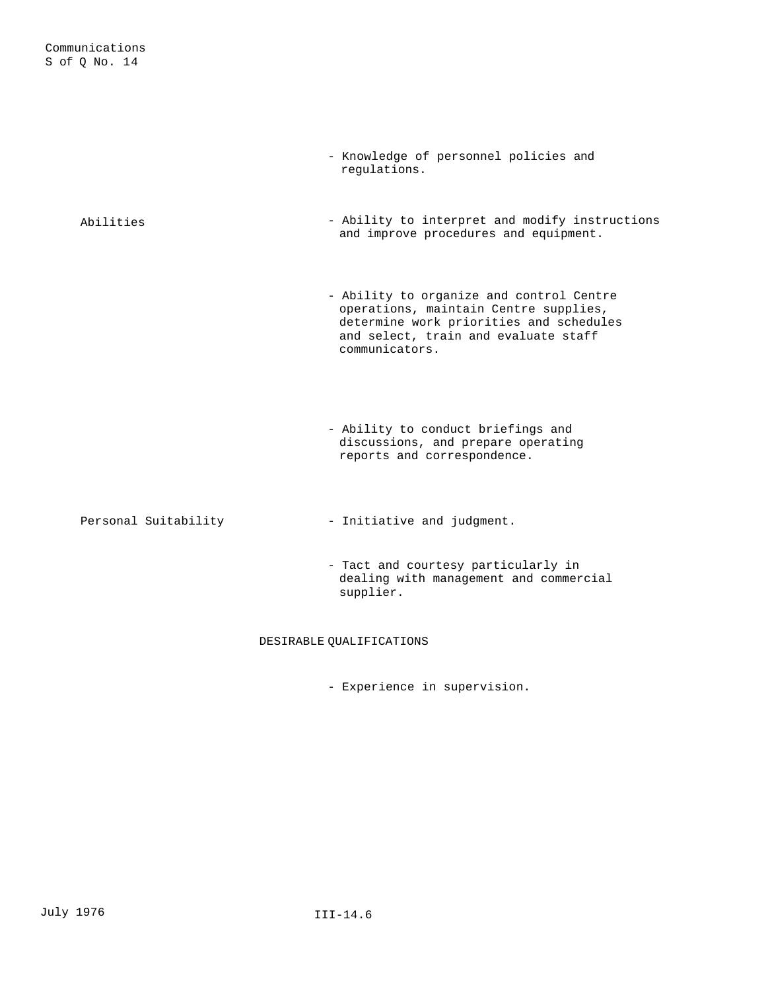|                      | - Knowledge of personnel policies and<br>requlations.                                                                                                                                  |
|----------------------|----------------------------------------------------------------------------------------------------------------------------------------------------------------------------------------|
| Abilities            | - Ability to interpret and modify instructions<br>and improve procedures and equipment.                                                                                                |
|                      | - Ability to organize and control Centre<br>operations, maintain Centre supplies,<br>determine work priorities and schedules<br>and select, train and evaluate staff<br>communicators. |
|                      | - Ability to conduct briefings and<br>discussions, and prepare operating<br>reports and correspondence.                                                                                |
| Personal Suitability | - Initiative and judgment.                                                                                                                                                             |
|                      | - Tact and courtesy particularly in<br>dealing with management and commercial<br>supplier.                                                                                             |

# DESIRABLE QUALIFICATIONS

- Experience in supervision.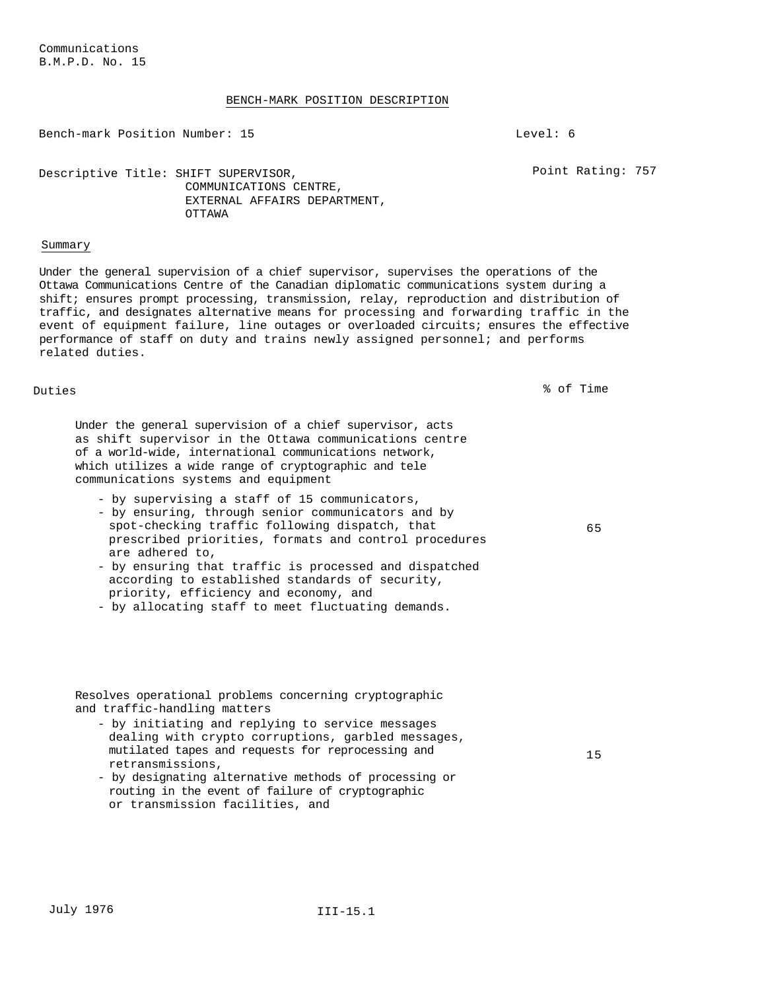## BENCH-MARK POSITION DESCRIPTION

Bench-mark Position Number: 15 Level: 6

Point Rating: 757

## Descriptive Title: SHIFT SUPERVISOR, COMMUNICATIONS CENTRE, EXTERNAL AFFAIRS DEPARTMENT, OTTAWA

## Summary

Under the general supervision of a chief supervisor, supervises the operations of the Ottawa Communications Centre of the Canadian diplomatic communications system during a shift; ensures prompt processing, transmission, relay, reproduction and distribution of traffic, and designates alternative means for processing and forwarding traffic in the event of equipment failure, line outages or overloaded circuits; ensures the effective performance of staff on duty and trains newly assigned personnel; and performs related duties.

Duties % of Time

65

15

Under the general supervision of a chief supervisor, acts as shift supervisor in the Ottawa communications centre of a world-wide, international communications network, which utilizes a wide range of cryptographic and tele communications systems and equipment

- by supervising a staff of 15 communicators,
- by ensuring, through senior communicators and by spot-checking traffic following dispatch, that prescribed priorities, formats and control procedures are adhered to,
- by ensuring that traffic is processed and dispatched according to established standards of security, priority, efficiency and economy, and
- by allocating staff to meet fluctuating demands.

Resolves operational problems concerning cryptographic and traffic-handling matters

- by initiating and replying to service messages dealing with crypto corruptions, garbled messages, mutilated tapes and requests for reprocessing and retransmissions,
- by designating alternative methods of processing or routing in the event of failure of cryptographic or transmission facilities, and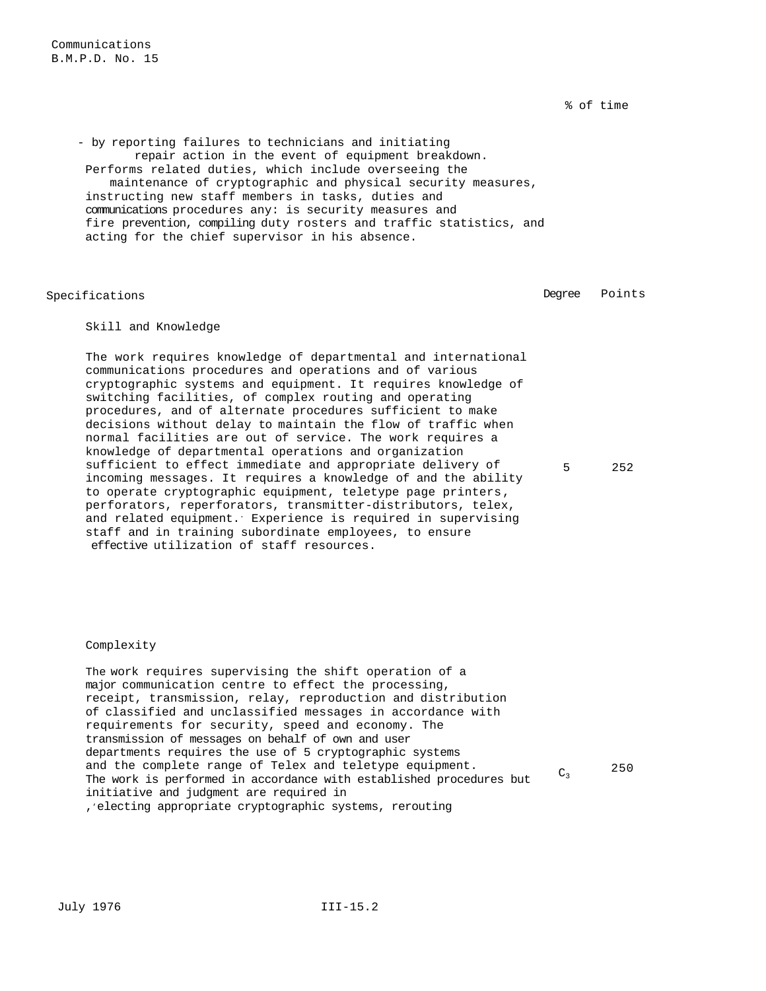% of time

- by reporting failures to technicians and initiating repair action in the event of equipment breakdown. Performs related duties, which include overseeing the maintenance of cryptographic and physical security measures, instructing new staff members in tasks, duties and communications procedures any: is security measures and fire prevention, compiling duty rosters and traffic statistics, and acting for the chief supervisor in his absence.

Specifications **Degree** Points

# Skill and Knowledge

The work requires knowledge of departmental and international communications procedures and operations and of various cryptographic systems and equipment. It requires knowledge of switching facilities, of complex routing and operating procedures, and of alternate procedures sufficient to make decisions without delay to maintain the flow of traffic when normal facilities are out of service. The work requires a knowledge of departmental operations and organization sufficient to effect immediate and appropriate delivery of incoming messages. It requires a knowledge of and the ability to operate cryptographic equipment, teletype page printers, perforators, reperforators, transmitter-distributors, telex, and related equipment. Experience is required in supervising staff and in training subordinate employees, to ensure effective utilization of staff resources.

5 252

## Complexity

The work requires supervising the shift operation of a major communication centre to effect the processing, receipt, transmission, relay, reproduction and distribution of classified and unclassified messages in accordance with requirements for security, speed and economy. The transmission of messages on behalf of own and user departments requires the use of 5 cryptographic systems and the complete range of Telex and teletype equipment. and the complete range of Telex and teletype equipment.  $C_3$  250  $\,$ initiative and judgment are required in ,, electing appropriate cryptographic systems, rerouting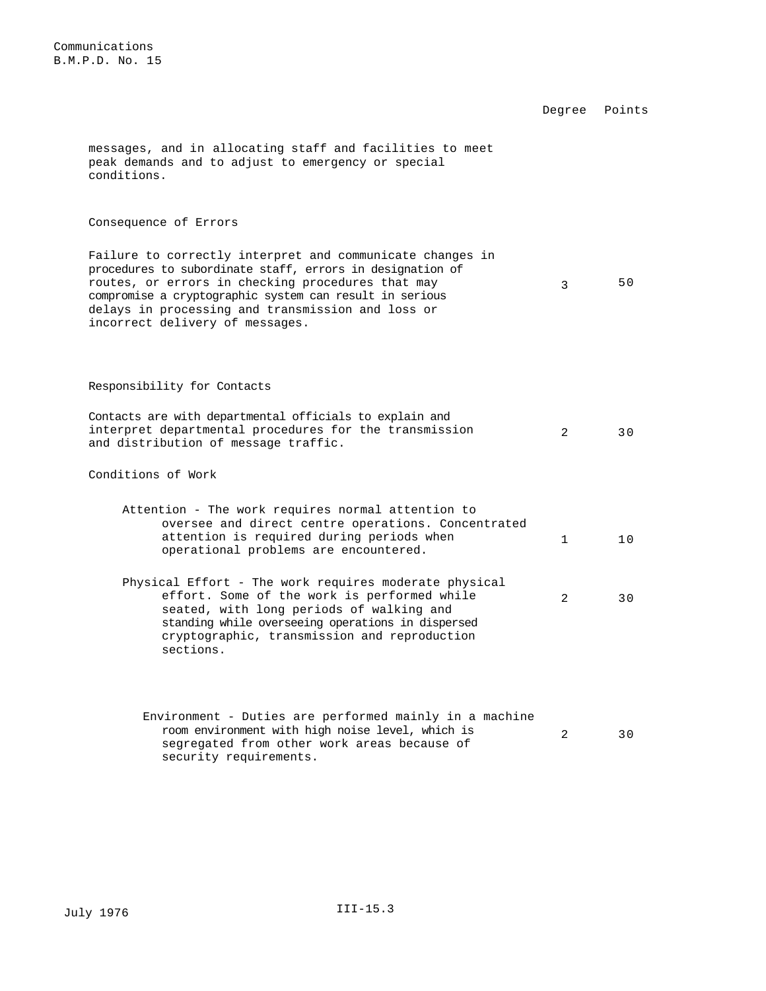Degree Points messages, and in allocating staff and facilities to meet peak demands and to adjust to emergency or special conditions. Consequence of Errors Failure to correctly interpret and communicate changes in procedures to subordinate staff, errors in designation of routes, or errors in checking procedures that may compromise a cryptographic system can result in serious delays in processing and transmission and loss or incorrect delivery of messages. 3 50 Responsibility for Contacts Contacts are with departmental officials to explain and interpret departmental procedures for the transmission and distribution of message traffic. 2 30 Conditions of Work Attention - The work requires normal attention to oversee and direct centre operations. Concentrated attention is required during periods when operational problems are encountered. 1 10 Physical Effort - The work requires moderate physical effort. Some of the work is performed while seated, with long periods of walking and standing while overseeing operations in dispersed 2 30

cryptographic, transmission and reproduction

sections.

Environment - Duties are performed mainly in a machine room environment with high noise level, which is segregated from other work areas because of security requirements. 2 30

Communications B.M.P.D. No. 15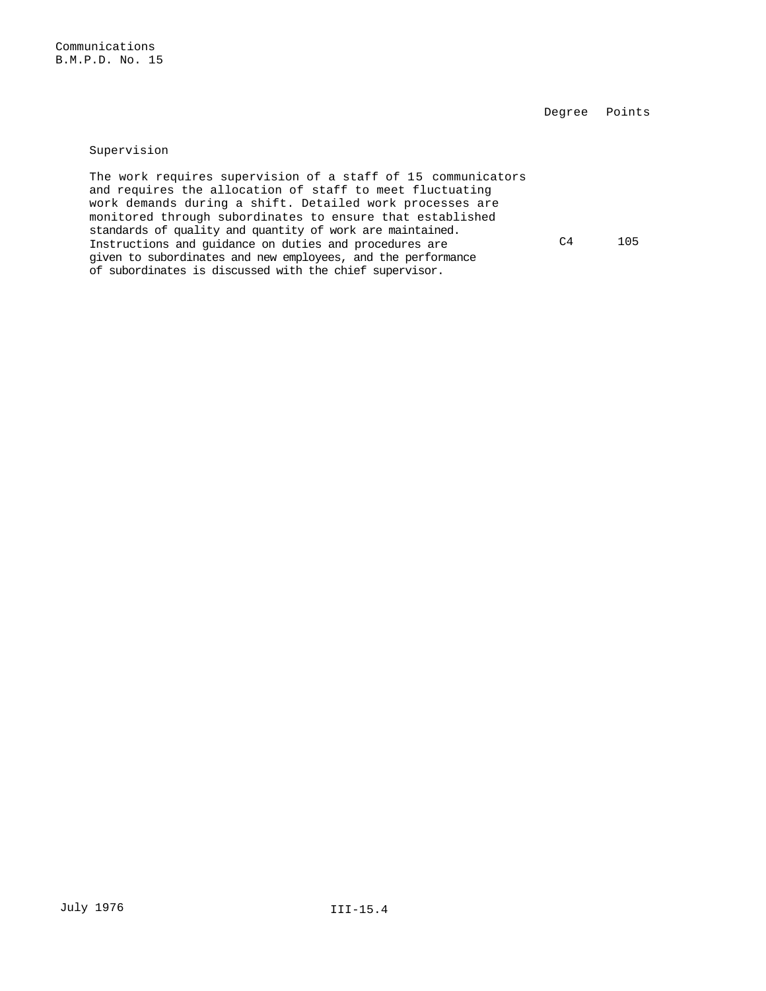Degree Points

Supervision

The work requires supervision of a staff of 15 communicators and requires the allocation of staff to meet fluctuating work demands during a shift. Detailed work processes are monitored through subordinates to ensure that established standards of quality and quantity of work are maintained. Instructions and guidance on duties and procedures are given to subordinates and new employees, and the performance of subordinates is discussed with the chief supervisor. C4 105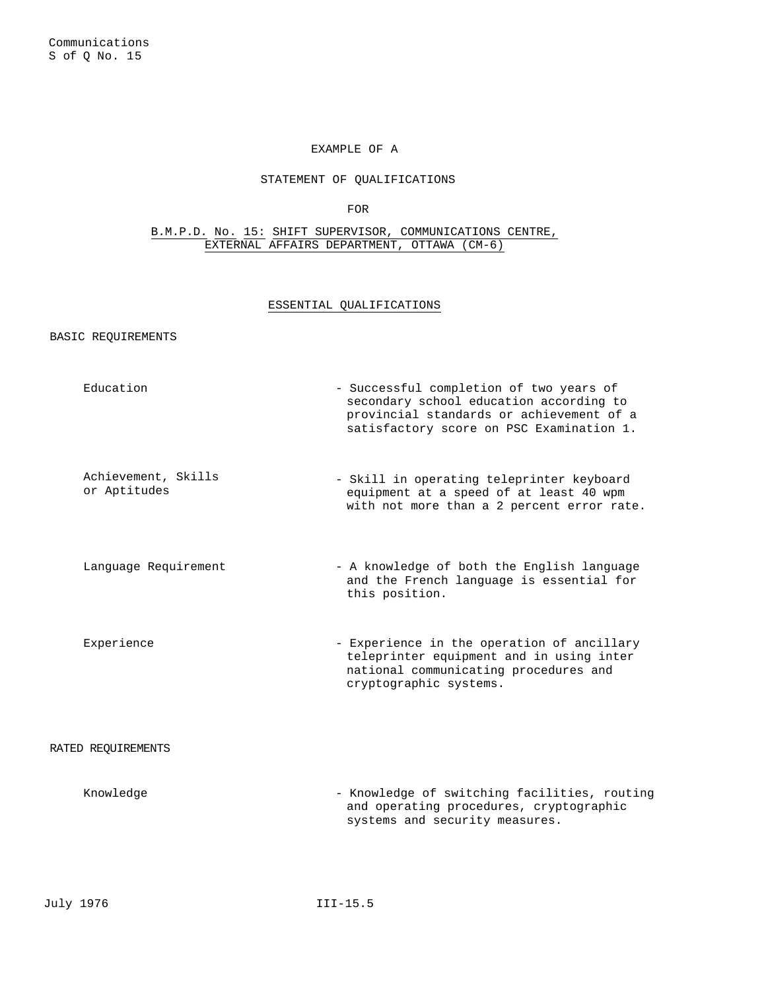# EXAMPLE OF A

# STATEMENT OF QUALIFICATIONS

FOR

B.M.P.D. No. 15: SHIFT SUPERVISOR, COMMUNICATIONS CENTRE, EXTERNAL AFFAIRS DEPARTMENT, OTTAWA (CM-6)

#### ESSENTIAL QUALIFICATIONS

#### BASIC REQUIREMENTS

Education  $-$  Successful completion of two years of secondary school education according to provincial standards or achievement of a satisfactory score on PSC Examination 1. Achievement, Skills or Aptitudes - Skill in operating teleprinter keyboard equipment at a speed of at least 40 wpm with not more than a 2 percent error rate. Language Requirement - A knowledge of both the English language and the French language is essential for this position. Experience - Experience in the operation of ancillary teleprinter equipment and in using inter national communicating procedures and cryptographic systems. RATED REQUIREMENTS Knowledge - Knowledge of switching facilities, routing and operating procedures, cryptographic systems and security measures.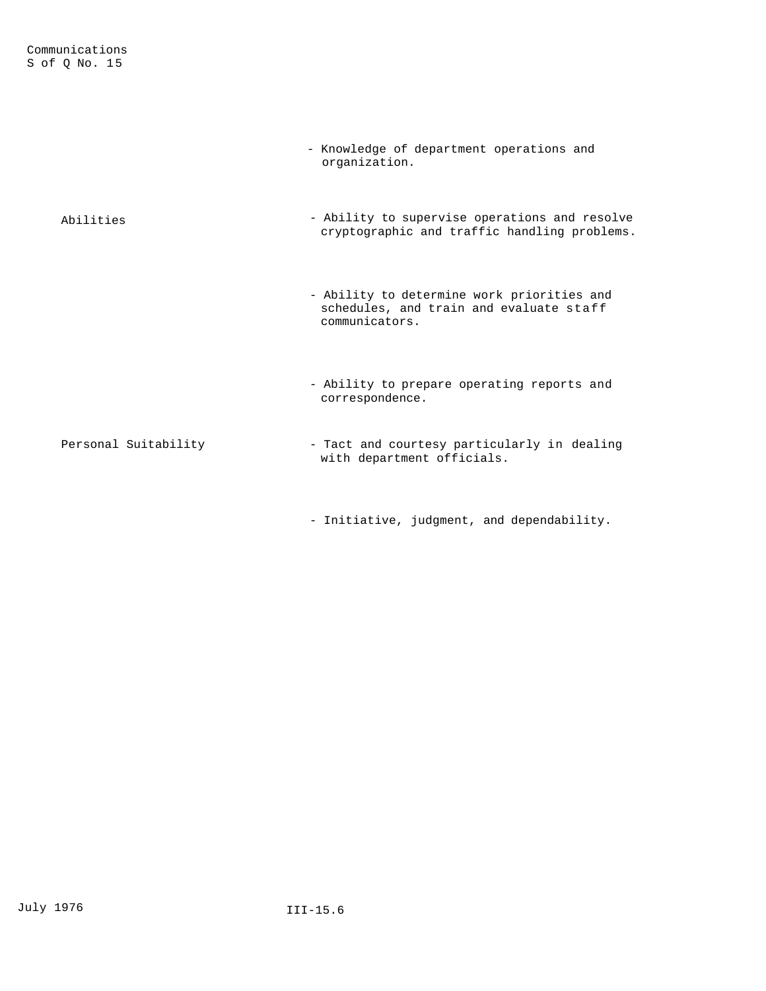|                      | - Knowledge of department operations and<br>organization.                                               |
|----------------------|---------------------------------------------------------------------------------------------------------|
| Abilities            | - Ability to supervise operations and resolve<br>cryptographic and traffic handling problems.           |
|                      | - Ability to determine work priorities and<br>schedules, and train and evaluate staff<br>communicators. |
|                      | - Ability to prepare operating reports and<br>correspondence.                                           |
| Personal Suitability | - Tact and courtesy particularly in dealing<br>with department officials.                               |

- Initiative, judgment, and dependability.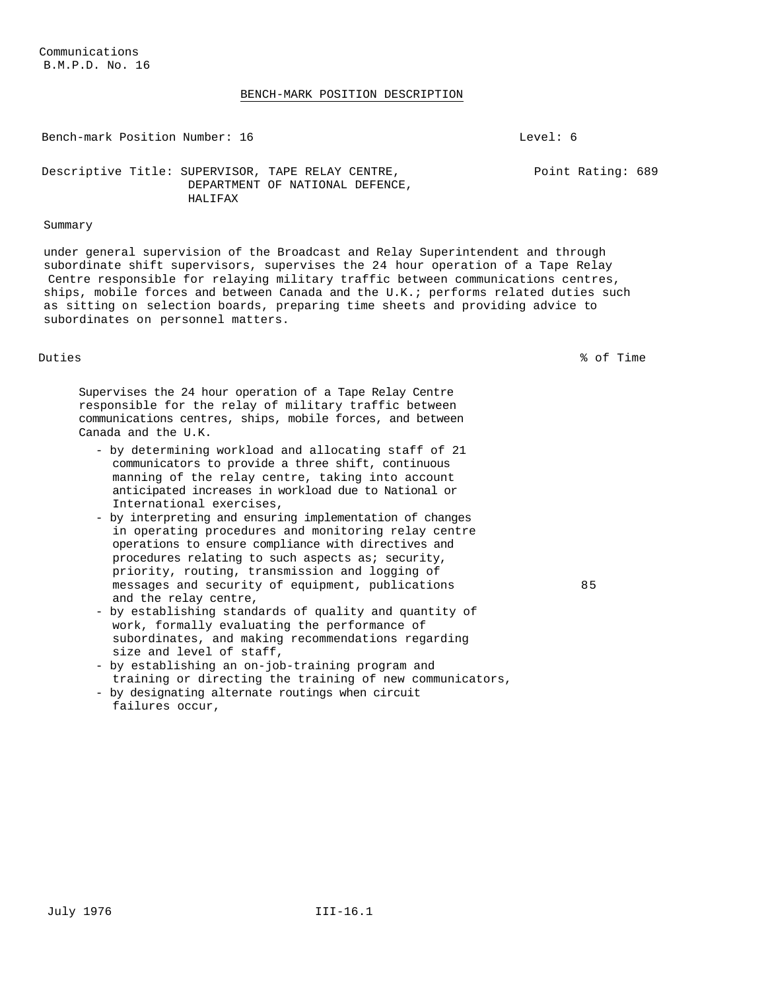#### BENCH-MARK POSITION DESCRIPTION

Bench-mark Position Number: 16 and 1.0 Level: 6

Point Rating: 689

Descriptive Title: SUPERVISOR, TAPE RELAY CENTRE, DEPARTMENT OF NATIONAL DEFENCE, HALIFAX

# Summary

under general supervision of the Broadcast and Relay Superintendent and through subordinate shift supervisors, supervises the 24 hour operation of a Tape Relay Centre responsible for relaying military traffic between communications centres, ships, mobile forces and between Canada and the U.K.; performs related duties such as sitting on selection boards, preparing time sheets and providing advice to subordinates on personnel matters.

Duties % of Time

85

Supervises the 24 hour operation of a Tape Relay Centre responsible for the relay of military traffic between communications centres, ships, mobile forces, and between Canada and the U.K.

- by determining workload and allocating staff of 21 communicators to provide a three shift, continuous manning of the relay centre, taking into account anticipated increases in workload due to National or International exercises,
- by interpreting and ensuring implementation of changes in operating procedures and monitoring relay centre operations to ensure compliance with directives and procedures relating to such aspects as; security, priority, routing, transmission and logging of messages and security of equipment, publications and the relay centre,
- by establishing standards of quality and quantity of work, formally evaluating the performance of subordinates, and making recommendations regarding size and level of staff,
- by establishing an on-job-training program and training or directing the training of new communicators,
- by designating alternate routings when circuit failures occur,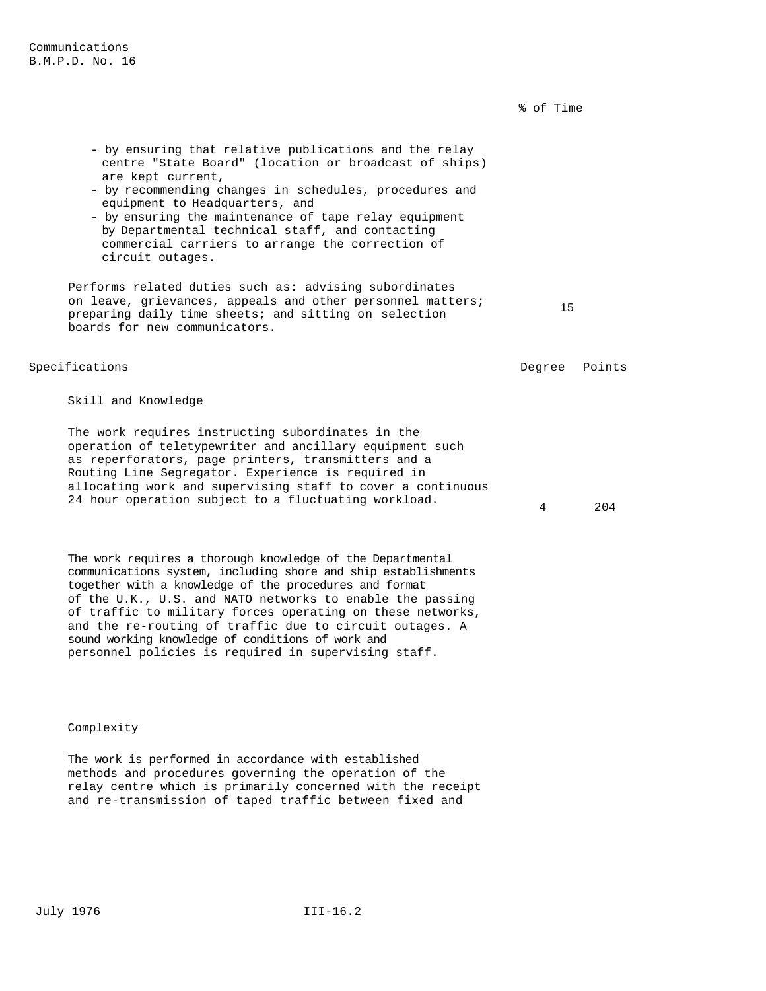% of Time

- by ensuring that relative publications and the relay centre "State Board" (location or broadcast of ships) are kept current,
- by recommending changes in schedules, procedures and equipment to Headquarters, and
- by ensuring the maintenance of tape relay equipment by Departmental technical staff, and contacting commercial carriers to arrange the correction of circuit outages.

Performs related duties such as: advising subordinates on leave, grievances, appeals and other personnel matters; preparing daily time sheets; and sitting on selection boards for new communicators.

## Specifications **Degree** Points **Degree** Points

15

4 204

Skill and Knowledge

The work requires instructing subordinates in the operation of teletypewriter and ancillary equipment such as reperforators, page printers, transmitters and a Routing Line Segregator. Experience is required in allocating work and supervising staff to cover a continuous 24 hour operation subject to a fluctuating workload.

The work requires a thorough knowledge of the Departmental communications system, including shore and ship establishments together with a knowledge of the procedures and format of the U.K., U.S. and NATO networks to enable the passing of traffic to military forces operating on these networks, and the re-routing of traffic due to circuit outages. A sound working knowledge of conditions of work and personnel policies is required in supervising staff.

Complexity

The work is performed in accordance with established methods and procedures governing the operation of the relay centre which is primarily concerned with the receipt and re-transmission of taped traffic between fixed and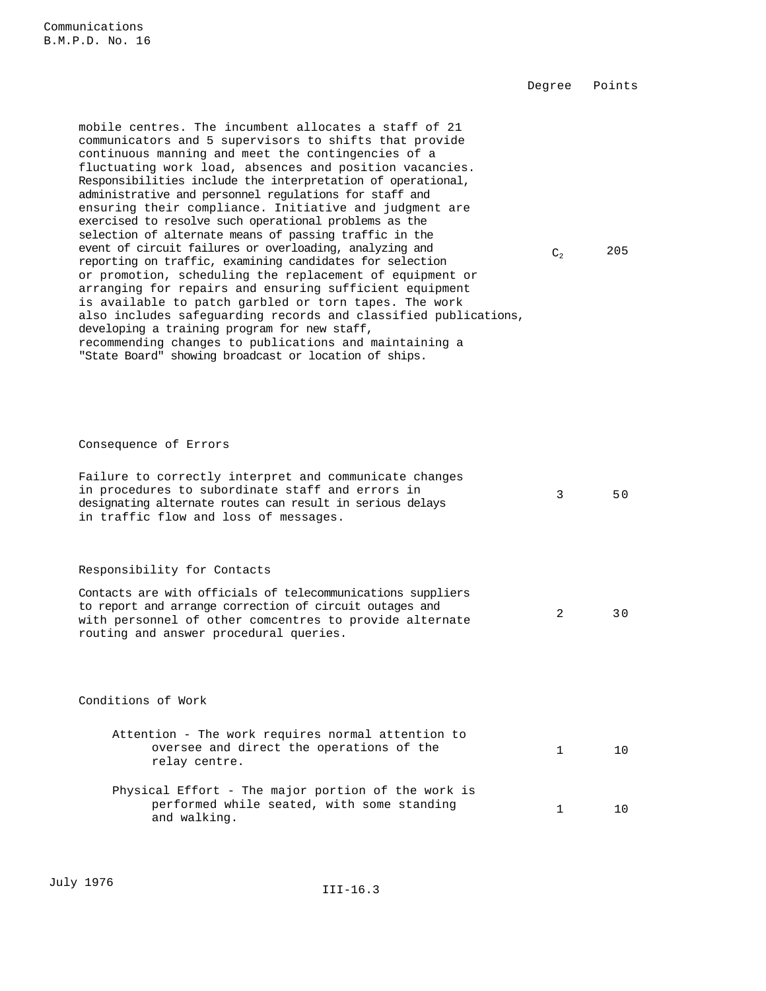Degree Points

mobile centres. The incumbent allocates a staff of 21 communicators and 5 supervisors to shifts that provide continuous manning and meet the contingencies of a fluctuating work load, absences and position vacancies. Responsibilities include the interpretation of operational, administrative and personnel regulations for staff and ensuring their compliance. Initiative and judgment are exercised to resolve such operational problems as the selection of alternate means of passing traffic in the event of circuit failures or overloading, analyzing and reporting on traffic, examining candidates for selection or promotion, scheduling the replacement of equipment or arranging for repairs and ensuring sufficient equipment is available to patch garbled or torn tapes. The work also includes safeguarding records and classified publications, developing a training program for new staff, recommending changes to publications and maintaining a "State Board" showing broadcast or location of ships.

 $C_2$  205

Consequence of Errors

| Failure to correctly interpret and communicate changes<br>in procedures to subordinate staff and errors in<br>designating alternate routes can result in serious delays<br>in traffic flow and loss of messages.            | 3             | 50  |
|-----------------------------------------------------------------------------------------------------------------------------------------------------------------------------------------------------------------------------|---------------|-----|
| Responsibility for Contacts                                                                                                                                                                                                 |               |     |
| Contacts are with officials of telecommunications suppliers<br>to report and arrange correction of circuit outages and<br>with personnel of other comcentres to provide alternate<br>routing and answer procedural queries. | $\mathcal{L}$ | 30  |
|                                                                                                                                                                                                                             |               |     |
| Conditions of Work                                                                                                                                                                                                          |               |     |
| Attention - The work requires normal attention to<br>oversee and direct the operations of the<br>relay centre.                                                                                                              | $\mathbf{1}$  | 10  |
| Physical Effort - The major portion of the work is<br>performed while seated, with some standing<br>and walking.                                                                                                            | 1             | 1 O |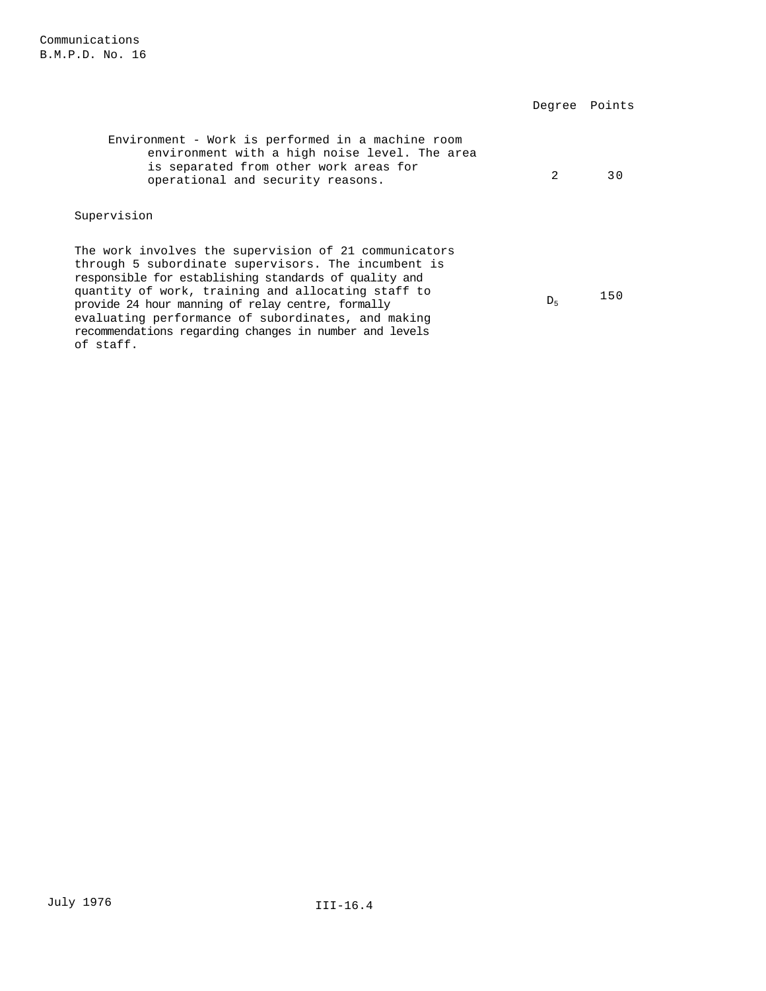of staff.

|                                                                                                                                                                                                                                                                                                                                                                                                  | Degree         | Points |
|--------------------------------------------------------------------------------------------------------------------------------------------------------------------------------------------------------------------------------------------------------------------------------------------------------------------------------------------------------------------------------------------------|----------------|--------|
| Environment - Work is performed in a machine room<br>environment with a high noise level. The area<br>is separated from other work areas for<br>operational and security reasons.                                                                                                                                                                                                                | $\mathfrak{D}$ | 30     |
| Supervision                                                                                                                                                                                                                                                                                                                                                                                      |                |        |
| The work involves the supervision of 21 communicators<br>through 5 subordinate supervisors. The incumbent is<br>responsible for establishing standards of quality and<br>quantity of work, training and allocating staff to<br>provide 24 hour manning of relay centre, formally<br>evaluating performance of subordinates, and making<br>recommendations regarding changes in number and levels | D <sub>5</sub> | 150    |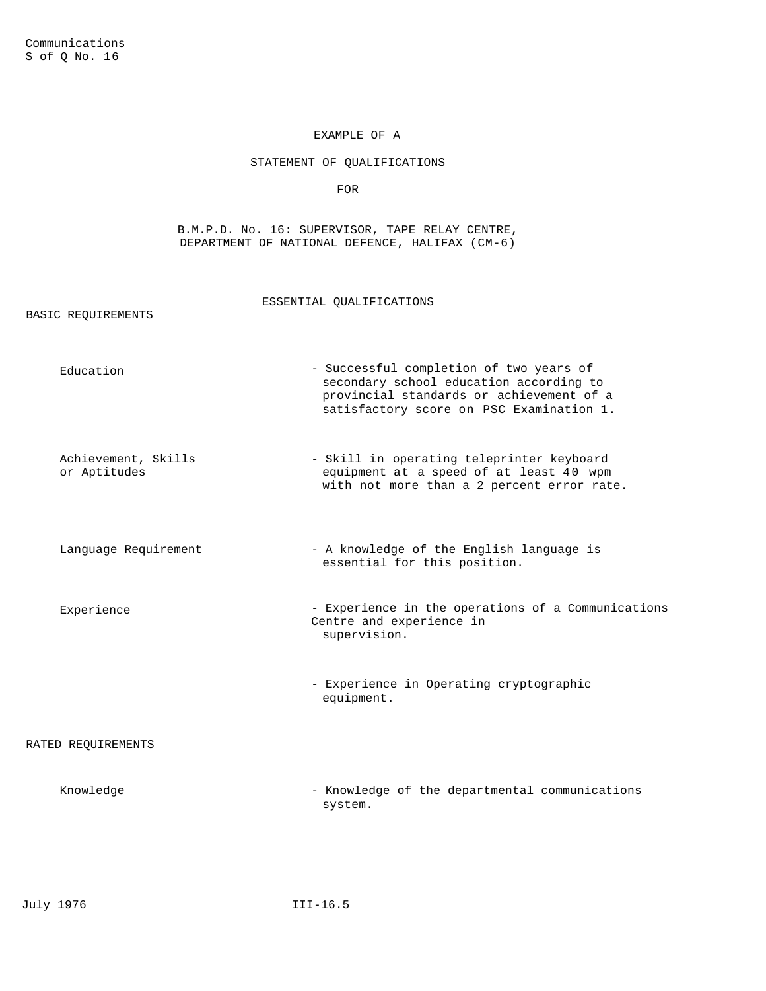BASIC REQUIREMENTS

# EXAMPLE OF A

# STATEMENT OF QUALIFICATIONS

FOR

## B.M.P.D. No. 16: SUPERVISOR, TAPE RELAY CENTRE, DEPARTMENT OF NATIONAL DEFENCE, HALIFAX (CM-6)

ESSENTIAL QUALIFICATIONS

|                    | Education                           | - Successful completion of two years of<br>secondary school education according to<br>provincial standards or achievement of a<br>satisfactory score on PSC Examination 1. |
|--------------------|-------------------------------------|----------------------------------------------------------------------------------------------------------------------------------------------------------------------------|
|                    | Achievement, Skills<br>or Aptitudes | - Skill in operating teleprinter keyboard<br>equipment at a speed of at least 40 wpm<br>with not more than a 2 percent error rate.                                         |
|                    | Language Requirement                | - A knowledge of the English language is<br>essential for this position.                                                                                                   |
|                    | Experience                          | - Experience in the operations of a Communications<br>Centre and experience in<br>supervision.                                                                             |
|                    |                                     | - Experience in Operating cryptographic<br>equipment.                                                                                                                      |
| RATED REQUIREMENTS |                                     |                                                                                                                                                                            |
|                    | Knowledge                           | - Knowledge of the departmental communications<br>system.                                                                                                                  |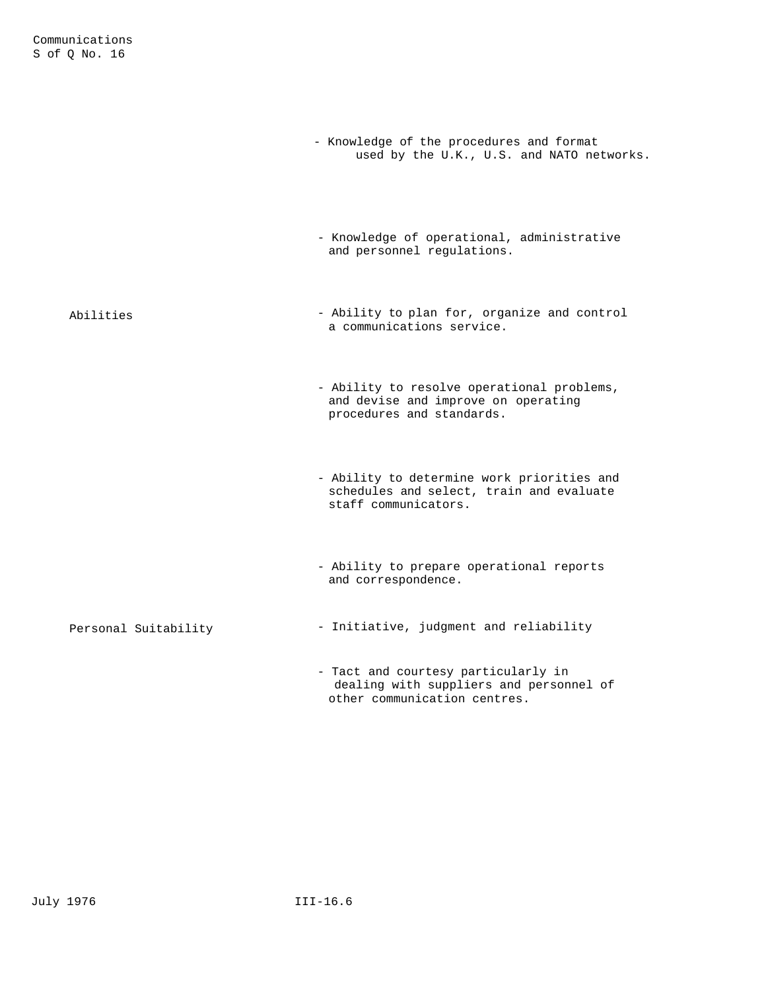|                      | - Knowledge of the procedures and format<br>used by the U.K., U.S. and NATO networks.                          |
|----------------------|----------------------------------------------------------------------------------------------------------------|
|                      | - Knowledge of operational, administrative<br>and personnel regulations.                                       |
| Abilities            | - Ability to plan for, organize and control<br>a communications service.                                       |
|                      | - Ability to resolve operational problems,<br>and devise and improve on operating<br>procedures and standards. |
|                      | - Ability to determine work priorities and<br>schedules and select, train and evaluate<br>staff communicators. |
|                      | - Ability to prepare operational reports<br>and correspondence.                                                |
| Personal Suitability | - Initiative, judgment and reliability                                                                         |
|                      | - Tact and courtesy particularly in<br>dealing with suppliers and personnel of<br>other communication centres. |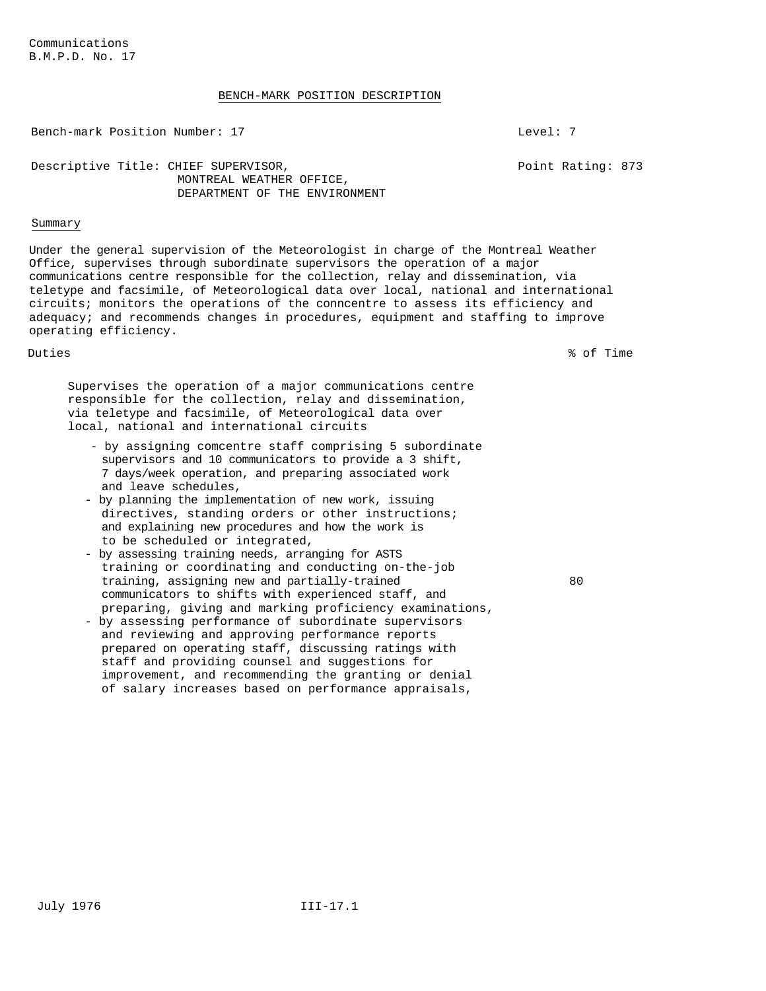### BENCH-MARK POSITION DESCRIPTION

Bench-mark Position Number: 17 and 17 Level: 7

Point Rating: 873

Descriptive Title: CHIEF SUPERVISOR, MONTREAL WEATHER OFFICE, DEPARTMENT OF THE ENVIRONMENT

### Summary

Under the general supervision of the Meteorologist in charge of the Montreal Weather Office, supervises through subordinate supervisors the operation of a major communications centre responsible for the collection, relay and dissemination, via teletype and facsimile, of Meteorological data over local, national and international circuits; monitors the operations of the conncentre to assess its efficiency and adequacy; and recommends changes in procedures, equipment and staffing to improve operating efficiency.

Duties % of Time

Supervises the operation of a major communications centre responsible for the collection, relay and dissemination, via teletype and facsimile, of Meteorological data over local, national and international circuits

- by assigning comcentre staff comprising 5 subordinate supervisors and 10 communicators to provide a 3 shift, 7 days/week operation, and preparing associated work and leave schedules,
- by planning the implementation of new work, issuing directives, standing orders or other instructions; and explaining new procedures and how the work is to be scheduled or integrated,
- by assessing training needs, arranging for ASTS training or coordinating and conducting on-the-job training, assigning new and partially-trained communicators to shifts with experienced staff, and preparing, giving and marking proficiency examinations,
- by assessing performance of subordinate supervisors and reviewing and approving performance reports prepared on operating staff, discussing ratings with staff and providing counsel and suggestions for improvement, and recommending the granting or denial of salary increases based on performance appraisals,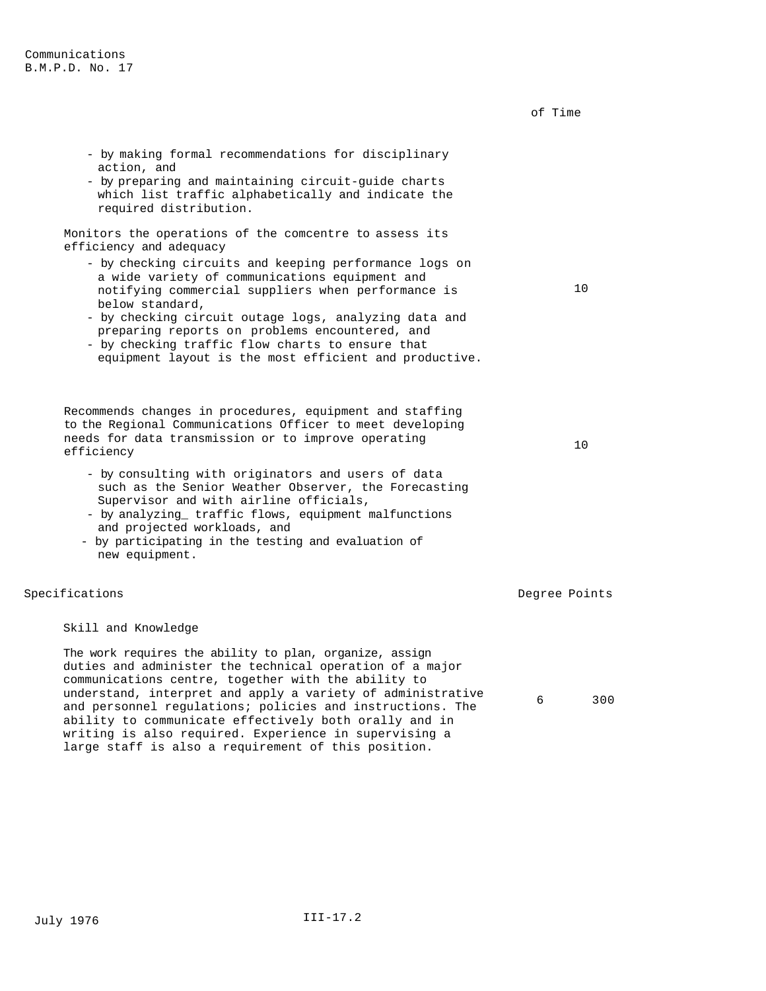- by making formal recommendations for disciplinary action, and - by preparing and maintaining circuit-guide charts which list traffic alphabetically and indicate the required distribution. Monitors the operations of the comcentre to assess its efficiency and adequacy - by checking circuits and keeping performance logs on a wide variety of communications equipment and notifying commercial suppliers when performance is below standard, - by checking circuit outage logs, analyzing data and preparing reports on problems encountered, and - by checking traffic flow charts to ensure that equipment layout is the most efficient and productive. 10 Recommends changes in procedures, equipment and staffing to the Regional Communications Officer to meet developing needs for data transmission or to improve operating efficiency <sup>10</sup> - by consulting with originators and users of data such as the Senior Weather Observer, the Forecasting Supervisor and with airline officials, - by analyzing\_ traffic flows, equipment malfunctions and projected workloads, and - by participating in the testing and evaluation of new equipment. Specifications **Degree Points** Degree Points Skill and Knowledge

of Time

6 300

The work requires the ability to plan, organize, assign duties and administer the technical operation of a major communications centre, together with the ability to understand, interpret and apply a variety of administrative and personnel regulations; policies and instructions. The ability to communicate effectively both orally and in writing is also required. Experience in supervising a large staff is also a requirement of this position.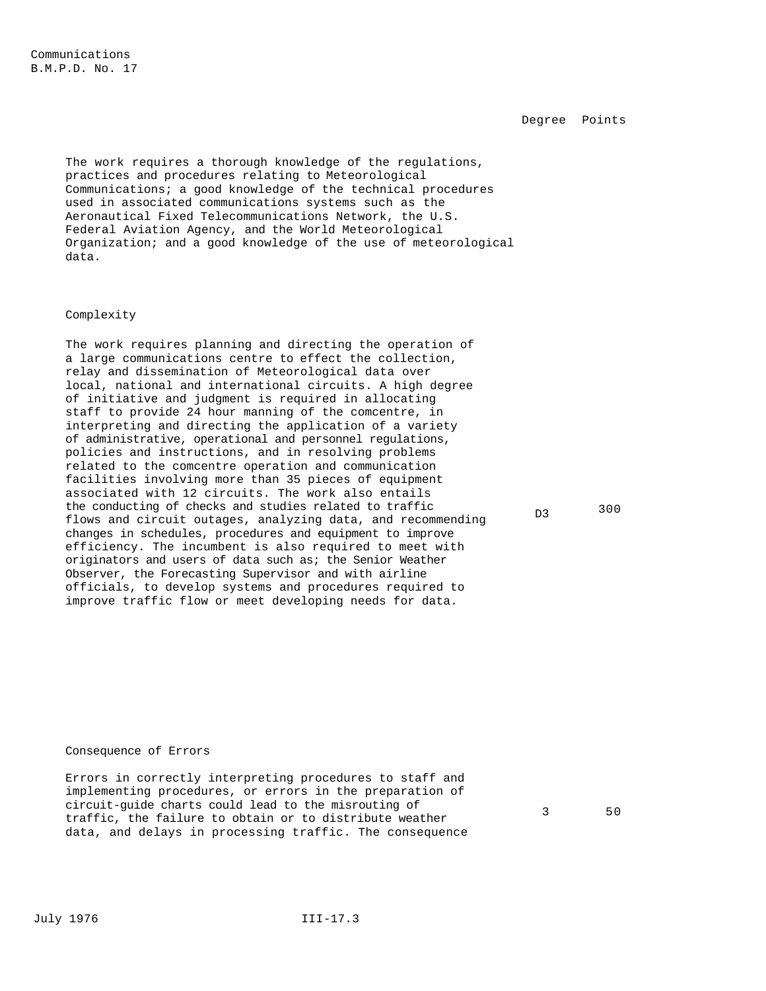Degree Points

The work requires a thorough knowledge of the regulations, practices and procedures relating to Meteorological Communications; a good knowledge of the technical procedures used in associated communications systems such as the Aeronautical Fixed Telecommunications Network, the U.S. Federal Aviation Agency, and the World Meteorological Organization; and a good knowledge of the use of meteorological data.

#### Complexity

The work requires planning and directing the operation of a large communications centre to effect the collection, relay and dissemination of Meteorological data over local, national and international circuits. A high degree of initiative and judgment is required in allocating staff to provide 24 hour manning of the comcentre, in interpreting and directing the application of a variety of administrative, operational and personnel regulations, policies and instructions, and in resolving problems related to the comcentre operation and communication facilities involving more than 35 pieces of equipment associated with 12 circuits. The work also entails the conducting of checks and studies related to traffic flows and circuit outages, analyzing data, and recommending changes in schedules, procedures and equipment to improve efficiency. The incumbent is also required to meet with originators and users of data such as; the Senior Weather Observer, the Forecasting Supervisor and with airline officials, to develop systems and procedures required to improve traffic flow or meet developing needs for data.

# D3 300

## Consequence of Errors

Errors in correctly interpreting procedures to staff and implementing procedures, or errors in the preparation of circuit-guide charts could lead to the misrouting of traffic, the failure to obtain or to distribute weather data, and delays in processing traffic. The consequence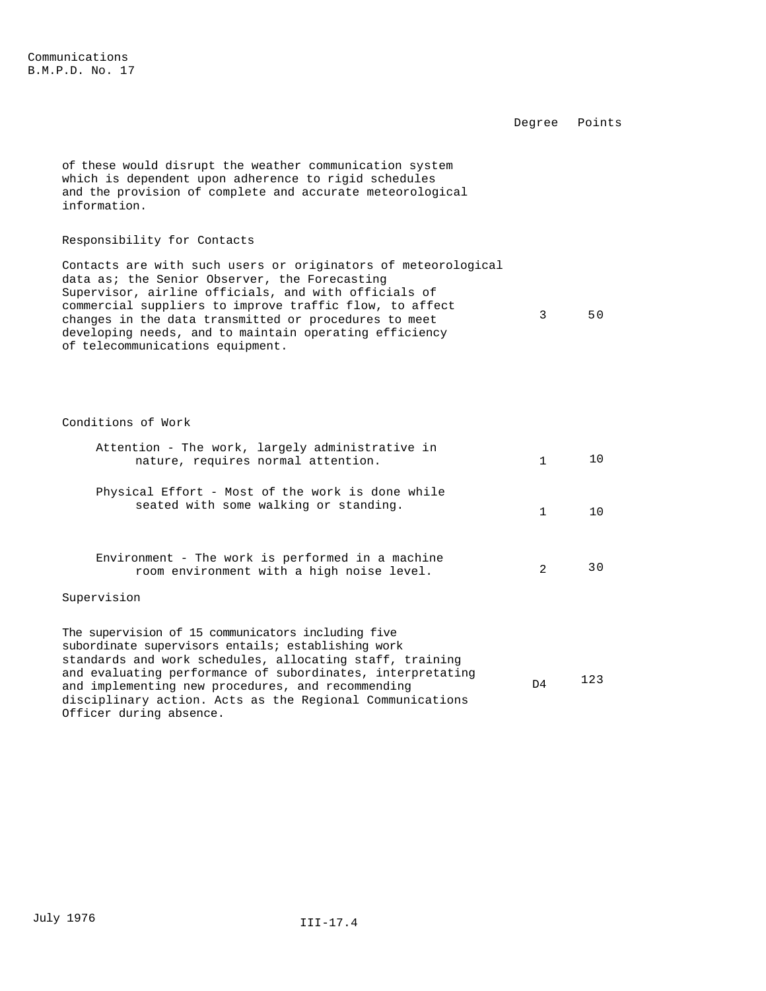Degree Points

of these would disrupt the weather communication system which is dependent upon adherence to rigid schedules and the provision of complete and accurate meteorological information.

## Responsibility for Contacts

Contacts are with such users or originators of meteorological data as; the Senior Observer, the Forecasting Supervisor, airline officials, and with officials of commercial suppliers to improve traffic flow, to affect changes in the data transmitted or procedures to meet developing needs, and to maintain operating efficiency of telecommunications equipment. 3 50

Conditions of Work

Officer during absence.

| Attention - The work, largely administrative in<br>nature, requires normal attention.                                                                                       | $\mathbf{1}$   | 10  |
|-----------------------------------------------------------------------------------------------------------------------------------------------------------------------------|----------------|-----|
| Physical Effort - Most of the work is done while<br>seated with some walking or standing.                                                                                   | $\mathbf{1}$   | 1 Q |
| Environment - The work is performed in a machine<br>room environment with a high noise level.                                                                               | $2^{1}$        | 30  |
| Supervision                                                                                                                                                                 |                |     |
| The supervision of 15 communicators including five<br>subordinate supervisors entails; establishing work<br>standards and work schedules, allocating staff, training        |                |     |
| and evaluating performance of subordinates, interpretating<br>and implementing new procedures, and recommending<br>disciplinary action. Acts as the Regional Communications | D <sub>4</sub> | 123 |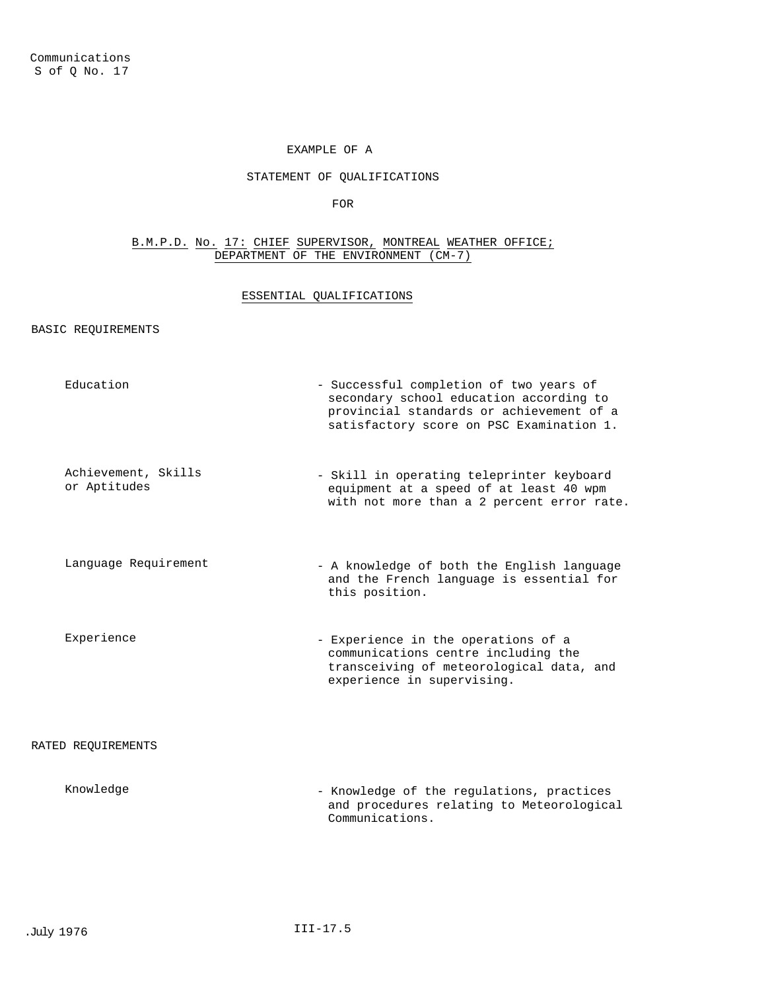# EXAMPLE OF A

# STATEMENT OF QUALIFICATIONS

FOR

## B.M.P.D. No. 17: CHIEF SUPERVISOR, MONTREAL WEATHER OFFICE; DEPARTMENT OF THE ENVIRONMENT (CM-7)

# ESSENTIAL QUALIFICATIONS

# BASIC REQUIREMENTS

| Education                           | - Successful completion of two years of<br>secondary school education according to<br>provincial standards or achievement of a<br>satisfactory score on PSC Examination 1. |
|-------------------------------------|----------------------------------------------------------------------------------------------------------------------------------------------------------------------------|
| Achievement, Skills<br>or Aptitudes | - Skill in operating teleprinter keyboard<br>equipment at a speed of at least 40 wpm<br>with not more than a 2 percent error rate.                                         |
| Language Requirement                | - A knowledge of both the English language<br>and the French language is essential for<br>this position.                                                                   |
| Experience                          | - Experience in the operations of a<br>communications centre including the<br>transceiving of meteorological data, and<br>experience in supervising.                       |
| RATED REQUIREMENTS                  |                                                                                                                                                                            |
| Knowledge                           | - Knowledge of the regulations, practices<br>and procedures relating to Meteorological<br>Communications.                                                                  |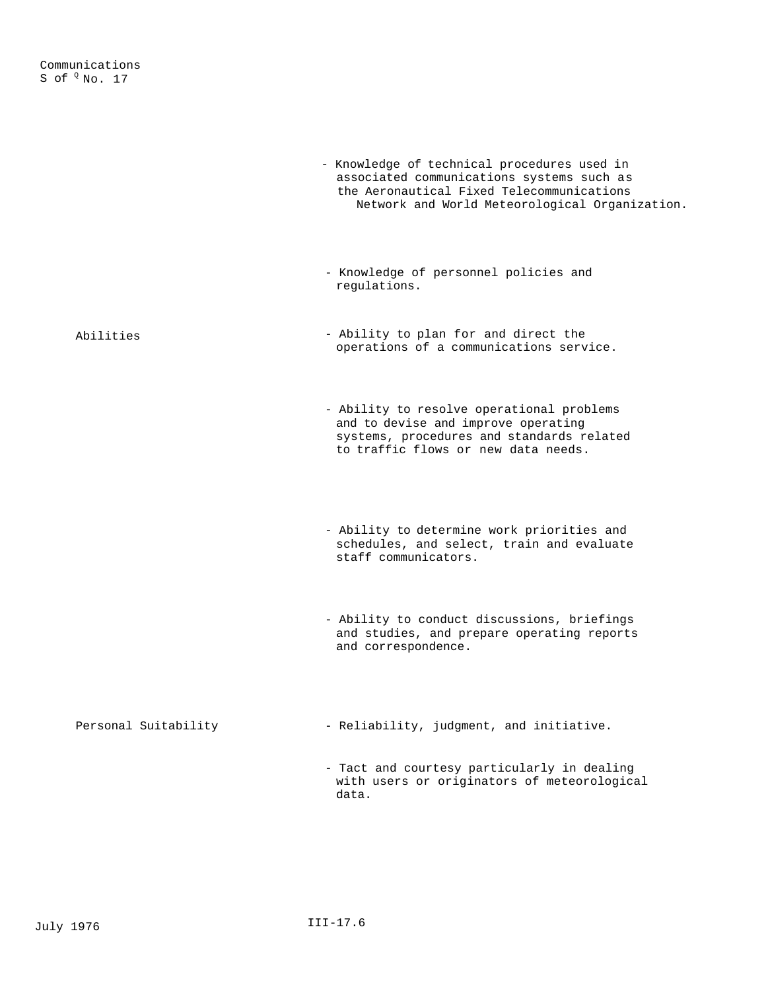|                      | - Knowledge of technical procedures used in<br>associated communications systems such as<br>the Aeronautical Fixed Telecommunications<br>Network and World Meteorological Organization. |
|----------------------|-----------------------------------------------------------------------------------------------------------------------------------------------------------------------------------------|
|                      | - Knowledge of personnel policies and<br>regulations.                                                                                                                                   |
| Abilities            | - Ability to plan for and direct the<br>operations of a communications service.                                                                                                         |
|                      | - Ability to resolve operational problems<br>and to devise and improve operating<br>systems, procedures and standards related<br>to traffic flows or new data needs.                    |
|                      | - Ability to determine work priorities and<br>schedules, and select, train and evaluate<br>staff communicators.                                                                         |
|                      | - Ability to conduct discussions, briefings<br>and studies, and prepare operating reports<br>and correspondence.                                                                        |
| Personal Suitability | - Reliability, judgment, and initiative.                                                                                                                                                |
|                      | - Tact and courtesy particularly in dealing<br>with users or originators of meteorological<br>data.                                                                                     |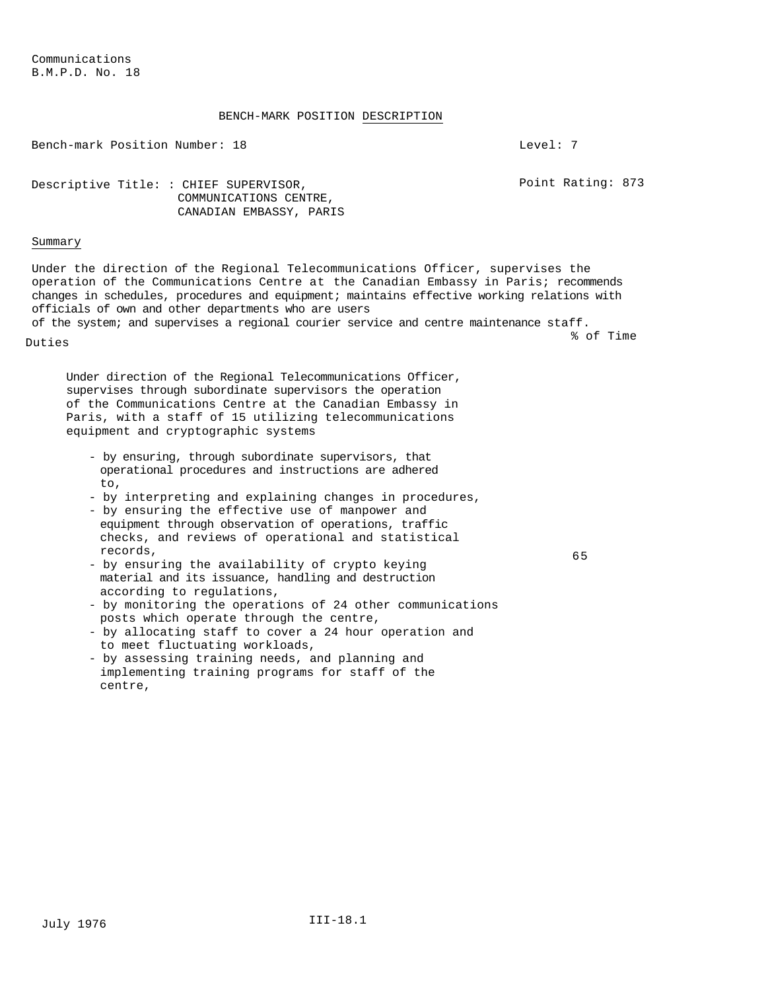# BENCH-MARK POSITION DESCRIPTION

Bench-mark Position Number: 18 and 18 Level: 7

Point Rating: 873

65

Descriptive Title: : CHIEF SUPERVISOR, COMMUNICATIONS CENTRE, CANADIAN EMBASSY, PARIS

#### Summary

Under the direction of the Regional Telecommunications Officer, supervises the operation of the Communications Centre at the Canadian Embassy in Paris; recommends changes in schedules, procedures and equipment; maintains effective working relations with officials of own and other departments who are users

of the system; and supervises a regional courier service and centre maintenance staff. Duties % of Time

Under direction of the Regional Telecommunications Officer, supervises through subordinate supervisors the operation of the Communications Centre at the Canadian Embassy in Paris, with a staff of 15 utilizing telecommunications equipment and cryptographic systems

- by ensuring, through subordinate supervisors, that operational procedures and instructions are adhered to,
- by interpreting and explaining changes in procedures,
- by ensuring the effective use of manpower and equipment through observation of operations, traffic checks, and reviews of operational and statistical records,
- by ensuring the availability of crypto keying material and its issuance, handling and destruction according to regulations,
- by monitoring the operations of 24 other communications posts which operate through the centre,
- by allocating staff to cover a 24 hour operation and to meet fluctuating workloads,
- by assessing training needs, and planning and implementing training programs for staff of the centre,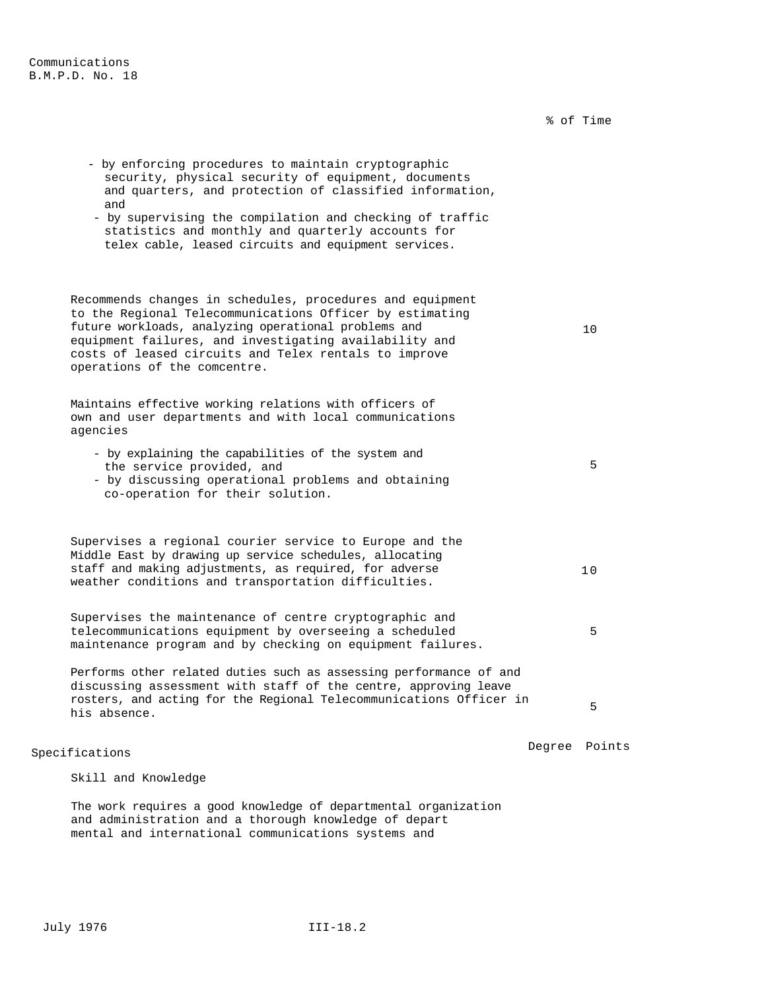% of Time - by enforcing procedures to maintain cryptographic security, physical security of equipment, documents and quarters, and protection of classified information, and - by supervising the compilation and checking of traffic statistics and monthly and quarterly accounts for telex cable, leased circuits and equipment services. Recommends changes in schedules, procedures and equipment to the Regional Telecommunications Officer by estimating future workloads, analyzing operational problems and equipment failures, and investigating availability and costs of leased circuits and Telex rentals to improve operations of the comcentre. 10 Maintains effective working relations with officers of own and user departments and with local communications agencies - by explaining the capabilities of the system and the service provided, and - by discussing operational problems and obtaining co-operation for their solution. 5 Supervises a regional courier service to Europe and the Middle East by drawing up service schedules, allocating staff and making adjustments, as required, for adverse weather conditions and transportation difficulties. 10 Supervises the maintenance of centre cryptographic and telecommunications equipment by overseeing a scheduled maintenance program and by checking on equipment failures. 5

Performs other related duties such as assessing performance of and discussing assessment with staff of the centre, approving leave rosters, and acting for the Regional Telecommunications Officer in his absence. <sup>5</sup>

# Specifications Degree Points

# Skill and Knowledge

The work requires a good knowledge of departmental organization and administration and a thorough knowledge of depart mental and international communications systems and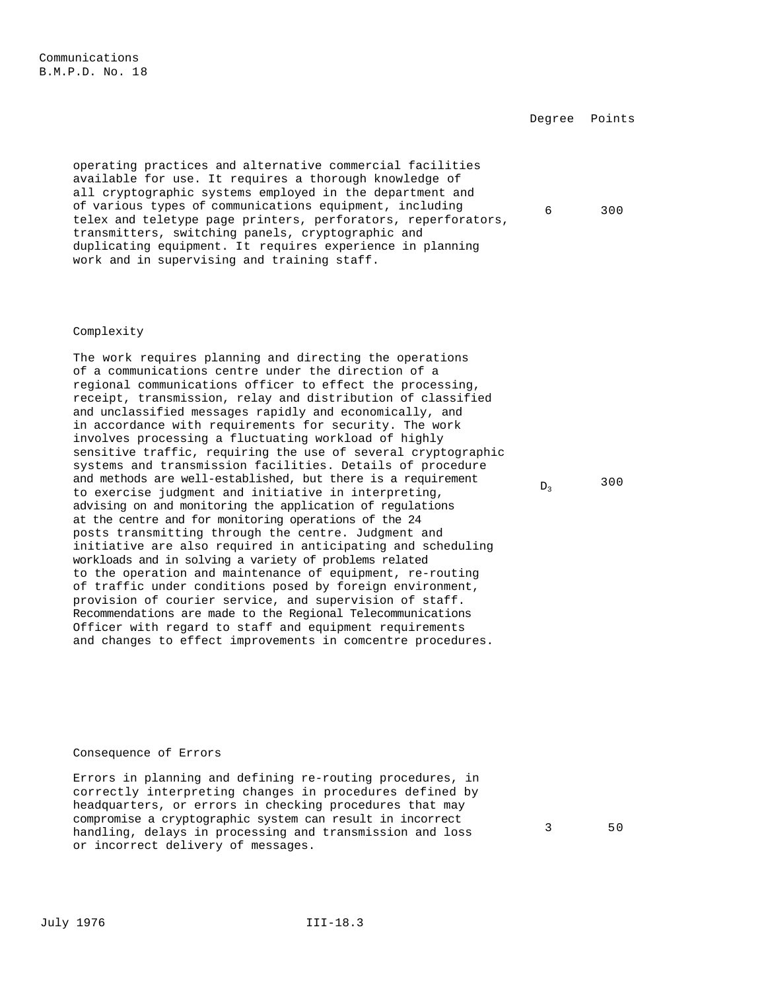Communications B.M.P.D. No. 18

Degree Points

6 300

 $D<sub>3</sub>$  300

operating practices and alternative commercial facilities available for use. It requires a thorough knowledge of all cryptographic systems employed in the department and of various types of communications equipment, including telex and teletype page printers, perforators, reperforators, transmitters, switching panels, cryptographic and duplicating equipment. It requires experience in planning work and in supervising and training staff.

#### Complexity

The work requires planning and directing the operations of a communications centre under the direction of a regional communications officer to effect the processing, receipt, transmission, relay and distribution of classified and unclassified messages rapidly and economically, and in accordance with requirements for security. The work involves processing a fluctuating workload of highly sensitive traffic, requiring the use of several cryptographic systems and transmission facilities. Details of procedure and methods are well-established, but there is a requirement to exercise judgment and initiative in interpreting, advising on and monitoring the application of regulations at the centre and for monitoring operations of the 24 posts transmitting through the centre. Judgment and initiative are also required in anticipating and scheduling workloads and in solving a variety of problems related to the operation and maintenance of equipment, re-routing of traffic under conditions posed by foreign environment, provision of courier service, and supervision of staff. Recommendations are made to the Regional Telecommunications Officer with regard to staff and equipment requirements and changes to effect improvements in comcentre procedures.

#### Consequence of Errors

Errors in planning and defining re-routing procedures, in correctly interpreting changes in procedures defined by headquarters, or errors in checking procedures that may compromise a cryptographic system can result in incorrect handling, delays in processing and transmission and loss or incorrect delivery of messages.

3 50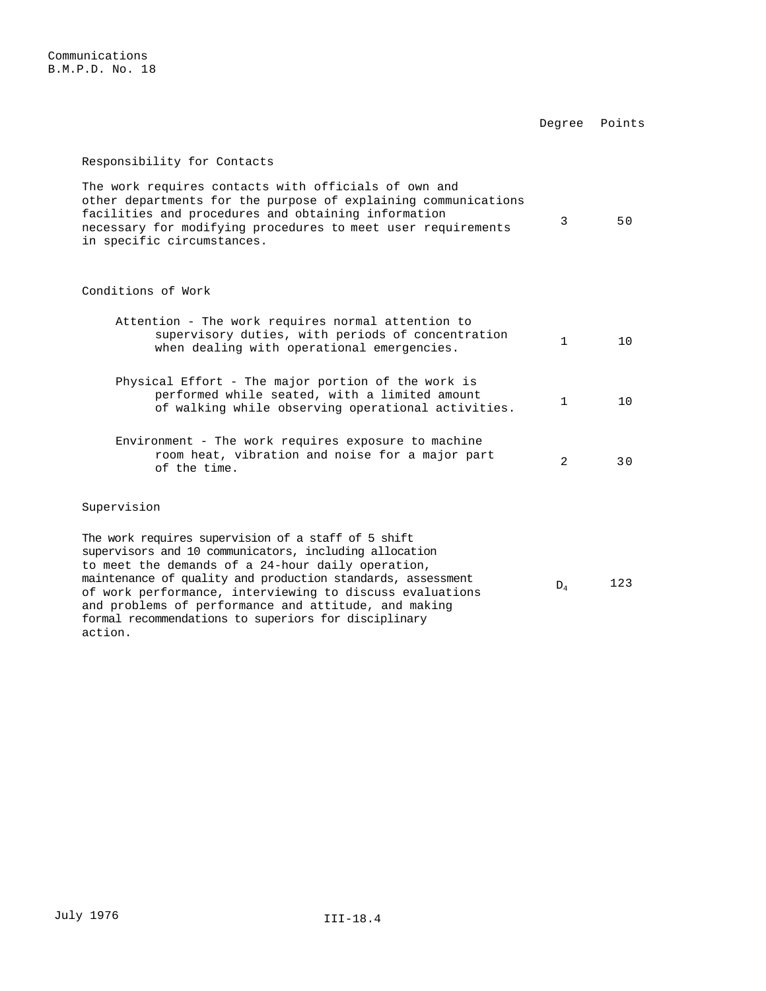Communications B.M.P.D. No. 18

Degree Points

## Responsibility for Contacts

The work requires contacts with officials of own and other departments for the purpose of explaining communications facilities and procedures and obtaining information necessary for modifying procedures to meet user requirements in specific circumstances. 3 50

### Conditions of Work

| Attention - The work requires normal attention to<br>supervisory duties, with periods of concentration<br>when dealing with operational emergencies.                                                                                                                                          | $\mathbf{1}$   | $10^{-}$ |
|-----------------------------------------------------------------------------------------------------------------------------------------------------------------------------------------------------------------------------------------------------------------------------------------------|----------------|----------|
| Physical Effort - The major portion of the work is<br>performed while seated, with a limited amount<br>of walking while observing operational activities.                                                                                                                                     | 1              | 1 Q      |
| Environment - The work requires exposure to machine<br>room heat, vibration and noise for a major part<br>of the time.                                                                                                                                                                        | $\mathfrak{D}$ | 3 O      |
| Supervision                                                                                                                                                                                                                                                                                   |                |          |
| The work requires supervision of a staff of 5 shift<br>supervisors and 10 communicators, including allocation<br>to meet the demands of a 24-hour daily operation,<br>maintenance of quality and production standards, assessment<br>of work performance, interviewing to discuss evaluations | $D_4$          | 123      |

and problems of performance and attitude, and making formal recommendations to superiors for disciplinary

action.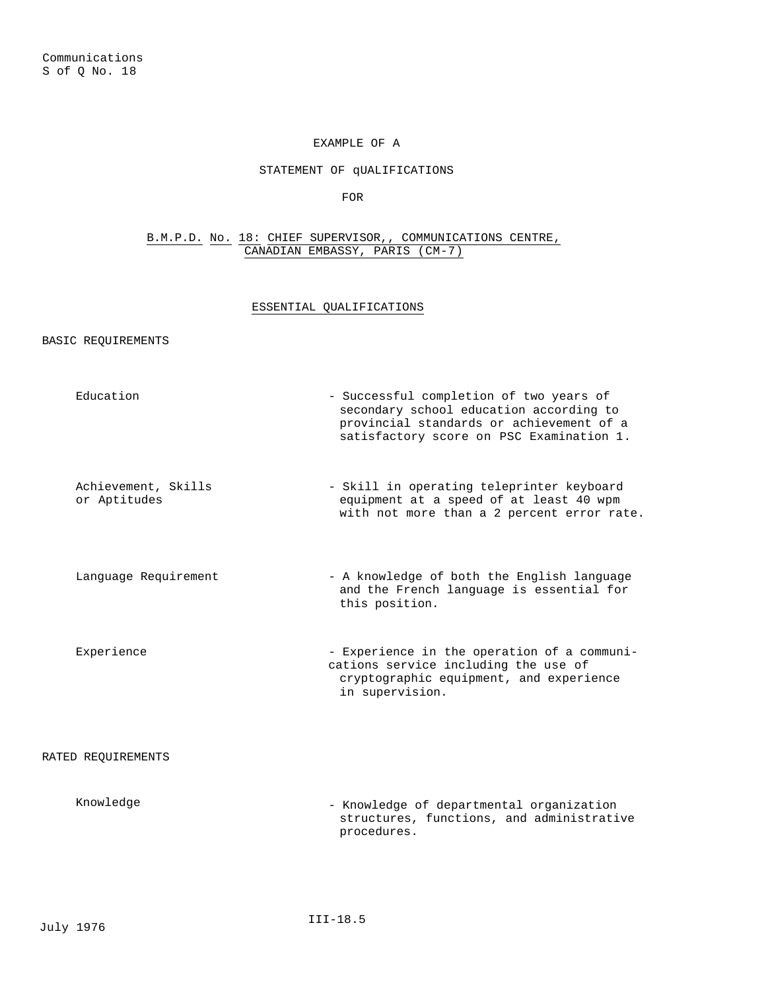# EXAMPLE OF A

## STATEMENT OF qUALIFICATIONS

FOR

## B.M.P.D. No. 18: CHIEF SUPERVISOR,, COMMUNICATIONS CENTRE, CANADIAN EMBASSY, PARIS (CM-7)

## ESSENTIAL QUALIFICATIONS

#### BASIC REQUIREMENTS

- Education  $\sim$  Successful completion of two years of secondary school education according to provincial standards or achievement of a satisfactory score on PSC Examination 1. Achievement, Skills or Aptitudes - Skill in operating teleprinter keyboard equipment at a speed of at least 40 wpm with not more than a 2 percent error rate. Language Requirement - A knowledge of both the English language and the French language is essential for this position. Experience - Experience in the operation of a communications service including the use of cryptographic equipment, and experience in supervision. RATED REQUIREMENTS Knowledge - Knowledge of departmental organization
	- structures, functions, and administrative procedures.